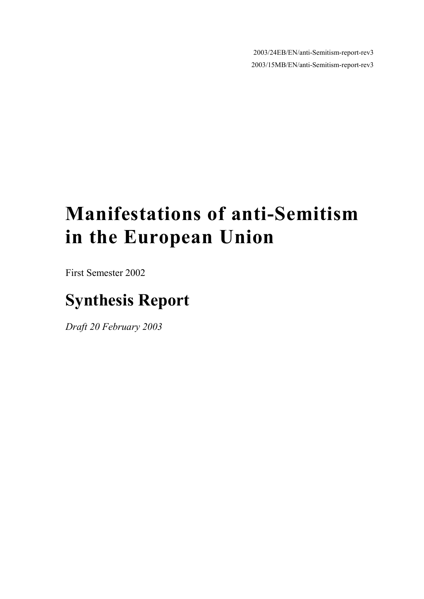2003/24EB/EN/anti-Semitism-report-rev3 2003/15MB/EN/anti-Semitism-report-rev3

# **Manifestations of anti-Semitism in the European Union**

First Semester 2002

## **Synthesis Report**

*Draft 20 February 2003*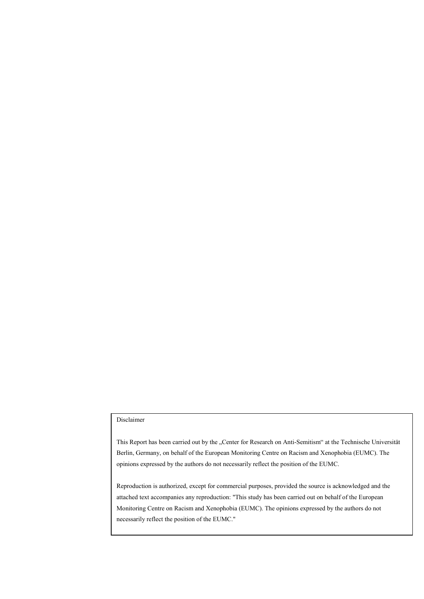#### Disclaimer

This Report has been carried out by the "Center for Research on Anti-Semitism" at the Technische Universität Berlin, Germany, on behalf of the European Monitoring Centre on Racism and Xenophobia (EUMC). The opinions expressed by the authors do not necessarily reflect the position of the EUMC.

Reproduction is authorized, except for commercial purposes, provided the source is acknowledged and the attached text accompanies any reproduction: "This study has been carried out on behalf of the European Monitoring Centre on Racism and Xenophobia (EUMC). The opinions expressed by the authors do not necessarily reflect the position of the EUMC."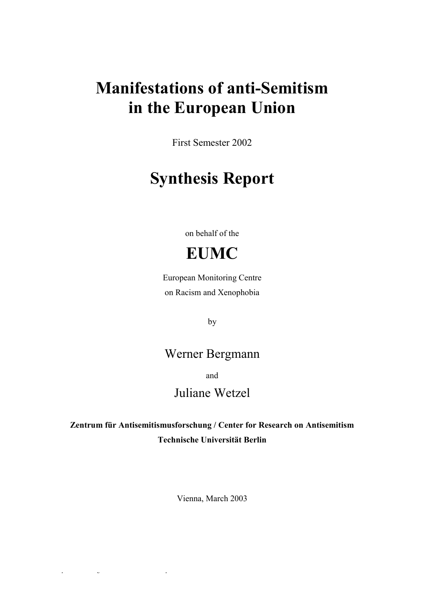## **Manifestations of anti-Semitism in the European Union**

First Semester 2002

## **Synthesis Report**

on behalf of the

## **EUMC**

European Monitoring Centre on Racism and Xenophobia

by

### Werner Bergmann

and

### Juliane Wetzel

**Zentrum für Antisemitismusforschung / Center for Research on Antisemitism Technische Universität Berlin**

Vienna, March 2003

 $\mathbf{E} = \mathbf{E} \cdot \mathbf{E}$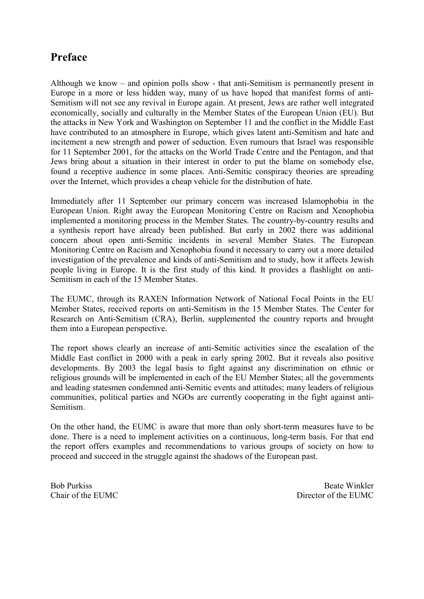### **Preface**

Although we know – and opinion polls show - that anti-Semitism is permanently present in Europe in a more or less hidden way, many of us have hoped that manifest forms of anti-Semitism will not see any revival in Europe again. At present, Jews are rather well integrated economically, socially and culturally in the Member States of the European Union (EU). But the attacks in New York and Washington on September 11 and the conflict in the Middle East have contributed to an atmosphere in Europe, which gives latent anti-Semitism and hate and incitement a new strength and power of seduction. Even rumours that Israel was responsible for 11 September 2001, for the attacks on the World Trade Centre and the Pentagon, and that Jews bring about a situation in their interest in order to put the blame on somebody else, found a receptive audience in some places. Anti-Semitic conspiracy theories are spreading over the Internet, which provides a cheap vehicle for the distribution of hate.

Immediately after 11 September our primary concern was increased Islamophobia in the European Union. Right away the European Monitoring Centre on Racism and Xenophobia implemented a monitoring process in the Member States. The country-by-country results and a synthesis report have already been published. But early in 2002 there was additional concern about open anti-Semitic incidents in several Member States. The European Monitoring Centre on Racism and Xenophobia found it necessary to carry out a more detailed investigation of the prevalence and kinds of anti-Semitism and to study, how it affects Jewish people living in Europe. It is the first study of this kind. It provides a flashlight on anti-Semitism in each of the 15 Member States.

The EUMC, through its RAXEN Information Network of National Focal Points in the EU Member States, received reports on anti-Semitism in the 15 Member States. The Center for Research on Anti-Semitism (CRA), Berlin, supplemented the country reports and brought them into a European perspective.

The report shows clearly an increase of anti-Semitic activities since the escalation of the Middle East conflict in 2000 with a peak in early spring 2002. But it reveals also positive developments. By 2003 the legal basis to fight against any discrimination on ethnic or religious grounds will be implemented in each of the EU Member States; all the governments and leading statesmen condemned anti-Semitic events and attitudes; many leaders of religious communities, political parties and NGOs are currently cooperating in the fight against anti-Semitism.

On the other hand, the EUMC is aware that more than only short-term measures have to be done. There is a need to implement activities on a continuous, long-term basis. For that end the report offers examples and recommendations to various groups of society on how to proceed and succeed in the struggle against the shadows of the European past.

Bob Purkiss Beate Winkler Chair of the EUMC Director of the EUMC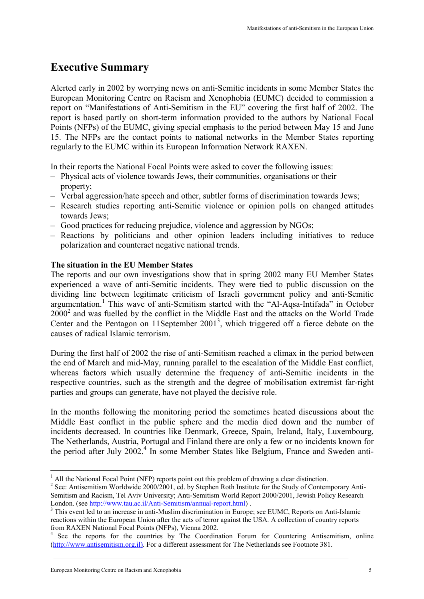### <span id="page-4-4"></span>**Executive Summary**

Alerted early in 2002 by worrying news on anti-Semitic incidents in some Member States the European Monitoring Centre on Racism and Xenophobia (EUMC) decided to commission a report on "Manifestations of Anti-Semitism in the EU" covering the first half of 2002. The report is based partly on short-term information provided to the authors by National Focal Points (NFPs) of the EUMC, giving special emphasis to the period between May 15 and June 15. The NFPs are the contact points to national networks in the Member States reporting regularly to the EUMC within its European Information Network RAXEN.

In their reports the National Focal Points were asked to cover the following issues:

- Physical acts of violence towards Jews, their communities, organisations or their property;
- Verbal aggression/hate speech and other, subtler forms of discrimination towards Jews;
- Research studies reporting anti-Semitic violence or opinion polls on changed attitudes towards Jews;
- Good practices for reducing prejudice, violence and aggression by NGOs;
- Reactions by politicians and other opinion leaders including initiatives to reduce polarization and counteract negative national trends.

### **The situation in the EU Member States**

The reports and our own investigations show that in spring 2002 many EU Member States experienced a wave of anti-Semitic incidents. They were tied to public discussion on the dividing line between legitimate criticism of Israeli government policy and anti-Semitic argumentation.<sup>[1](#page-4-0)</sup> This wave of anti-Semitism started with the "Al-Aqsa-Intifada" in October  $2000<sup>2</sup>$  $2000<sup>2</sup>$  and was fuelled by the conflict in the Middle East and the attacks on the World Trade Center and the Pentagon on 11September  $2001<sup>3</sup>$  $2001<sup>3</sup>$  $2001<sup>3</sup>$ , which triggered off a fierce debate on the causes of radical Islamic terrorism.

During the first half of 2002 the rise of anti-Semitism reached a climax in the period between the end of March and mid-May, running parallel to the escalation of the Middle East conflict, whereas factors which usually determine the frequency of anti-Semitic incidents in the respective countries, such as the strength and the degree of mobilisation extremist far-right parties and groups can generate, have not played the decisive role.

In the months following the monitoring period the sometimes heated discussions about the Middle East conflict in the public sphere and the media died down and the number of incidents decreased. In countries like Denmark, Greece, Spain, Ireland, Italy, Luxembourg, The Netherlands, Austria, Portugal and Finland there are only a few or no incidents known for the period after July 2002.<sup>[4](#page-4-3)</sup> In some Member States like Belgium, France and Sweden anti-

 $\overline{a}$  $<sup>1</sup>$  All the National Focal Point (NFP) reports point out this problem of drawing a clear distinction.</sup>

<span id="page-4-1"></span><span id="page-4-0"></span> $2^2$  See: Antisemitism Worldwide 2000/2001, ed. by Stephen Roth Institute for the Study of Contemporary Anti-Semitism and Racism, Tel Aviv University; Anti-Semitism World Report 2000/2001, Jewish Policy Research London. (see http://www.tau.ac.il/Anti-Semitism/annual-report.html).

<span id="page-4-2"></span><sup>&</sup>lt;sup>3</sup> This event led to an increase in anti-Muslim discrimination in Europe; see EUMC, Reports on Anti-Islamic reactions within the European Union after the acts of terror against the USA. A collection of country reports from RAXEN National Focal Points (NFPs), Vienna 2002.

<span id="page-4-3"></span><sup>4</sup> See the reports for the countries by The Coordination Forum for Countering Antisemitism, online (http://www.antisemitism.org.il). For a different assessment for The Netherlands see Footnote 381.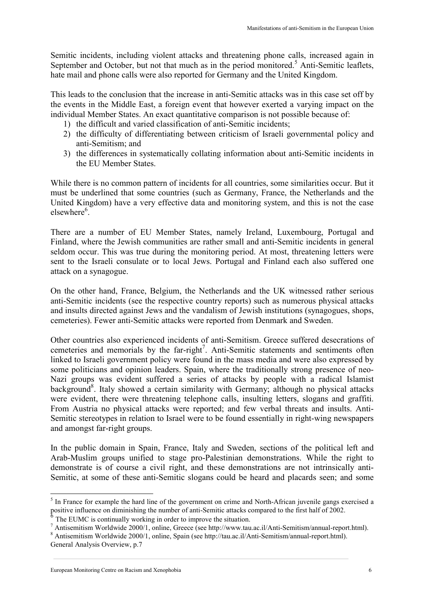Semitic incidents, including violent attacks and threatening phone calls, increased again in Septemberand October, but not that much as in the period monitored.<sup>5</sup> Anti-Semitic leaflets, hate mail and phone calls were also reported for Germany and the United Kingdom.

This leads to the conclusion that the increase in anti-Semitic attacks was in this case set off by the events in the Middle East, a foreign event that however exerted a varying impact on the individual Member States. An exact quantitative comparison is not possible because of:

- 1) the difficult and varied classification of anti-Semitic incidents;
- 2) the difficulty of differentiating between criticism of Israeli governmental policy and anti-Semitism; and
- 3) the differences in systematically collating information about anti-Semitic incidents in the EU Member States.

While there is no common pattern of incidents for all countries, some similarities occur. But it must be underlined that some countries (such as Germany, France, the Netherlands and the United Kingdom) have a very effective data and monitoring system, and this is not the case elsewhere<sup>6</sup>[.](#page-5-1)

There are a number of EU Member States, namely Ireland, Luxembourg, Portugal and Finland, where the Jewish communities are rather small and anti-Semitic incidents in general seldom occur. This was true during the monitoring period. At most, threatening letters were sent to the Israeli consulate or to local Jews. Portugal and Finland each also suffered one attack on a synagogue.

On the other hand, France, Belgium, the Netherlands and the UK witnessed rather serious anti-Semitic incidents (see the respective country reports) such as numerous physical attacks and insults directed against Jews and the vandalism of Jewish institutions (synagogues, shops, cemeteries). Fewer anti-Semitic attacks were reported from Denmark and Sweden.

Other countries also experienced incidents of anti-Semitism. Greece suffered desecrations of cemeteries and memorials by the far-right<sup>[7](#page-5-2)</sup>. Anti-Semitic statements and sentiments often linked to Israeli government policy were found in the mass media and were also expressed by some politicians and opinion leaders. Spain, where the traditionally strong presence of neo-Nazi groups was evident suffered a series of attacks by people with a radical Islamist background<sup>8</sup>[.](#page-5-3) Italy showed a certain similarity with Germany; although no physical attacks were evident, there were threatening telephone calls, insulting letters, slogans and graffiti. From Austria no physical attacks were reported; and few verbal threats and insults. Anti-Semitic stereotypes in relation to Israel were to be found essentially in right-wing newspapers and amongst far-right groups.

In the public domain in Spain, France, Italy and Sweden, sections of the political left and Arab-Muslim groups unified to stage pro-Palestinian demonstrations. While the right to demonstrate is of course a civil right, and these demonstrations are not intrinsically anti-Semitic, at some of these anti-Semitic slogans could be heard and placards seen; and some

<span id="page-5-3"></span><sup>8</sup> Antisemitism Worldwide 2000/1, online, Spain (see http://tau.ac.il/Anti-Semitism/annual-report.html). General Analysis Overview, p.7

<span id="page-5-0"></span><sup>&</sup>lt;sup>5</sup> In France for example the hard line of the government on crime and North-African juvenile gangs exercised a positive influence on diminishing the number of anti-Semitic attacks compared to the first half of 2002.

<span id="page-5-1"></span>The EUMC is continually working in order to improve the situation.

<span id="page-5-2"></span>Antisemitism Worldwide 2000/1, online, Greece (see http://www.tau.ac.il/Anti-Semitism/annual-report.html).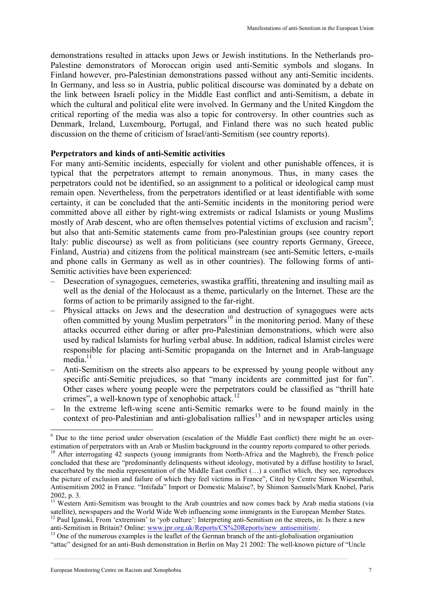<span id="page-6-4"></span>demonstrations resulted in attacks upon Jews or Jewish institutions. In the Netherlands pro-Palestine demonstrators of Moroccan origin used anti-Semitic symbols and slogans. In Finland however, pro-Palestinian demonstrations passed without any anti-Semitic incidents. In Germany, and less so in Austria, public political discourse was dominated by a debate on the link between Israeli policy in the Middle East conflict and anti-Semitism, a debate in which the cultural and political elite were involved. In Germany and the United Kingdom the critical reporting of the media was also a topic for controversy. In other countries such as Denmark, Ireland, Luxembourg, Portugal, and Finland there was no such heated public discussion on the theme of criticism of Israel/anti-Semitism (see country reports).

#### **Perpetrators and kinds of anti-Semitic activities**

For many anti-Semitic incidents, especially for violent and other punishable offences, it is typical that the perpetrators attempt to remain anonymous. Thus, in many cases the perpetrators could not be identified, so an assignment to a political or ideological camp must remain open. Nevertheless, from the perpetrators identified or at least identifiable with some certainty, it can be concluded that the anti-Semitic incidents in the monitoring period were committed above all either by right-wing extremists or radical Islamists or young Muslims mostly of Arab descent, who are often themselves potential victims of exclusion and racism<sup>9</sup>[;](#page-6-0) but also that anti-Semitic statements came from pro-Palestinian groups (see country report Italy: public discourse) as well as from politicians (see country reports Germany, Greece, Finland, Austria) and citizens from the political mainstream (see anti-Semitic letters, e-mails and phone calls in Germany as well as in other countries). The following forms of anti-Semitic activities have been experienced:

- Desecration of synagogues, cemeteries, swastika graffiti, threatening and insulting mail as well as the denial of the Holocaust as a theme, particularly on the Internet. These are the forms of action to be primarily assigned to the far-right.
- Physical attacks on Jews and the desecration and destruction of synagogues were acts often committed by young Muslim perpetrators<sup>10</sup> in the monitoring period. Many of these attacks occurred either during or after pro-Palestinian demonstrations, which were also used by radical Islamists for hurling verbal abuse. In addition, radical Islamist circles were responsible for placing anti-Semitic propaganda on the Internet and in Arab-language  $median<sup>11</sup>$  $median<sup>11</sup>$  $median<sup>11</sup>$
- Anti-Semitism on the streets also appears to be expressed by young people without any specific anti-Semitic prejudices, so that "many incidents are committed just for fun". Other cases where young people were the perpetrators could be classified as "thrill hate crimes", a well-known type of xenophobic attack.<sup>[12](#page-6-3)</sup>
- In the extreme left-wing scene anti-Semitic remarks were to be found mainly in the context of pro-Palestinian and anti-globalisation rallies<sup>13</sup> and in newspaper articles using

<span id="page-6-0"></span><sup>&</sup>lt;sup>9</sup> Due to the time period under observation (escalation of the Middle East conflict) there might be an overestimation of perpetrators with an Arab or Muslim background in the country reports compared to other periods.

<span id="page-6-1"></span><sup>&</sup>lt;sup>10</sup> After interrogating 42 suspects (young immigrants from North-Africa and the Maghreb), the French police concluded that these are "predominantly delinquents without ideology, motivated by a diffuse hostility to Israel, exacerbated by the media representation of the Middle East conflict (…) a conflict which, they see, reproduces the picture of exclusion and failure of which they feel victims in France", Cited by Centre Simon Wiesenthal, Antisemitism 2002 in France. "Intifada" Import or Domestic Malaise?, by Shimon Samuels/Mark Knobel, Paris 2002, p. 3.

<span id="page-6-2"></span><sup>&</sup>lt;sup>11</sup> Western Anti-Semitism was brought to the Arab countries and now comes back by Arab media stations (via satellite), newspapers and the World Wide Web influencing some immigrants in the European Member States. <sup>12</sup> Paul Iganski, From 'extremism' to 'yob culture': Interpreting anti-Semitism on the streets, in: Is there a new anti-Semitism in Britain? Online:  $\underline{www.jpr.org.uk/Reports/CS\%20Reports/news}$  antisemitism/.

<span id="page-6-3"></span><sup>&</sup>lt;sup>13</sup> One of the numerous examples is the leaflet of the German branch of the anti-globalisation organisation "attac" designed for an anti-Bush demonstration in Berlin on May 21 2002: The well-known picture of "Uncle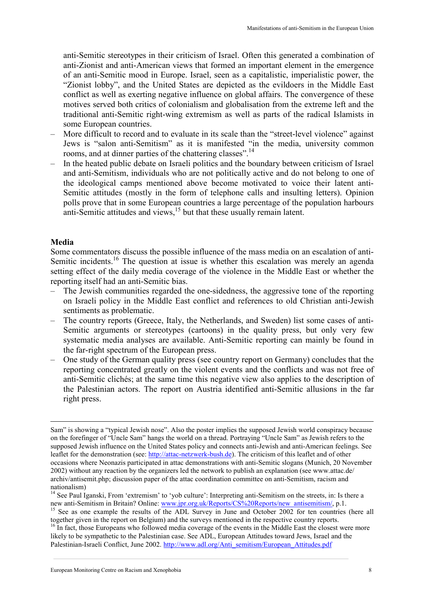anti-Semitic stereotypes in their criticism of Israel. Often this generated a combination of anti-Zionist and anti-American views that formed an important element in the emergence of an anti-Semitic mood in Europe. Israel, seen as a capitalistic, imperialistic power, the "Zionist lobby", and the United States are depicted as the evildoers in the Middle East conflict as well as exerting negative influence on global affairs. The convergence of these motives served both critics of colonialism and globalisation from the extreme left and the traditional anti-Semitic right-wing extremism as well as parts of the radical Islamists in some European countries.

- More difficult to record and to evaluate in its scale than the "street-level violence" against Jews is "salon anti-Semitism" as it is manifested "in the media, university common rooms, and at dinner parties of the chattering classes".<sup>[14](#page-7-0)</sup>
- In the heated public debate on Israeli politics and the boundary between criticism of Israel and anti-Semitism, individuals who are not politically active and do not belong to one of the ideological camps mentioned above become motivated to voice their latent anti-Semitic attitudes (mostly in the form of telephone calls and insulting letters). Opinion polls prove that in some European countries a large percentage of the population harbours anti-Semitic attitudes and views,<sup>15</sup> but that these usually remain latent.

### **Media**

Some commentators discuss the possible influence of the mass media on an escalation of anti-Semitic incidents.<sup>16</sup> The question at issue is whether this escalation was merely an agenda setting effect of the daily media coverage of the violence in the Middle East or whether the reporting itself had an anti-Semitic bias.

- The Jewish communities regarded the one-sidedness, the aggressive tone of the reporting on Israeli policy in the Middle East conflict and references to old Christian anti-Jewish sentiments as problematic.
- The country reports (Greece, Italy, the Netherlands, and Sweden) list some cases of anti-Semitic arguments or stereotypes (cartoons) in the quality press, but only very few systematic media analyses are available. Anti-Semitic reporting can mainly be found in the far-right spectrum of the European press.
- One study of the German quality press (see country report on Germany) concludes that the reporting concentrated greatly on the violent events and the conflicts and was not free of anti-Semitic clichés; at the same time this negative view also applies to the description of the Palestinian actors. The report on Austria identified anti-Semitic allusions in the far right press.

Sam" is showing a "typical Jewish nose". Also the poster implies the supposed Jewish world conspiracy because on the forefinger of "Uncle Sam" hangs the world on a thread. Portraying "Uncle Sam" as Jewish refers to the supposed Jewish influence on the United States policy and connects anti-Jewish and anti-American feelings. See leaflet for the demonstration (see: http://attac-netzwerk-bush.de). The criticism of this leaflet and of other occasions where Neonazis participated in attac demonstrations with anti-Semitic slogans (Munich, 20 November 2002) without any reaction by the organizers led the network to publish an explanation (see www.attac.de/ archiv/antisemit.php; discussion paper of the attac coordination committee on anti-Semitism, racism and nationalism)

<span id="page-7-0"></span><sup>&</sup>lt;sup>14</sup> See Paul Iganski, From 'extremism' to 'yob culture': Interpreting anti-Semitism on the streets, in: Is there a new anti-Semitism in Britain? Online: www.jpr.org.uk/Reports/CS%20Reports/new\_antisemitism/, p.1. 15 sheet at the second properties of the ADL Survey in June and October 2002 for ten countries (here all

<span id="page-7-1"></span>together given in the report on Belgium) and the surveys mentioned in the respective country reports.

<span id="page-7-2"></span><sup>&</sup>lt;sup>16</sup> In fact, those Europeans who followed media coverage of the events in the Middle East the closest were more likely to be sympathetic to the Palestinian case. See ADL, European Attitudes toward Jews, Israel and the Palestinian-Israeli Conflict, June 2002. http://www.adl.org/Anti\_semitism/European\_Attitudes.pdf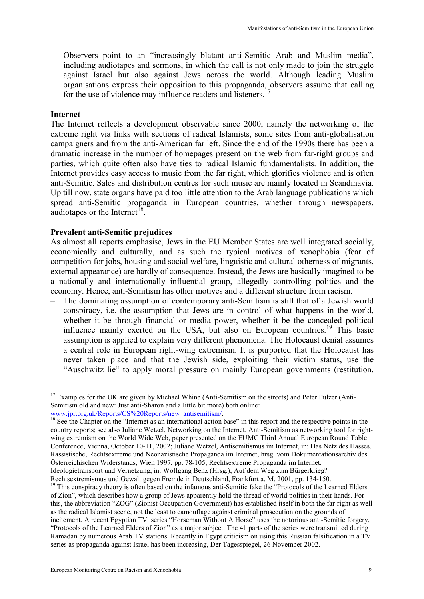– Observers point to an "increasingly blatant anti-Semitic Arab and Muslim media", including audiotapes and sermons, in which the call is not only made to join the struggle against Israel but also against Jews across the world. Although leading Muslim organisations express their opposition to this propaganda, observers assume that calling for the use of violence may influence readers and listeners.<sup>[17](#page-8-0)</sup>

#### **Internet**

 $\overline{a}$ 

The Internet reflects a development observable since 2000, namely the networking of the extreme right via links with sections of radical Islamists, some sites from anti-globalisation campaigners and from the anti-American far left. Since the end of the 1990s there has been a dramatic increase in the number of homepages present on the web from far-right groups and parties, which quite often also have ties to radical Islamic fundamentalists. In addition, the Internet provides easy access to music from the far right, which glorifies violence and is often anti-Semitic. Sales and distribution centres for such music are mainly located in Scandinavia. Up till now, state organs have paid too little attention to the Arab language publications which spread anti-Semitic propaganda in European countries, whether through newspapers, audiotapes or the Internet<sup>18</sup>.

### **Prevalent anti-Semitic prejudices**

As almost all reports emphasise, Jews in the EU Member States are well integrated socially, economically and culturally, and as such the typical motives of xenophobia (fear of competition for jobs, housing and social welfare, linguistic and cultural otherness of migrants, external appearance) are hardly of consequence. Instead, the Jews are basically imagined to be a nationally and internationally influential group, allegedly controlling politics and the economy. Hence, anti-Semitism has other motives and a different structure from racism.

– The dominating assumption of contemporary anti-Semitism is still that of a Jewish world conspiracy, i.e. the assumption that Jews are in control of what happens in the world, whether it be through financial or media power, whether it be the concealed political influence mainly exerted on the USA, but also on European countries.<sup>19</sup> This basic assumption is applied to explain very different phenomena. The Holocaust denial assumes a central role in European right-wing extremism. It is purported that the Holocaust has never taken place and that the Jewish side, exploiting their victim status, use the "Auschwitz lie" to apply moral pressure on mainly European governments (restitution,

<span id="page-8-0"></span><sup>&</sup>lt;sup>17</sup> Examples for the UK are given by Michael Whine (Anti-Semitism on the streets) and Peter Pulzer (Anti-Semitism old and new: Just anti-Sharon and a little bit more) both online:

<span id="page-8-1"></span>

www.jpr.org.uk/Reports/CS%20Reports/new\_antisemitism/.<br><sup>18</sup> See the Chapter on the "Internet as an international action base" in this report and the respective points in the country reports; see also Juliane Wetzel, Networking on the Internet. Anti-Semitism as networking tool for rightwing extremism on the World Wide Web, paper presented on the EUMC Third Annual European Round Table Conference, Vienna, October 10-11, 2002; Juliane Wetzel, Antisemitismus im Internet, in: Das Netz des Hasses. Rassistische, Rechtsextreme und Neonazistische Propaganda im Internet, hrsg. vom Dokumentationsarchiv des Österreichischen Widerstands, Wien 1997, pp. 78-105; Rechtsextreme Propaganda im Internet. Ideologietransport und Vernetzung, in: Wolfgang Benz (Hrsg.), Auf dem Weg zum Bürgerkrieg?

Rechtsextremismus und Gewalt gegen Fremde in Deutschland, Frankfurt a. M. 2001, pp. 134-150.

<span id="page-8-2"></span><sup>&</sup>lt;sup>19</sup> This conspiracy theory is often based on the infamous anti-Semitic fake the "Protocols of the Learned Elders of Zion", which describes how a group of Jews apparently hold the thread of world politics in their hands. For this, the abbreviation "ZOG" (Zionist Occupation Government) has established itself in both the far-right as well as the radical Islamist scene, not the least to camouflage against criminal prosecution on the grounds of incitement. A recent Egyptian TV series "Horseman Without A Horse" uses the notorious anti-Semitic forgery, "Protocols of the Learned Elders of Zion" as a major subject. The 41 parts of the series were transmitted during Ramadan by numerous Arab TV stations. Recently in Egypt criticism on using this Russian falsification in a TV series as propaganda against Israel has been increasing, Der Tagesspiegel, 26 November 2002.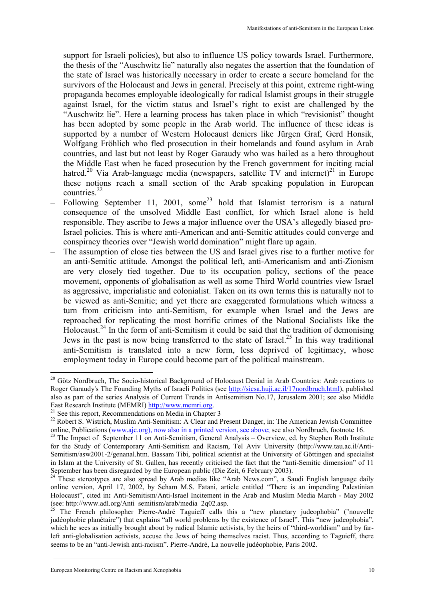support for Israeli policies), but also to influence US policy towards Israel. Furthermore, the thesis of the "Auschwitz lie" naturally also negates the assertion that the foundation of the state of Israel was historically necessary in order to create a secure homeland for the survivors of the Holocaust and Jews in general. Precisely at this point, extreme right-wing propaganda becomes employable ideologically for radical Islamist groups in their struggle against Israel, for the victim status and Israel's right to exist are challenged by the "Auschwitz lie". Here a learning process has taken place in which "revisionist" thought has been adopted by some people in the Arab world. The influence of these ideas is supported by a number of Western Holocaust deniers like Jürgen Graf, Gerd Honsik, Wolfgang Fröhlich who fled prosecution in their homelands and found asylum in Arab countries, and last but not least by Roger Garaudy who was hailed as a hero throughout the Middle East when he faced prosecution by the French government for inciting racial hatred.<sup>20</sup> Via Arab-language media (newspapers, satellite TV and internet)<sup>21</sup> in Europe these notions reach a small section of the Arab speaking population in European countries.[22](#page-9-2)

- Following September 11, 2001, some<sup>23</sup> hold that Islamist terrorism is a natural consequence of the unsolved Middle East conflict, for which Israel alone is held responsible. They ascribe to Jews a major influence over the USA's allegedly biased pro-Israel policies. This is where anti-American and anti-Semitic attitudes could converge and conspiracy theories over "Jewish world domination" might flare up again.
- The assumption of close ties between the US and Israel gives rise to a further motive for an anti-Semitic attitude. Amongst the political left, anti-Americanism and anti-Zionism are very closely tied together. Due to its occupation policy, sections of the peace movement, opponents of globalisation as well as some Third World countries view Israel as aggressive, imperialistic and colonialist. Taken on its own terms this is naturally not to be viewed as anti-Semitic; and yet there are exaggerated formulations which witness a turn from criticism into anti-Semitism, for example when Israel and the Jews are reproached for replicating the most horrific crimes of the National Socialists like the Holocaust.<sup>24</sup> In the form of anti-Semitism it could be said that the tradition of demonising Jews in the past is now being transferred to the state of Israel.<sup>25</sup> In this way traditional anti-Semitism is translated into a new form, less deprived of legitimacy, whose employment today in Europe could become part of the political mainstream.

<span id="page-9-0"></span><sup>&</sup>lt;sup>20</sup> Götz Nordbruch, The Socio-historical Background of Holocaust Denial in Arab Countries: Arab reactions to Roger Garaudy's The Founding Myths of Israeli Politics (see http://sicsa.huji.ac.il/17nordbruch.html), published also as part of the series Analysis of Current Trends in Antisemitism No.17, Jerusalem 2001; see also Middle East Research Institute (MEMRI) http://www.memri.org.

<span id="page-9-2"></span><span id="page-9-1"></span>

<sup>&</sup>lt;sup>21</sup> See this report, Recommendations on Media in Chapter 3<br><sup>22</sup> Robert S. Wistrich, Muslim Anti-Semitism: A Clear and Present Danger, in: The American Jewish Committee<br>online, Publications (www.ajc.org), now also in a pr

<span id="page-9-3"></span><sup>&</sup>lt;sup>23</sup> The Impact of September 11 on Anti-Semitism, General Analysis – Overview, ed. by Stephen Roth Institute for the Study of Contemporary Anti-Semitism and Racism, Tel Aviv University (http://www.tau.ac.il/Anti-Semitism/asw2001-2/genanal.htm. Bassam Tibi, political scientist at the University of Göttingen and specialist in Islam at the University of St. Gallen, has recently criticised the fact that the "anti-Semitic dimension" of 11 September has been disregarded by the European public (Die Zeit, 6 February 2003).

<span id="page-9-4"></span><sup>&</sup>lt;sup>24</sup> These stereotypes are also spread by Arab medias like "Arab News.com", a Saudi English language daily online version, April 17, 2002, by Seham M.S. Fatani, article entitled "There is an impending Palestinian Holocaust", cited in**:** Anti-Semitism/Anti-Israel Incitement in the Arab and Muslim Media March - May 2002 (see: http://www.adl.org/Anti\_semitism/arab/media\_2q02.asp.

<span id="page-9-5"></span> $^{25}$  The French philosopher Pierre-André Taguieff calls this a "new planetary judeophobia" ("nouvelle judéophobie planétaire") that explains "all world problems by the existence of Israel". This "new judeophobia", which he sees as initially brought about by radical Islamic activists, by the heirs of "third-worldism" and by farleft anti-globalisation activists, accuse the Jews of being themselves racist. Thus, according to Taguieff, there seems to be an "anti-Jewish anti-racism". Pierre-André, La nouvelle judéophobie, Paris 2002.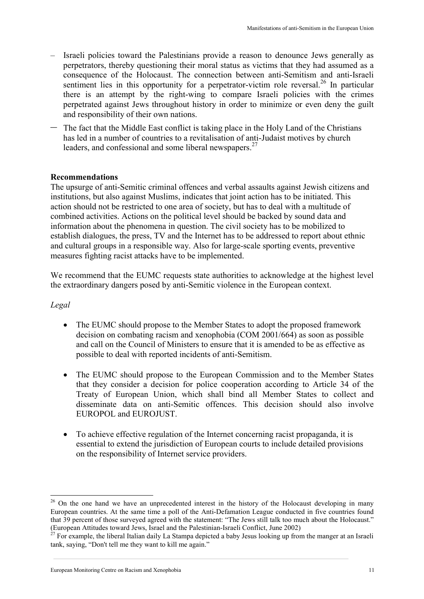- Israeli policies toward the Palestinians provide a reason to denounce Jews generally as perpetrators, thereby questioning their moral status as victims that they had assumed as a consequence of the Holocaust. The connection between anti-Semitism and anti-Israeli sentiment lies in this opportunity for a perpetrator-victim role reversal.<sup>26</sup> In particular there is an attempt by the right-wing to compare Israeli policies with the crimes perpetrated against Jews throughout history in order to minimize or even deny the guilt and responsibility of their own nations.
- The fact that the Middle East conflict is taking place in the Holy Land of the Christians has led in a number of countries to a revitalisation of anti-Judaist motives by church leaders, and confessional and some liberal newspapers.<sup>[27](#page-10-1)</sup>

### **Recommendations**

The upsurge of anti-Semitic criminal offences and verbal assaults against Jewish citizens and institutions, but also against Muslims, indicates that joint action has to be initiated. This action should not be restricted to one area of society, but has to deal with a multitude of combined activities. Actions on the political level should be backed by sound data and information about the phenomena in question. The civil society has to be mobilized to establish dialogues, the press, TV and the Internet has to be addressed to report about ethnic and cultural groups in a responsible way. Also for large-scale sporting events, preventive measures fighting racist attacks have to be implemented.

We recommend that the EUMC requests state authorities to acknowledge at the highest level the extraordinary dangers posed by anti-Semitic violence in the European context.

### *Legal*

- The EUMC should propose to the Member States to adopt the proposed framework decision on combating racism and xenophobia (COM 2001/664) as soon as possible and call on the Council of Ministers to ensure that it is amended to be as effective as possible to deal with reported incidents of anti-Semitism.
- The EUMC should propose to the European Commission and to the Member States that they consider a decision for police cooperation according to Article 34 of the Treaty of European Union, which shall bind all Member States to collect and disseminate data on anti-Semitic offences. This decision should also involve EUROPOL and EUROJUST.
- To achieve effective regulation of the Internet concerning racist propaganda, it is essential to extend the jurisdiction of European courts to include detailed provisions on the responsibility of Internet service providers.

<span id="page-10-0"></span> $26$  On the one hand we have an unprecedented interest in the history of the Holocaust developing in many European countries. At the same time a poll of the Anti-Defamation League conducted in five countries found that 39 percent of those surveyed agreed with the statement: "The Jews still talk too much about the Holocaust." (European Attitudes toward Jews, Israel and the Palestinian-Israeli Conflict, June 2002)

<span id="page-10-1"></span><sup>27</sup> For example, the liberal Italian daily La Stampa depicted a baby Jesus looking up from the manger at an Israeli tank, saying, "Don't tell me they want to kill me again."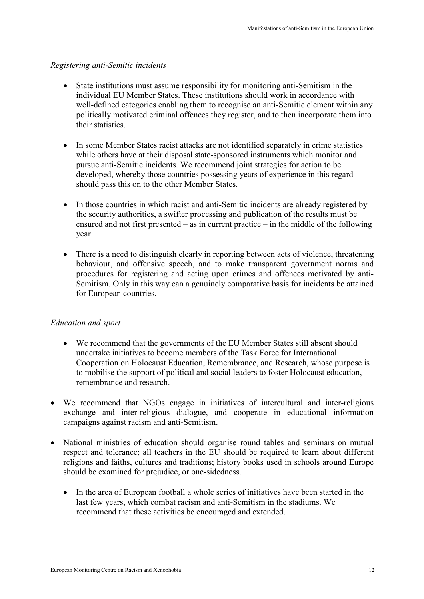### *Registering anti-Semitic incidents*

- State institutions must assume responsibility for monitoring anti-Semitism in the individual EU Member States. These institutions should work in accordance with well-defined categories enabling them to recognise an anti-Semitic element within any politically motivated criminal offences they register, and to then incorporate them into their statistics.
- In some Member States racist attacks are not identified separately in crime statistics while others have at their disposal state-sponsored instruments which monitor and pursue anti-Semitic incidents. We recommend joint strategies for action to be developed, whereby those countries possessing years of experience in this regard should pass this on to the other Member States.
- In those countries in which racist and anti-Semitic incidents are already registered by the security authorities, a swifter processing and publication of the results must be ensured and not first presented – as in current practice – in the middle of the following year.
- There is a need to distinguish clearly in reporting between acts of violence, threatening behaviour, and offensive speech, and to make transparent government norms and procedures for registering and acting upon crimes and offences motivated by anti-Semitism. Only in this way can a genuinely comparative basis for incidents be attained for European countries.

### *Education and sport*

- We recommend that the governments of the EU Member States still absent should undertake initiatives to become members of the Task Force for International Cooperation on Holocaust Education, Remembrance, and Research, whose purpose is to mobilise the support of political and social leaders to foster Holocaust education, remembrance and research.
- We recommend that NGOs engage in initiatives of intercultural and inter-religious exchange and inter-religious dialogue, and cooperate in educational information campaigns against racism and anti-Semitism.
- National ministries of education should organise round tables and seminars on mutual respect and tolerance; all teachers in the EU should be required to learn about different religions and faiths, cultures and traditions; history books used in schools around Europe should be examined for prejudice, or one-sidedness.
	- In the area of European football a whole series of initiatives have been started in the last few years, which combat racism and anti-Semitism in the stadiums. We recommend that these activities be encouraged and extended.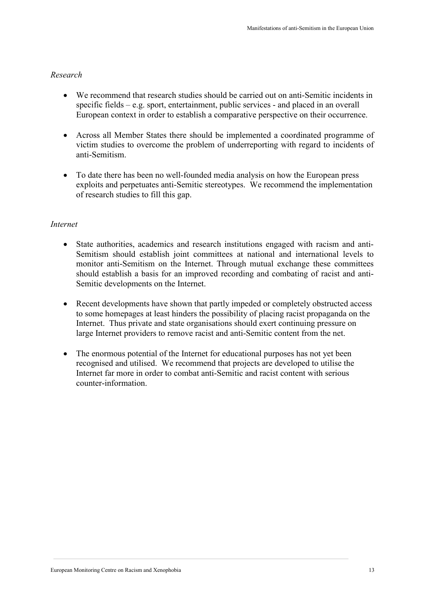### *Research*

- We recommend that research studies should be carried out on anti-Semitic incidents in specific fields – e.g. sport, entertainment, public services - and placed in an overall European context in order to establish a comparative perspective on their occurrence.
- Across all Member States there should be implemented a coordinated programme of victim studies to overcome the problem of underreporting with regard to incidents of anti-Semitism.
- To date there has been no well-founded media analysis on how the European press exploits and perpetuates anti-Semitic stereotypes. We recommend the implementation of research studies to fill this gap.

### *Internet*

- State authorities, academics and research institutions engaged with racism and anti-Semitism should establish joint committees at national and international levels to monitor anti-Semitism on the Internet. Through mutual exchange these committees should establish a basis for an improved recording and combating of racist and anti-Semitic developments on the Internet.
- Recent developments have shown that partly impeded or completely obstructed access to some homepages at least hinders the possibility of placing racist propaganda on the Internet. Thus private and state organisations should exert continuing pressure on large Internet providers to remove racist and anti-Semitic content from the net.
- The enormous potential of the Internet for educational purposes has not yet been recognised and utilised. We recommend that projects are developed to utilise the Internet far more in order to combat anti-Semitic and racist content with serious counter-information.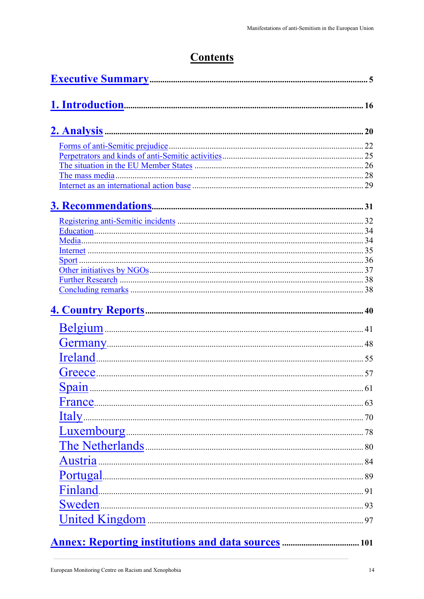### **Contents**

| Sweden. |  |
|---------|--|
|         |  |
|         |  |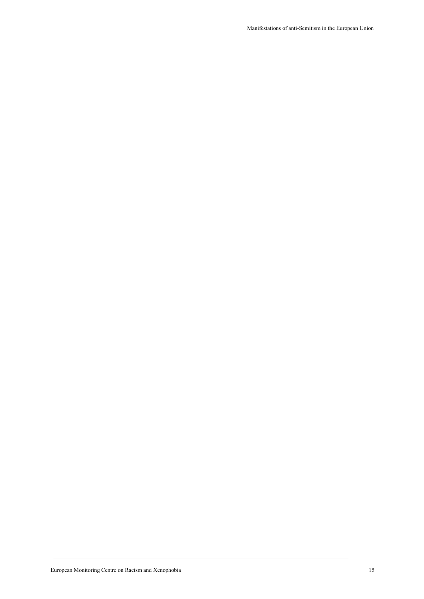Manifestations of anti-Semitism in the European Union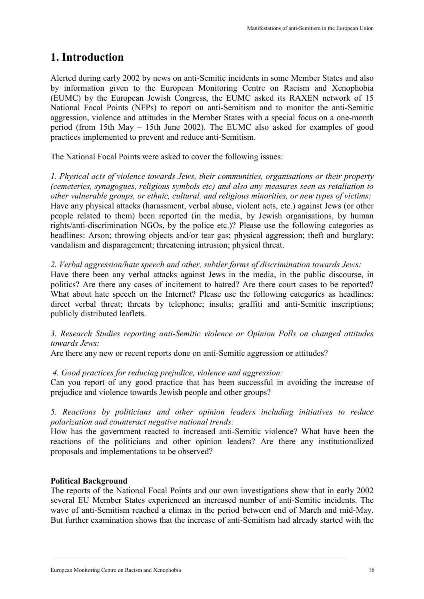### <span id="page-15-0"></span>**1. Introduction**

Alerted during early 2002 by news on anti-Semitic incidents in some Member States and also by information given to the European Monitoring Centre on Racism and Xenophobia (EUMC) by the European Jewish Congress, the EUMC asked its RAXEN network of 15 National Focal Points (NFPs) to report on anti-Semitism and to monitor the anti-Semitic aggression, violence and attitudes in the Member States with a special focus on a one-month period (from 15th May – 15th June 2002). The EUMC also asked for examples of good practices implemented to prevent and reduce anti-Semitism.

The National Focal Points were asked to cover the following issues:

*1. Physical acts of violence towards Jews, their communities, organisations or their property (cemeteries, synagogues, religious symbols etc) and also any measures seen as retaliation to other vulnerable groups, or ethnic, cultural, and religious minorities, or new types of victims:* Have any physical attacks (harassment, verbal abuse, violent acts, etc.) against Jews (or other people related to them) been reported (in the media, by Jewish organisations, by human rights/anti-discrimination NGOs, by the police etc.)? Please use the following categories as headlines: Arson; throwing objects and/or tear gas; physical aggression; theft and burglary; vandalism and disparagement; threatening intrusion; physical threat.

### *2. Verbal aggression/hate speech and other, subtler forms of discrimination towards Jews:*

Have there been any verbal attacks against Jews in the media, in the public discourse, in politics? Are there any cases of incitement to hatred? Are there court cases to be reported? What about hate speech on the Internet? Please use the following categories as headlines: direct verbal threat; threats by telephone; insults; graffiti and anti-Semitic inscriptions; publicly distributed leaflets.

### *3. Research Studies reporting anti-Semitic violence or Opinion Polls on changed attitudes towards Jews:*

Are there any new or recent reports done on anti-Semitic aggression or attitudes?

### *4. Good practices for reducing prejudice, violence and aggression:*

Can you report of any good practice that has been successful in avoiding the increase of prejudice and violence towards Jewish people and other groups?

*5. Reactions by politicians and other opinion leaders including initiatives to reduce polarization and counteract negative national trends:*

How has the government reacted to increased anti-Semitic violence? What have been the reactions of the politicians and other opinion leaders? Are there any institutionalized proposals and implementations to be observed?

### **Political Background**

The reports of the National Focal Points and our own investigations show that in early 2002 several EU Member States experienced an increased number of anti-Semitic incidents. The wave of anti-Semitism reached a climax in the period between end of March and mid-May. But further examination shows that the increase of anti-Semitism had already started with the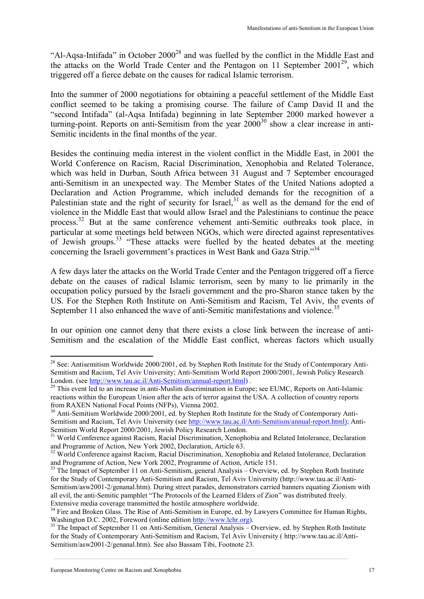"Al-Aqsa-Intifada" in October  $2000^{28}$  and was fuelled by the conflict in the Middle East and the attacks on the World Trade Center and the Pentagon on 11 September  $2001^{29}$ , which triggered off a fierce debate on the causes for radical Islamic terrorism.

Into the summer of 2000 negotiations for obtaining a peaceful settlement of the Middle East conflict seemed to be taking a promising course. The failure of Camp David II and the "second Intifada" (al-Aqsa Intifada) beginning in late September 2000 marked however a turning-point. Reports on anti-Semitism from the year  $2000^{30}$  show a clear increase in anti-Semitic incidents in the final months of the year.

Besides the continuing media interest in the violent conflict in the Middle East, in 2001 the World Conference on Racism, Racial Discrimination, Xenophobia and Related Tolerance, which was held in Durban, South Africa between 31 August and 7 September encouraged anti-Semitism in an unexpected way. The Member States of the United Nations adopted a Declaration and Action Programme, which included demands for the recognition of a Palestinian state and the right of security for Israel, $31$  as well as the demand for the end of violence in the Middle East that would allow Israel and the Palestinians to continue the peace process.[32](#page-16-4) But at the same conference vehement anti-Semitic outbreaks took place, in particular at some meetings held between NGOs, which were directed against representatives of Jewish groups.<sup>33</sup> "These attacks were fuelled by the heated debates at the meeting concerning the Israeli government's practices in West Bank and Gaza Strip."[34](#page-16-6)

A few days later the attacks on the World Trade Center and the Pentagon triggered off a fierce debate on the causes of radical Islamic terrorism, seen by many to lie primarily in the occupation policy pursued by the Israeli government and the pro-Sharon stance taken by the US. For the Stephen Roth Institute on Anti-Semitism and Racism, Tel Aviv, the events of September 11 also enhanced the wave of anti-Semitic manifestations and violence.<sup>[35](#page-16-7)</sup>

In our opinion one cannot deny that there exists a close link between the increase of anti-Semitism and the escalation of the Middle East conflict, whereas factors which usually

<span id="page-16-0"></span><sup>&</sup>lt;sup>28</sup> See: Antisemitism Worldwide 2000/2001, ed. by Stephen Roth Institute for the Study of Contemporary Anti-Semitism and Racism, Tel Aviv University; Anti-Semitism World Report 2000/2001, Jewish Policy Research London. (see <u>http://www.tau.ac.il/Anti-Semitism/annual-report.html</u>) .<br><sup>29</sup> This event led to an increase in anti-Muslim discrimination in Europe; see EUMC, Reports on Anti-Islamic

<span id="page-16-1"></span>reactions within the European Union after the acts of terror against the USA. A collection of country reports from RAXEN National Focal Points (NFPs), Vienna 2002.

<span id="page-16-2"></span><sup>&</sup>lt;sup>30</sup> Anti-Semitism Worldwide 2000/2001, ed. by Stephen Roth Institute for the Study of Contemporary Anti-Semitism and Racism, Tel Aviv University (see http://www.tau.ac.il/Anti-Semitism/annual-report.html); Anti-Semitism World Report 2000/2001, Jewish Policy Research London.

<span id="page-16-3"></span><sup>&</sup>lt;sup>31</sup> World Conference against Racism, Racial Discrimination, Xenophobia and Related Intolerance, Declaration and Programme of Action, New York 2002, Declaration, Article 63.

<span id="page-16-4"></span><sup>&</sup>lt;sup>32</sup> World Conference against Racism, Racial Discrimination, Xenophobia and Related Intolerance, Declaration and Programme of Action, New York 2002, Programme of Action, Article 151.

<span id="page-16-5"></span><sup>&</sup>lt;sup>33</sup> The Impact of September 11 on Anti-Semitism, general Analysis – Overview, ed. by Stephen Roth Institute for the Study of Contemporary Anti-Semitism and Racism, Tel Aviv University (http://www.tau.ac.il/Anti-Semitism/asw2001-2/genanal.htm). During street parades, demonstrators carried banners equating Zionism with all evil, the anti-Semitic pamphlet "The Protocols of the Learned Elders of Zion" was distributed freely. Extensive media coverage transmitted the hostile atmosphere worldwide.

<span id="page-16-6"></span> $34$  Fire and Broken Glass. The Rise of Anti-Semitism in Europe, ed. by Lawyers Committee for Human Rights, Washington D.C. 2002, Foreword (online edition http://www.lchr.org).

<span id="page-16-7"></span> $35$  The Impact of September 11 on Anti-Semitism, General Analysis – Overview, ed. by Stephen Roth Institute for the Study of Contemporary Anti-Semitism and Racism, Tel Aviv University ( http://www.tau.ac.il/Anti-Semitism/asw2001-2/genanal.htm). See also Bassam Tibi, Footnote 23.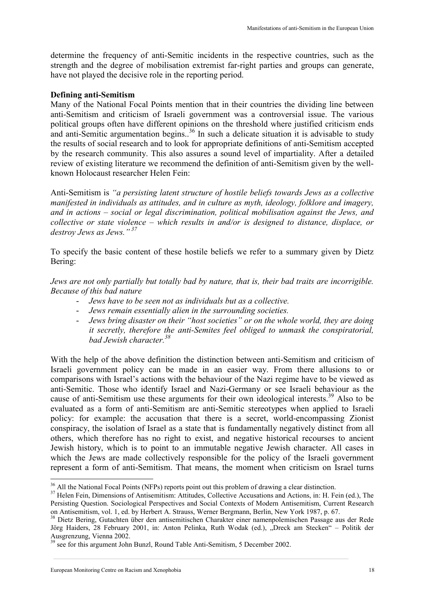determine the frequency of anti-Semitic incidents in the respective countries, such as the strength and the degree of mobilisation extremist far-right parties and groups can generate, have not played the decisive role in the reporting period.

#### **Defining anti-Semitism**

Many of the National Focal Points mention that in their countries the dividing line between anti-Semitism and criticism of Israeli government was a controversial issue. The various political groups often have different opinions on the threshold where justified criticism ends and anti-Semitic argumentation begins..<sup>36</sup> In such a delicate situation it is advisable to study the results of social research and to look for appropriate definitions of anti-Semitism accepted by the research community. This also assures a sound level of impartiality. After a detailed review of existing literature we recommend the definition of anti-Semitism given by the wellknown Holocaust researcher Helen Fein:

Anti-Semitism is *"a persisting latent structure of hostile beliefs towards Jews as a collective manifested in individuals as attitudes, and in culture as myth, ideology, folklore and imagery, and in actions – social or legal discrimination, political mobilisation against the Jews, and collective or state violence – which results in and/or is designed to distance, displace, or destroy Jews as Jews." [37](#page-17-1)*

To specify the basic content of these hostile beliefs we refer to a summary given by Dietz Bering:

*Jews are not only partially but totally bad by nature, that is, their bad traits are incorrigible. Because of this bad nature*

- *Jews have to be seen not as individuals but as a collective.*
- *Jews remain essentially alien in the surrounding societies.*
- *Jews bring disaster on their "host societies" or on the whole world, they are doing it secretly, therefore the anti-Semites feel obliged to unmask the conspiratorial, bad Jewish character.[38](#page-17-2)*

With the help of the above definition the distinction between anti-Semitism and criticism of Israeli government policy can be made in an easier way. From there allusions to or comparisons with Israel's actions with the behaviour of the Nazi regime have to be viewed as anti-Semitic. Those who identify Israel and Nazi-Germany or see Israeli behaviour as the cause of anti-Semitism use these arguments for their own ideological interests.<sup>39</sup> Also to be evaluated as a form of anti-Semitism are anti-Semitic stereotypes when applied to Israeli policy: for example: the accusation that there is a secret, world-encompassing Zionist conspiracy, the isolation of Israel as a state that is fundamentally negatively distinct from all others, which therefore has no right to exist, and negative historical recourses to ancient Jewish history, which is to point to an immutable negative Jewish character. All cases in which the Jews are made collectively responsible for the policy of the Israeli government represent a form of anti-Semitism. That means, the moment when criticism on Israel turns

<span id="page-17-0"></span><sup>&</sup>lt;sup>36</sup> All the National Focal Points (NFPs) reports point out this problem of drawing a clear distinction.

<span id="page-17-1"></span><sup>&</sup>lt;sup>37</sup> Helen Fein, Dimensions of Antisemitism: Attitudes, Collective Accusations and Actions, in: H. Fein (ed.), The Persisting Question. Sociological Perspectives and Social Contexts of Modern Antisemitism, Current Research on Antisemitism, vol. 1, ed. by Herbert A. Strauss, Werner Bergmann, Berlin, New York 1987, p. 67. 38 Dietz Bering, Gutachten über den antisemitischen Charakter einer namenpolemischen Passage aus der Rede

<span id="page-17-2"></span>Jörg Haiders, 28 February 2001, in: Anton Pelinka, Ruth Wodak (ed.), "Dreck am Stecken" – Politik der Ausgrenzung, Vienna 2002.

<span id="page-17-3"></span><sup>&</sup>lt;sup>39</sup> see for this argument John Bunzl, Round Table Anti-Semitism, 5 December 2002.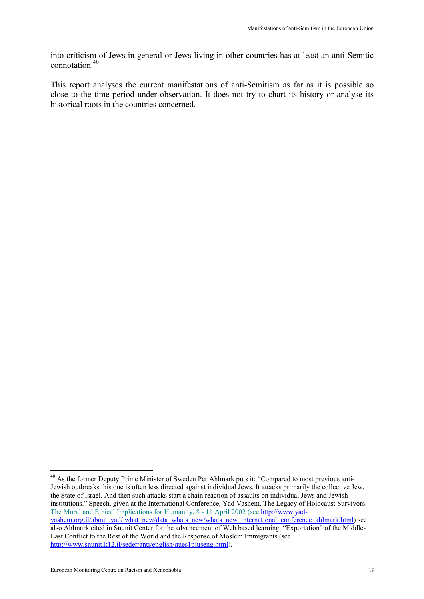into criticism of Jews in general or Jews living in other countries has at least an anti-Semitic connotation<sup>[40](#page-18-0)</sup>

This report analyses the current manifestations of anti-Semitism as far as it is possible so close to the time period under observation. It does not try to chart its history or analyse its historical roots in the countries concerned.

<span id="page-18-0"></span><sup>&</sup>lt;sup>40</sup> As the former Deputy Prime Minister of Sweden Per Ahlmark puts it: "Compared to most previous anti-Jewish outbreaks this one is often less directed against individual Jews. It attacks primarily the collective Jew, the State of Israel. And then such attacks start a chain reaction of assaults on individual Jews and Jewish institutions." Speech, given at the International Conference, Yad Vashem, The Legacy of Holocaust Survivors. The Moral and Ethical Implications for Humanity, 8 - 11 April 2002 (see http://www.yadvashem.org.il/about\_yad/ what\_new/data\_whats\_new/whats\_new\_international\_conference\_ahlmark.html) see also Ahlmark cited in Snunit Center for the advancement of Web based learning, "Exportation" of the Middle-East Conflict to the Rest of the World and the Response of Moslem Immigrants (see http://www.snunit.k12.il/seder/anti/english/ques1pluseng.html).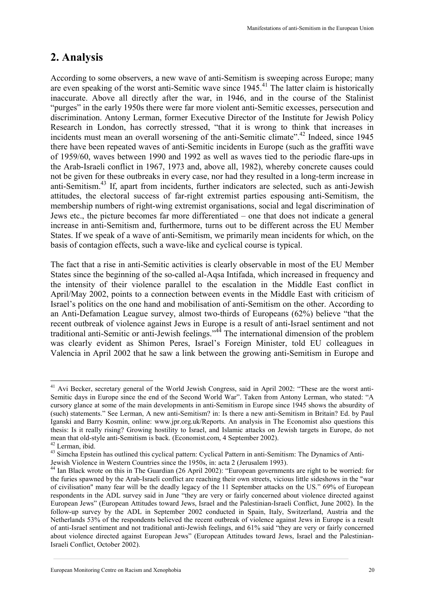### <span id="page-19-0"></span>**2. Analysis**

According to some observers, a new wave of anti-Semitism is sweeping across Europe; many are even speaking of the worst anti-Semitic wave since  $1945$ .<sup>41</sup> The latter claim is historically inaccurate. Above all directly after the war, in 1946, and in the course of the Stalinist "purges" in the early 1950s there were far more violent anti-Semitic excesses, persecution and discrimination. Antony Lerman, former Executive Director of the Institute for Jewish Policy Research in London, has correctly stressed, "that it is wrong to think that increases in incidents must mean an overall worsening of the anti-Semitic climate".<sup>42</sup> Indeed, since 1945 there have been repeated waves of anti-Semitic incidents in Europe (such as the graffiti wave of 1959/60, waves between 1990 and 1992 as well as waves tied to the periodic flare-ups in the Arab-Israeli conflict in 1967, 1973 and, above all, 1982), whereby concrete causes could not be given for these outbreaks in every case, nor had they resulted in a long-term increase in anti-Semitism.[43](#page-19-3) If, apart from incidents, further indicators are selected, such as anti-Jewish attitudes, the electoral success of far-right extremist parties espousing anti-Semitism, the membership numbers of right-wing extremist organisations, social and legal discrimination of Jews etc., the picture becomes far more differentiated – one that does not indicate a general increase in anti-Semitism and, furthermore, turns out to be different across the EU Member States. If we speak of a wave of anti-Semitism, we primarily mean incidents for which, on the basis of contagion effects, such a wave-like and cyclical course is typical.

The fact that a rise in anti-Semitic activities is clearly observable in most of the EU Member States since the beginning of the so-called al-Aqsa Intifada, which increased in frequency and the intensity of their violence parallel to the escalation in the Middle East conflict in April/May 2002, points to a connection between events in the Middle East with criticism of Israel's politics on the one hand and mobilisation of anti-Semitism on the other. According to an Anti-Defamation League survey, almost two-thirds of Europeans (62%) believe "that the recent outbreak of violence against Jews in Europe is a result of anti-Israel sentiment and not traditional anti-Semitic or anti-Jewish feelings."[44](#page-19-4) The international dimension of the problem was clearly evident as Shimon Peres, Israel's Foreign Minister, told EU colleagues in Valencia in April 2002 that he saw a link between the growing anti-Semitism in Europe and

<span id="page-19-1"></span> $\overline{a}$ <sup>41</sup> Avi Becker, secretary general of the World Jewish Congress, said in April 2002: "These are the worst anti-Semitic days in Europe since the end of the Second World War". Taken from Antony Lerman, who stated: "A cursory glance at some of the main developments in anti-Semitism in Europe since 1945 shows the absurdity of (such) statements." See Lerman, A new anti-Semitism? in: Is there a new anti-Semitism in Britain? Ed. by Paul Iganski and Barry Kosmin, online: www.jpr.org.uk/Reports. An analysis in The Economist also questions this thesis: Is it really rising? Growing hostility to Israel, and Islamic attacks on Jewish targets in Europe, do not mean that old-style anti-Semitism is back. (Economist.com, 4 September 2002).

<span id="page-19-2"></span><sup>42</sup> Lerman, ibid.

<span id="page-19-3"></span><sup>43</sup> Simcha Epstein has outlined this cyclical pattern: Cyclical Pattern in anti-Semitism: The Dynamics of Anti-Jewish Violence in Western Countries since the 1950s, in: acta 2 (Jerusalem 1993).

<span id="page-19-4"></span><sup>44</sup> Ian Black wrote on this in The Guardian (26 April 2002): "European governments are right to be worried: for the furies spawned by the Arab-Israeli conflict are reaching their own streets, vicious little sideshows in the "war of civilisation" many fear will be the deadly legacy of the 11 September attacks on the US." 69% of European respondents in the ADL survey said in June "they are very or fairly concerned about violence directed against European Jews" (European Attitudes toward Jews, Israel and the Palestinian-Israeli Conflict, June 2002). In the follow-up survey by the ADL in September 2002 conducted in Spain, Italy, Switzerland, Austria and the Netherlands 53% of the respondents believed the recent outbreak of violence against Jews in Europe is a result of anti-Israel sentiment and not traditional anti-Jewish feelings, and 61% said "they are very or fairly concerned about violence directed against European Jews" (European Attitudes toward Jews, Israel and the Palestinian-Israeli Conflict, October 2002).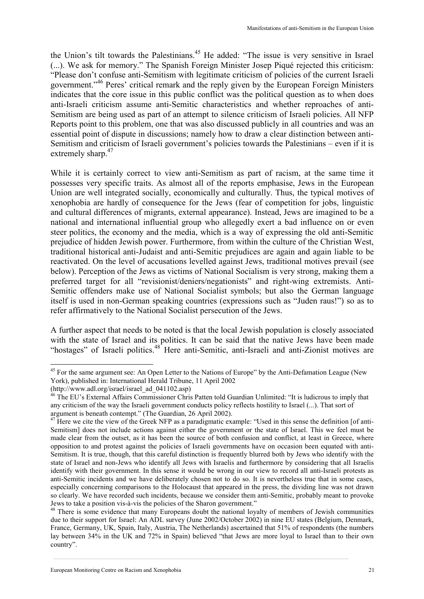the Union's tilt towards the Palestinians.<sup>45</sup> He added: "The issue is very sensitive in Israel (...). We ask for memory." The Spanish Foreign Minister Josep Piqué rejected this criticism: "Please don't confuse anti-Semitism with legitimate criticism of policies of the current Israeli government."[46](#page-20-1) Peres' critical remark and the reply given by the European Foreign Ministers indicates that the core issue in this public conflict was the political question as to when does anti-Israeli criticism assume anti-Semitic characteristics and whether reproaches of anti-Semitism are being used as part of an attempt to silence criticism of Israeli policies. All NFP Reports point to this problem, one that was also discussed publicly in all countries and was an essential point of dispute in discussions; namely how to draw a clear distinction between anti-Semitism and criticism of Israeli government's policies towards the Palestinians – even if it is extremely sharp.<sup>[47](#page-20-2)</sup>

While it is certainly correct to view anti-Semitism as part of racism, at the same time it possesses very specific traits. As almost all of the reports emphasise, Jews in the European Union are well integrated socially, economically and culturally. Thus, the typical motives of xenophobia are hardly of consequence for the Jews (fear of competition for jobs, linguistic and cultural differences of migrants, external appearance). Instead, Jews are imagined to be a national and international influential group who allegedly exert a bad influence on or even steer politics, the economy and the media, which is a way of expressing the old anti-Semitic prejudice of hidden Jewish power. Furthermore, from within the culture of the Christian West, traditional historical anti-Judaist and anti-Semitic prejudices are again and again liable to be reactivated. On the level of accusations levelled against Jews, traditional motives prevail (see below). Perception of the Jews as victims of National Socialism is very strong, making them a preferred target for all "revisionist/deniers/negationists" and right-wing extremists. Anti-Semitic offenders make use of National Socialist symbols; but also the German language itself is used in non-German speaking countries (expressions such as "Juden raus!") so as to refer affirmatively to the National Socialist persecution of the Jews.

A further aspect that needs to be noted is that the local Jewish population is closely associated with the state of Israel and its politics. It can be said that the native Jews have been made "hostages" of Israeli politics.<sup>48</sup> Here anti-Semitic, anti-Israeli and anti-Zionist motives are

<span id="page-20-0"></span><sup>&</sup>lt;sup>45</sup> For the same argument see: An Open Letter to the Nations of Europe" by the Anti-Defamation League (New York), published in: International Herald Tribune, 11 April 2002

<span id="page-20-1"></span>

<sup>(</sup>http://www.adl.org/israel/israel\_ad\_041102.asp)<br><sup>46</sup> The EU's External Affairs Commissioner Chris Patten told Guardian Unlimited: "It is ludicrous to imply that any criticism of the way the Israeli government conducts policy reflects hostility to Israel (...). That sort of argument is beneath contempt." (The Guardian, 26 April 2002).

<span id="page-20-2"></span> $^{47}$  Here we cite the view of the Greek NFP as a paradigmatic example: "Used in this sense the definition [of anti-Semitism] does not include actions against either the government or the state of Israel. This we feel must be made clear from the outset, as it has been the source of both confusion and conflict, at least in Greece, where opposition to and protest against the policies of Israeli governments have on occasion been equated with anti-Semitism. It is true, though, that this careful distinction is frequently blurred both by Jews who identify with the state of Israel and non-Jews who identify all Jews with Israelis and furthermore by considering that all Israelis identify with their government. In this sense it would be wrong in our view to record all anti-Israeli protests as anti-Semitic incidents and we have deliberately chosen not to do so. It is nevertheless true that in some cases, especially concerning comparisons to the Holocaust that appeared in the press, the dividing line was not drawn so clearly. We have recorded such incidents, because we consider them anti-Semitic, probably meant to provoke Jews to take a position vis-à-vis the policies of the Sharon government."

<span id="page-20-3"></span><sup>&</sup>lt;sup>48</sup> There is some evidence that many Europeans doubt the national loyalty of members of Jewish communities due to their support for Israel: An ADL survey (June 2002/October 2002) in nine EU states (Belgium, Denmark, France, Germany, UK, Spain, Italy, Austria, The Netherlands) ascertained that 51% of respondents (the numbers lay between 34% in the UK and 72% in Spain) believed "that Jews are more loyal to Israel than to their own country".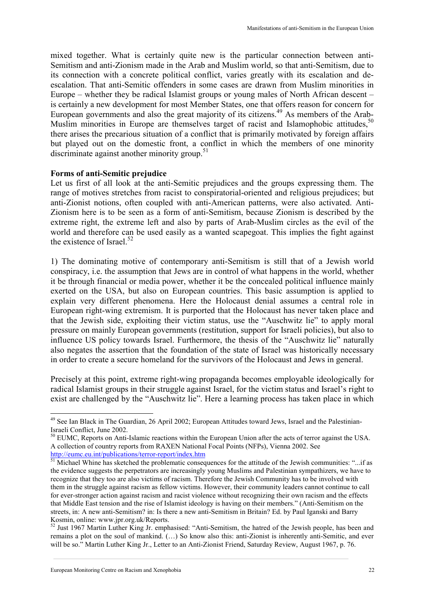mixed together. What is certainly quite new is the particular connection between anti-Semitism and anti-Zionism made in the Arab and Muslim world, so that anti-Semitism, due to its connection with a concrete political conflict, varies greatly with its escalation and deescalation. That anti-Semitic offenders in some cases are drawn from Muslim minorities in Europe – whether they be radical Islamist groups or young males of North African descent – is certainly a new development for most Member States, one that offers reason for concern for European governments and also the great majority of its citizens.<sup>49</sup> As members of the Arab-Muslim minorities in Europe are themselves target of racist and Islamophobic attitudes,<sup>50</sup> there arises the precarious situation of a conflict that is primarily motivated by foreign affairs but played out on the domestic front, a conflict in which the members of one minority discriminate against another minority group.<sup>[51](#page-21-3)</sup>

### <span id="page-21-0"></span>**Forms of anti-Semitic prejudice**

Let us first of all look at the anti-Semitic prejudices and the groups expressing them. The range of motives stretches from racist to conspiratorial-oriented and religious prejudices; but anti-Zionist notions, often coupled with anti-American patterns, were also activated. Anti-Zionism here is to be seen as a form of anti-Semitism, because Zionism is described by the extreme right, the extreme left and also by parts of Arab-Muslim circles as the evil of the world and therefore can be used easily as a wanted scapegoat. This implies the fight against the existence of Israel.<sup>[52](#page-21-4)</sup>

1) The dominating motive of contemporary anti-Semitism is still that of a Jewish world conspiracy, i.e. the assumption that Jews are in control of what happens in the world, whether it be through financial or media power, whether it be the concealed political influence mainly exerted on the USA, but also on European countries. This basic assumption is applied to explain very different phenomena. Here the Holocaust denial assumes a central role in European right-wing extremism. It is purported that the Holocaust has never taken place and that the Jewish side, exploiting their victim status, use the "Auschwitz lie" to apply moral pressure on mainly European governments (restitution, support for Israeli policies), but also to influence US policy towards Israel. Furthermore, the thesis of the "Auschwitz lie" naturally also negates the assertion that the foundation of the state of Israel was historically necessary in order to create a secure homeland for the survivors of the Holocaust and Jews in general.

Precisely at this point, extreme right-wing propaganda becomes employable ideologically for radical Islamist groups in their struggle against Israel, for the victim status and Israel's right to exist are challenged by the "Auschwitz lie". Here a learning process has taken place in which

<span id="page-21-1"></span><sup>&</sup>lt;sup>49</sup> See Ian Black in The Guardian, 26 April 2002; European Attitudes toward Jews, Israel and the Palestinian-Israeli Conflict, June 2002.

<span id="page-21-2"></span><sup>&</sup>lt;sup>50</sup> EUMC, Reports on Anti-Islamic reactions within the European Union after the acts of terror against the USA. A collection of country reports from RAXEN National Focal Points (NFPs), Vienna 2002. See http://eumc.eu.int/publications/terror-report/index.htm

<span id="page-21-3"></span><sup>&</sup>lt;sup>51</sup> Michael Whine has sketched the problematic consequences for the attitude of the Jewish communities: "...if as the evidence suggests the perpetrators are increasingly young Muslims and Palestinian sympathizers, we have to recognize that they too are also victims of racism. Therefore the Jewish Community has to be involved with them in the struggle against racism as fellow victims. However, their community leaders cannot continue to call for ever-stronger action against racism and racist violence without recognizing their own racism and the effects that Middle East tension and the rise of Islamist ideology is having on their members." (Anti-Semitism on the streets, in: A new anti-Semitism? in: Is there a new anti-Semitism in Britain? Ed. by Paul Iganski and Barry Kosmin, online: www.jpr.org.uk/Reports.

<span id="page-21-4"></span><sup>&</sup>lt;sup>52</sup> Just 1967 Martin Luther King Jr. emphasised: "Anti-Semitism, the hatred of the Jewish people, has been and remains a plot on the soul of mankind. (…) So know also this: anti-Zionist is inherently anti-Semitic, and ever will be so." Martin Luther King Jr., Letter to an Anti-Zionist Friend, Saturday Review, August 1967, p. 76.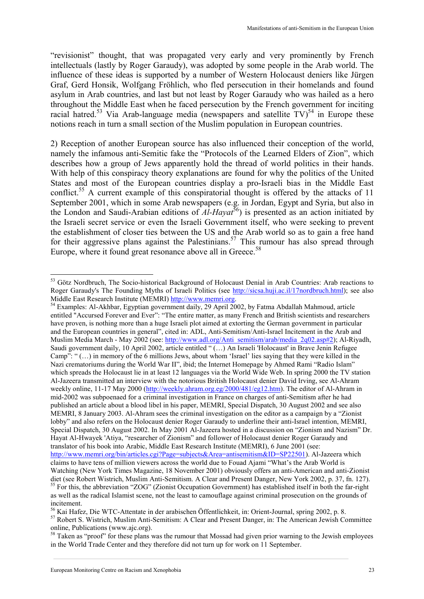"revisionist" thought, that was propagated very early and very prominently by French intellectuals (lastly by Roger Garaudy), was adopted by some people in the Arab world. The influence of these ideas is supported by a number of Western Holocaust deniers like Jürgen Graf, Gerd Honsik, Wolfgang Fröhlich, who fled persecution in their homelands and found asylum in Arab countries, and last but not least by Roger Garaudy who was hailed as a hero throughout the Middle East when he faced persecution by the French government for inciting racial hatred.<sup>53</sup> Via Arab-language media (newspapers and satellite  $TV$ )<sup>54</sup> in Europe these notions reach in turn a small section of the Muslim population in European countries.

2) Reception of another European source has also influenced their conception of the world, namely the infamous anti-Semitic fake the "Protocols of the Learned Elders of Zion", which describes how a group of Jews apparently hold the thread of world politics in their hands. With help of this conspiracy theory explanations are found for why the politics of the United States and most of the European countries display a pro-Israeli bias in the Middle East conflict.<sup>55</sup> A current example of this conspiratorial thought is offered by the attacks of 11 September 2001, which in some Arab newspapers (e.g. in Jordan, Egypt and Syria, but also in the London and Saudi-Arabian editions of *Al-Hayat*[56\)](#page-22-3) is presented as an action initiated by the Israeli secret service or even the Israeli Government itself, who were seeking to prevent the establishment of closer ties between the US and the Arab world so as to gain a free hand for their aggressive plans against the Palestinians.<sup>57</sup> This rumour has also spread through Europe, where it found great resonance above all in Greece.<sup>[58](#page-22-5)</sup>

<span id="page-22-0"></span><sup>&</sup>lt;sup>53</sup> Götz Nordbruch, The Socio-historical Background of Holocaust Denial in Arab Countries: Arab reactions to Roger Garaudy's The Founding Myths of Israeli Politics (see http://sicsa.huji.ac.il/17nordbruch.html); see also<br>Middle East Research Institute (MEMRI) http://www.memri.org.

<span id="page-22-1"></span> $<sup>54</sup>$  Examples: Al-Akhbar, Egyptian government daily, 29 April 2002, by Fatma Abdallah Mahmoud, article</sup> entitled "Accursed Forever and Ever": "The entire matter, as many French and British scientists and researchers have proven, is nothing more than a huge Israeli plot aimed at extorting the German government in particular and the European countries in general", cited in: ADL, Anti-Semitism/Anti-Israel Incitement in the Arab and Muslim Media March - May 2002 (see: http://www.adl.org/Anti\_semitism/arab/media\_2q02.asp#2); Al-Riyadh, Saudi government daily, 10 April 2002, article entitled " (…) An Israeli 'Holocaust' in Brave Jenin Refugee Camp": " (…) in memory of the 6 millions Jews, about whom 'Israel' lies saying that they were killed in the Nazi crematoriums during the World War II", ibid; the Internet Homepage by Ahmed Rami "Radio Islam" which spreads the Holocaust lie in at least 12 languages via the World Wide Web. In spring 2000 the TV station Al-Jazeera transmitted an interview with the notorious British Holocaust denier David Irving, see Al-Ahram weekly online, 11-17 May 2000 (http://weekly.ahram.org.eg/2000/481/eg12.htm). The editor of Al-Ahram in mid-2002 was subpoenaed for a criminal investigation in France on charges of anti-Semitism after he had published an article about a blood libel in his paper, MEMRI, Special Dispatch, 30 August 2002 and see also MEMRI, 8 January 2003. Al-Ahram sees the criminal investigation on the editor as a campaign by a "Zionist lobby" and also refers on the Holocaust denier Roger Garaudy to underline their anti-Israel intention, MEMRI, Special Dispatch, 30 August 2002. In May 2001 Al-Jazeera hosted in a discussion on "Zionism and Nazism" Dr. Hayat Al-Hwayek 'Atiya, "researcher of Zionism" and follower of Holocaust denier Roger Garaudy and translator of his book into Arabic, Middle East Research Institute (MEMRI), 6 June 2001 (see: http://www.memri.org/bin/articles.cgi?Page=subjects&Area=antisemitism&ID=SP22501). Al-Jazeera which claims to have tens of million viewers across the world due to Fouad Ajami "What's the Arab World is Watching (New York Times Magazine, 18 November 2001) obviously offers an anti-American and anti-Zionist diet (see Robert Wistrich, Muslim Anti-Semitism. A Clear and Present Danger, New York 2002, p. 37, fn. 127).

<span id="page-22-2"></span><sup>&</sup>lt;sup>55</sup> For this, the abbreviation "ZOG" (Zionist Occupation Government) has established itself in both the far-right as well as the radical Islamist scene, not the least to camouflage against criminal prosecution on the grounds of incitement.

<span id="page-22-3"></span><sup>56</sup> Kai Hafez, Die WTC-Attentate in der arabischen Öffentlichkeit, in: Orient-Journal, spring 2002, p. 8.

<span id="page-22-4"></span><sup>57</sup> Robert S. Wistrich, Muslim Anti-Semitism: A Clear and Present Danger, in: The American Jewish Committee online, Publications (www.ajc.org).

<span id="page-22-5"></span> $58$  Taken as "proof" for these plans was the rumour that Mossad had given prior warning to the Jewish employees in the World Trade Center and they therefore did not turn up for work on 11 September.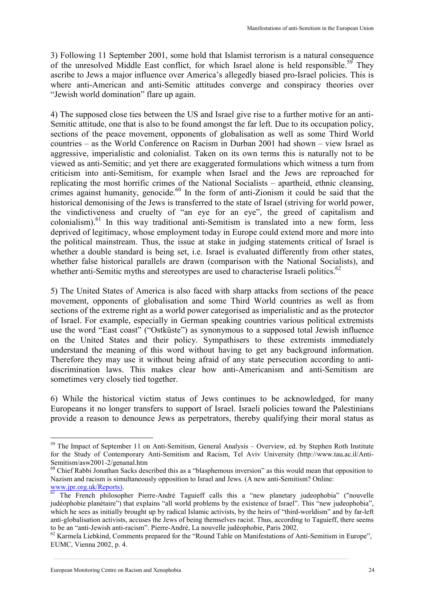3) Following 11 September 2001, some hold that Islamist terrorism is a natural consequence of the unresolved Middle East conflict, for which Israel alone is held responsible.<sup>59</sup> They ascribe to Jews a major influence over America's allegedly biased pro-Israel policies. This is where anti-American and anti-Semitic attitudes converge and conspiracy theories over "Jewish world domination" flare up again.

4) The supposed close ties between the US and Israel give rise to a further motive for an anti-Semitic attitude, one that is also to be found amongst the far left. Due to its occupation policy, sections of the peace movement, opponents of globalisation as well as some Third World countries – as the World Conference on Racism in Durban 2001 had shown – view Israel as aggressive, imperialistic and colonialist. Taken on its own terms this is naturally not to be viewed as anti-Semitic; and yet there are exaggerated formulations which witness a turn from criticism into anti-Semitism, for example when Israel and the Jews are reproached for replicating the most horrific crimes of the National Socialists – apartheid, ethnic cleansing, crimes against humanity, genocide.<sup>60</sup> In the form of anti-Zionism it could be said that the historical demonising of the Jews is transferred to the state of Israel (striving for world power, the vindictiveness and cruelty of "an eye for an eye", the greed of capitalism and colonialism).<sup>61</sup> In this way traditional anti-Semitism is translated into a new form, less deprived of legitimacy, whose employment today in Europe could extend more and more into the political mainstream. Thus, the issue at stake in judging statements critical of Israel is whether a double standard is being set, i.e. Israel is evaluated differently from other states, whether false historical parallels are drawn (comparison with the National Socialists), and whether anti-Semitic myths and stereotypes are used to characterise Israeli politics.<sup>[62](#page-23-3)</sup>

5) The United States of America is also faced with sharp attacks from sections of the peace movement, opponents of globalisation and some Third World countries as well as from sections of the extreme right as a world power categorised as imperialistic and as the protector of Israel. For example, especially in German speaking countries various political extremists use the word "East coast" ("Ostküste") as synonymous to a supposed total Jewish influence on the United States and their policy. Sympathisers to these extremists immediately understand the meaning of this word without having to get any background information. Therefore they may use it without being afraid of any state persecution according to antidiscrimination laws. This makes clear how anti-Americanism and anti-Semitism are sometimes very closely tied together.

6) While the historical victim status of Jews continues to be acknowledged, for many Europeans it no longer transfers to support of Israel. Israeli policies toward the Palestinians provide a reason to denounce Jews as perpetrators, thereby qualifying their moral status as

<span id="page-23-0"></span><sup>&</sup>lt;sup>59</sup> The Impact of September 11 on Anti-Semitism, General Analysis – Overview, ed. by Stephen Roth Institute for the Study of Contemporary Anti-Semitism and Racism, Tel Aviv University (http://www.tau.ac.il/Anti-Semitism/asw2001-2/genanal.htm

<span id="page-23-1"></span><sup>&</sup>lt;sup>60</sup> Chief Rabbi Jonathan Sacks described this as a "blasphemous inversion" as this would mean that opposition to Nazism and racism is simultaneously opposition to Israel and Jews. (A new anti-Semitism? Online:

<span id="page-23-2"></span>www.jpr.org.uk/Reports).<br><sup>61</sup> The French philosopher Pierre-André Taguieff calls this a "new planetary judeophobia" ("nouvelle judéophobie planétaire") that explains "all world problems by the existence of Israel". This "new judeophobia", which he sees as initially brought up by radical Islamic activists, by the heirs of "third-worldism" and by far-left anti-globalisation activists, accuses the Jews of being themselves racist. Thus, according to Taguieff, there seems to be an "anti-Jewish anti-racism". Pierre-André, La nouvelle judéophobie, Paris 2002.

<span id="page-23-3"></span><sup>&</sup>lt;sup>62</sup> Karmela Liebkind, Comments prepared for the "Round Table on Manifestations of Anti-Semitism in Europe", EUMC, Vienna 2002, p. 4.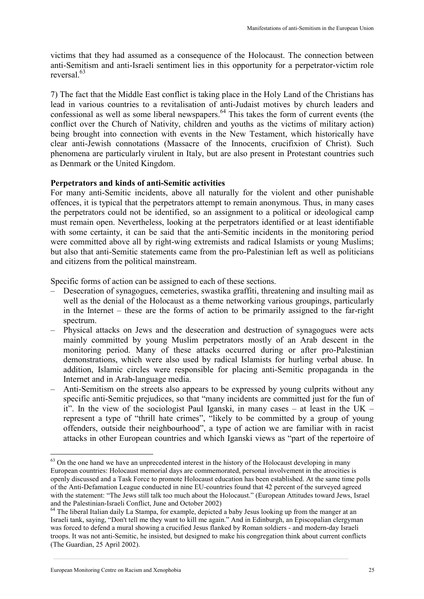victims that they had assumed as a consequence of the Holocaust. The connection between anti-Semitism and anti-Israeli sentiment lies in this opportunity for a perpetrator-victim role reversal<sup>[63](#page-24-1)</sup>

7) The fact that the Middle East conflict is taking place in the Holy Land of the Christians has lead in various countries to a revitalisation of anti-Judaist motives by church leaders and confessional as well as some liberal newspapers.<sup>64</sup> This takes the form of current events (the conflict over the Church of Nativity, children and youths as the victims of military action) being brought into connection with events in the New Testament, which historically have clear anti-Jewish connotations (Massacre of the Innocents, crucifixion of Christ). Such phenomena are particularly virulent in Italy, but are also present in Protestant countries such as Denmark or the United Kingdom.

### <span id="page-24-0"></span>**Perpetrators and kinds of anti-Semitic activities**

For many anti-Semitic incidents, above all naturally for the violent and other punishable offences, it is typical that the perpetrators attempt to remain anonymous. Thus, in many cases the perpetrators could not be identified, so an assignment to a political or ideological camp must remain open. Nevertheless, looking at the perpetrators identified or at least identifiable with some certainty, it can be said that the anti-Semitic incidents in the monitoring period were committed above all by right-wing extremists and radical Islamists or young Muslims; but also that anti-Semitic statements came from the pro-Palestinian left as well as politicians and citizens from the political mainstream.

Specific forms of action can be assigned to each of these sections.

- Desecration of synagogues, cemeteries, swastika graffiti, threatening and insulting mail as well as the denial of the Holocaust as a theme networking various groupings, particularly in the Internet – these are the forms of action to be primarily assigned to the far-right spectrum.
- Physical attacks on Jews and the desecration and destruction of synagogues were acts mainly committed by young Muslim perpetrators mostly of an Arab descent in the monitoring period. Many of these attacks occurred during or after pro-Palestinian demonstrations, which were also used by radical Islamists for hurling verbal abuse. In addition, Islamic circles were responsible for placing anti-Semitic propaganda in the Internet and in Arab-language media.
- Anti-Semitism on the streets also appears to be expressed by young culprits without any specific anti-Semitic prejudices, so that "many incidents are committed just for the fun of it". In the view of the sociologist Paul Iganski, in many cases – at least in the UK – represent a type of "thrill hate crimes", "likely to be committed by a group of young offenders, outside their neighbourhood", a type of action we are familiar with in racist attacks in other European countries and which Iganski views as "part of the repertoire of

<span id="page-24-1"></span> $63$  On the one hand we have an unprecedented interest in the history of the Holocaust developing in many European countries: Holocaust memorial days are commemorated, personal involvement in the atrocities is openly discussed and a Task Force to promote Holocaust education has been established. At the same time polls of the Anti-Defamation League conducted in nine EU-countries found that 42 percent of the surveyed agreed with the statement: "The Jews still talk too much about the Holocaust." (European Attitudes toward Jews, Israel and the Palestinian-Israeli Conflict, June and October 2002)

<span id="page-24-2"></span><sup>&</sup>lt;sup>64</sup> The liberal Italian daily La Stampa, for example, depicted a baby Jesus looking up from the manger at an Israeli tank, saying, "Don't tell me they want to kill me again." And in Edinburgh, an Episcopalian clergyman was forced to defend a mural showing a crucified Jesus flanked by Roman soldiers - and modern-day Israeli troops. It was not anti-Semitic, he insisted, but designed to make his congregation think about current conflicts (The Guardian, 25 April 2002).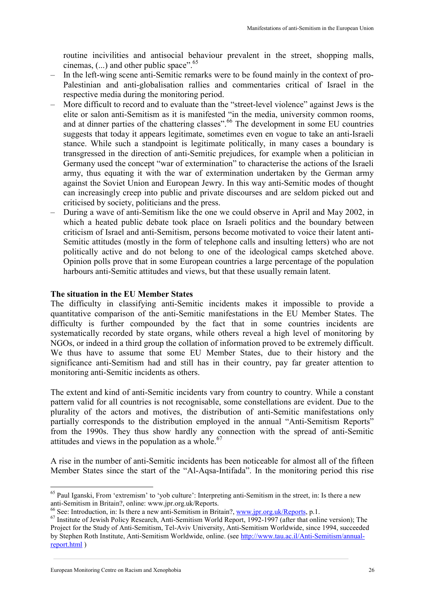routine incivilities and antisocial behaviour prevalent in the street, shopping malls, cinemas,  $(...)$  and other public space".<sup>[65](#page-25-1)</sup>

- In the left-wing scene anti-Semitic remarks were to be found mainly in the context of pro-Palestinian and anti-globalisation rallies and commentaries critical of Israel in the respective media during the monitoring period.
- More difficult to record and to evaluate than the "street-level violence" against Jews is the elite or salon anti-Semitism as it is manifested "in the media, university common rooms, and at dinner parties of the chattering classes".<sup>66</sup> The development in some EU countries suggests that today it appears legitimate, sometimes even en vogue to take an anti-Israeli stance. While such a standpoint is legitimate politically, in many cases a boundary is transgressed in the direction of anti-Semitic prejudices, for example when a politician in Germany used the concept "war of extermination" to characterise the actions of the Israeli army, thus equating it with the war of extermination undertaken by the German army against the Soviet Union and European Jewry. In this way anti-Semitic modes of thought can increasingly creep into public and private discourses and are seldom picked out and criticised by society, politicians and the press.
- During a wave of anti-Semitism like the one we could observe in April and May 2002, in which a heated public debate took place on Israeli politics and the boundary between criticism of Israel and anti-Semitism, persons become motivated to voice their latent anti-Semitic attitudes (mostly in the form of telephone calls and insulting letters) who are not politically active and do not belong to one of the ideological camps sketched above. Opinion polls prove that in some European countries a large percentage of the population harbours anti-Semitic attitudes and views, but that these usually remain latent.

### <span id="page-25-0"></span>**The situation in the EU Member States**

The difficulty in classifying anti-Semitic incidents makes it impossible to provide a quantitative comparison of the anti-Semitic manifestations in the EU Member States. The difficulty is further compounded by the fact that in some countries incidents are systematically recorded by state organs, while others reveal a high level of monitoring by NGOs, or indeed in a third group the collation of information proved to be extremely difficult. We thus have to assume that some EU Member States, due to their history and the significance anti-Semitism had and still has in their country, pay far greater attention to monitoring anti-Semitic incidents as others.

The extent and kind of anti-Semitic incidents vary from country to country. While a constant pattern valid for all countries is not recognisable, some constellations are evident. Due to the plurality of the actors and motives, the distribution of anti-Semitic manifestations only partially corresponds to the distribution employed in the annual "Anti-Semitism Reports" from the 1990s. They thus show hardly any connection with the spread of anti-Semitic attitudes and views in the population as a whole. $67$ 

A rise in the number of anti-Semitic incidents has been noticeable for almost all of the fifteen Member States since the start of the "Al-Aqsa-Intifada". In the monitoring period this rise

<span id="page-25-1"></span><sup>&</sup>lt;sup>65</sup> Paul Iganski, From 'extremism' to 'yob culture': Interpreting anti-Semitism in the street, in: Is there a new anti-Semitism in Britain?, online: www.jpr.org.uk/Reports.<br><sup>66</sup> See: Introduction, in: Is there a new anti-Semitism in Britain?, www.jpr.org.uk/Reports, p.1.

<span id="page-25-2"></span>

<span id="page-25-3"></span><sup>&</sup>lt;sup>67</sup> Institute of Jewish Policy Research, Anti-Semitism World Report, 1992-1997 (after that online version); The Project for the Study of Anti-Semitism, Tel-Aviv University, Anti-Semitism Worldwide, since 1994, succeeded by Stephen Roth Institute, Anti-Semitism Worldwide, online. (see http://www.tau.ac.il/Anti-Semitism/annualreport.html )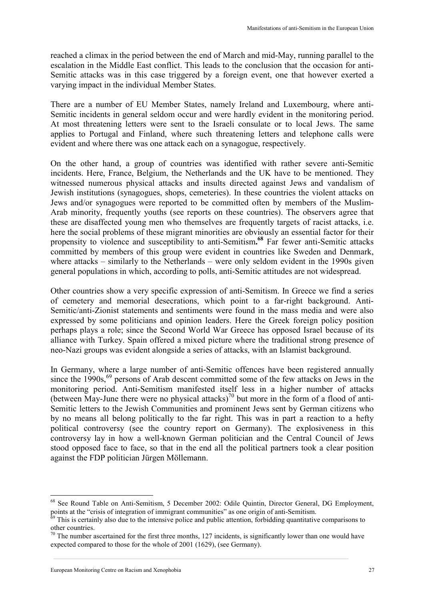reached a climax in the period between the end of March and mid-May, running parallel to the escalation in the Middle East conflict. This leads to the conclusion that the occasion for anti-Semitic attacks was in this case triggered by a foreign event, one that however exerted a varying impact in the individual Member States.

There are a number of EU Member States, namely Ireland and Luxembourg, where anti-Semitic incidents in general seldom occur and were hardly evident in the monitoring period. At most threatening letters were sent to the Israeli consulate or to local Jews. The same applies to Portugal and Finland, where such threatening letters and telephone calls were evident and where there was one attack each on a synagogue, respectively.

On the other hand, a group of countries was identified with rather severe anti-Semitic incidents. Here, France, Belgium, the Netherlands and the UK have to be mentioned. They witnessed numerous physical attacks and insults directed against Jews and vandalism of Jewish institutions (synagogues, shops, cemeteries). In these countries the violent attacks on Jews and/or synagogues were reported to be committed often by members of the Muslim-Arab minority, frequently youths (see reports on these countries). The observers agree that these are disaffected young men who themselves are frequently targets of racist attacks, i.e. here the social problems of these migrant minorities are obviously an essential factor for their propensity to violence and susceptibility to anti-Semitism**. [68](#page-26-0)** Far fewer anti-Semitic attacks committed by members of this group were evident in countries like Sweden and Denmark, where attacks – similarly to the Netherlands – were only seldom evident in the 1990s given general populations in which, according to polls, anti-Semitic attitudes are not widespread.

Other countries show a very specific expression of anti-Semitism. In Greece we find a series of cemetery and memorial desecrations, which point to a far-right background. Anti-Semitic/anti-Zionist statements and sentiments were found in the mass media and were also expressed by some politicians and opinion leaders. Here the Greek foreign policy position perhaps plays a role; since the Second World War Greece has opposed Israel because of its alliance with Turkey. Spain offered a mixed picture where the traditional strong presence of neo-Nazi groups was evident alongside a series of attacks, with an Islamist background.

In Germany, where a large number of anti-Semitic offences have been registered annually since the  $1990s$ ,  $69$  persons of Arab descent committed some of the few attacks on Jews in the monitoring period. Anti-Semitism manifested itself less in a higher number of attacks (between May-June there were no physical attacks)<sup>70</sup> but more in the form of a flood of anti-Semitic letters to the Jewish Communities and prominent Jews sent by German citizens who by no means all belong politically to the far right. This was in part a reaction to a hefty political controversy (see the country report on Germany). The explosiveness in this controversy lay in how a well-known German politician and the Central Council of Jews stood opposed face to face, so that in the end all the political partners took a clear position against the FDP politician Jürgen Möllemann.

<span id="page-26-0"></span><sup>68</sup> See Round Table on Anti-Semitism, 5 December 2002: Odile Quintin, Director General, DG Employment, points at the "crisis of integration of immigrant communities" as one origin of anti-Semitism.

<span id="page-26-1"></span>This is certainly also due to the intensive police and public attention, forbidding quantitative comparisons to other countries.

<span id="page-26-2"></span> $70$  The number ascertained for the first three months, 127 incidents, is significantly lower than one would have expected compared to those for the whole of 2001 (1629), (see Germany).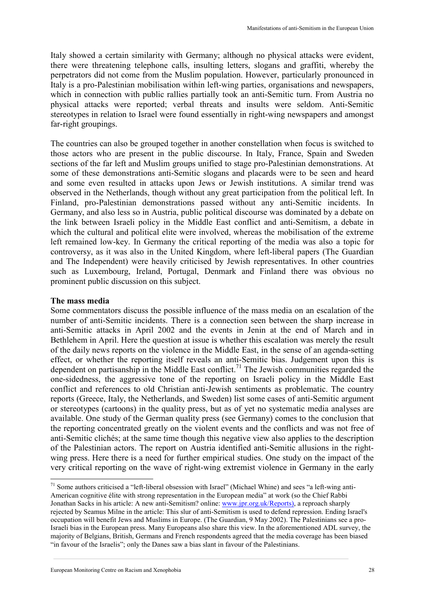Italy showed a certain similarity with Germany; although no physical attacks were evident, there were threatening telephone calls, insulting letters, slogans and graffiti, whereby the perpetrators did not come from the Muslim population. However, particularly pronounced in Italy is a pro-Palestinian mobilisation within left-wing parties, organisations and newspapers, which in connection with public rallies partially took an anti-Semitic turn. From Austria no physical attacks were reported; verbal threats and insults were seldom. Anti-Semitic stereotypes in relation to Israel were found essentially in right-wing newspapers and amongst far-right groupings.

The countries can also be grouped together in another constellation when focus is switched to those actors who are present in the public discourse. In Italy, France, Spain and Sweden sections of the far left and Muslim groups unified to stage pro-Palestinian demonstrations. At some of these demonstrations anti-Semitic slogans and placards were to be seen and heard and some even resulted in attacks upon Jews or Jewish institutions. A similar trend was observed in the Netherlands, though without any great participation from the political left. In Finland, pro-Palestinian demonstrations passed without any anti-Semitic incidents. In Germany, and also less so in Austria, public political discourse was dominated by a debate on the link between Israeli policy in the Middle East conflict and anti-Semitism, a debate in which the cultural and political elite were involved, whereas the mobilisation of the extreme left remained low-key. In Germany the critical reporting of the media was also a topic for controversy, as it was also in the United Kingdom, where left-liberal papers (The Guardian and The Independent) were heavily criticised by Jewish representatives. In other countries such as Luxembourg, Ireland, Portugal, Denmark and Finland there was obvious no prominent public discussion on this subject.

#### <span id="page-27-0"></span>**The mass media**

 $\overline{a}$ 

Some commentators discuss the possible influence of the mass media on an escalation of the number of anti-Semitic incidents. There is a connection seen between the sharp increase in anti-Semitic attacks in April 2002 and the events in Jenin at the end of March and in Bethlehem in April. Here the question at issue is whether this escalation was merely the result of the daily news reports on the violence in the Middle East, in the sense of an agenda-setting effect, or whether the reporting itself reveals an anti-Semitic bias. Judgement upon this is dependent on partisanship in the Middle East conflict.<sup>71</sup> The Jewish communities regarded the one-sidedness, the aggressive tone of the reporting on Israeli policy in the Middle East conflict and references to old Christian anti-Jewish sentiments as problematic. The country reports (Greece, Italy, the Netherlands, and Sweden) list some cases of anti-Semitic argument or stereotypes (cartoons) in the quality press, but as of yet no systematic media analyses are available. One study of the German quality press (see Germany) comes to the conclusion that the reporting concentrated greatly on the violent events and the conflicts and was not free of anti-Semitic clichés; at the same time though this negative view also applies to the description of the Palestinian actors. The report on Austria identified anti-Semitic allusions in the rightwing press. Here there is a need for further empirical studies. One study on the impact of the very critical reporting on the wave of right-wing extremist violence in Germany in the early

<span id="page-27-1"></span><sup>&</sup>lt;sup>71</sup> Some authors criticised a "left-liberal obsession with Israel" (Michael Whine) and sees "a left-wing anti-American cognitive élite with strong representation in the European media" at work (so the Chief Rabbi Jonathan Sacks in his article: A new anti-Semitism? online: www.jpr.org.uk/Reports), a reproach sharply rejected by Seamus Milne in the article: This slur of anti-Semitism is used to defend repression. Ending Israel's occupation will benefit Jews and Muslims in Europe. (The Guardian, 9 May 2002). The Palestinians see a pro-Israeli bias in the European press. Many Europeans also share this view. In the aforementioned ADL survey, the majority of Belgians, British, Germans and French respondents agreed that the media coverage has been biased "in favour of the Israelis"; only the Danes saw a bias slant in favour of the Palestinians.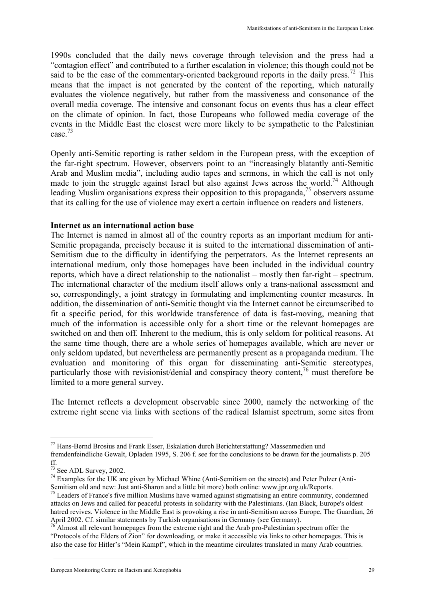1990s concluded that the daily news coverage through television and the press had a "contagion effect" and contributed to a further escalation in violence; this though could not be said to be the case of the commentary-oriented background reports in the daily press.<sup>72</sup> This means that the impact is not generated by the content of the reporting, which naturally evaluates the violence negatively, but rather from the massiveness and consonance of the overall media coverage. The intensive and consonant focus on events thus has a clear effect on the climate of opinion. In fact, those Europeans who followed media coverage of the events in the Middle East the closest were more likely to be sympathetic to the Palestinian case.[73](#page-28-2)

Openly anti-Semitic reporting is rather seldom in the European press, with the exception of the far-right spectrum. However, observers point to an "increasingly blatantly anti-Semitic Arab and Muslim media", including audio tapes and sermons, in which the call is not only made to join the struggle against Israel but also against Jews across the world.<sup>74</sup> Although leading Muslim organisations express their opposition to this propaganda,<sup>75</sup> observers assume that its calling for the use of violence may exert a certain influence on readers and listeners.

### <span id="page-28-0"></span>**Internet as an international action base**

The Internet is named in almost all of the country reports as an important medium for anti-Semitic propaganda, precisely because it is suited to the international dissemination of anti-Semitism due to the difficulty in identifying the perpetrators. As the Internet represents an international medium, only those homepages have been included in the individual country reports, which have a direct relationship to the nationalist – mostly then far-right – spectrum. The international character of the medium itself allows only a trans-national assessment and so, correspondingly, a joint strategy in formulating and implementing counter measures. In addition, the dissemination of anti-Semitic thought via the Internet cannot be circumscribed to fit a specific period, for this worldwide transference of data is fast-moving, meaning that much of the information is accessible only for a short time or the relevant homepages are switched on and then off. Inherent to the medium, this is only seldom for political reasons. At the same time though, there are a whole series of homepages available, which are never or only seldom updated, but nevertheless are permanently present as a propaganda medium. The evaluation and monitoring of this organ for disseminating anti-Semitic stereotypes, particularly those with revisionist/denial and conspiracy theory content,<sup>76</sup> must therefore be limited to a more general survey.

The Internet reflects a development observable since 2000, namely the networking of the extreme right scene via links with sections of the radical Islamist spectrum, some sites from

<span id="page-28-1"></span> $\overline{a}$ 72 Hans-Bernd Brosius and Frank Esser, Eskalation durch Berichterstattung? Massenmedien und fremdenfeindliche Gewalt, Opladen 1995, S. 206 f. see for the conclusions to be drawn for the journalists p. 205 ff.

<span id="page-28-2"></span><sup>73</sup> See ADL Survey, 2002.

<span id="page-28-3"></span><sup>74</sup> Examples for the UK are given by Michael Whine (Anti-Semitism on the streets) and Peter Pulzer (Anti-Semitism old and new: Just anti-Sharon and a little bit more) both online: www.jpr.org.uk/Reports.

<span id="page-28-4"></span><sup>&</sup>lt;sup>75</sup> Leaders of France's five million Muslims have warned against stigmatising an entire community, condemned attacks on Jews and called for peaceful protests in solidarity with the Palestinians. (Ian Black, Europe's oldest hatred revives. Violence in the Middle East is provoking a rise in anti-Semitism across Europe, The Guardian, 26 April 2002. Cf. similar statements by Turkish organisations in Germany (see Germany).

<span id="page-28-5"></span>Almost all relevant homepages from the extreme right and the Arab pro-Palestinian spectrum offer the "Protocols of the Elders of Zion" for downloading, or make it accessible via links to other homepages. This is also the case for Hitler's "Mein Kampf", which in the meantime circulates translated in many Arab countries.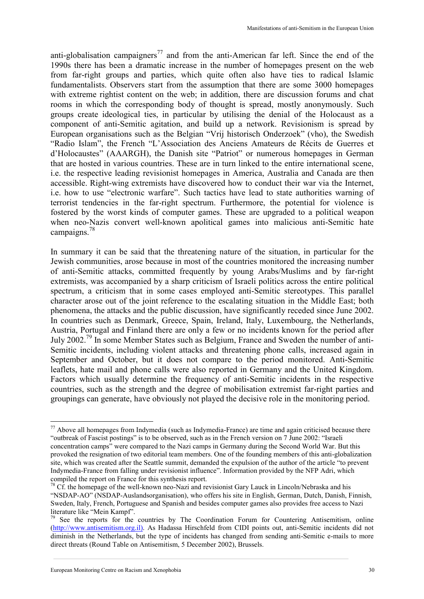anti-globalisation campaigners<sup>77</sup> and from the anti-American far left. Since the end of the 1990s there has been a dramatic increase in the number of homepages present on the web from far-right groups and parties, which quite often also have ties to radical Islamic fundamentalists. Observers start from the assumption that there are some 3000 homepages with extreme rightist content on the web; in addition, there are discussion forums and chat rooms in which the corresponding body of thought is spread, mostly anonymously. Such groups create ideological ties, in particular by utilising the denial of the Holocaust as a component of anti-Semitic agitation, and build up a network. Revisionism is spread by European organisations such as the Belgian "Vrij historisch Onderzoek" (vho), the Swedish "Radio Islam", the French "L'Association des Anciens Amateurs de Récits de Guerres et d'Holocaustes" (AAARGH), the Danish site "Patriot" or numerous homepages in German that are hosted in various countries. These are in turn linked to the entire international scene, i.e. the respective leading revisionist homepages in America, Australia and Canada are then accessible. Right-wing extremists have discovered how to conduct their war via the Internet, i.e. how to use "electronic warfare". Such tactics have lead to state authorities warning of terrorist tendencies in the far-right spectrum. Furthermore, the potential for violence is fostered by the worst kinds of computer games. These are upgraded to a political weapon when neo-Nazis convert well-known apolitical games into malicious anti-Semitic hate campaigns.[78](#page-29-1)

In summary it can be said that the threatening nature of the situation, in particular for the Jewish communities, arose because in most of the countries monitored the increasing number of anti-Semitic attacks, committed frequently by young Arabs/Muslims and by far-right extremists, was accompanied by a sharp criticism of Israeli politics across the entire political spectrum, a criticism that in some cases employed anti-Semitic stereotypes. This parallel character arose out of the joint reference to the escalating situation in the Middle East; both phenomena, the attacks and the public discussion, have significantly receded since June 2002. In countries such as Denmark, Greece, Spain, Ireland, Italy, Luxembourg, the Netherlands, Austria, Portugal and Finland there are only a few or no incidents known for the period after July 2002.[79 I](#page-29-2)n some Member States such as Belgium, France and Sweden the number of anti-Semitic incidents, including violent attacks and threatening phone calls, increased again in September and October, but it does not compare to the period monitored. Anti-Semitic leaflets, hate mail and phone calls were also reported in Germany and the United Kingdom. Factors which usually determine the frequency of anti-Semitic incidents in the respective countries, such as the strength and the degree of mobilisation extremist far-right parties and groupings can generate, have obviously not played the decisive role in the monitoring period.

<span id="page-29-0"></span><sup>&</sup>lt;sup>77</sup> Above all homepages from Indymedia (such as Indymedia-France) are time and again criticised because there "outbreak of Fascist postings" is to be observed, such as in the French version on 7 June 2002: "Israeli concentration camps" were compared to the Nazi camps in Germany during the Second World War. But this provoked the resignation of two editorial team members. One of the founding members of this anti-globalization site, which was created after the Seattle summit, demanded the expulsion of the author of the article "to prevent Indymedia-France from falling under revisionist influence". Information provided by the NFP Adri, which compiled the report on France for this synthesis report.

<span id="page-29-1"></span> $78$  Cf. the homepage of the well-known neo-Nazi and revisionist Gary Lauck in Lincoln/Nebraska and his "NSDAP-AO" (NSDAP-Auslandsorganisation), who offers his site in English, German, Dutch, Danish, Finnish, Sweden, Italy, French, Portuguese and Spanish and besides computer games also provides free access to Nazi literature like "Mein Kampf".

<span id="page-29-2"></span> $79$  See the reports for the countries by The Coordination Forum for Countering Antisemitism, online (http://www.antisemitism.org.il). As Hadassa Hirschfeld from CIDI points out, anti-Semitic incidents did not diminish in the Netherlands, but the type of incidents has changed from sending anti-Semitic e-mails to more direct threats (Round Table on Antisemitism, 5 December 2002), Brussels.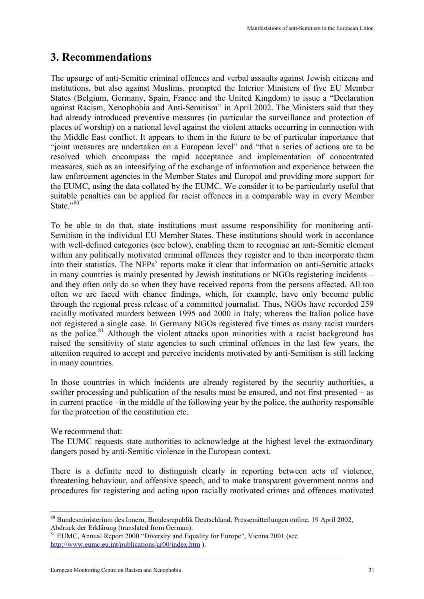### <span id="page-30-0"></span>**3. Recommendations**

The upsurge of anti-Semitic criminal offences and verbal assaults against Jewish citizens and institutions, but also against Muslims, prompted the Interior Ministers of five EU Member States (Belgium, Germany, Spain, France and the United Kingdom) to issue a "Declaration against Racism, Xenophobia and Anti-Semitism" in April 2002. The Ministers said that they had already introduced preventive measures (in particular the surveillance and protection of places of worship) on a national level against the violent attacks occurring in connection with the Middle East conflict. It appears to them in the future to be of particular importance that "joint measures are undertaken on a European level" and "that a series of actions are to be resolved which encompass the rapid acceptance and implementation of concentrated measures, such as an intensifying of the exchange of information and experience between the law enforcement agencies in the Member States and Europol and providing more support for the EUMC, using the data collated by the EUMC. We consider it to be particularly useful that suitable penalties can be applied for racist offences in a comparable way in every Member State."[80](#page-30-1)

To be able to do that, state institutions must assume responsibility for monitoring anti-Semitism in the individual EU Member States. These institutions should work in accordance with well-defined categories (see below), enabling them to recognise an anti-Semitic element within any politically motivated criminal offences they register and to then incorporate them into their statistics. The NFPs' reports make it clear that information on anti-Semitic attacks in many countries is mainly presented by Jewish institutions or NGOs registering incidents – and they often only do so when they have received reports from the persons affected. All too often we are faced with chance findings, which, for example, have only become public through the regional press release of a committed journalist. Thus, NGOs have recorded 259 racially motivated murders between 1995 and 2000 in Italy; whereas the Italian police have not registered a single case. In Germany NGOs registered five times as many racist murders as the police.<sup>81</sup> Although the violent attacks upon minorities with a racist background has raised the sensitivity of state agencies to such criminal offences in the last few years, the attention required to accept and perceive incidents motivated by anti-Semitism is still lacking in many countries.

In those countries in which incidents are already registered by the security authorities, a swifter processing and publication of the results must be ensured, and not first presented – as in current practice –in the middle of the following year by the police, the authority responsible for the protection of the constitution etc.

We recommend that:

 $\overline{a}$ 

The EUMC requests state authorities to acknowledge at the highest level the extraordinary dangers posed by anti-Semitic violence in the European context.

There is a definite need to distinguish clearly in reporting between acts of violence, threatening behaviour, and offensive speech, and to make transparent government norms and procedures for registering and acting upon racially motivated crimes and offences motivated

<span id="page-30-1"></span><sup>80</sup> Bundesministerium des Innern, Bundesrepublik Deutschland, Pressemitteilungen online, 19 April 2002, Abdruck der Erklärung (translated from German).

<span id="page-30-2"></span> $81$  EUMC, Annual Report 2000 "Diversity and Equality for Europe", Vienna 2001 (see http://www.eumc.eu.int/publications/ar00/index.htm ).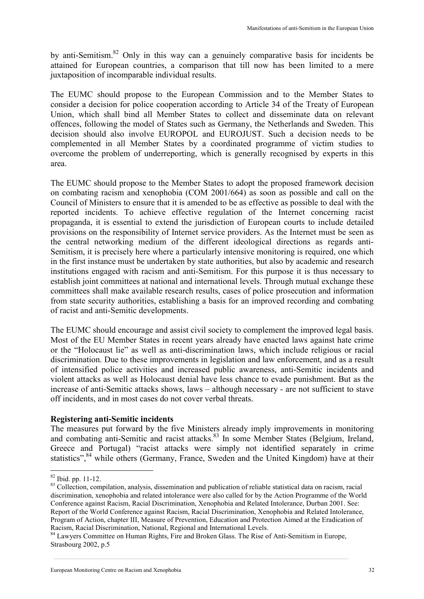by anti-Semitism.[82](#page-31-1) Only in this way can a genuinely comparative basis for incidents be attained for European countries, a comparison that till now has been limited to a mere juxtaposition of incomparable individual results.

The EUMC should propose to the European Commission and to the Member States to consider a decision for police cooperation according to Article 34 of the Treaty of European Union, which shall bind all Member States to collect and disseminate data on relevant offences, following the model of States such as Germany, the Netherlands and Sweden. This decision should also involve EUROPOL and EUROJUST. Such a decision needs to be complemented in all Member States by a coordinated programme of victim studies to overcome the problem of underreporting, which is generally recognised by experts in this area.

The EUMC should propose to the Member States to adopt the proposed framework decision on combating racism and xenophobia (COM 2001/664) as soon as possible and call on the Council of Ministers to ensure that it is amended to be as effective as possible to deal with the reported incidents. To achieve effective regulation of the Internet concerning racist propaganda, it is essential to extend the jurisdiction of European courts to include detailed provisions on the responsibility of Internet service providers. As the Internet must be seen as the central networking medium of the different ideological directions as regards anti-Semitism, it is precisely here where a particularly intensive monitoring is required, one which in the first instance must be undertaken by state authorities, but also by academic and research institutions engaged with racism and anti-Semitism. For this purpose it is thus necessary to establish joint committees at national and international levels. Through mutual exchange these committees shall make available research results, cases of police prosecution and information from state security authorities, establishing a basis for an improved recording and combating of racist and anti-Semitic developments.

The EUMC should encourage and assist civil society to complement the improved legal basis. Most of the EU Member States in recent years already have enacted laws against hate crime or the "Holocaust lie" as well as anti-discrimination laws, which include religious or racial discrimination. Due to these improvements in legislation and law enforcement, and as a result of intensified police activities and increased public awareness, anti-Semitic incidents and violent attacks as well as Holocaust denial have less chance to evade punishment. But as the increase of anti-Semitic attacks shows, laws – although necessary - are not sufficient to stave off incidents, and in most cases do not cover verbal threats.

#### <span id="page-31-0"></span>**Registering anti-Semitic incidents**

The measures put forward by the five Ministers already imply improvements in monitoring and combating anti-Semitic and racist attacks.<sup>83</sup> In some Member States (Belgium, Ireland, Greece and Portugal) "racist attacks were simply not identified separately in crime statistics", <sup>84</sup> while others (Germany, France, Sweden and the United Kingdom) have at their

 $\overline{a}$ 

<span id="page-31-2"></span>83 Collection, compilation, analysis, dissemination and publication of reliable statistical data on racism, racial discrimination, xenophobia and related intolerance were also called for by the Action Programme of the World Conference against Racism, Racial Discrimination, Xenophobia and Related Intolerance, Durban 2001. See: Report of the World Conference against Racism, Racial Discrimination, Xenophobia and Related Intolerance, Program of Action, chapter III, Measure of Prevention, Education and Protection Aimed at the Eradication of Racism, Racial Discrimination, National, Regional and International Levels.

<span id="page-31-1"></span> $82$  Ibid. pp. 11-12.

<span id="page-31-3"></span><sup>&</sup>lt;sup>84</sup> Lawyers Committee on Human Rights, Fire and Broken Glass. The Rise of Anti-Semitism in Europe, Strasbourg 2002, p.5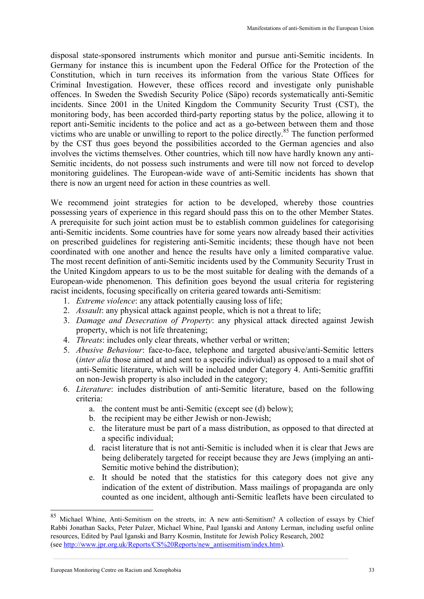disposal state-sponsored instruments which monitor and pursue anti-Semitic incidents. In Germany for instance this is incumbent upon the Federal Office for the Protection of the Constitution, which in turn receives its information from the various State Offices for Criminal Investigation. However, these offices record and investigate only punishable offences. In Sweden the Swedish Security Police (Säpo) records systematically anti-Semitic incidents. Since 2001 in the United Kingdom the Community Security Trust (CST), the monitoring body, has been accorded third-party reporting status by the police, allowing it to report anti-Semitic incidents to the police and act as a go-between between them and those victims who are unable or unwilling to report to the police directly.<sup>85</sup> The function performed by the CST thus goes beyond the possibilities accorded to the German agencies and also involves the victims themselves. Other countries, which till now have hardly known any anti-Semitic incidents, do not possess such instruments and were till now not forced to develop monitoring guidelines. The European-wide wave of anti-Semitic incidents has shown that there is now an urgent need for action in these countries as well.

We recommend joint strategies for action to be developed, whereby those countries possessing years of experience in this regard should pass this on to the other Member States. A prerequisite for such joint action must be to establish common guidelines for categorising anti-Semitic incidents. Some countries have for some years now already based their activities on prescribed guidelines for registering anti-Semitic incidents; these though have not been coordinated with one another and hence the results have only a limited comparative value. The most recent definition of anti-Semitic incidents used by the Community Security Trust in the United Kingdom appears to us to be the most suitable for dealing with the demands of a European-wide phenomenon. This definition goes beyond the usual criteria for registering racist incidents, focusing specifically on criteria geared towards anti-Semitism:

- 1. *Extreme violence*: any attack potentially causing loss of life;
- 2. *Assault*: any physical attack against people, which is not a threat to life;
- 3. *Damage and Desecration of Property*: any physical attack directed against Jewish property, which is not life threatening;
- 4. *Threats*: includes only clear threats, whether verbal or written;
- 5. *Abusive Behaviour*: face-to-face, telephone and targeted abusive/anti-Semitic letters (*inter alia* those aimed at and sent to a specific individual) as opposed to a mail shot of anti-Semitic literature, which will be included under Category 4. Anti-Semitic graffiti on non-Jewish property is also included in the category;
- 6. *Literature*: includes distribution of anti-Semitic literature, based on the following criteria:
	- a. the content must be anti-Semitic (except see (d) below);
	- b. the recipient may be either Jewish or non-Jewish;
	- c. the literature must be part of a mass distribution, as opposed to that directed at a specific individual;
	- d. racist literature that is not anti-Semitic is included when it is clear that Jews are being deliberately targeted for receipt because they are Jews (implying an anti-Semitic motive behind the distribution);
	- e. It should be noted that the statistics for this category does not give any indication of the extent of distribution. Mass mailings of propaganda are only counted as one incident, although anti-Semitic leaflets have been circulated to

<span id="page-32-0"></span><sup>85</sup> Michael Whine, Anti-Semitism on the streets, in: A new anti-Semitism? A collection of essays by Chief Rabbi Jonathan Sacks, Peter Pulzer, Michael Whine, Paul Iganski and Antony Lerman, including useful online resources, Edited by Paul Iganski and Barry Kosmin, Institute for Jewish Policy Research, 2002 (see http://www.jpr.org.uk/Reports/CS%20Reports/new\_antisemitism/index.htm).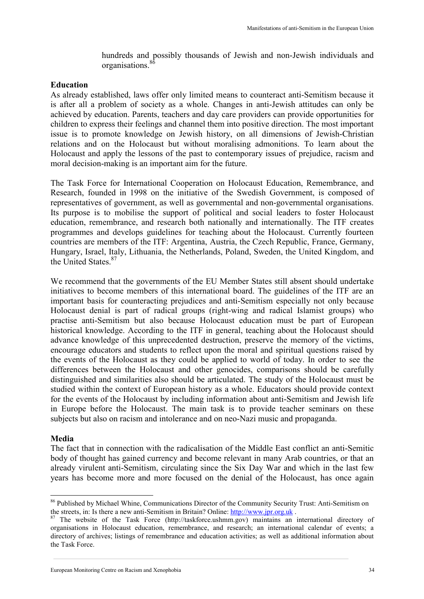hundreds and possibly thousands of Jewish and non-Jewish individuals and organisations.<sup>8</sup>

### <span id="page-33-0"></span>**Education**

As already established, laws offer only limited means to counteract anti-Semitism because it is after all a problem of society as a whole. Changes in anti-Jewish attitudes can only be achieved by education. Parents, teachers and day care providers can provide opportunities for children to express their feelings and channel them into positive direction. The most important issue is to promote knowledge on Jewish history, on all dimensions of Jewish-Christian relations and on the Holocaust but without moralising admonitions. To learn about the Holocaust and apply the lessons of the past to contemporary issues of prejudice, racism and moral decision-making is an important aim for the future.

The Task Force for International Cooperation on Holocaust Education, Remembrance, and Research, founded in 1998 on the initiative of the Swedish Government, is composed of representatives of government, as well as governmental and non-governmental organisations. Its purpose is to mobilise the support of political and social leaders to foster Holocaust education, remembrance, and research both nationally and internationally. The ITF creates programmes and develops guidelines for teaching about the Holocaust. Currently fourteen countries are members of the ITF: Argentina, Austria, the Czech Republic, France, Germany, Hungary, Israel, Italy, Lithuania, the Netherlands, Poland, Sweden, the United Kingdom, and the United States.<sup>[87](#page-33-3)</sup>

We recommend that the governments of the EU Member States still absent should undertake initiatives to become members of this international board. The guidelines of the ITF are an important basis for counteracting prejudices and anti-Semitism especially not only because Holocaust denial is part of radical groups (right-wing and radical Islamist groups) who practise anti-Semitism but also because Holocaust education must be part of European historical knowledge. According to the ITF in general, teaching about the Holocaust should advance knowledge of this unprecedented destruction, preserve the memory of the victims, encourage educators and students to reflect upon the moral and spiritual questions raised by the events of the Holocaust as they could be applied to world of today. In order to see the differences between the Holocaust and other genocides, comparisons should be carefully distinguished and similarities also should be articulated. The study of the Holocaust must be studied within the context of European history as a whole. Educators should provide context for the events of the Holocaust by including information about anti-Semitism and Jewish life in Europe before the Holocaust. The main task is to provide teacher seminars on these subjects but also on racism and intolerance and on neo-Nazi music and propaganda.

### <span id="page-33-1"></span>**Media**

 $\overline{a}$ 

The fact that in connection with the radicalisation of the Middle East conflict an anti-Semitic body of thought has gained currency and become relevant in many Arab countries, or that an already virulent anti-Semitism, circulating since the Six Day War and which in the last few years has become more and more focused on the denial of the Holocaust, has once again

<span id="page-33-2"></span><sup>&</sup>lt;sup>86</sup> Published by Michael Whine, Communications Director of the Community Security Trust: Anti-Semitism on the streets, in: Is there a new anti-Semitism in Britain? Online: http://www.jpr.org.uk .<br><sup>87</sup> The website of the Task Force (http://taskforce.ushmm.gov) maintains an international directory of

<span id="page-33-3"></span>organisations in Holocaust education, remembrance, and research; an international calendar of events; a directory of archives; listings of remembrance and education activities; as well as additional information about the Task Force.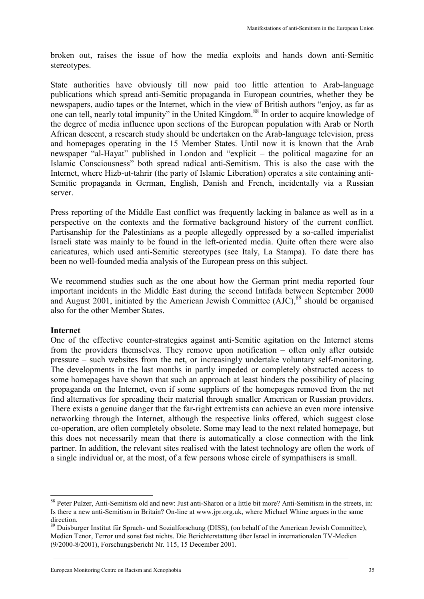broken out, raises the issue of how the media exploits and hands down anti-Semitic stereotypes.

State authorities have obviously till now paid too little attention to Arab-language publications which spread anti-Semitic propaganda in European countries, whether they be newspapers, audio tapes or the Internet, which in the view of British authors "enjoy, as far as one can tell, nearly total impunity" in the United Kingdom.[88 I](#page-34-1)n order to acquire knowledge of the degree of media influence upon sections of the European population with Arab or North African descent, a research study should be undertaken on the Arab-language television, press and homepages operating in the 15 Member States. Until now it is known that the Arab newspaper "al-Hayat" published in London and "explicit – the political magazine for an Islamic Consciousness" both spread radical anti-Semitism. This is also the case with the Internet, where Hizb-ut-tahrir (the party of Islamic Liberation) operates a site containing anti-Semitic propaganda in German, English, Danish and French, incidentally via a Russian server.

Press reporting of the Middle East conflict was frequently lacking in balance as well as in a perspective on the contexts and the formative background history of the current conflict. Partisanship for the Palestinians as a people allegedly oppressed by a so-called imperialist Israeli state was mainly to be found in the left-oriented media. Quite often there were also caricatures, which used anti-Semitic stereotypes (see Italy, La Stampa). To date there has been no well-founded media analysis of the European press on this subject.

We recommend studies such as the one about how the German print media reported four important incidents in the Middle East during the second Intifada between September 2000 and August 2001, initiated by the American Jewish Committee  $(AJC)$ , <sup>89</sup> should be organised also for the other Member States.

#### <span id="page-34-0"></span>**Internet**

 $\overline{a}$ 

One of the effective counter-strategies against anti-Semitic agitation on the Internet stems from the providers themselves. They remove upon notification – often only after outside pressure – such websites from the net, or increasingly undertake voluntary self-monitoring. The developments in the last months in partly impeded or completely obstructed access to some homepages have shown that such an approach at least hinders the possibility of placing propaganda on the Internet, even if some suppliers of the homepages removed from the net find alternatives for spreading their material through smaller American or Russian providers. There exists a genuine danger that the far-right extremists can achieve an even more intensive networking through the Internet, although the respective links offered, which suggest close co-operation, are often completely obsolete. Some may lead to the next related homepage, but this does not necessarily mean that there is automatically a close connection with the link partner. In addition, the relevant sites realised with the latest technology are often the work of a single individual or, at the most, of a few persons whose circle of sympathisers is small.

<span id="page-34-1"></span><sup>88</sup> Peter Pulzer, Anti-Semitism old and new: Just anti-Sharon or a little bit more? Anti-Semitism in the streets, in: Is there a new anti-Semitism in Britain? On-line at www.jpr.org.uk, where Michael Whine argues in the same direction.

<span id="page-34-2"></span><sup>&</sup>lt;sup>89</sup> Duisburger Institut für Sprach- und Sozialforschung (DISS), (on behalf of the American Jewish Committee), Medien Tenor, Terror und sonst fast nichts. Die Berichterstattung über Israel in internationalen TV-Medien (9/2000-8/2001), Forschungsbericht Nr. 115, 15 December 2001.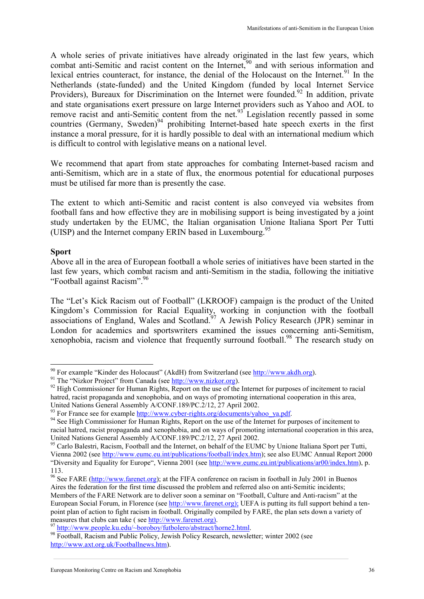A whole series of private initiatives have already originated in the last few years, which combat anti-Semitic and racist content on the Internet, $90$  and with serious information and lexical entries counteract, for instance, the denial of the Holocaust on the Internet.<sup>91</sup> In the Netherlands (state-funded) and the United Kingdom (funded by local Internet Service Providers), Bureaux for Discrimination on the Internet were founded.<sup>92</sup> In addition, private and state organisations exert pressure on large Internet providers such as Yahoo and AOL to remove racist and anti-Semitic content from the net.<sup>93</sup> Legislation recently passed in some countries (Germany, Sweden)<sup>94</sup> prohibiting Internet-based hate speech exerts in the first instance a moral pressure, for it is hardly possible to deal with an international medium which is difficult to control with legislative means on a national level.

We recommend that apart from state approaches for combating Internet-based racism and anti-Semitism, which are in a state of flux, the enormous potential for educational purposes must be utilised far more than is presently the case.

The extent to which anti-Semitic and racist content is also conveyed via websites from football fans and how effective they are in mobilising support is being investigated by a joint study undertaken by the EUMC, the Italian organisation Unione Italiana Sport Per Tutti (UISP) and the Internet company ERIN based in Luxembourg.[95](#page-35-6)

#### <span id="page-35-0"></span>**Sport**

 $\overline{a}$ 

Above all in the area of European football a whole series of initiatives have been started in the last few years, which combat racism and anti-Semitism in the stadia, following the initiative "Football against Racism".[96](#page-35-7)

The "Let's Kick Racism out of Football" (LKROOF) campaign is the product of the United Kingdom's Commission for Racial Equality, working in conjunction with the football associations of England, Wales and Scotland.<sup>97</sup> A Jewish Policy Research (JPR) seminar in London for academics and sportswriters examined the issues concerning anti-Semitism, xenophobia, racism and violence that frequently surround football.<sup>98</sup> The research study on

<span id="page-35-1"></span>

<span id="page-35-3"></span><span id="page-35-2"></span>

<sup>&</sup>lt;sup>90</sup> For example "Kinder des Holocaust" (AkdH) from Switzerland (see  $\frac{http://www.akdh.org)}{http://www.akdh.org)}$ .<br><sup>91</sup> The "Nizkor Project" from Canada (see  $\frac{http://www.nizkor.org)}{http://www.nizkor.org)}$ .<br><sup>92</sup> High Commissioner for Human Rights, Report on the use of hatred, racist propaganda and xenophobia, and on ways of promoting international cooperation in this area, United Nations General Assembly A/CONF.189/PC.2/12, 27 April 2002.<br><sup>93</sup> For France see for example http://www.cyber-rights.org/documents/yahoo\_ya.pdf.

<span id="page-35-4"></span>

<span id="page-35-5"></span><sup>&</sup>lt;sup>94</sup> See High Commissioner for Human Rights, Report on the use of the Internet for purposes of incitement to racial hatred, racist propaganda and xenophobia, and on ways of promoting international cooperation in this area, United Nations General Assembly A/CONF.189/PC.2/12, 27 April 2002.

<span id="page-35-6"></span><sup>&</sup>lt;sup>95</sup> Carlo Balestri, Racism, Football and the Internet, on behalf of the EUMC by Unione Italiana Sport per Tutti, Vienna 2002 (see http://www.eumc.eu.int/publications/football/index.htm); see also EUMC Annual Report 2000 "Diversity and Equality for Europe", Vienna 2001 (see http://www.eumc.eu.int/publications/ar00/index.htm), p. 113.

<span id="page-35-7"></span><sup>&</sup>lt;sup>96</sup> See FARE (http://www.farenet.org); at the FIFA conference on racism in football in July 2001 in Buenos Aires the federation for the first time discussed the problem and referred also on anti-Semitic incidents; Members of the FARE Network are to deliver soon a seminar on "Football, Culture and Anti-racism" at the European Social Forum, in Florence (see http://www.farenet.org); UEFA is putting its full support behind a tenpoint plan of action to fight racism in football. Originally compiled by FARE, the plan sets down a variety of measures that clubs can take ( see <u>http://www.farenet.org)</u>.<br><sup>97</sup> http://www.people.ku.edu/~boroboy/futbolero/abstract/horne2.html.<br>98 Football, Racism and Public Policy, Jewish Policy Research, newsletter; winter 2002 (s

<span id="page-35-8"></span>

<span id="page-35-9"></span>http://www.axt.org.uk/Footballnews.htm).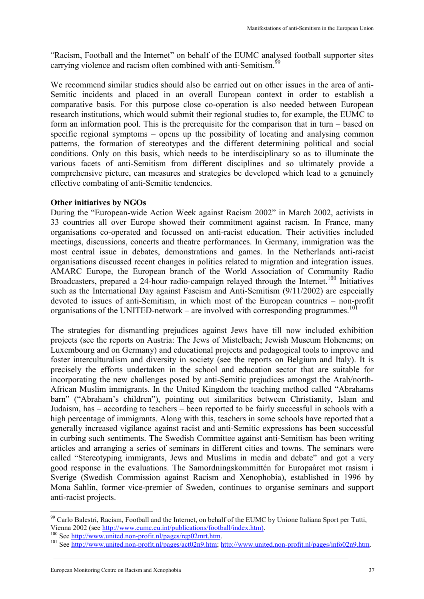"Racism, Football and the Internet" on behalf of the EUMC analysed football supporter sites carrying violence and racism often combined with anti-Semitism.<sup>9</sup>

We recommend similar studies should also be carried out on other issues in the area of anti-Semitic incidents and placed in an overall European context in order to establish a comparative basis. For this purpose close co-operation is also needed between European research institutions, which would submit their regional studies to, for example, the EUMC to form an information pool. This is the prerequisite for the comparison that in turn – based on specific regional symptoms – opens up the possibility of locating and analysing common patterns, the formation of stereotypes and the different determining political and social conditions. Only on this basis, which needs to be interdisciplinary so as to illuminate the various facets of anti-Semitism from different disciplines and so ultimately provide a comprehensive picture, can measures and strategies be developed which lead to a genuinely effective combating of anti-Semitic tendencies.

#### **Other initiatives by NGOs**

During the "European-wide Action Week against Racism 2002" in March 2002, activists in 33 countries all over Europe showed their commitment against racism. In France, many organisations co-operated and focussed on anti-racist education. Their activities included meetings, discussions, concerts and theatre performances. In Germany, immigration was the most central issue in debates, demonstrations and games. In the Netherlands anti-racist organisations discussed recent changes in politics related to migration and integration issues. AMARC Europe, the European branch of the World Association of Community Radio Broadcasters, prepared a 24-hour radio-campaign relayed through the Internet.<sup>100</sup> Initiatives such as the International Day against Fascism and Anti-Semitism (9/11/2002) are especially devoted to issues of anti-Semitism, in which most of the European countries – non-profit organisations of the UNITED-network – are involved with corresponding programmes.<sup>[101](#page-36-2)</sup>

The strategies for dismantling prejudices against Jews have till now included exhibition projects (see the reports on Austria: The Jews of Mistelbach; Jewish Museum Hohenems; on Luxembourg and on Germany) and educational projects and pedagogical tools to improve and foster interculturalism and diversity in society (see the reports on Belgium and Italy). It is precisely the efforts undertaken in the school and education sector that are suitable for incorporating the new challenges posed by anti-Semitic prejudices amongst the Arab/north-African Muslim immigrants. In the United Kingdom the teaching method called "Abrahams barn" ("Abraham's children"), pointing out similarities between Christianity, Islam and Judaism, has – according to teachers – been reported to be fairly successful in schools with a high percentage of immigrants. Along with this, teachers in some schools have reported that a generally increased vigilance against racist and anti-Semitic expressions has been successful in curbing such sentiments. The Swedish Committee against anti-Semitism has been writing articles and arranging a series of seminars in different cities and towns. The seminars were called "Stereotyping immigrants, Jews and Muslims in media and debate" and got a very good response in the evaluations. The Samordningskommittén for Europaåret mot rasism i Sverige (Swedish Commission against Racism and Xenophobia), established in 1996 by Mona Sahlin, former vice-premier of Sweden, continues to organise seminars and support anti-racist projects.

<span id="page-36-0"></span><sup>&</sup>lt;sup>99</sup> Carlo Balestri, Racism, Football and the Internet, on behalf of the EUMC by Unione Italiana Sport per Tutti, Vienna 2002 (see http://www.eumc.eu.int/publications/football/index.htm).<br>
<sup>100</sup> See http://www.united.non-profit.nl/pages/rep02mrt.htm.<br>
<sup>101</sup> See http://www.united.non-profit.nl/pages/act02n9.htm; http://www.united.non-p

<span id="page-36-1"></span>

<span id="page-36-2"></span>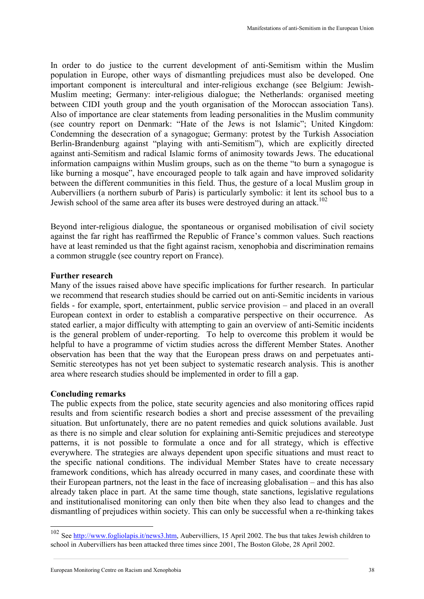In order to do justice to the current development of anti-Semitism within the Muslim population in Europe, other ways of dismantling prejudices must also be developed. One important component is intercultural and inter-religious exchange (see Belgium: Jewish-Muslim meeting; Germany: inter-religious dialogue; the Netherlands: organised meeting between CIDI youth group and the youth organisation of the Moroccan association Tans). Also of importance are clear statements from leading personalities in the Muslim community (see country report on Denmark: "Hate of the Jews is not Islamic"; United Kingdom: Condemning the desecration of a synagogue; Germany: protest by the Turkish Association Berlin-Brandenburg against "playing with anti-Semitism"), which are explicitly directed against anti-Semitism and radical Islamic forms of animosity towards Jews. The educational information campaigns within Muslim groups, such as on the theme "to burn a synagogue is like burning a mosque", have encouraged people to talk again and have improved solidarity between the different communities in this field. Thus, the gesture of a local Muslim group in Aubervilliers (a northern suburb of Paris) is particularly symbolic: it lent its school bus to a Jewish school of the same area after its buses were destroyed during an attack.<sup>[102](#page-37-0)</sup>

Beyond inter-religious dialogue, the spontaneous or organised mobilisation of civil society against the far right has reaffirmed the Republic of France's common values. Such reactions have at least reminded us that the fight against racism, xenophobia and discrimination remains a common struggle (see country report on France).

#### **Further research**

Many of the issues raised above have specific implications for further research. In particular we recommend that research studies should be carried out on anti-Semitic incidents in various fields - for example, sport, entertainment, public service provision – and placed in an overall European context in order to establish a comparative perspective on their occurrence. As stated earlier, a major difficulty with attempting to gain an overview of anti-Semitic incidents is the general problem of under-reporting. To help to overcome this problem it would be helpful to have a programme of victim studies across the different Member States. Another observation has been that the way that the European press draws on and perpetuates anti-Semitic stereotypes has not yet been subject to systematic research analysis. This is another area where research studies should be implemented in order to fill a gap.

#### **Concluding remarks**

 $\overline{a}$ 

The public expects from the police, state security agencies and also monitoring offices rapid results and from scientific research bodies a short and precise assessment of the prevailing situation. But unfortunately, there are no patent remedies and quick solutions available. Just as there is no simple and clear solution for explaining anti-Semitic prejudices and stereotype patterns, it is not possible to formulate a once and for all strategy, which is effective everywhere. The strategies are always dependent upon specific situations and must react to the specific national conditions. The individual Member States have to create necessary framework conditions, which has already occurred in many cases, and coordinate these with their European partners, not the least in the face of increasing globalisation – and this has also already taken place in part. At the same time though, state sanctions, legislative regulations and institutionalised monitoring can only then bite when they also lead to changes and the dismantling of prejudices within society. This can only be successful when a re-thinking takes

<span id="page-37-0"></span><sup>&</sup>lt;sup>102</sup> See http://www.fogliolapis.it/news3.htm, Aubervilliers, 15 April 2002. The bus that takes Jewish children to school in Aubervilliers has been attacked three times since 2001, The Boston Globe, 28 April 2002.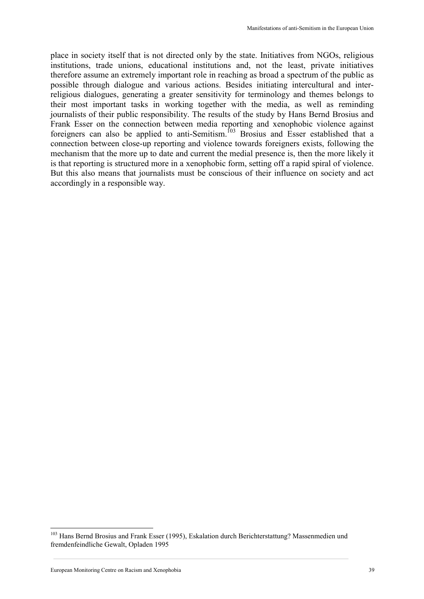place in society itself that is not directed only by the state. Initiatives from NGOs, religious institutions, trade unions, educational institutions and, not the least, private initiatives therefore assume an extremely important role in reaching as broad a spectrum of the public as possible through dialogue and various actions. Besides initiating intercultural and interreligious dialogues, generating a greater sensitivity for terminology and themes belongs to their most important tasks in working together with the media, as well as reminding journalists of their public responsibility. The results of the study by Hans Bernd Brosius and Frank Esser on the connection between media reporting and xenophobic violence against foreigners can also be applied to anti-Semitism.<sup>103</sup> Brosius and Esser established that a connection between close-up reporting and violence towards foreigners exists, following the mechanism that the more up to date and current the medial presence is, then the more likely it is that reporting is structured more in a xenophobic form, setting off a rapid spiral of violence. But this also means that journalists must be conscious of their influence on society and act accordingly in a responsible way.

<span id="page-38-0"></span><sup>&</sup>lt;sup>103</sup> Hans Bernd Brosius and Frank Esser (1995), Eskalation durch Berichterstattung? Massenmedien und fremdenfeindliche Gewalt, Opladen 1995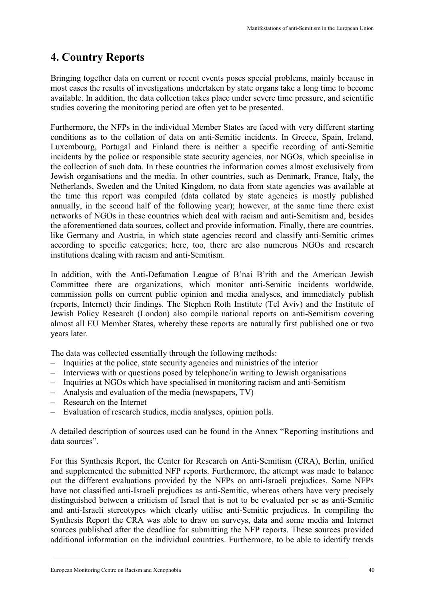### **4. Country Reports**

Bringing together data on current or recent events poses special problems, mainly because in most cases the results of investigations undertaken by state organs take a long time to become available. In addition, the data collection takes place under severe time pressure, and scientific studies covering the monitoring period are often yet to be presented.

Furthermore, the NFPs in the individual Member States are faced with very different starting conditions as to the collation of data on anti-Semitic incidents. In Greece, Spain, Ireland, Luxembourg, Portugal and Finland there is neither a specific recording of anti-Semitic incidents by the police or responsible state security agencies, nor NGOs, which specialise in the collection of such data. In these countries the information comes almost exclusively from Jewish organisations and the media. In other countries, such as Denmark, France, Italy, the Netherlands, Sweden and the United Kingdom, no data from state agencies was available at the time this report was compiled (data collated by state agencies is mostly published annually, in the second half of the following year); however, at the same time there exist networks of NGOs in these countries which deal with racism and anti-Semitism and, besides the aforementioned data sources, collect and provide information. Finally, there are countries, like Germany and Austria, in which state agencies record and classify anti-Semitic crimes according to specific categories; here, too, there are also numerous NGOs and research institutions dealing with racism and anti-Semitism.

In addition, with the Anti-Defamation League of B'nai B'rith and the American Jewish Committee there are organizations, which monitor anti-Semitic incidents worldwide, commission polls on current public opinion and media analyses, and immediately publish (reports, Internet) their findings. The Stephen Roth Institute (Tel Aviv) and the Institute of Jewish Policy Research (London) also compile national reports on anti-Semitism covering almost all EU Member States, whereby these reports are naturally first published one or two years later.

The data was collected essentially through the following methods:

- Inquiries at the police, state security agencies and ministries of the interior
- Interviews with or questions posed by telephone/in writing to Jewish organisations
- Inquiries at NGOs which have specialised in monitoring racism and anti-Semitism
- Analysis and evaluation of the media (newspapers, TV)
- Research on the Internet
- Evaluation of research studies, media analyses, opinion polls.

A detailed description of sources used can be found in the Annex "Reporting institutions and data sources".

For this Synthesis Report, the Center for Research on Anti-Semitism (CRA), Berlin, unified and supplemented the submitted NFP reports. Furthermore, the attempt was made to balance out the different evaluations provided by the NFPs on anti-Israeli prejudices. Some NFPs have not classified anti-Israeli prejudices as anti-Semitic, whereas others have very precisely distinguished between a criticism of Israel that is not to be evaluated per se as anti-Semitic and anti-Israeli stereotypes which clearly utilise anti-Semitic prejudices. In compiling the Synthesis Report the CRA was able to draw on surveys, data and some media and Internet sources published after the deadline for submitting the NFP reports. These sources provided additional information on the individual countries. Furthermore, to be able to identify trends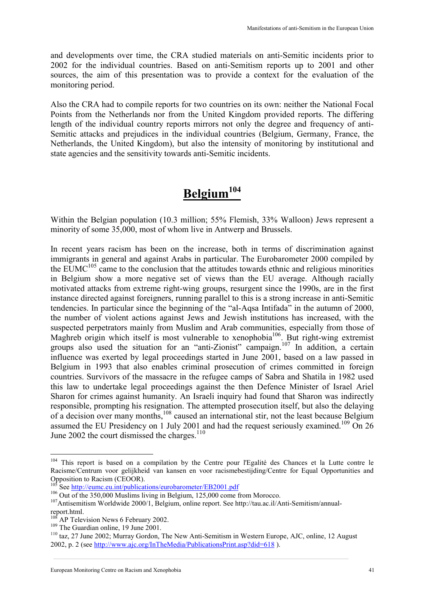and developments over time, the CRA studied materials on anti-Semitic incidents prior to 2002 for the individual countries. Based on anti-Semitism reports up to 2001 and other sources, the aim of this presentation was to provide a context for the evaluation of the monitoring period.

Also the CRA had to compile reports for two countries on its own: neither the National Focal Points from the Netherlands nor from the United Kingdom provided reports. The differing length of the individual country reports mirrors not only the degree and frequency of anti-Semitic attacks and prejudices in the individual countries (Belgium, Germany, France, the Netherlands, the United Kingdom), but also the intensity of monitoring by institutional and state agencies and the sensitivity towards anti-Semitic incidents.

## **Belgiu[m104](#page-40-0)**

Within the Belgian population (10.3 million; 55% Flemish, 33% Walloon) Jews represent a minority of some 35,000, most of whom live in Antwerp and Brussels.

In recent years racism has been on the increase, both in terms of discrimination against immigrants in general and against Arabs in particular. The Eurobarometer 2000 compiled by the  $EUMC<sup>105</sup>$  came to the conclusion that the attitudes towards ethnic and religious minorities in Belgium show a more negative set of views than the EU average. Although racially motivated attacks from extreme right-wing groups, resurgent since the 1990s, are in the first instance directed against foreigners, running parallel to this is a strong increase in anti-Semitic tendencies. In particular since the beginning of the "al-Aqsa Intifada" in the autumn of 2000, the number of violent actions against Jews and Jewish institutions has increased, with the suspected perpetrators mainly from Muslim and Arab communities, especially from those of Maghreb origin which itself is most vulnerable to xenophobia<sup>106</sup>. But right-wing extremist groups also used the situation for an "anti-Zionist" campaign.<sup>107</sup> In addition, a certain influence was exerted by legal proceedings started in June 2001, based on a law passed in Belgium in 1993 that also enables criminal prosecution of crimes committed in foreign countries. Survivors of the massacre in the refugee camps of Sabra and Shatila in 1982 used this law to undertake legal proceedings against the then Defence Minister of Israel Ariel Sharon for crimes against humanity. An Israeli inquiry had found that Sharon was indirectly responsible, prompting his resignation. The attempted prosecution itself, but also the delaying of a decision over many months,<sup>108</sup> caused an international stir, not the least because Belgium assumed the EU Presidency on 1 July 2001 and had the request seriously examined.<sup>109</sup> On 26 June 2002 the court dismissed the charges. $110$ 

<span id="page-40-0"></span><sup>&</sup>lt;sup>104</sup> This report is based on a compilation by the Centre pour l'Egalité des Chances et la Lutte contre le Racisme/Centrum voor gelijkheid van kansen en voor racismebestijding/Centre for Equal Opportunities and Opposition to Racism (CEOOR).<br><sup>105</sup> See http://eumc.eu.int/publications/eurobarometer/EB2001.pdf

<span id="page-40-1"></span>

<span id="page-40-3"></span><span id="page-40-2"></span>

<sup>&</sup>lt;sup>106</sup> Out of the 350,000 Muslims living in Belgium, 125,000 come from Morocco.<br><sup>107</sup> Antisemitism Worldwide 2000/1, Belgium, online report. See http://tau.ac.il/Anti-Semitism/annualreport.html.<br> $^{108}$  AP Television News 6 February 2002.

<span id="page-40-4"></span>

<span id="page-40-6"></span><span id="page-40-5"></span>

<sup>109</sup> The Guardian online, 19 June 2001.<br><sup>110</sup> taz, 27 June 2002; Murray Gordon, The New Anti-Semitism in Western Europe, AJC, online, 12 August 2002, p. 2 (see http://www.ajc.org/InTheMedia/PublicationsPrint.asp?did=618 ).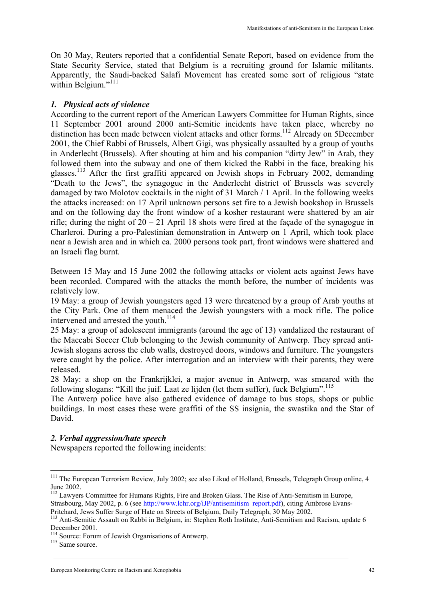On 30 May, Reuters reported that a confidential Senate Report, based on evidence from the State Security Service, stated that Belgium is a recruiting ground for Islamic militants. Apparently, the Saudi-backed Salafi Movement has created some sort of religious "state within Belgium."<sup>[111](#page-41-0)</sup>

#### *1. Physical acts of violence*

According to the current report of the American Lawyers Committee for Human Rights, since 11 September 2001 around 2000 anti-Semitic incidents have taken place, whereby no distinction has been made between violent attacks and other forms.<sup>112</sup> Already on 5December 2001, the Chief Rabbi of Brussels, Albert Gigi, was physically assaulted by a group of youths in Anderlecht (Brussels). After shouting at him and his companion "dirty Jew" in Arab, they followed them into the subway and one of them kicked the Rabbi in the face, breaking his glasses.[113](#page-41-2) After the first graffiti appeared on Jewish shops in February 2002, demanding "Death to the Jews", the synagogue in the Anderlecht district of Brussels was severely damaged by two Molotov cocktails in the night of 31 March / 1 April. In the following weeks the attacks increased: on 17 April unknown persons set fire to a Jewish bookshop in Brussels and on the following day the front window of a kosher restaurant were shattered by an air rifle; during the night of  $20 - 21$  April 18 shots were fired at the facade of the synagogue in Charleroi. During a pro-Palestinian demonstration in Antwerp on 1 April, which took place near a Jewish area and in which ca. 2000 persons took part, front windows were shattered and an Israeli flag burnt.

Between 15 May and 15 June 2002 the following attacks or violent acts against Jews have been recorded. Compared with the attacks the month before, the number of incidents was relatively low.

19 May: a group of Jewish youngsters aged 13 were threatened by a group of Arab youths at the City Park. One of them menaced the Jewish youngsters with a mock rifle. The police intervened and arrested the youth.<sup>[114](#page-41-3)</sup>

25 May: a group of adolescent immigrants (around the age of 13) vandalized the restaurant of the Maccabi Soccer Club belonging to the Jewish community of Antwerp. They spread anti-Jewish slogans across the club walls, destroyed doors, windows and furniture. The youngsters were caught by the police. After interrogation and an interview with their parents, they were released.

28 May: a shop on the Frankrijklei, a major avenue in Antwerp, was smeared with the following slogans: "Kill the juif. Laat ze lijden (let them suffer), fuck Belgium".<sup>[115](#page-41-4)</sup>

The Antwerp police have also gathered evidence of damage to bus stops, shops or public buildings. In most cases these were graffiti of the SS insignia, the swastika and the Star of David.

#### *2. Verbal aggression/hate speech*

Newspapers reported the following incidents:

<span id="page-41-0"></span> $\overline{a}$ <sup>111</sup> The European Terrorism Review, July 2002; see also Likud of Holland, Brussels, Telegraph Group online, 4 June 2002.

<span id="page-41-1"></span><sup>&</sup>lt;sup>112</sup> Lawyers Committee for Humans Rights, Fire and Broken Glass. The Rise of Anti-Semitism in Europe, Strasbourg, May 2002, p. 6 (see http://www.lchr.org/iJP/antisemitism\_report.pdf), citing Ambrose Evans-

Pritchard, Jews Suffer Surge of Hate on Streets of Belgium, Daily Telegraph, 30 May 2002.

<span id="page-41-2"></span><sup>&</sup>lt;sup>113</sup> Anti-Semitic Assault on Rabbi in Belgium, in: Stephen Roth Institute, Anti-Semitism and Racism, update 6 December 2001.

<span id="page-41-3"></span><sup>&</sup>lt;sup>114</sup> Source: Forum of Jewish Organisations of Antwerp.<br><sup>115</sup> Same source.

<span id="page-41-4"></span>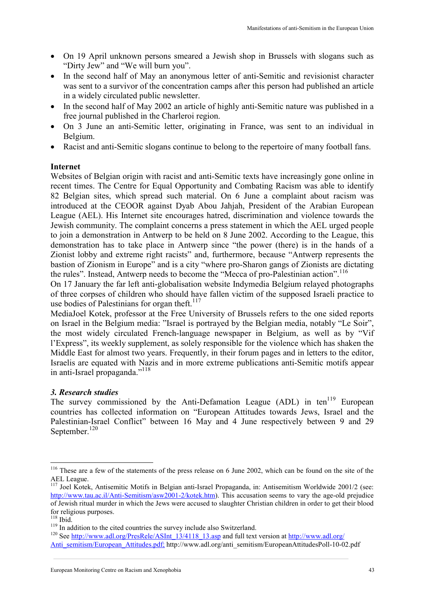- On 19 April unknown persons smeared a Jewish shop in Brussels with slogans such as "Dirty Jew" and "We will burn you".
- In the second half of May an anonymous letter of anti-Semitic and revisionist character was sent to a survivor of the concentration camps after this person had published an article in a widely circulated public newsletter.
- In the second half of May 2002 an article of highly anti-Semitic nature was published in a free journal published in the Charleroi region.
- On 3 June an anti-Semitic letter, originating in France, was sent to an individual in Belgium.
- Racist and anti-Semitic slogans continue to belong to the repertoire of many football fans.

#### **Internet**

Websites of Belgian origin with racist and anti-Semitic texts have increasingly gone online in recent times. The Centre for Equal Opportunity and Combating Racism was able to identify 82 Belgian sites, which spread such material. On 6 June a complaint about racism was introduced at the CEOOR against Dyab Abou Jahjah, President of the Arabian European League (AEL). His Internet site encourages hatred, discrimination and violence towards the Jewish community. The complaint concerns a press statement in which the AEL urged people to join a demonstration in Antwerp to be held on 8 June 2002. According to the League, this demonstration has to take place in Antwerp since "the power (there) is in the hands of a Zionist lobby and extreme right racists" and, furthermore, because "Antwerp represents the bastion of Zionism in Europe" and is a city "where pro-Sharon gangs of Zionists are dictating the rules". Instead, Antwerp needs to become the "Mecca of pro-Palestinian action".<sup>[116](#page-42-0)</sup>

On 17 January the far left anti-globalisation website Indymedia Belgium relayed photographs of three corpses of children who should have fallen victim of the supposed Israeli practice to use bodies of Palestinians for organ theft. $117$ 

MediaJoel Kotek, professor at the Free University of Brussels refers to the one sided reports on Israel in the Belgium media: "Israel is portrayed by the Belgian media, notably "Le Soir", the most widely circulated French-language newspaper in Belgium, as well as by "Vif l'Express", its weekly supplement, as solely responsible for the violence which has shaken the Middle East for almost two years. Frequently, in their forum pages and in letters to the editor, Israelis are equated with Nazis and in more extreme publications anti-Semitic motifs appear in anti-Israel propaganda."[118](#page-42-2)

#### *3. Research studies*

The survey commissioned by the Anti-Defamation League (ADL) in ten<sup>119</sup> European countries has collected information on "European Attitudes towards Jews, Israel and the Palestinian-Israel Conflict" between 16 May and 4 June respectively between 9 and 29 September.<sup>[120](#page-42-4)</sup>

<span id="page-42-0"></span><sup>&</sup>lt;sup>116</sup> These are a few of the statements of the press release on 6 June 2002, which can be found on the site of the AEL League.

<span id="page-42-1"></span><sup>117</sup> Joel Kotek, Antisemitic Motifs in Belgian anti-Israel Propaganda, in: Antisemitism Worldwide 2001/2 (see: http://www.tau.ac.il/Anti-Semitism/asw2001-2/kotek.htm). This accusation seems to vary the age-old prejudice of Jewish ritual murder in which the Jews were accused to slaughter Christian children in order to get their blood for religious purposes.<br>  $^{118}$  Ibid

<span id="page-42-2"></span>

<span id="page-42-4"></span><span id="page-42-3"></span>

<sup>119</sup> In addition to the cited countries the survey include also Switzerland.<br>
<sup>119</sup> See http://www.adl.org/PresRele/ASInt\_13/4118\_13.asp and full text version at http://www.adl.org/ Anti\_semitism/European\_Attitudes.pdf; http://www.adl.org/anti\_semitism/EuropeanAttitudesPoll-10-02.pdf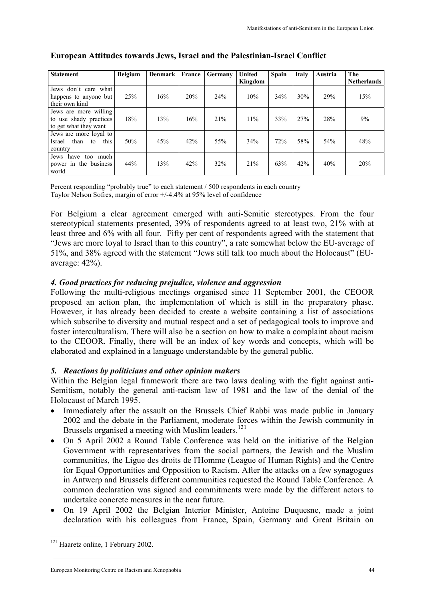| <b>Statement</b>                                                         | <b>Belgium</b> | Denmark | France | Germany | <b>United</b><br>Kingdom | <b>Spain</b> | <b>Italy</b> | Austria | <b>The</b><br><b>Netherlands</b> |
|--------------------------------------------------------------------------|----------------|---------|--------|---------|--------------------------|--------------|--------------|---------|----------------------------------|
| Jews don't care what<br>happens to anyone but<br>their own kind          | 25%            | 16%     | 20%    | 24%     | 10%                      | 34%          | 30%          | 29%     | 15%                              |
| Jews are more willing<br>to use shady practices<br>to get what they want | 18%            | 13%     | 16%    | 21%     | 11%                      | 33%          | 27%          | 28%     | 9%                               |
| Jews are more loyal to<br>than<br>this<br>Israel<br>to<br>country        | 50%            | 45%     | 42%    | 55%     | 34%                      | 72%          | 58%          | 54%     | 48%                              |
| Jews<br>much<br>have<br>too<br>power in the business<br>world            | 44%            | 13%     | 42%    | 32%     | 21%                      | 63%          | 42%          | 40%     | 20%                              |

#### **European Attitudes towards Jews, Israel and the Palestinian-Israel Conflict**

Percent responding "probably true" to each statement / 500 respondents in each country Taylor Nelson Sofres, margin of error +/-4.4% at 95% level of confidence

For Belgium a clear agreement emerged with anti-Semitic stereotypes. From the four stereotypical statements presented, 39% of respondents agreed to at least two, 21% with at least three and 6% with all four. Fifty per cent of respondents agreed with the statement that "Jews are more loyal to Israel than to this country", a rate somewhat below the EU-average of 51%, and 38% agreed with the statement "Jews still talk too much about the Holocaust" (EUaverage: 42%).

#### *4. Good practices for reducing prejudice, violence and aggression*

Following the multi-religious meetings organised since 11 September 2001, the CEOOR proposed an action plan, the implementation of which is still in the preparatory phase. However, it has already been decided to create a website containing a list of associations which subscribe to diversity and mutual respect and a set of pedagogical tools to improve and foster interculturalism. There will also be a section on how to make a complaint about racism to the CEOOR. Finally, there will be an index of key words and concepts, which will be elaborated and explained in a language understandable by the general public.

#### *5. Reactions by politicians and other opinion makers*

Within the Belgian legal framework there are two laws dealing with the fight against anti-Semitism, notably the general anti-racism law of 1981 and the law of the denial of the Holocaust of March 1995.

- Immediately after the assault on the Brussels Chief Rabbi was made public in January 2002 and the debate in the Parliament, moderate forces within the Jewish community in Brussels organised a meeting with Muslim leaders.<sup>[121](#page-43-0)</sup>
- On 5 April 2002 a Round Table Conference was held on the initiative of the Belgian Government with representatives from the social partners, the Jewish and the Muslim communities, the Ligue des droits de l'Homme (League of Human Rights) and the Centre for Equal Opportunities and Opposition to Racism. After the attacks on a few synagogues in Antwerp and Brussels different communities requested the Round Table Conference. A common declaration was signed and commitments were made by the different actors to undertake concrete measures in the near future.
- On 19 April 2002 the Belgian Interior Minister, Antoine Duquesne, made a joint declaration with his colleagues from France, Spain, Germany and Great Britain on

<span id="page-43-0"></span><sup>&</sup>lt;sup>121</sup> Haaretz online, 1 February 2002.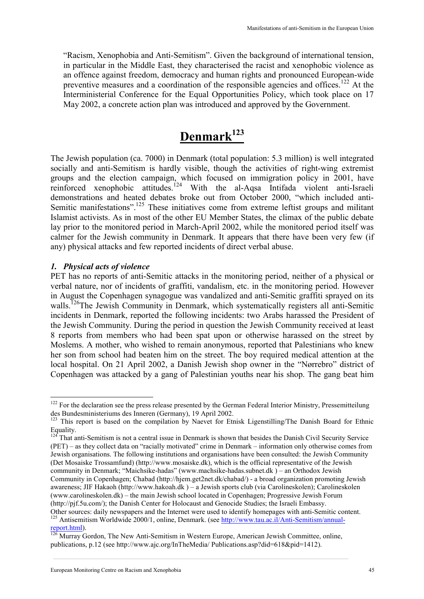"Racism, Xenophobia and Anti-Semitism". Given the background of international tension, in particular in the Middle East, they characterised the racist and xenophobic violence as an offence against freedom, democracy and human rights and pronounced European-wide preventive measures and a coordination of the responsible agencies and offices.<sup>122</sup> At the Interministerial Conference for the Equal Opportunities Policy, which took place on 17 May 2002, a concrete action plan was introduced and approved by the Government.

# **Denmark[123](#page-44-1)**

The Jewish population (ca. 7000) in Denmark (total population: 5.3 million) is well integrated socially and anti-Semitism is hardly visible, though the activities of right-wing extremist groups and the election campaign, which focused on immigration policy in 2001, have reinforced xenophobic attitudes.<sup>124</sup> With the al-Aqsa Intifada violent anti-Israeli demonstrations and heated debates broke out from October 2000, "which included anti-Semitic manifestations".<sup>125</sup> These initiatives come from extreme leftist groups and militant Islamist activists. As in most of the other EU Member States, the climax of the public debate lay prior to the monitored period in March-April 2002, while the monitored period itself was calmer for the Jewish community in Denmark. It appears that there have been very few (if any) physical attacks and few reported incidents of direct verbal abuse.

#### *1. Physical acts of violence*

 $\overline{a}$ 

PET has no reports of anti-Semitic attacks in the monitoring period, neither of a physical or verbal nature, nor of incidents of graffiti, vandalism, etc. in the monitoring period. However in August the Copenhagen synagogue was vandalized and anti-Semitic graffiti sprayed on its walls.<sup>126</sup>The Jewish Community in Denmark, which systematically registers all anti-Semitic incidents in Denmark, reported the following incidents: two Arabs harassed the President of the Jewish Community. During the period in question the Jewish Community received at least 8 reports from members who had been spat upon or otherwise harassed on the street by Moslems. A mother, who wished to remain anonymous, reported that Palestinians who knew her son from school had beaten him on the street. The boy required medical attention at the local hospital. On 21 April 2002, a Danish Jewish shop owner in the "Nørrebro" district of Copenhagen was attacked by a gang of Palestinian youths near his shop. The gang beat him

<span id="page-44-0"></span><sup>&</sup>lt;sup>122</sup> For the declaration see the press release presented by the German Federal Interior Ministry, Pressemitteilung des Bundesministeriums des Inneren (Germany), 19 April 2002.

<span id="page-44-1"></span><sup>&</sup>lt;sup>123</sup> This report is based on the compilation by Naevet for Etnisk Ligenstilling/The Danish Board for Ethnic Equality.

<span id="page-44-2"></span> $124$  That anti-Semitism is not a central issue in Denmark is shown that besides the Danish Civil Security Service (PET) – as they collect data on "racially motivated" crime in Denmark – information only otherwise comes from Jewish organisations. The following institutions and organisations have been consulted: the Jewish Community (Det Mosaiske Trossamfund) (http://www.mosaiske.dk), which is the official representative of the Jewish community in Denmark; "Maichsike-hadas" (www.machsike-hadas.subnet.dk ) – an Orthodox Jewish Community in Copenhagen; Chabad (http://hjem.get2net.dk/chabad/) - a broad organization promoting Jewish awareness; JIF Hakaoh (http://www.hakoah.dk ) – a Jewish sports club (via Carolineskolen); Carolineskolen (www.carolineskolen.dk) – the main Jewish school located in Copenhagen; Progressive Jewish Forum (http://pjf.5u.com/); the Danish Center for Holocaust and Genocide Studies; the Israeli Embassy.

<span id="page-44-3"></span>Other sources: daily newspapers and the Internet were used to identify homepages with anti-Semitic content. 125 Antisemitism Worldwide 2000/1, online, Denmark. (see http://www.tau.ac.il/Anti-Semitism/annual-

<span id="page-44-4"></span>report.html).<br><sup>126</sup> Murray Gordon, The New Anti-Semitism in Western Europe, American Jewish Committee, online, publications, p.12 (see http://www.ajc.org/InTheMedia/ Publications.asp?did=618&pid=1412).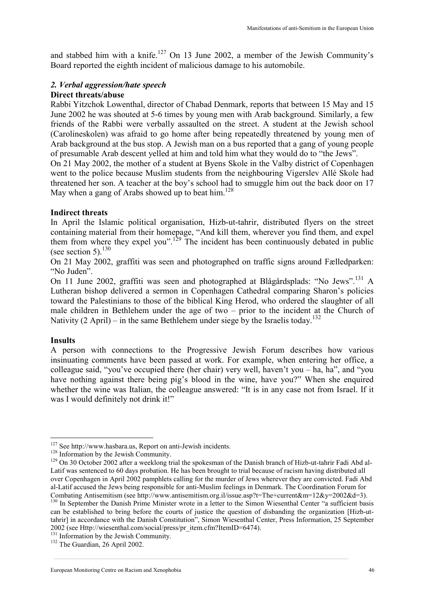and stabbed him with a knife.<sup>127</sup> On 13 June 2002, a member of the Jewish Community's Board reported the eighth incident of malicious damage to his automobile.

#### *2. Verbal aggression/hate speech*

#### **Direct threats/abuse**

Rabbi Yitzchok Lowenthal, director of Chabad Denmark, reports that between 15 May and 15 June 2002 he was shouted at 5-6 times by young men with Arab background. Similarly, a few friends of the Rabbi were verbally assaulted on the street. A student at the Jewish school (Carolineskolen) was afraid to go home after being repeatedly threatened by young men of Arab background at the bus stop. A Jewish man on a bus reported that a gang of young people of presumable Arab descent yelled at him and told him what they would do to "the Jews".

On 21 May 2002, the mother of a student at Byens Skole in the Valby district of Copenhagen went to the police because Muslim students from the neighbouring Vigerslev Allé Skole had threatened her son. A teacher at the boy's school had to smuggle him out the back door on 17 May when a gang of Arabs showed up to beat  $\lim_{n \to \infty} 128$  $\lim_{n \to \infty} 128$ 

#### **Indirect threats**

In April the Islamic political organisation, Hizb-ut-tahrir, distributed flyers on the street containing material from their homepage, "And kill them, wherever you find them, and expel them from where they expel you".<sup>129</sup> The incident has been continuously debated in public (see section 5). $130$ 

On 21 May 2002, graffiti was seen and photographed on traffic signs around Fælledparken: "No Juden".

On 11 June 2002, graffiti was seen and photographed at Blågårdsplads: "No Jews".<sup>131</sup> A Lutheran bishop delivered a sermon in Copenhagen Cathedral comparing Sharon's policies toward the Palestinians to those of the biblical King Herod, who ordered the slaughter of all male children in Bethlehem under the age of two – prior to the incident at the Church of Nativity (2 April) – in the same Bethlehem under siege by the Israelis today.<sup>[132](#page-45-5)</sup>

#### **Insults**

 $\overline{a}$ 

A person with connections to the Progressive Jewish Forum describes how various insinuating comments have been passed at work. For example, when entering her office, a colleague said, "you've occupied there (her chair) very well, haven't you – ha, ha", and "you have nothing against there being pig's blood in the wine, have you?" When she enquired whether the wine was Italian, the colleague answered: "It is in any case not from Israel. If it was I would definitely not drink it!"

<span id="page-45-0"></span>

<span id="page-45-2"></span><span id="page-45-1"></span>

<sup>&</sup>lt;sup>127</sup> See http://www.hasbara.us, Report on anti-Jewish incidents.<br><sup>128</sup> Information by the Jewish Community.<br><sup>129</sup> On 30 October 2002 after a weeklong trial the spokesman of the Danish branch of Hizb-ut-tahrir Fadi Abd al Latif was sentenced to 60 days probation. He has been brought to trial because of racism having distributed all over Copenhagen in April 2002 pamphlets calling for the murder of Jews wherever they are convicted. Fadi Abd al-Latif accused the Jews being responsible for anti-Muslim feelings in Denmark. The Coordination Forum for Combating Antisemitism (see http://www.antisemitism.org.il/issue.asp?t=The+current&m=12&y=2002&d=3).

<span id="page-45-3"></span> $\frac{130}{130}$  In September the Danish Prime Minister wrote in a letter to the Simon Wiesenthal Center "a sufficient basis can be established to bring before the courts of justice the question of disbanding the organization [Hizb-uttahrir] in accordance with the Danish Constitution", Simon Wiesenthal Center, Press Information, 25 September 2002 (see Http://wiesenthal.com/social/press/pr\_item.cfm?ItemID=6474).

<span id="page-45-4"></span><sup>2002 (</sup>See Hup.) Measurement of 131<br>
<sup>131</sup> Information by the Jewish Community.<br>
<sup>132</sup> The Guardian, 26 April 2002.

<span id="page-45-5"></span>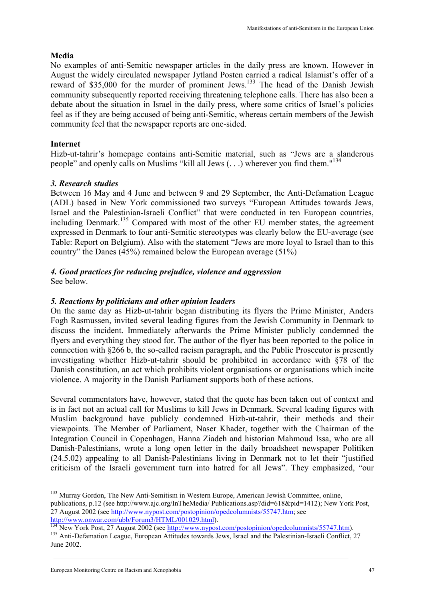#### **Media**

No examples of anti-Semitic newspaper articles in the daily press are known. However in August the widely circulated newspaper Jytland Posten carried a radical Islamist's offer of a reward of \$35,000 for the murder of prominent Jews.[133](#page-46-0) The head of the Danish Jewish community subsequently reported receiving threatening telephone calls. There has also been a debate about the situation in Israel in the daily press, where some critics of Israel's policies feel as if they are being accused of being anti-Semitic, whereas certain members of the Jewish community feel that the newspaper reports are one-sided.

#### **Internet**

Hizb-ut-tahrir's homepage contains anti-Semitic material, such as "Jews are a slanderous people" and openly calls on Muslims "kill all Jews (. . .) wherever you find them."[134](#page-46-1)

#### *3. Research studies*

Between 16 May and 4 June and between 9 and 29 September, the Anti-Defamation League (ADL) based in New York commissioned two surveys "European Attitudes towards Jews, Israel and the Palestinian-Israeli Conflict" that were conducted in ten European countries, including Denmark.<sup>135</sup> Compared with most of the other EU member states, the agreement expressed in Denmark to four anti-Semitic stereotypes was clearly below the EU-average (see Table: Report on Belgium). Also with the statement "Jews are more loyal to Israel than to this country" the Danes (45%) remained below the European average (51%)

### *4. Good practices for reducing prejudice, violence and aggression*

See below.

 $\overline{a}$ 

#### *5. Reactions by politicians and other opinion leaders*

On the same day as Hizb-ut-tahrir began distributing its flyers the Prime Minister, Anders Fogh Rasmussen, invited several leading figures from the Jewish Community in Denmark to discuss the incident. Immediately afterwards the Prime Minister publicly condemned the flyers and everything they stood for. The author of the flyer has been reported to the police in connection with §266 b, the so-called racism paragraph, and the Public Prosecutor is presently investigating whether Hizb-ut-tahrir should be prohibited in accordance with §78 of the Danish constitution, an act which prohibits violent organisations or organisations which incite violence. A majority in the Danish Parliament supports both of these actions.

Several commentators have, however, stated that the quote has been taken out of context and is in fact not an actual call for Muslims to kill Jews in Denmark. Several leading figures with Muslim background have publicly condemned Hizb-ut-tahrir, their methods and their viewpoints. The Member of Parliament, Naser Khader, together with the Chairman of the Integration Council in Copenhagen, Hanna Ziadeh and historian Mahmoud Issa, who are all Danish-Palestinians, wrote a long open letter in the daily broadsheet newspaper Politiken (24.5.02) appealing to all Danish-Palestinians living in Denmark not to let their "justified criticism of the Israeli government turn into hatred for all Jews". They emphasized, "our

<span id="page-46-0"></span><sup>&</sup>lt;sup>133</sup> Murray Gordon, The New Anti-Semitism in Western Europe, American Jewish Committee, online, publications, p.12 (see http://www.ajc.org/InTheMedia/ Publications.asp?did=618&pid=1412); New York Post, 27 August 2002 (see http://www.nypost.com/postopinion/opedcolumnists/55747.htm; see

<span id="page-46-2"></span><span id="page-46-1"></span>http://www.onwar.com/ubb/Forum3/HTML/001029.html).<br><sup>134</sup> New York Post, 27 August 2002 (see <u>http://www.nypost.com/postopinion/opedcolumnists/55747.htm</u>).<br><sup>135</sup> Anti-Defamation League, European Attitudes towards Jews, Isra June 2002.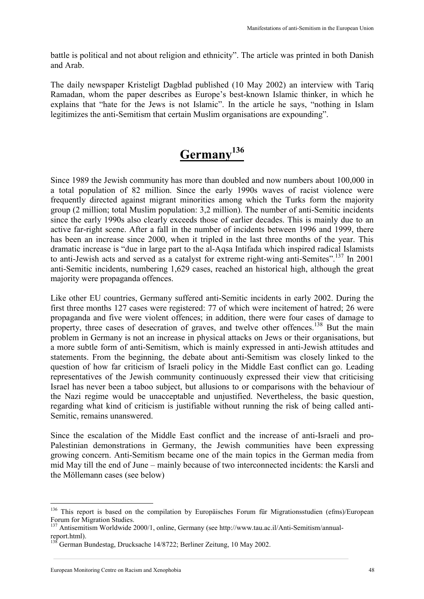battle is political and not about religion and ethnicity". The article was printed in both Danish and Arab.

The daily newspaper Kristeligt Dagblad published (10 May 2002) an interview with Tariq Ramadan, whom the paper describes as Europe's best-known Islamic thinker, in which he explains that "hate for the Jews is not Islamic". In the article he says, "nothing in Islam legitimizes the anti-Semitism that certain Muslim organisations are expounding".

### **Germany[136](#page-47-0)**

Since 1989 the Jewish community has more than doubled and now numbers about 100,000 in a total population of 82 million. Since the early 1990s waves of racist violence were frequently directed against migrant minorities among which the Turks form the majority group (2 million; total Muslim population: 3,2 million). The number of anti-Semitic incidents since the early 1990s also clearly exceeds those of earlier decades. This is mainly due to an active far-right scene. After a fall in the number of incidents between 1996 and 1999, there has been an increase since 2000, when it tripled in the last three months of the year. This dramatic increase is "due in large part to the al-Aqsa Intifada which inspired radical Islamists to anti-Jewish acts and served as a catalyst for extreme right-wing anti-Semites"[.137](#page-47-1) In 2001 anti-Semitic incidents, numbering 1,629 cases, reached an historical high, although the great majority were propaganda offences.

Like other EU countries, Germany suffered anti-Semitic incidents in early 2002. During the first three months 127 cases were registered: 77 of which were incitement of hatred; 26 were propaganda and five were violent offences; in addition, there were four cases of damage to property, three cases of desecration of graves, and twelve other offences.<sup>138</sup> But the main problem in Germany is not an increase in physical attacks on Jews or their organisations, but a more subtle form of anti-Semitism, which is mainly expressed in anti-Jewish attitudes and statements. From the beginning, the debate about anti-Semitism was closely linked to the question of how far criticism of Israeli policy in the Middle East conflict can go. Leading representatives of the Jewish community continuously expressed their view that criticising Israel has never been a taboo subject, but allusions to or comparisons with the behaviour of the Nazi regime would be unacceptable and unjustified. Nevertheless, the basic question, regarding what kind of criticism is justifiable without running the risk of being called anti-Semitic, remains unanswered.

Since the escalation of the Middle East conflict and the increase of anti-Israeli and pro-Palestinian demonstrations in Germany, the Jewish communities have been expressing growing concern. Anti-Semitism became one of the main topics in the German media from mid May till the end of June – mainly because of two interconnected incidents: the Karsli and the Möllemann cases (see below)

<span id="page-47-0"></span><sup>&</sup>lt;sup>136</sup> This report is based on the compilation by Europäisches Forum für Migrationsstudien (efms)/European Forum for Migration Studies.

<span id="page-47-1"></span><sup>137</sup> Antisemitism Worldwide 2000/1, online, Germany (see http://www.tau.ac.il/Anti-Semitism/annual-

report.html).

<span id="page-47-2"></span><sup>&</sup>lt;sup>138</sup> German Bundestag, Drucksache 14/8722; Berliner Zeitung, 10 May 2002.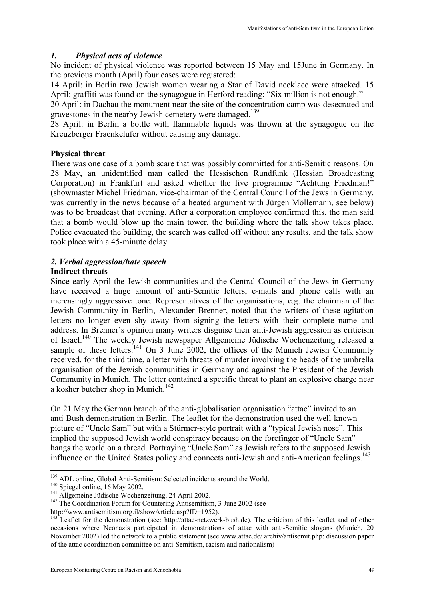#### *1. Physical acts of violence*

No incident of physical violence was reported between 15 May and 15June in Germany. In the previous month (April) four cases were registered:

14 April: in Berlin two Jewish women wearing a Star of David necklace were attacked. 15 April: graffiti was found on the synagogue in Herford reading: "Six million is not enough."

20 April: in Dachau the monument near the site of the concentration camp was desecrated and gravestones in the nearby Jewish cemetery were damaged.<sup>[139](#page-48-0)</sup>

28 April: in Berlin a bottle with flammable liquids was thrown at the synagogue on the Kreuzberger Fraenkelufer without causing any damage.

#### **Physical threat**

There was one case of a bomb scare that was possibly committed for anti-Semitic reasons. On 28 May, an unidentified man called the Hessischen Rundfunk (Hessian Broadcasting Corporation) in Frankfurt and asked whether the live programme "Achtung Friedman!" (showmaster Michel Friedman, vice-chairman of the Central Council of the Jews in Germany, was currently in the news because of a heated argument with Jürgen Möllemann, see below) was to be broadcast that evening. After a corporation employee confirmed this, the man said that a bomb would blow up the main tower, the building where the talk show takes place. Police evacuated the building, the search was called off without any results, and the talk show took place with a 45-minute delay.

#### *2. Verbal aggression/hate speech*

#### **Indirect threats**

Since early April the Jewish communities and the Central Council of the Jews in Germany have received a huge amount of anti-Semitic letters, e-mails and phone calls with an increasingly aggressive tone. Representatives of the organisations, e.g. the chairman of the Jewish Community in Berlin, Alexander Brenner, noted that the writers of these agitation letters no longer even shy away from signing the letters with their complete name and address. In Brenner's opinion many writers disguise their anti-Jewish aggression as criticism of Israel.[140](#page-48-1) The weekly Jewish newspaper Allgemeine Jüdische Wochenzeitung released a sample of these letters.<sup>141</sup> On 3 June 2002, the offices of the Munich Jewish Community received, for the third time, a letter with threats of murder involving the heads of the umbrella organisation of the Jewish communities in Germany and against the President of the Jewish Community in Munich. The letter contained a specific threat to plant an explosive charge near a kosher butcher shop in Munich.[142](#page-48-3)

On 21 May the German branch of the anti-globalisation organisation "attac" invited to an anti-Bush demonstration in Berlin. The leaflet for the demonstration used the well-known picture of "Uncle Sam" but with a Stürmer-style portrait with a "typical Jewish nose". This implied the supposed Jewish world conspiracy because on the forefinger of "Uncle Sam" hangs the world on a thread. Portraying "Uncle Sam" as Jewish refers to the supposed Jewish influence on the United States policy and connects anti-Jewish and anti-American feelings.<sup>[143](#page-48-4)</sup>

<span id="page-48-0"></span><sup>&</sup>lt;sup>139</sup> ADL online, Global Anti-Semitism: Selected incidents around the World.<br><sup>140</sup> Spiegel online, 16 May 2002.<br><sup>141</sup> Allgemeine Jüdische Wochenzeitung, 24 April 2002.<br><sup>142</sup> The Coordination Forum for Countering Antisemit

<span id="page-48-1"></span>

<span id="page-48-2"></span>

<span id="page-48-3"></span>

http://www.antisemitism.org.il/showArticle.asp?ID=1952).

<span id="page-48-4"></span><sup>&</sup>lt;sup>143</sup> Leaflet for the demonstration (see: http://attac-netzwerk-bush.de). The criticism of this leaflet and of other occasions where Neonazis participated in demonstrations of attac with anti-Semitic slogans (Munich, 20 November 2002) led the network to a public statement (see www.attac.de/ archiv/antisemit.php; discussion paper of the attac coordination committee on anti-Semitism, racism and nationalism)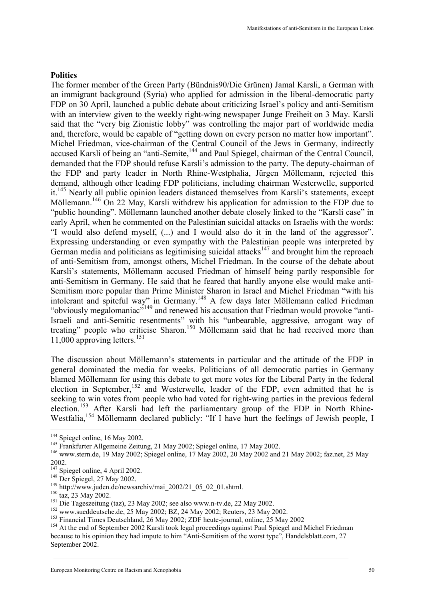#### **Politics**

The former member of the Green Party (Bündnis90/Die Grünen) Jamal Karsli, a German with an immigrant background (Syria) who applied for admission in the liberal-democratic party FDP on 30 April, launched a public debate about criticizing Israel's policy and anti-Semitism with an interview given to the weekly right-wing newspaper Junge Freiheit on 3 May. Karsli said that the "very big Zionistic lobby" was controlling the major part of worldwide media and, therefore, would be capable of "getting down on every person no matter how important". Michel Friedman, vice-chairman of the Central Council of the Jews in Germany, indirectly accused Karsli of being an "anti-Semite,<sup>144</sup> and Paul Spiegel, chairman of the Central Council, demanded that the FDP should refuse Karsli's admission to the party. The deputy-chairman of the FDP and party leader in North Rhine-Westphalia, Jürgen Möllemann, rejected this demand, although other leading FDP politicians, including chairman Westerwelle, supported it.[145 N](#page-49-1)early all public opinion leaders distanced themselves from Karsli's statements, except Möllemann.<sup>146</sup> On 22 May, Karsli withdrew his application for admission to the FDP due to "public hounding". Möllemann launched another debate closely linked to the "Karsli case" in early April, when he commented on the Palestinian suicidal attacks on Israelis with the words: "I would also defend myself, (...) and I would also do it in the land of the aggressor". Expressing understanding or even sympathy with the Palestinian people was interpreted by German media and politicians as legitimising suicidal attacks<sup>147</sup> and brought him the reproach of anti-Semitism from, amongst others, Michel Friedman. In the course of the debate about Karsli's statements, Möllemann accused Friedman of himself being partly responsible for anti-Semitism in Germany. He said that he feared that hardly anyone else would make anti-Semitism more popular than Prime Minister Sharon in Israel and Michel Friedman "with his intolerant and spiteful way" in Germany.<sup>148</sup> A few days later Möllemann called Friedman "obviously megalomaniac"<sup>149</sup> and renewed his accusation that Friedman would provoke "anti-Israeli and anti-Semitic resentments" with his "unbearable, aggressive, arrogant way of treating" people who criticise Sharon.<sup>150</sup> Möllemann said that he had received more than 11,000 approving letters.<sup>[151](#page-49-7)</sup>

The discussion about Möllemann's statements in particular and the attitude of the FDP in general dominated the media for weeks. Politicians of all democratic parties in Germany blamed Möllemann for using this debate to get more votes for the Liberal Party in the federal election in September,<sup>152</sup> and Westerwelle, leader of the FDP, even admitted that he is seeking to win votes from people who had voted for right-wing parties in the previous federal election.<sup>153</sup> After Karsli had left the parliamentary group of the FDP in North Rhine-Westfalia.<sup>154</sup> Möllemann declared publicly: "If I have hurt the feelings of Jewish people, I

<span id="page-49-0"></span><sup>&</sup>lt;sup>144</sup> Spiegel online, 16 May 2002.

<span id="page-49-2"></span><span id="page-49-1"></span>

<sup>&</sup>lt;sup>145</sup> Frankfurter Allgemeine Zeitung, 21 May 2002; Spiegel online, 17 May 2002.<br><sup>146</sup> www.stern.de, 19 May 2002; Spiegel online, 17 May 2002, 20 May 2002 and 21 May 2002; faz.net, 25 May 2002.<br> $147$  Spiegel online, 4 April 2002.

<span id="page-49-3"></span>

<span id="page-49-4"></span>

<span id="page-49-5"></span>

<span id="page-49-6"></span>

<span id="page-49-7"></span>

<span id="page-49-8"></span>

<span id="page-49-10"></span><span id="page-49-9"></span>

<sup>&</sup>lt;sup>148</sup> Der Spiegel, 27 May 2002.<br>
<sup>149</sup> http://www.juden.de/newsarchiv/mai\_2002/21\_05\_02\_01.shtml.<br>
<sup>150</sup> taz, 23 May 2002.<br>
<sup>151</sup> Die Tageszeitung (taz), 23 May 2002; see also www.n-tv.de, 22 May 2002.<br>
<sup>151</sup> Die Tageszei because to his opinion they had impute to him "Anti-Semitism of the worst type", Handelsblatt.com, 27 September 2002.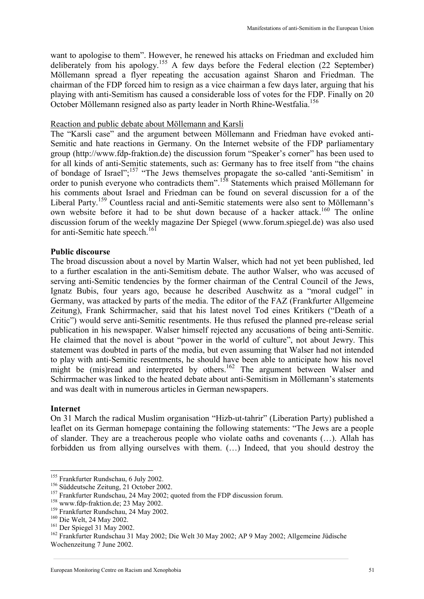want to apologise to them". However, he renewed his attacks on Friedman and excluded him deliberately from his apology.<sup>155</sup> A few days before the Federal election (22 September) Möllemann spread a flyer repeating the accusation against Sharon and Friedman. The chairman of the FDP forced him to resign as a vice chairman a few days later, arguing that his playing with anti-Semitism has caused a considerable loss of votes for the FDP. Finally on 20 October Möllemann resigned also as party leader in North Rhine-Westfalia.<sup>[156](#page-50-1)</sup>

#### Reaction and public debate about Möllemann and Karsli

The "Karsli case" and the argument between Möllemann and Friedman have evoked anti-Semitic and hate reactions in Germany. On the Internet website of the FDP parliamentary group (http://www.fdp-fraktion.de) the discussion forum "Speaker's corner" has been used to for all kinds of anti-Semitic statements, such as: Germany has to free itself from "the chains of bondage of Israel";<sup>157</sup> "The Jews themselves propagate the so-called 'anti-Semitism' in order to punish everyone who contradicts them".<sup>158</sup> Statements which praised Möllemann for his comments about Israel and Friedman can be found on several discussion for a of the Liberal Party.<sup>159</sup> Countless racial and anti-Semitic statements were also sent to Möllemann's own website before it had to be shut down because of a hacker attack.<sup>160</sup> The online discussion forum of the weekly magazine Der Spiegel (www.forum.spiegel.de) was also used for anti-Semitic hate speech.<sup>[161](#page-50-6)</sup>

#### **Public discourse**

The broad discussion about a novel by Martin Walser, which had not yet been published, led to a further escalation in the anti-Semitism debate. The author Walser, who was accused of serving anti-Semitic tendencies by the former chairman of the Central Council of the Jews, Ignatz Bubis, four years ago, because he described Auschwitz as a "moral cudgel" in Germany, was attacked by parts of the media. The editor of the FAZ (Frankfurter Allgemeine Zeitung), Frank Schirrmacher, said that his latest novel Tod eines Kritikers ("Death of a Critic") would serve anti-Semitic resentments. He thus refused the planned pre-release serial publication in his newspaper. Walser himself rejected any accusations of being anti-Semitic. He claimed that the novel is about "power in the world of culture", not about Jewry. This statement was doubted in parts of the media, but even assuming that Walser had not intended to play with anti-Semitic resentments, he should have been able to anticipate how his novel might be (mis)read and interpreted by others.<sup>162</sup> The argument between Walser and Schirrmacher was linked to the heated debate about anti-Semitism in Möllemann's statements and was dealt with in numerous articles in German newspapers.

#### **Internet**

On 31 March the radical Muslim organisation "Hizb-ut-tahrir" (Liberation Party) published a leaflet on its German homepage containing the following statements: "The Jews are a people of slander. They are a treacherous people who violate oaths and covenants (…). Allah has forbidden us from allying ourselves with them. (…) Indeed, that you should destroy the

<span id="page-50-0"></span><sup>&</sup>lt;sup>155</sup> Frankfurter Rundschau, 6 July 2002.

<span id="page-50-1"></span>

<span id="page-50-2"></span>

<span id="page-50-3"></span>

<span id="page-50-4"></span>

<span id="page-50-5"></span>

<span id="page-50-7"></span><span id="page-50-6"></span>

<sup>&</sup>lt;sup>156</sup> Süddeutsche Zeitung, 21 October 2002.<br>
<sup>157</sup> Frankfurter Rundschau, 24 May 2002; quoted from the FDP discussion forum.<br>
<sup>158</sup> Www.fdp-fraktion.de; 23 May 2002.<br>
<sup>159</sup> Frankfurter Rundschau, 24 May 2002.<br>
<sup>160</sup> Die W Wochenzeitung 7 June 2002.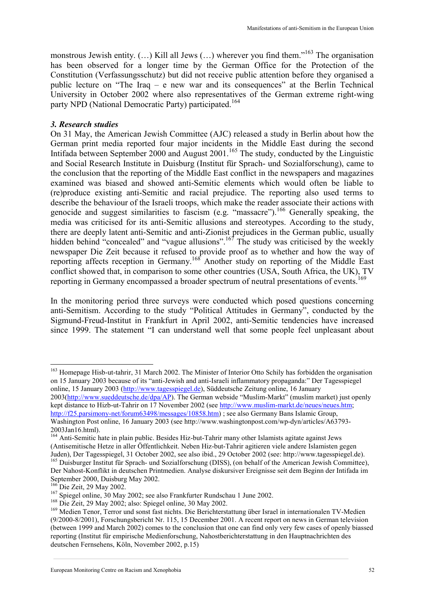monstrous Jewish entity.  $(...)$  Kill all Jews  $(...)$  wherever you find them.<sup> $163$ </sup> The organisation has been observed for a longer time by the German Office for the Protection of the Constitution (Verfassungsschutz) but did not receive public attention before they organised a public lecture on "The Iraq – e new war and its consequences" at the Berlin Technical University in October 2002 where also representatives of the German extreme right-wing party NPD (National Democratic Party) participated.<sup>[164](#page-51-1)</sup>

#### *3. Research studies*

On 31 May, the American Jewish Committee (AJC) released a study in Berlin about how the German print media reported four major incidents in the Middle East during the second Intifada between September 2000 and August  $2001$ .<sup>165</sup> The study, conducted by the Linguistic and Social Research Institute in Duisburg (Institut für Sprach- und Sozialforschung), came to the conclusion that the reporting of the Middle East conflict in the newspapers and magazines examined was biased and showed anti-Semitic elements which would often be liable to (re)produce existing anti-Semitic and racial prejudice. The reporting also used terms to describe the behaviour of the Israeli troops, which make the reader associate their actions with genocide and suggest similarities to fascism (e.g. "massacre").<sup>166</sup> Generally speaking, the media was criticised for its anti-Semitic allusions and stereotypes. According to the study, there are deeply latent anti-Semitic and anti-Zionist prejudices in the German public, usually hidden behind "concealed" and "vague allusions".<sup>167</sup> The study was criticised by the weekly newspaper Die Zeit because it refused to provide proof as to whether and how the way of reporting affects reception in Germany.<sup>168</sup> Another study on reporting of the Middle East conflict showed that, in comparison to some other countries (USA, South Africa, the UK), TV reporting in Germany encompassed a broader spectrum of neutral presentations of events.<sup>[169](#page-51-6)</sup>

In the monitoring period three surveys were conducted which posed questions concerning anti-Semitism. According to the study "Political Attitudes in Germany", conducted by the Sigmund-Freud-Institut in Frankfurt in April 2002, anti-Semitic tendencies have increased since 1999. The statement "I can understand well that some people feel unpleasant about

<span id="page-51-0"></span><sup>163</sup> Homepage Hisb-ut-tahrir, 31 March 2002. The Minister of Interior Otto Schily has forbidden the organisation on 15 January 2003 because of its "anti-Jewish and anti-Israeli inflammatory propaganda:" Der Tagesspiegel online, 15 January 2003 (http://www.tagesspiegel.de), Süddeutsche Zeitung online, 16 January 2003(http://www.sueddeutsche.de/dpa/AP). The German webside "Muslim-Markt" (muslim market) just openly

kept distance to Hizb-ut-Tahrir on 17 November 2002 (see http://www.muslim-markt.de/neues/neues.htm; http://f25.parsimony-net/forum63498/messages/10858.htm) ; see also Germany Bans Islamic Group, Washington Post online, 16 January 2003 (see http://www.washingtonpost.com/wp-dyn/articles/A63793- 2003Jan16.html).

<span id="page-51-1"></span>164 Anti-Semitic hate in plain public. Besides Hiz-but-Tahrir many other Islamists agitate against Jews (Antisemitische Hetze in aller Öffentlichkeit. Neben Hiz-but-Tahrir agitieren viele andere Islamisten gegen Juden), Der Tagesspiegel, 31 October 2002, see also ibid., 29 October 2002 (see: http://www.tagesspiegel.de). <sup>165</sup> Duisburger Institut für Sprach- und Sozialforschung (DISS), (on behalf of the American Jewish Committee), Der Nahost-Konflikt in deutschen Printmedien. Analyse diskursiver Ereignisse seit dem Beginn der Intifada im September 2000, Duisburg May 2002.<br><sup>166</sup> Die Zeit, 29 May 2002.

<span id="page-51-3"></span><span id="page-51-2"></span>

<span id="page-51-4"></span>

<span id="page-51-6"></span><span id="page-51-5"></span>

<sup>167</sup> Spiegel online, 30 May 2002; see also Frankfurter Rundschau 1 June 2002.<br>
<sup>167</sup> Spiegel online, 30 May 2002; see also Frankfurter Rundschau 1 June 2002.<br>
<sup>169</sup> Medien Tenor, Terror und sonst fast nichts. Die Berichters (9/2000-8/2001), Forschungsbericht Nr. 115, 15 December 2001. A recent report on news in German television (between 1999 and March 2002) comes to the conclusion that one can find only very few cases of openly biassed reporting (Institut für empirische Medienforschung, Nahostberichterstattung in den Hauptnachrichten des deutschen Fernsehens, Köln, November 2002, p.15)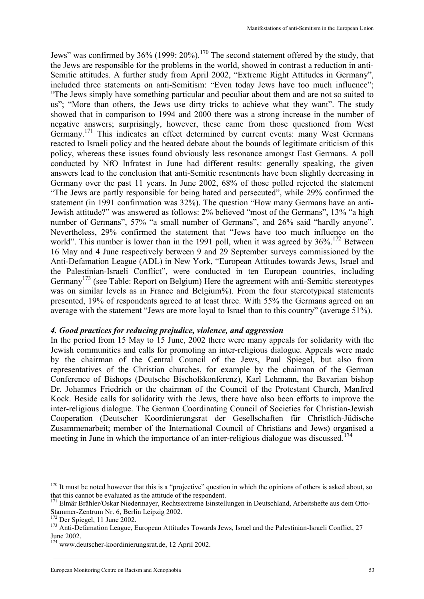Jews" was confirmed by 36% (1999: 20%).<sup>170</sup> The second statement offered by the study, that the Jews are responsible for the problems in the world, showed in contrast a reduction in anti-Semitic attitudes. A further study from April 2002, "Extreme Right Attitudes in Germany", included three statements on anti-Semitism: "Even today Jews have too much influence"; "The Jews simply have something particular and peculiar about them and are not so suited to us"; "More than others, the Jews use dirty tricks to achieve what they want". The study showed that in comparison to 1994 and 2000 there was a strong increase in the number of negative answers; surprisingly, however, these came from those questioned from West Germany.[171](#page-52-1) This indicates an effect determined by current events: many West Germans reacted to Israeli policy and the heated debate about the bounds of legitimate criticism of this policy, whereas these issues found obviously less resonance amongst East Germans. A poll conducted by NfO Infratest in June had different results: generally speaking, the given answers lead to the conclusion that anti-Semitic resentments have been slightly decreasing in Germany over the past 11 years. In June 2002, 68% of those polled rejected the statement "The Jews are partly responsible for being hated and persecuted", while 29% confirmed the statement (in 1991 confirmation was 32%). The question "How many Germans have an anti-Jewish attitude?" was answered as follows: 2% believed "most of the Germans", 13% "a high number of Germans", 57% "a small number of Germans", and 26% said "hardly anyone". Nevertheless, 29% confirmed the statement that "Jews have too much influence on the world". This number is lower than in the 1991 poll, when it was agreed by  $36\%$ <sup>172</sup> Between 16 May and 4 June respectively between 9 and 29 September surveys commissioned by the Anti-Defamation League (ADL) in New York, "European Attitudes towards Jews, Israel and the Palestinian-Israeli Conflict", were conducted in ten European countries, including Germany<sup>173</sup> (see Table: Report on Belgium) Here the agreement with anti-Semitic stereotypes was on similar levels as in France and Belgium%). From the four stereotypical statements presented, 19% of respondents agreed to at least three. With 55% the Germans agreed on an average with the statement "Jews are more loyal to Israel than to this country" (average 51%).

#### *4. Good practices for reducing prejudice, violence, and aggression*

In the period from 15 May to 15 June, 2002 there were many appeals for solidarity with the Jewish communities and calls for promoting an inter-religious dialogue. Appeals were made by the chairman of the Central Council of the Jews, Paul Spiegel, but also from representatives of the Christian churches, for example by the chairman of the German Conference of Bishops (Deutsche Bischofskonferenz), Karl Lehmann, the Bavarian bishop Dr. Johannes Friedrich or the chairman of the Council of the Protestant Church, Manfred Kock. Beside calls for solidarity with the Jews, there have also been efforts to improve the inter-religious dialogue. The German Coordinating Council of Societies for Christian-Jewish Cooperation (Deutscher Koordinierungsrat der Gesellschaften für Christlich-Jüdische Zusammenarbeit; member of the International Council of Christians and Jews) organised a meeting in June in which the importance of an inter-religious dialogue was discussed.<sup>[174](#page-52-4)</sup>

<span id="page-52-0"></span> $170$  It must be noted however that this is a "projective" question in which the opinions of others is asked about, so that this cannot be evaluated as the attitude of the respondent.

<span id="page-52-1"></span><sup>171</sup> Elmär Brähler/Oskar Niedermayer, Rechtsextreme Einstellungen in Deutschland, Arbeitshefte aus dem Otto-Stammer-Zentrum Nr. 6, Berlin Leipzig 2002.<br><sup>172</sup> Der Spiegel, 11 June 2002.

<span id="page-52-2"></span>

<span id="page-52-3"></span><sup>&</sup>lt;sup>173</sup> Anti-Defamation League, European Attitudes Towards Jews, Israel and the Palestinian-Israeli Conflict, 27 June 2002.

<span id="page-52-4"></span><sup>174</sup> www.deutscher-koordinierungsrat.de, 12 April 2002.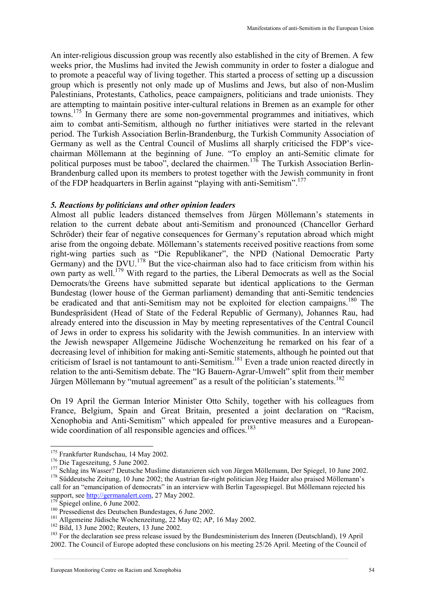<span id="page-53-8"></span>An inter-religious discussion group was recently also established in the city of Bremen. A few weeks prior, the Muslims had invited the Jewish community in order to foster a dialogue and to promote a peaceful way of living together. This started a process of setting up a discussion group which is presently not only made up of Muslims and Jews, but also of non-Muslim Palestinians, Protestants, Catholics, peace campaigners, politicians and trade unionists. They are attempting to maintain positive inter-cultural relations in Bremen as an example for other towns.<sup>175</sup> In Germany there are some non-governmental programmes and initiatives, which aim to combat anti-Semitism, although no further initiatives were started in the relevant period. The Turkish Association Berlin-Brandenburg, the Turkish Community Association of Germany as well as the Central Council of Muslims all sharply criticised the FDP's vicechairman Möllemann at the beginning of June. "To employ an anti-Semitic climate for political purposes must be taboo", declared the chairmen.<sup>[176](#page-53-1)</sup> The Turkish Association Berlin-Brandenburg called upon its members to protest together with the Jewish community in front of the FDP headquarters in Berlin against "playing with anti-Semitism".<sup>[177](#page-53-2)</sup>

#### *5. Reactions by politicians and other opinion leaders*

Almost all public leaders distanced themselves from Jürgen Möllemann's statements in relation to the current debate about anti-Semitism and pronounced (Chancellor Gerhard Schröder) their fear of negative consequences for Germany's reputation abroad which might arise from the ongoing debate. Möllemann's statements received positive reactions from some right-wing parties such as "Die Republikaner", the NPD (National Democratic Party Germany) and the DVU.<sup>178</sup> But the vice-chairman also had to face criticism from within his own party as well[.179](#page-53-4) With regard to the parties, the Liberal Democrats as well as the Social Democrats/the Greens have submitted separate but identical applications to the German Bundestag (lower house of the German parliament) demanding that anti-Semitic tendencies be eradicated and that anti-Semitism may not be exploited for election campaigns.<sup>180</sup> The Bundespräsident (Head of State of the Federal Republic of Germany), Johannes Rau, had already entered into the discussion in May by meeting representatives of the Central Council of Jews in order to express his solidarity with the Jewish communities. In an interview with the Jewish newspaper Allgemeine Jüdische Wochenzeitung he remarked on his fear of a decreasing level of inhibition for making anti-Semitic statements, although he pointed out that criticism of Israel is not tantamount to anti-Semitism.<sup>181</sup> Even a trade union reacted directly in relation to the anti-Semitism debate. The "IG Bauern-Agrar-Umwelt" split from their member Jürgen Möllemann by "mutual agreement" as a result of the politician's statements.<sup>[182](#page-53-7)</sup>

On 19 April the German Interior Minister Otto Schily, together with his colleagues from France, Belgium, Spain and Great Britain, presented a joint declaration on "Racism, Xenophobia and Anti-Semitism" which appealed for preventive measures and a European-wide coordination of all responsible agencies and offices.<sup>[183](#page-53-8)</sup>

 $\overline{a}$ 

<span id="page-53-3"></span><span id="page-53-2"></span><span id="page-53-1"></span>

<span id="page-53-0"></span><sup>&</sup>lt;sup>175</sup> Frankfurter Rundschau, 14 May 2002.<br><sup>176</sup> Die Tageszeitung, 5 June 2002.<br><sup>176</sup> Die Tageszeitung, 5 June 2002.<br><sup>177</sup> Schlag ins Wasser? Deutsche Muslime distanzieren sich von Jürgen Möllemann, Der Spiegel, 10 June 200 call for an "emancipation of democrats" in an interview with Berlin Tagesspiegel. But Möllemann rejected his support, see http://germanalert.com, 27 May 2002.

<span id="page-53-4"></span>

<span id="page-53-5"></span>

<span id="page-53-6"></span>

<span id="page-53-7"></span>

<sup>&</sup>lt;sup>179</sup> Spiegel online, 6 June 2002.<br><sup>180</sup> Pressedienst des Deutschen Bundestages, 6 June 2002.<br><sup>181</sup> Allgemeine Jüdische Wochenzeitung, 22 May 02; AP, 16 May 2002.<br><sup>182</sup> Bild, 13 June 2002; Reuters, 13 June 2002.<br><sup>182</sup> Bil 2002. The Council of Europe adopted these conclusions on his meeting 25/26 April. Meeting of the Council of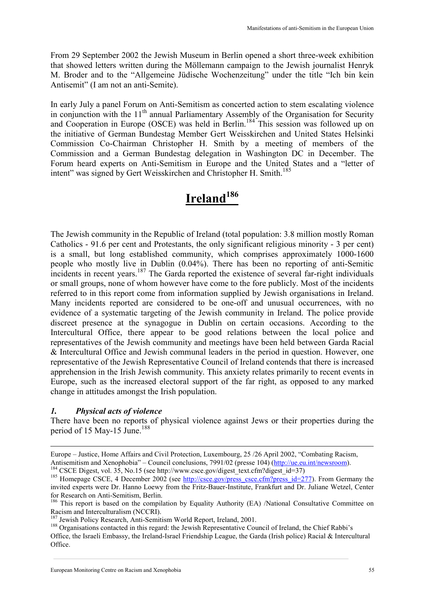From 29 September 2002 the Jewish Museum in Berlin opened a short three-week exhibition that showed letters written during the Möllemann campaign to the Jewish journalist Henryk M. Broder and to the "Allgemeine Jüdische Wochenzeitung" under the title "Ich bin kein Antisemit" (I am not an anti-Semite).

In early July a panel Forum on Anti-Semitism as concerted action to stem escalating violence in conjunction with the  $11<sup>th</sup>$  annual Parliamentary Assembly of the Organisation for Security and Cooperation in Europe (OSCE) was held in Berlin.<sup>184</sup> This session was followed up on the initiative of German Bundestag Member Gert Weisskirchen and United States Helsinki Commission Co-Chairman Christopher H. Smith by a meeting of members of the Commission and a German Bundestag delegation in Washington DC in December. The Forum heard experts on Anti-Semitism in Europe and the United States and a "letter of intent" was signed by Gert Weisskirchen and Christopher H. Smith.<sup>[185](#page-54-1)</sup>

# **Irelan[d186](#page-54-2)**

The Jewish community in the Republic of Ireland (total population: 3.8 million mostly Roman Catholics - 91.6 per cent and Protestants, the only significant religious minority - 3 per cent) is a small, but long established community, which comprises approximately 1000-1600 people who mostly live in Dublin (0.04%). There has been no reporting of anti-Semitic incidents in recent years.<sup>187</sup> The Garda reported the existence of several far-right individuals or small groups, none of whom however have come to the fore publicly. Most of the incidents referred to in this report come from information supplied by Jewish organisations in Ireland. Many incidents reported are considered to be one-off and unusual occurrences, with no evidence of a systematic targeting of the Jewish community in Ireland. The police provide discreet presence at the synagogue in Dublin on certain occasions. According to the Intercultural Office, there appear to be good relations between the local police and representatives of the Jewish community and meetings have been held between Garda Racial & Intercultural Office and Jewish communal leaders in the period in question. However, one representative of the Jewish Representative Council of Ireland contends that there is increased apprehension in the Irish Jewish community. This anxiety relates primarily to recent events in Europe, such as the increased electoral support of the far right, as opposed to any marked change in attitudes amongst the Irish population.

#### *1. Physical acts of violence*

 $\overline{a}$ 

There have been no reports of physical violence against Jews or their properties during the period of 15 May-15 June.<sup>[188](#page-54-4)</sup>

Europe – Justice, Home Affairs and Civil Protection, Luxembourg, 25 /26 April 2002, "Combating Racism, Antisemitism and Xenophobia" – Council conclusions, 7991/02 (presse 104) (http://ue.eu.int/newsroom).<br><sup>184</sup> CSCE Digest, vol. 35, No.15 (see http://www.csce.gov/digest\_text.cfm?digest\_id=37)<br><sup>185</sup> Homepage CSCE, 4 December

<span id="page-54-1"></span><span id="page-54-0"></span>invited experts were Dr. Hanno Loewy from the Fritz-Bauer-Institute, Frankfurt and Dr. Juliane Wetzel, Center for Research on Anti-Semitism, Berlin.

<span id="page-54-2"></span><sup>&</sup>lt;sup>186</sup> This report is based on the compilation by Equality Authority (EA) /National Consultative Committee on Racism and Interculturalism (NCCRI).<br><sup>187</sup> Jewish Policy Research, Anti-Semitism World Report, Ireland. 2001.

<span id="page-54-3"></span>

<span id="page-54-4"></span><sup>&</sup>lt;sup>188</sup> Organisations contacted in this regard: the Jewish Representative Council of Ireland, the Chief Rabbi's Office, the Israeli Embassy, the Ireland-Israel Friendship League, the Garda (Irish police) Racial & Intercultural Office.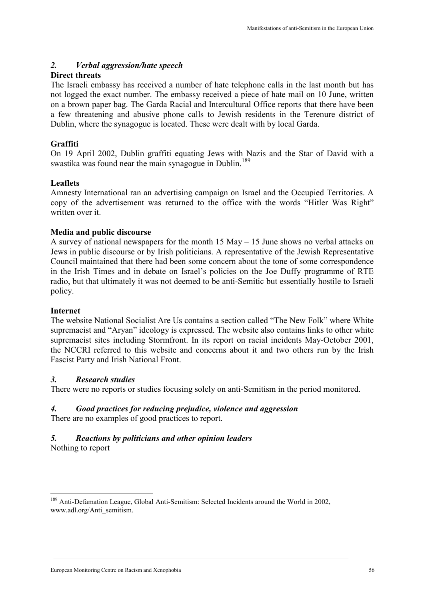#### *2. Verbal aggression/hate speech*

#### **Direct threats**

The Israeli embassy has received a number of hate telephone calls in the last month but has not logged the exact number. The embassy received a piece of hate mail on 10 June, written on a brown paper bag. The Garda Racial and Intercultural Office reports that there have been a few threatening and abusive phone calls to Jewish residents in the Terenure district of Dublin, where the synagogue is located. These were dealt with by local Garda.

#### **Graffiti**

On 19 April 2002, Dublin graffiti equating Jews with Nazis and the Star of David with a swastika was found near the main synagogue in Dublin.<sup>[189](#page-55-0)</sup>

#### **Leaflets**

Amnesty International ran an advertising campaign on Israel and the Occupied Territories. A copy of the advertisement was returned to the office with the words "Hitler Was Right" written over it

#### **Media and public discourse**

A survey of national newspapers for the month 15 May – 15 June shows no verbal attacks on Jews in public discourse or by Irish politicians. A representative of the Jewish Representative Council maintained that there had been some concern about the tone of some correspondence in the Irish Times and in debate on Israel's policies on the Joe Duffy programme of RTE radio, but that ultimately it was not deemed to be anti-Semitic but essentially hostile to Israeli policy.

#### **Internet**

The website National Socialist Are Us contains a section called "The New Folk" where White supremacist and "Aryan" ideology is expressed. The website also contains links to other white supremacist sites including Stormfront. In its report on racial incidents May-October 2001, the NCCRI referred to this website and concerns about it and two others run by the Irish Fascist Party and Irish National Front.

#### *3. Research studies*

There were no reports or studies focusing solely on anti-Semitism in the period monitored.

#### *4. Good practices for reducing prejudice, violence and aggression*

There are no examples of good practices to report.

### *5. Reactions by politicians and other opinion leaders*

Nothing to report

<span id="page-55-0"></span> $\overline{a}$ <sup>189</sup> Anti-Defamation League, Global Anti-Semitism: Selected Incidents around the World in 2002, www.adl.org/Anti\_semitism.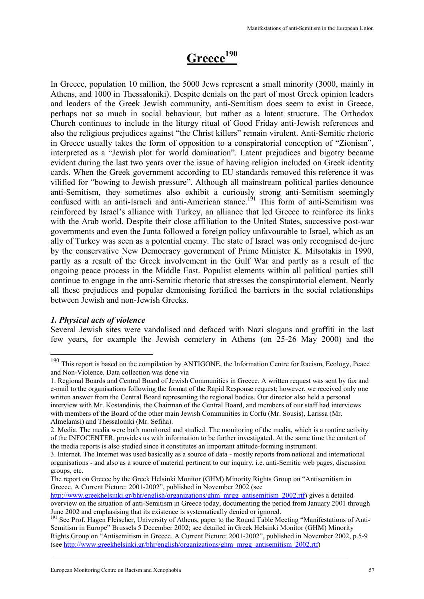# **Greec[e190](#page-56-0)**

In Greece, population 10 million, the 5000 Jews represent a small minority (3000, mainly in Athens, and 1000 in Thessaloniki). Despite denials on the part of most Greek opinion leaders and leaders of the Greek Jewish community, anti-Semitism does seem to exist in Greece, perhaps not so much in social behaviour, but rather as a latent structure. The Orthodox Church continues to include in the liturgy ritual of Good Friday anti-Jewish references and also the religious prejudices against "the Christ killers" remain virulent. Anti-Semitic rhetoric in Greece usually takes the form of opposition to a conspiratorial conception of "Zionism", interpreted as a "Jewish plot for world domination". Latent prejudices and bigotry became evident during the last two years over the issue of having religion included on Greek identity cards. When the Greek government according to EU standards removed this reference it was vilified for "bowing to Jewish pressure". Although all mainstream political parties denounce anti-Semitism, they sometimes also exhibit a curiously strong anti-Semitism seemingly confused with an anti-Israeli and anti-American stance.<sup>191</sup> This form of anti-Semitism was reinforced by Israel's alliance with Turkey, an alliance that led Greece to reinforce its links with the Arab world. Despite their close affiliation to the United States, successive post-war governments and even the Junta followed a foreign policy unfavourable to Israel, which as an ally of Turkey was seen as a potential enemy. The state of Israel was only recognised de-jure by the conservative New Democracy government of Prime Minister K. Mitsotakis in 1990, partly as a result of the Greek involvement in the Gulf War and partly as a result of the ongoing peace process in the Middle East. Populist elements within all political parties still continue to engage in the anti-Semitic rhetoric that stresses the conspiratorial element. Nearly all these prejudices and popular demonising fortified the barriers in the social relationships between Jewish and non-Jewish Greeks.

#### *1. Physical acts of violence*

 $\overline{a}$ 

Several Jewish sites were vandalised and defaced with Nazi slogans and graffiti in the last few years, for example the Jewish cemetery in Athens (on 25-26 May 2000) and the

<span id="page-56-0"></span><sup>&</sup>lt;sup>190</sup> This report is based on the compilation by ANTIGONE, the Information Centre for Racism, Ecology, Peace and Non-Violence. Data collection was done via

<sup>1.</sup> Regional Boards and Central Board of Jewish Communities in Greece. A written request was sent by fax and e-mail to the organisations following the format of the Rapid Response request; however, we received only one written answer from the Central Board representing the regional bodies. Our director also held a personal interview with Mr. Kostandinis, the Chairman of the Central Board, and members of our staff had interviews with members of the Board of the other main Jewish Communities in Corfu (Mr. Sousis), Larissa (Mr. Almelamsi) and Thessaloniki (Mr. Sefiha).

<sup>2.</sup> Media. The media were both monitored and studied. The monitoring of the media, which is a routine activity of the INFOCENTER, provides us with information to be further investigated. At the same time the content of the media reports is also studied since it constitutes an important attitude-forming instrument.

<sup>3.</sup> Internet. The Internet was used basically as a source of data - mostly reports from national and international organisations - and also as a source of material pertinent to our inquiry, i.e. anti-Semitic web pages, discussion groups, etc.

The report on Greece by the Greek Helsinki Monitor (GHM) Minority Rights Group on "Antisemitism in Greece. A Current Picture: 2001-2002", published in November 2002 (see

http://www.greekhelsinki.gr/bhr/english/organizations/ghm\_mrgg\_antisemitism\_2002.rtf) gives a detailed overview on the situation of anti-Semitism in Greece today, documenting the period from January 2001 through June 2002 and emphasising that its existence is systematically denied or ignored.

<span id="page-56-1"></span><sup>&</sup>lt;sup>191</sup> See Prof. Hagen Fleischer, University of Athens, paper to the Round Table Meeting "Manifestations of Anti-Semitism in Europe" Brussels 5 December 2002; see detailed in Greek Helsinki Monitor (GHM) Minority Rights Group on "Antisemitism in Greece. A Current Picture: 2001-2002", published in November 2002, p.5-9 (see http://www.greekhelsinki.gr/bhr/english/organizations/ghm\_mrgg\_antisemitism\_2002.rtf)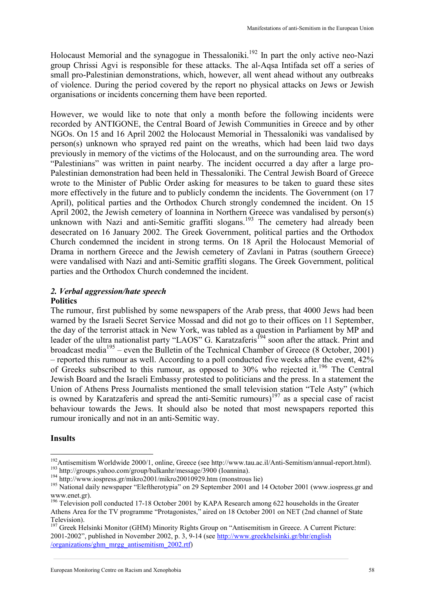Holocaust Memorial and the synagogue in Thessaloniki.<sup>192</sup> In part the only active neo-Nazi group Chrissi Agvi is responsible for these attacks. The al-Aqsa Intifada set off a series of small pro-Palestinian demonstrations, which, however, all went ahead without any outbreaks of violence. During the period covered by the report no physical attacks on Jews or Jewish organisations or incidents concerning them have been reported.

However, we would like to note that only a month before the following incidents were recorded by ANTIGONE, the Central Board of Jewish Communities in Greece and by other NGOs. On 15 and 16 April 2002 the Holocaust Memorial in Thessaloniki was vandalised by person(s) unknown who sprayed red paint on the wreaths, which had been laid two days previously in memory of the victims of the Holocaust, and on the surrounding area. The word "Palestinians" was written in paint nearby. The incident occurred a day after a large pro-Palestinian demonstration had been held in Thessaloniki. The Central Jewish Board of Greece wrote to the Minister of Public Order asking for measures to be taken to guard these sites more effectively in the future and to publicly condemn the incidents. The Government (on 17 April), political parties and the Orthodox Church strongly condemned the incident. On 15 April 2002, the Jewish cemetery of Ioannina in Northern Greece was vandalised by person(s) unknown with Nazi and anti-Semitic graffiti slogans.<sup>193</sup> The cemetery had already been desecrated on 16 January 2002. The Greek Government, political parties and the Orthodox Church condemned the incident in strong terms. On 18 April the Holocaust Memorial of Drama in northern Greece and the Jewish cemetery of Zavlani in Patras (southern Greece) were vandalised with Nazi and anti-Semitic graffiti slogans. The Greek Government, political parties and the Orthodox Church condemned the incident.

#### *2. Verbal aggression/hate speech* **Politics**

The rumour, first published by some newspapers of the Arab press, that 4000 Jews had been warned by the Israeli Secret Service Mossad and did not go to their offices on 11 September, the day of the terrorist attack in New York, was tabled as a question in Parliament by MP and leader of the ultra nationalist party "LAOS" G. Karatzaferis<sup>194</sup> soon after the attack. Print and broadcast media<sup>195</sup> – even the Bulletin of the Technical Chamber of Greece (8 October, 2001) – reported this rumour as well. According to a poll conducted five weeks after the event, 42% of Greeks subscribed to this rumour, as opposed to  $30\%$  who rejected it.<sup>196</sup> The Central Jewish Board and the Israeli Embassy protested to politicians and the press. In a statement the Union of Athens Press Journalists mentioned the small television station "Tele Asty" (which is owned by Karatzaferis and spread the anti-Semitic rumours)<sup>197</sup> as a special case of racist behaviour towards the Jews. It should also be noted that most newspapers reported this rumour ironically and not in an anti-Semitic way.

#### **Insults**

<span id="page-57-0"></span><sup>&</sup>lt;sup>192</sup>Antisemitism Worldwide 2000/1, online, Greece (see http://www.tau.ac.il/Anti-Semitism/annual-report.html).<br><sup>193</sup>http://groups.yahoo.com/group/balkanhr/message/3900 (Ioannina).<br><sup>194</sup>http://www.iospress.gr/mikro2001/mi

<span id="page-57-2"></span><span id="page-57-1"></span>

<span id="page-57-3"></span>www.enet.gr).

<span id="page-57-4"></span><sup>&</sup>lt;sup>196</sup> Television poll conducted 17-18 October 2001 by KAPA Research among 622 households in the Greater Athens Area for the TV programme "Protagonistes," aired on 18 October 2001 on NET (2nd channel of State Television).

<span id="page-57-5"></span><sup>&</sup>lt;sup>197</sup> Greek Helsinki Monitor (GHM) Minority Rights Group on "Antisemitism in Greece. A Current Picture: 2001-2002", published in November 2002, p. 3, 9-14 (see http://www.greekhelsinki.gr/bhr/english /organizations/ghm\_mrgg\_antisemitism\_2002.rtf)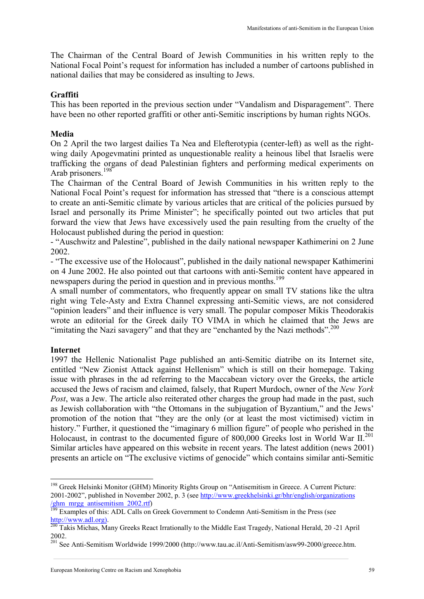The Chairman of the Central Board of Jewish Communities in his written reply to the National Focal Point's request for information has included a number of cartoons published in national dailies that may be considered as insulting to Jews.

#### **Graffiti**

This has been reported in the previous section under "Vandalism and Disparagement". There have been no other reported graffiti or other anti-Semitic inscriptions by human rights NGOs.

#### **Media**

On 2 April the two largest dailies Ta Nea and Elefterotypia (center-left) as well as the rightwing daily Apogevmatini printed as unquestionable reality a heinous libel that Israelis were trafficking the organs of dead Palestinian fighters and performing medical experiments on Arab prisoners.<sup>[198](#page-58-0)</sup>

The Chairman of the Central Board of Jewish Communities in his written reply to the National Focal Point's request for information has stressed that "there is a conscious attempt to create an anti-Semitic climate by various articles that are critical of the policies pursued by Israel and personally its Prime Minister"; he specifically pointed out two articles that put forward the view that Jews have excessively used the pain resulting from the cruelty of the Holocaust published during the period in question:

- "Auschwitz and Palestine", published in the daily national newspaper Kathimerini on 2 June 2002.

- "The excessive use of the Holocaust", published in the daily national newspaper Kathimerini on 4 June 2002. He also pointed out that cartoons with anti-Semitic content have appeared in newspapers during the period in question and in previous months.<sup>[199](#page-58-1)</sup>

A small number of commentators, who frequently appear on small TV stations like the ultra right wing Tele-Asty and Extra Channel expressing anti-Semitic views, are not considered "opinion leaders" and their influence is very small. The popular composer Mikis Theodorakis wrote an editorial for the Greek daily TO VIMA in which he claimed that the Jews are "imitating the Nazi savagery" and that they are "enchanted by the Nazi methods".<sup>[200](#page-58-2)</sup>

#### **Internet**

 $\overline{a}$ 

1997 the Hellenic Nationalist Page published an anti-Semitic diatribe on its Internet site, entitled "New Zionist Attack against Hellenism" which is still on their homepage. Taking issue with phrases in the ad referring to the Maccabean victory over the Greeks, the article accused the Jews of racism and claimed, falsely, that Rupert Murdoch, owner of the *New York Post*, was a Jew. The article also reiterated other charges the group had made in the past, such as Jewish collaboration with "the Ottomans in the subjugation of Byzantium," and the Jews' promotion of the notion that "they are the only (or at least the most victimised) victim in history." Further, it questioned the "imaginary 6 million figure" of people who perished in the Holocaust, in contrast to the documented figure of 800,000 Greeks lost in World War  $II^{201}$  $II^{201}$  $II^{201}$ . Similar articles have appeared on this website in recent years. The latest addition (news 2001) presents an article on "The exclusive victims of genocide" which contains similar anti-Semitic

<span id="page-58-0"></span><sup>&</sup>lt;sup>198</sup> Greek Helsinki Monitor (GHM) Minority Rights Group on "Antisemitism in Greece. A Current Picture: 2001-2002", published in November 2002, p. 3 (see http://www.greekhelsinki.gr/bhr/english/organizations /ghm\_mrgg\_antisemitism\_2002.rtf) 199 Examples of this: ADL Calls on Greek Government to Condemn Anti-Semitism in the Press (see

<span id="page-58-1"></span>

<span id="page-58-2"></span>http://www.adl.org). 200 Takis Michas, Many Greeks React Irrationally to the Middle East Tragedy, National Herald, 20 -21 April 2002.

<span id="page-58-3"></span><sup>&</sup>lt;sup>201</sup> See Anti-Semitism Worldwide 1999/2000 (http://www.tau.ac.il/Anti-Semitism/asw99-2000/greece.htm.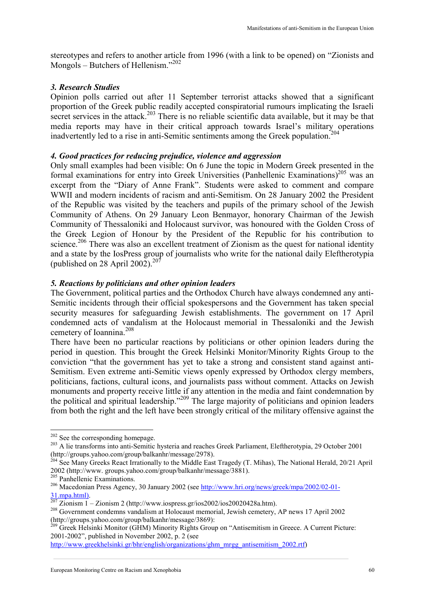stereotypes and refers to another article from 1996 (with a link to be opened) on "Zionists and Mongols – Butchers of Hellenism."<sup>[202](#page-59-0)</sup>

#### *3. Research Studies*

Opinion polls carried out after 11 September terrorist attacks showed that a significant proportion of the Greek public readily accepted conspiratorial rumours implicating the Israeli secret services in the attack.<sup>203</sup> There is no reliable scientific data available, but it may be that media reports may have in their critical approach towards Israel's military operations inadvertently led to a rise in anti-Semitic sentiments among the Greek population.<sup>[204](#page-59-2)</sup>

#### *4. Good practices for reducing prejudice, violence and aggression*

Only small examples had been visible: On 6 June the topic in Modern Greek presented in the formal examinations for entry into Greek Universities (Panhellenic Examinations)<sup>205</sup> was an excerpt from the "Diary of Anne Frank". Students were asked to comment and compare WWII and modern incidents of racism and anti-Semitism. On 28 January 2002 the President of the Republic was visited by the teachers and pupils of the primary school of the Jewish Community of Athens. On 29 January Leon Benmayor, honorary Chairman of the Jewish Community of Thessaloniki and Holocaust survivor, was honoured with the Golden Cross of the Greek Legion of Honour by the President of the Republic for his contribution to science.<sup>206</sup> There was also an excellent treatment of Zionism as the quest for national identity and a state by the IosPress group of journalists who write for the national daily Eleftherotypia (published on 28 April 2002).<sup>[207](#page-59-5)</sup>

#### *5. Reactions by politicians and other opinion leaders*

The Government, political parties and the Orthodox Church have always condemned any anti-Semitic incidents through their official spokespersons and the Government has taken special security measures for safeguarding Jewish establishments. The government on 17 April condemned acts of vandalism at the Holocaust memorial in Thessaloniki and the Jewish cemetery of Ioannina.<sup>[208](#page-59-6)</sup>

There have been no particular reactions by politicians or other opinion leaders during the period in question. This brought the Greek Helsinki Monitor/Minority Rights Group to the conviction "that the government has yet to take a strong and consistent stand against anti-Semitism. Even extreme anti-Semitic views openly expressed by Orthodox clergy members, politicians, factions, cultural icons, and journalists pass without comment. Attacks on Jewish monuments and property receive little if any attention in the media and faint condemnation by the political and spiritual leadership."<sup>209</sup> The large majority of politicians and opinion leaders from both the right and the left have been strongly critical of the military offensive against the

<span id="page-59-0"></span><sup>&</sup>lt;sup>202</sup> See the corresponding homepage.

<span id="page-59-1"></span><sup>&</sup>lt;sup>203</sup> A lie transforms into anti-Semitic hysteria and reaches Greek Parliament, Eleftherotypia, 29 October 2001 (http://groups.yahoo.com/group/balkanhr/message/2978).

<span id="page-59-2"></span><sup>&</sup>lt;sup>204</sup> See Many Greeks React Irrationally to the Middle East Tragedy (T. Mihas), The National Herald, 20/21 April 2002 (http://www. groups.yahoo.com/group/balkanhr/message/3881).

<span id="page-59-3"></span>

<span id="page-59-4"></span><sup>&</sup>lt;sup>206</sup> Macedonian Press Agency, 30 January 2002 (see http://www.hri.org/news/greek/mpa/2002/02-01- $\frac{31 \text{.mpa.html}}{207}$ Zionism 1 – Zionism 2 (http://www.iospress.gr/ios2002/ios20020428a.htm).<br><sup>208</sup> Government condemns vandalism at Holocaust memorial, Jewish cemetery, AP news 17 April 2002

<span id="page-59-5"></span>

<span id="page-59-6"></span><sup>(</sup>http://groups.yahoo.com/group/balkanhr/message/3869):

<span id="page-59-7"></span><sup>&</sup>lt;sup>209</sup> Greek Helsinki Monitor (GHM) Minority Rights Group on "Antisemitism in Greece. A Current Picture: 2001-2002", published in November 2002, p. 2 (see

http://www.greekhelsinki.gr/bhr/english/organizations/ghm\_mrgg\_antisemitism\_2002.rtf)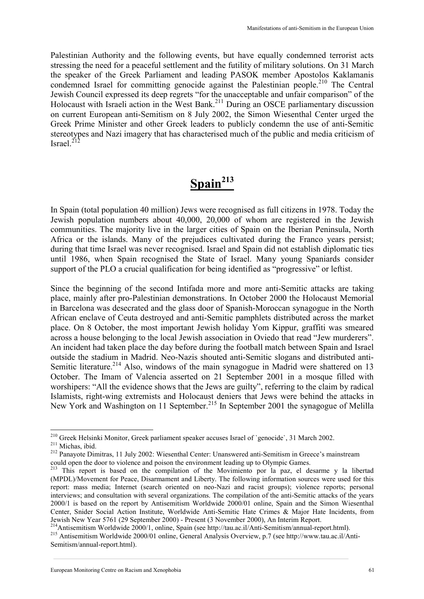Palestinian Authority and the following events, but have equally condemned terrorist acts stressing the need for a peaceful settlement and the futility of military solutions. On 31 March the speaker of the Greek Parliament and leading PASOK member Apostolos Kaklamanis condemned Israel for committing genocide against the Palestinian people.<sup>210</sup> The Central Jewish Council expressed its deep regrets "for the unacceptable and unfair comparison" of the Holocaust with Israeli action in the West Bank.[211](#page-60-1) During an OSCE parliamentary discussion on current European anti-Semitism on 8 July 2002, the Simon Wiesenthal Center urged the Greek Prime Minister and other Greek leaders to publicly condemn the use of anti-Semitic stereotypes and Nazi imagery that has characterised much of the public and media criticism of Israel $^{21}$ 

# **Spain[213](#page-60-3)**

In Spain (total population 40 million) Jews were recognised as full citizens in 1978. Today the Jewish population numbers about 40,000, 20,000 of whom are registered in the Jewish communities. The majority live in the larger cities of Spain on the Iberian Peninsula, North Africa or the islands. Many of the prejudices cultivated during the Franco years persist: during that time Israel was never recognised. Israel and Spain did not establish diplomatic ties until 1986, when Spain recognised the State of Israel. Many young Spaniards consider support of the PLO a crucial qualification for being identified as "progressive" or leftist.

Since the beginning of the second Intifada more and more anti-Semitic attacks are taking place, mainly after pro-Palestinian demonstrations. In October 2000 the Holocaust Memorial in Barcelona was desecrated and the glass door of Spanish-Moroccan synagogue in the North African enclave of Ceuta destroyed and anti-Semitic pamphlets distributed across the market place. On 8 October, the most important Jewish holiday Yom Kippur, graffiti was smeared across a house belonging to the local Jewish association in Oviedo that read "Jew murderers". An incident had taken place the day before during the football match between Spain and Israel outside the stadium in Madrid. Neo-Nazis shouted anti-Semitic slogans and distributed anti-Semitic literature.<sup>214</sup> Also, windows of the main synagogue in Madrid were shattered on 13 October. The Imam of Valencia asserted on 21 September 2001 in a mosque filled with worshipers: "All the evidence shows that the Jews are guilty", referring to the claim by radical Islamists, right-wing extremists and Holocaust deniers that Jews were behind the attacks in New York and Washington on 11 September.<sup>215</sup> In September 2001 the synagogue of Melilla

<span id="page-60-2"></span><span id="page-60-1"></span>

<span id="page-60-0"></span><sup>&</sup>lt;sup>210</sup> Greek Helsinki Monitor, Greek parliament speaker accuses Israel of `genocide`, 31 March 2002.<br><sup>211</sup> Michas, ibid.<br><sup>212</sup> Panayote Dimitras, 11 July 2002: Wiesenthal Center: Unanswered anti-Semitism in Greece's mainstr could open the door to violence and poison the environment leading up to Olympic Games.

<span id="page-60-3"></span><sup>&</sup>lt;sup>213</sup> This report is based on the compilation of the Movimiento por la paz, el desarme y la libertad (MPDL)/Movement for Peace, Disarmament and Liberty. The following information sources were used for this report: mass media; Internet (search oriented on neo-Nazi and racist groups); violence reports; personal interviews; and consultation with several organizations. The compilation of the anti-Semitic attacks of the years 2000/1 is based on the report by Antisemitism Worldwide 2000/01 online, Spain and the Simon Wiesenthal Center, Snider Social Action Institute, Worldwide Anti-Semitic Hate Crimes & Major Hate Incidents, from Jewish New Year 5761 (29 September 2000) - Present (3 November 2000), An Interim Report.

<span id="page-60-4"></span>

<span id="page-60-5"></span><sup>&</sup>lt;sup>215</sup> Antisemitism Worldwide 2000/01 online, General Analysis Overview, p.7 (see http://www.tau.ac.il/Anti-Semitism/annual-report.html).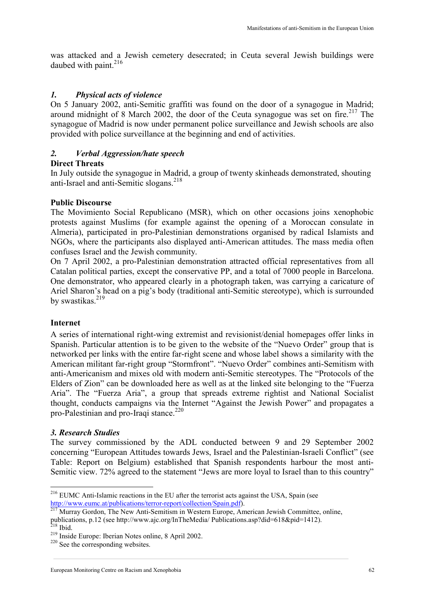was attacked and a Jewish cemetery desecrated; in Ceuta several Jewish buildings were daubed with paint.<sup>[216](#page-61-0)</sup>

#### *1. Physical acts of violence*

On 5 January 2002, anti-Semitic graffiti was found on the door of a synagogue in Madrid; around midnight of 8 March 2002, the door of the Ceuta synagogue was set on fire.<sup>217</sup> The synagogue of Madrid is now under permanent police surveillance and Jewish schools are also provided with police surveillance at the beginning and end of activities.

#### *2. Verbal Aggression/hate speech*

#### **Direct Threats**

In July outside the synagogue in Madrid, a group of twenty skinheads demonstrated, shouting anti-Israel and anti-Semitic slogans.<sup>[218](#page-61-2)</sup>

#### **Public Discourse**

The Movimiento Social Republicano (MSR), which on other occasions joins xenophobic protests against Muslims (for example against the opening of a Moroccan consulate in Almeria), participated in pro-Palestinian demonstrations organised by radical Islamists and NGOs, where the participants also displayed anti-American attitudes. The mass media often confuses Israel and the Jewish community.

On 7 April 2002, a pro-Palestinian demonstration attracted official representatives from all Catalan political parties, except the conservative PP, and a total of 7000 people in Barcelona. One demonstrator, who appeared clearly in a photograph taken, was carrying a caricature of Ariel Sharon's head on a pig's body (traditional anti-Semitic stereotype), which is surrounded by swastikas. $219$ 

#### **Internet**

A series of international right-wing extremist and revisionist/denial homepages offer links in Spanish. Particular attention is to be given to the website of the "Nuevo Order" group that is networked per links with the entire far-right scene and whose label shows a similarity with the American militant far-right group "Stormfront". "Nuevo Order" combines anti-Semitism with anti-Americanism and mixes old with modern anti-Semitic stereotypes. The "Protocols of the Elders of Zion" can be downloaded here as well as at the linked site belonging to the "Fuerza Aria". The "Fuerza Aria", a group that spreads extreme rightist and National Socialist thought, conducts campaigns via the Internet "Against the Jewish Power" and propagates a pro-Palestinian and pro-Iraqi stance.<sup>[220](#page-61-4)</sup>

#### *3. Research Studies*

 $\overline{a}$ 

The survey commissioned by the ADL conducted between 9 and 29 September 2002 concerning "European Attitudes towards Jews, Israel and the Palestinian-Israeli Conflict" (see Table: Report on Belgium) established that Spanish respondents harbour the most anti-Semitic view. 72% agreed to the statement "Jews are more loyal to Israel than to this country"

<span id="page-61-0"></span><sup>&</sup>lt;sup>216</sup> EUMC Anti-Islamic reactions in the EU after the terrorist acts against the USA, Spain (see

<span id="page-61-1"></span>http://www.eumc.at/publications/terror-report/collection/Spain.pdf).<br><sup>217</sup> Murray Gordon, The New Anti-Semitism in Western Europe, American Jewish Committee, online, publications, p.12 (see http://www.ajc.org/InTheMedia/ Publications.asp?did=618&pid=1412).

<span id="page-61-3"></span><span id="page-61-2"></span><sup>&</sup>lt;sup>219</sup> Inside Europe: Iberian Notes online, 8 April 2002.<br><sup>220</sup> See the corresponding websites.

<span id="page-61-4"></span>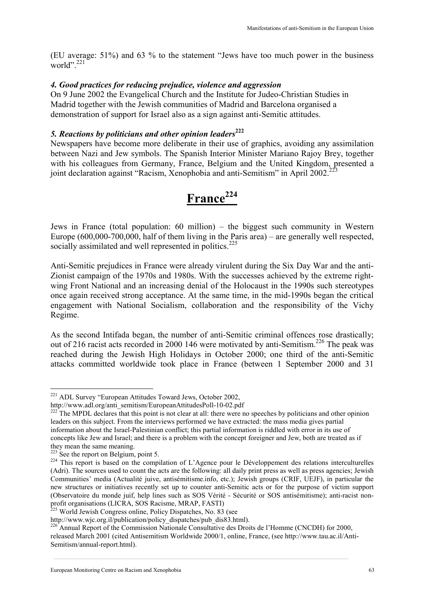(EU average: 51%) and 63 % to the statement "Jews have too much power in the business world". $^{221}$  $^{221}$  $^{221}$ 

#### *4. Good practices for reducing prejudice, violence and aggression*

On 9 June 2002 the Evangelical Church and the Institute for Judeo-Christian Studies in Madrid together with the Jewish communities of Madrid and Barcelona organised a demonstration of support for Israel also as a sign against anti-Semitic attitudes.

#### *5. Reactions by politicians and other opinion leaders***[222](#page-62-1)**

Newspapers have become more deliberate in their use of graphics, avoiding any assimilation between Nazi and Jew symbols. The Spanish Interior Minister Mariano Rajoy Brey, together with his colleagues from Germany, France, Belgium and the United Kingdom, presented a joint declaration against "Racism, Xenophobia and anti-Semitism" in April 2002.<sup>2</sup>

# **Franc[e224](#page-62-3)**

Jews in France (total population: 60 million) – the biggest such community in Western Europe (600,000-700,000, half of them living in the Paris area) – are generally well respected, socially assimilated and well represented in politics.<sup>[225](#page-62-4)</sup>

Anti-Semitic prejudices in France were already virulent during the Six Day War and the anti-Zionist campaign of the 1970s and 1980s. With the successes achieved by the extreme rightwing Front National and an increasing denial of the Holocaust in the 1990s such stereotypes once again received strong acceptance. At the same time, in the mid-1990s began the critical engagement with National Socialism, collaboration and the responsibility of the Vichy Regime.

As the second Intifada began, the number of anti-Semitic criminal offences rose drastically; out of 216 racist acts recorded in 2000 146 were motivated by anti-Semitism.<sup>226</sup> The peak was reached during the Jewish High Holidays in October 2000; one third of the anti-Semitic attacks committed worldwide took place in France (between 1 September 2000 and 31

<span id="page-62-0"></span><sup>&</sup>lt;sup>221</sup> ADL Survey "European Attitudes Toward Jews, October 2002,

http://www.adl.org/anti\_semitism/EuropeanAttitudesPoll-10-02.pdf

<span id="page-62-1"></span> $222$ <sup>222</sup> The MPDL declares that this point is not clear at all: there were no speeches by politicians and other opinion leaders on this subject. From the interviews performed we have extracted: the mass media gives partial information about the Israel-Palestinian conflict; this partial information is riddled with error in its use of concepts like Jew and Israel; and there is a problem with the concept foreigner and Jew, both are treated as if they mean the same meaning.<br><sup>223</sup> See the report on Belgium, point 5.

<span id="page-62-2"></span>

<span id="page-62-3"></span><sup>&</sup>lt;sup>224</sup> This report is based on the compilation of L'Agence pour le Développement des relations interculturelles (Adri). The sources used to count the acts are the following: all daily print press as well as press agencies; Jewish Communities' media (Actualité juive, antisémitisme.info, etc.); Jewish groups (CRIF, UEJF), in particular the new structures or initiatives recently set up to counter anti-Semitic acts or for the purpose of victim support (Observatoire du monde juif, help lines such as SOS Vérité - Sécurité or SOS antisémitisme); anti-racist nonprofit organisations (LICRA, SOS Racisme, MRAP, FASTI)

<span id="page-62-4"></span><sup>&</sup>lt;sup>225</sup> World Jewish Congress online, Policy Dispatches, No. 83 (see

<span id="page-62-5"></span>

http://www.wjc.org.il/publication/policy\_dispatches/pub\_dis83.html). <sup>226</sup> Annual Report of the Commission Nationale Consultative des Droits de l'Homme (CNCDH) for 2000, released March 2001 (cited Antisemitism Worldwide 2000/1, online, France, (see http://www.tau.ac.il/Anti-Semitism/annual-report.html).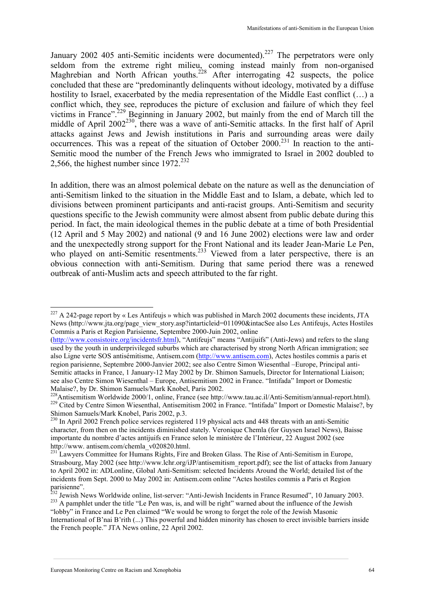January 2002 405 anti-Semitic incidents were documented).<sup>227</sup> The perpetrators were only seldom from the extreme right milieu, coming instead mainly from non-organised Maghrebian and North African youths.<sup>228</sup> After interrogating 42 suspects, the police concluded that these are "predominantly delinquents without ideology, motivated by a diffuse hostility to Israel, exacerbated by the media representation of the Middle East conflict (...) a conflict which, they see, reproduces the picture of exclusion and failure of which they feel victims in France".[229](#page-63-2) Beginning in January 2002, but mainly from the end of March till the middle of April 2002<sup>230</sup>, there was a wave of anti-Semitic attacks. In the first half of April attacks against Jews and Jewish institutions in Paris and surrounding areas were daily occurrences. This was a repeat of the situation of October 2000.<sup>231</sup> In reaction to the anti-Semitic mood the number of the French Jews who immigrated to Israel in 2002 doubled to 2,566, the highest number since  $1972^{232}$  $1972^{232}$  $1972^{232}$ 

In addition, there was an almost polemical debate on the nature as well as the denunciation of anti-Semitism linked to the situation in the Middle East and to Islam, a debate, which led to divisions between prominent participants and anti-racist groups. Anti-Semitism and security questions specific to the Jewish community were almost absent from public debate during this period. In fact, the main ideological themes in the public debate at a time of both Presidential (12 April and 5 May 2002) and national (9 and 16 June 2002) elections were law and order and the unexpectedly strong support for the Front National and its leader Jean-Marie Le Pen, who played on anti-Semitic resentments.<sup>233</sup> Viewed from a later perspective, there is an obvious connection with anti-Semitism. During that same period there was a renewed outbreak of anti-Muslim acts and speech attributed to the far right.

<span id="page-63-0"></span> $^{227}$  A 242-page report by « Les Antifeujs » which was published in March 2002 documents these incidents, JTA News (http://www.jta.org/page\_view\_story.asp?intarticleid=011090&intacSee also Les Antifeujs, Actes Hostiles Commis a Paris et Region Parisienne, Septembre 2000-Juin 2002, online

<sup>(</sup>http://www.consistoire.org/incidentsfr.html), "Antifeujs" means "Antijuifs" (Anti-Jews) and refers to the slang used by the youth in underprivileged suburbs which are characterised by strong North African immigration; see also Ligne verte SOS antisémitisme, Antisem.com (http://www.antisem.com), Actes hostiles commis a paris et region parisienne, Septembre 2000-Janvier 2002; see also Centre Simon Wiesenthal –Europe, Principal anti-Semitic attacks in France, 1 January-12 May 2002 by Dr. Shimon Samuels, Director for International Liaison; see also Centre Simon Wiesenthal – Europe, Antisemitism 2002 in France. "Intifada" Import or Domestic Malaise?, by Dr. Shimon Samuels/Mark Knobel, Paris 2002.<br><sup>228</sup>Antisemitism Worldwide 2000/1, online, France (see http://www.tau.ac.il/Anti-Semitism/annual-report.html).

<span id="page-63-2"></span><span id="page-63-1"></span><sup>&</sup>lt;sup>229</sup> Cited by Centre Simon Wiesenthal, Antisemitism 2002 in France. "Intifada" Import or Domestic Malaise?, by Shimon Samuels/Mark Knobel, Paris 2002, p.3.

<span id="page-63-3"></span><sup>&</sup>lt;sup>230</sup> In April 2002 French police services registered 119 physical acts and 448 threats with an anti-Semitic character, from then on the incidents diminished stately. Veronique Chemla (for Guysen Israel News), Baisse importante du nombre d'actes antijuifs en France selon le ministère de l'Intérieur, 22 August 2002 (see http://www. antisem.com/chemla\_v020820.html.

<span id="page-63-4"></span> $^{231}$  Lawyers Committee for Humans Rights, Fire and Broken Glass. The Rise of Anti-Semitism in Europe, Strasbourg, May 2002 (see http://www.lchr.org/iJP/antisemitism\_report.pdf); see the list of attacks from January to April 2002 in: ADLonline, Global Anti-Semitism: selected Incidents Around the World; detailed list of the incidents from Sept. 2000 to May 2002 in: Antisem.com online "Actes hostiles commis a Paris et Region

<span id="page-63-5"></span>parisienne".<br><sup>232</sup> Jewish News Worldwide online, list-server: "Anti-Jewish Incidents in France Resumed", 10 January 2003. <sup>233</sup> A pamphlet under the title "Le Pen was, is, and will be right" warned about the influence of the Jewish

<span id="page-63-6"></span><sup>&</sup>quot;lobby" in France and Le Pen claimed "We would be wrong to forget the role of the Jewish Masonic International of B'nai B'rith (...) This powerful and hidden minority has chosen to erect invisible barriers inside the French people." JTA News online, 22 April 2002.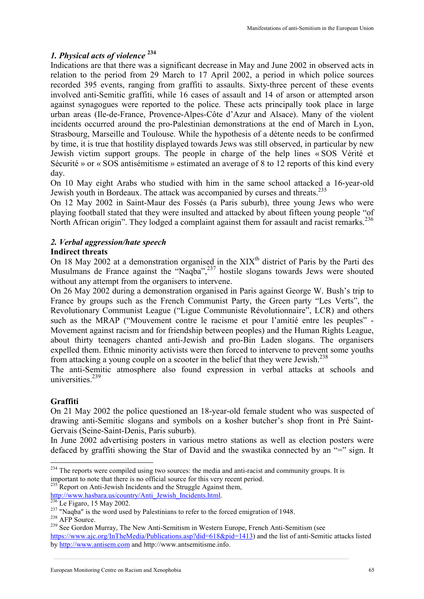#### *1. Physical acts of violence* **[234](#page-64-0)**

Indications are that there was a significant decrease in May and June 2002 in observed acts in relation to the period from 29 March to 17 April 2002, a period in which police sources recorded 395 events, ranging from graffiti to assaults. Sixty-three percent of these events involved anti-Semitic graffiti, while 16 cases of assault and 14 of arson or attempted arson against synagogues were reported to the police. These acts principally took place in large urban areas (Ile-de-France, Provence-Alpes-Côte d'Azur and Alsace). Many of the violent incidents occurred around the pro-Palestinian demonstrations at the end of March in Lyon, Strasbourg, Marseille and Toulouse. While the hypothesis of a détente needs to be confirmed by time, it is true that hostility displayed towards Jews was still observed, in particular by new Jewish victim support groups. The people in charge of the help lines « SOS Vérité et Sécurité » or « SOS antisémitisme » estimated an average of 8 to 12 reports of this kind every day.

On 10 May eight Arabs who studied with him in the same school attacked a 16-year-old Jewish youth in Bordeaux. The attack was accompanied by curses and threats.[235](#page-64-1)

On 12 May 2002 in Saint-Maur des Fossés (a Paris suburb), three young Jews who were playing football stated that they were insulted and attacked by about fifteen young people "of North African origin". They lodged a complaint against them for assault and racist remarks.<sup>[236](#page-64-2)</sup>

#### *2. Verbal aggression/hate speech*

#### **Indirect threats**

On 18 May 2002 at a demonstration organised in the  $XIX<sup>th</sup>$  district of Paris by the Parti des Musulmans de France against the "Naqba",<sup>237</sup> hostile slogans towards Jews were shouted without any attempt from the organisers to intervene.

On 26 May 2002 during a demonstration organised in Paris against George W. Bush's trip to France by groups such as the French Communist Party, the Green party "Les Verts", the Revolutionary Communist League ("Ligue Communiste Révolutionnaire", LCR) and others such as the MRAP ("Mouvement contre le racisme et pour l'amitié entre les peuples" - Movement against racism and for friendship between peoples) and the Human Rights League, about thirty teenagers chanted anti-Jewish and pro-Bin Laden slogans. The organisers expelled them. Ethnic minority activists were then forced to intervene to prevent some youths from attacking a young couple on a scooter in the belief that they were Jewish.<sup>[238](#page-64-4)</sup>

The anti-Semitic atmosphere also found expression in verbal attacks at schools and universities $^{239}$  $^{239}$  $^{239}$ 

#### **Graffiti**

 $\overline{a}$ 

On 21 May 2002 the police questioned an 18-year-old female student who was suspected of drawing anti-Semitic slogans and symbols on a kosher butcher's shop front in Pré Saint-Gervais (Seine-Saint-Denis, Paris suburb).

In June 2002 advertising posters in various metro stations as well as election posters were defaced by graffiti showing the Star of David and the swastika connected by an "=" sign. It

<span id="page-64-1"></span> $235$ <sup>t</sup>Report on Anti-Jewish Incidents and the Struggle Against them,

<span id="page-64-0"></span><sup>&</sup>lt;sup>234</sup> The reports were compiled using two sources: the media and anti-racist and community groups. It is important to note that there is no official source for this very recent period.

<span id="page-64-3"></span><span id="page-64-2"></span>

http://www.hasbara.us/country/Anti\_Jewish\_Incidents.html.<br>
<sup>236</sup> Le Figaro, 15 May 2002.<br>
<sup>237</sup> "Naqba" is the word used by Palestinians to refer to the forced emigration of 1948.<br>
<sup>239</sup> See Gordon Murray, The New Anti-Sem

<span id="page-64-4"></span>

<span id="page-64-5"></span>https://www.ajc.org/InTheMedia/Publications.asp?did=618&pid=1413) and the list of anti-Semitic attacks listed by http://www.antisem.com and http://www.antsemitisme.info.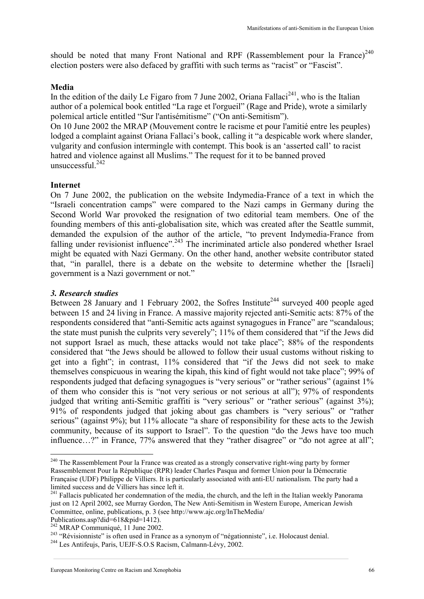should be noted that many Front National and RPF (Rassemblement pour la France)<sup>[240](#page-65-0)</sup> election posters were also defaced by graffiti with such terms as "racist" or "Fascist".

#### **Media**

In the edition of the daily Le Figaro from 7 June 2002, Oriana Fallaci<sup>241</sup>, who is the Italian author of a polemical book entitled "La rage et l'orgueil" (Rage and Pride), wrote a similarly polemical article entitled "Sur l'antisémitisme" ("On anti-Semitism").

On 10 June 2002 the MRAP (Mouvement contre le racisme et pour l'amitié entre les peuples) lodged a complaint against Oriana Fallaci's book, calling it "a despicable work where slander, vulgarity and confusion intermingle with contempt. This book is an 'asserted call' to racist hatred and violence against all Muslims." The request for it to be banned proved unsuccessful  $^{242}$  $^{242}$  $^{242}$ 

#### **Internet**

On 7 June 2002, the publication on the website Indymedia-France of a text in which the "Israeli concentration camps" were compared to the Nazi camps in Germany during the Second World War provoked the resignation of two editorial team members. One of the founding members of this anti-globalisation site, which was created after the Seattle summit, demanded the expulsion of the author of the article, "to prevent Indymedia-France from falling under revisionist influence".<sup>243</sup> The incriminated article also pondered whether Israel might be equated with Nazi Germany. On the other hand, another website contributor stated that, "in parallel, there is a debate on the website to determine whether the [Israeli] government is a Nazi government or not."

#### *3. Research studies*

 $\overline{a}$ 

Between 28 January and 1 February 2002, the Sofres Institute<sup>244</sup> surveyed 400 people aged between 15 and 24 living in France. A massive majority rejected anti-Semitic acts: 87% of the respondents considered that "anti-Semitic acts against synagogues in France" are "scandalous; the state must punish the culprits very severely"; 11% of them considered that "if the Jews did not support Israel as much, these attacks would not take place"; 88% of the respondents considered that "the Jews should be allowed to follow their usual customs without risking to get into a fight"; in contrast, 11% considered that "if the Jews did not seek to make themselves conspicuous in wearing the kipah, this kind of fight would not take place"; 99% of respondents judged that defacing synagogues is "very serious" or "rather serious" (against 1%) of them who consider this is "not very serious or not serious at all"); 97% of respondents judged that writing anti-Semitic graffiti is "very serious" or "rather serious" (against 3%); 91% of respondents judged that joking about gas chambers is "very serious" or "rather serious" (against 9%); but 11% allocate "a share of responsibility for these acts to the Jewish community, because of its support to Israel". To the question "do the Jews have too much influence…?" in France, 77% answered that they "rather disagree" or "do not agree at all";

<span id="page-65-0"></span><sup>&</sup>lt;sup>240</sup> The Rassemblement Pour la France was created as a strongly conservative right-wing party by former Rassemblement Pour la République (RPR) leader Charles Pasqua and former Union pour la Démocratie Française (UDF) Philippe de Villiers. It is particularly associated with anti-EU nationalism. The party had a limited success and de Villiers has since left it.

<span id="page-65-1"></span><sup>&</sup>lt;sup>241</sup> Fallacis publicated her condemnation of the media, the church, and the left in the Italian weekly Panorama just on 12 April 2002, see Murray Gordon, The New Anti-Semitism in Western Europe, American Jewish Committee, online, publications, p. 3 (see http://www.ajc.org/InTheMedia/

Publications.asp?did=618&pid=1412).<br><sup>242</sup> MRAP Communiqué, 11 June 2002.

<span id="page-65-2"></span>

<span id="page-65-3"></span><sup>243 &</sup>quot;Révisionniste" is often used in France as a synonym of "négationniste", i.e. Holocaust denial.<br><sup>244</sup> Les Antifeujs, Paris, UEJF-S.O.S Racism, Calmann-Lévy, 2002.

<span id="page-65-4"></span>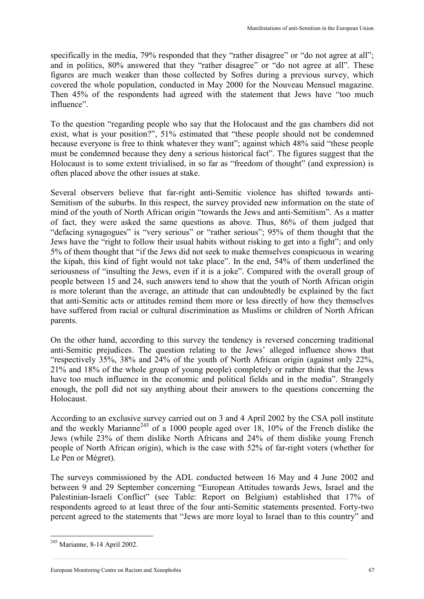specifically in the media, 79% responded that they "rather disagree" or "do not agree at all"; and in politics, 80% answered that they "rather disagree" or "do not agree at all". These figures are much weaker than those collected by Sofres during a previous survey, which covered the whole population, conducted in May 2000 for the Nouveau Mensuel magazine. Then 45% of the respondents had agreed with the statement that Jews have "too much influence".

To the question "regarding people who say that the Holocaust and the gas chambers did not exist, what is your position?", 51% estimated that "these people should not be condemned because everyone is free to think whatever they want"; against which 48% said "these people must be condemned because they deny a serious historical fact". The figures suggest that the Holocaust is to some extent trivialised, in so far as "freedom of thought" (and expression) is often placed above the other issues at stake.

Several observers believe that far-right anti-Semitic violence has shifted towards anti-Semitism of the suburbs. In this respect, the survey provided new information on the state of mind of the youth of North African origin "towards the Jews and anti-Semitism". As a matter of fact, they were asked the same questions as above. Thus, 86% of them judged that "defacing synagogues" is "very serious" or "rather serious"; 95% of them thought that the Jews have the "right to follow their usual habits without risking to get into a fight"; and only 5% of them thought that "if the Jews did not seek to make themselves conspicuous in wearing the kipah, this kind of fight would not take place". In the end, 54% of them underlined the seriousness of "insulting the Jews, even if it is a joke". Compared with the overall group of people between 15 and 24, such answers tend to show that the youth of North African origin is more tolerant than the average, an attitude that can undoubtedly be explained by the fact that anti-Semitic acts or attitudes remind them more or less directly of how they themselves have suffered from racial or cultural discrimination as Muslims or children of North African parents.

On the other hand, according to this survey the tendency is reversed concerning traditional anti-Semitic prejudices. The question relating to the Jews' alleged influence shows that "respectively 35%, 38% and 24% of the youth of North African origin (against only 22%, 21% and 18% of the whole group of young people) completely or rather think that the Jews have too much influence in the economic and political fields and in the media". Strangely enough, the poll did not say anything about their answers to the questions concerning the Holocaust.

According to an exclusive survey carried out on 3 and 4 April 2002 by the CSA poll institute and the weekly Marianne<sup>245</sup> of a 1000 people aged over 18, 10% of the French dislike the Jews (while 23% of them dislike North Africans and 24% of them dislike young French people of North African origin), which is the case with 52% of far-right voters (whether for Le Pen or Mégret).

The surveys commissioned by the ADL conducted between 16 May and 4 June 2002 and between 9 and 29 September concerning "European Attitudes towards Jews, Israel and the Palestinian-Israeli Conflict" (see Table: Report on Belgium) established that 17% of respondents agreed to at least three of the four anti-Semitic statements presented. Forty-two percent agreed to the statements that "Jews are more loyal to Israel than to this country" and

<span id="page-66-0"></span><sup>&</sup>lt;sup>245</sup> Marianne, 8-14 April 2002.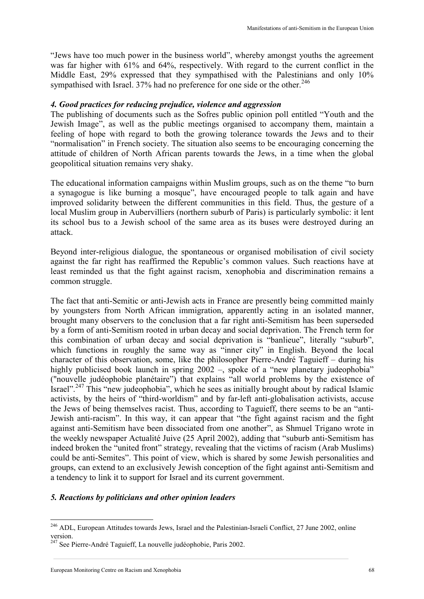"Jews have too much power in the business world", whereby amongst youths the agreement was far higher with 61% and 64%, respectively. With regard to the current conflict in the Middle East, 29% expressed that they sympathised with the Palestinians and only 10% sympathised with Israel.  $37\%$  had no preference for one side or the other.<sup>[246](#page-67-0)</sup>

#### *4. Good practices for reducing prejudice, violence and aggression*

The publishing of documents such as the Sofres public opinion poll entitled "Youth and the Jewish Image", as well as the public meetings organised to accompany them, maintain a feeling of hope with regard to both the growing tolerance towards the Jews and to their "normalisation" in French society. The situation also seems to be encouraging concerning the attitude of children of North African parents towards the Jews, in a time when the global geopolitical situation remains very shaky.

The educational information campaigns within Muslim groups, such as on the theme "to burn a synagogue is like burning a mosque", have encouraged people to talk again and have improved solidarity between the different communities in this field. Thus, the gesture of a local Muslim group in Aubervilliers (northern suburb of Paris) is particularly symbolic: it lent its school bus to a Jewish school of the same area as its buses were destroyed during an attack.

Beyond inter-religious dialogue, the spontaneous or organised mobilisation of civil society against the far right has reaffirmed the Republic's common values. Such reactions have at least reminded us that the fight against racism, xenophobia and discrimination remains a common struggle.

The fact that anti-Semitic or anti-Jewish acts in France are presently being committed mainly by youngsters from North African immigration, apparently acting in an isolated manner, brought many observers to the conclusion that a far right anti-Semitism has been superseded by a form of anti-Semitism rooted in urban decay and social deprivation. The French term for this combination of urban decay and social deprivation is "banlieue", literally "suburb", which functions in roughly the same way as "inner city" in English. Beyond the local character of this observation, some, like the philosopher Pierre-André Taguieff – during his highly publicised book launch in spring 2002 –, spoke of a "new planetary judeophobia" ("nouvelle judéophobie planétaire") that explains "all world problems by the existence of Israel".[247 T](#page-67-1)his "new judeophobia", which he sees as initially brought about by radical Islamic activists, by the heirs of "third-worldism" and by far-left anti-globalisation activists, accuse the Jews of being themselves racist. Thus, according to Taguieff, there seems to be an "anti-Jewish anti-racism". In this way, it can appear that "the fight against racism and the fight against anti-Semitism have been dissociated from one another", as Shmuel Trigano wrote in the weekly newspaper Actualité Juive (25 April 2002), adding that "suburb anti-Semitism has indeed broken the "united front" strategy, revealing that the victims of racism (Arab Muslims) could be anti-Semites". This point of view, which is shared by some Jewish personalities and groups, can extend to an exclusively Jewish conception of the fight against anti-Semitism and a tendency to link it to support for Israel and its current government.

#### *5. Reactions by politicians and other opinion leaders*

<span id="page-67-0"></span><sup>&</sup>lt;sup>246</sup> ADL, European Attitudes towards Jews, Israel and the Palestinian-Israeli Conflict, 27 June 2002, online version.

<span id="page-67-1"></span><sup>247</sup> See Pierre-André Taguieff, La nouvelle judéophobie, Paris 2002.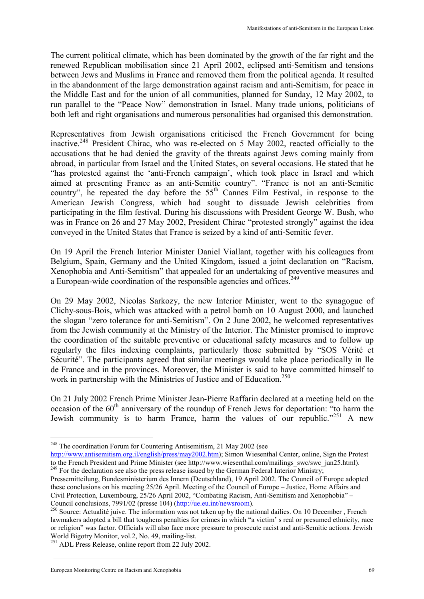The current political climate, which has been dominated by the growth of the far right and the renewed Republican mobilisation since 21 April 2002, eclipsed anti-Semitism and tensions between Jews and Muslims in France and removed them from the political agenda. It resulted in the abandonment of the large demonstration against racism and anti-Semitism, for peace in the Middle East and for the union of all communities, planned for Sunday, 12 May 2002, to run parallel to the "Peace Now" demonstration in Israel. Many trade unions, politicians of both left and right organisations and numerous personalities had organised this demonstration.

Representatives from Jewish organisations criticised the French Government for being inactive.<sup>248</sup> President Chirac, who was re-elected on 5 May 2002, reacted officially to the accusations that he had denied the gravity of the threats against Jews coming mainly from abroad, in particular from Israel and the United States, on several occasions. He stated that he "has protested against the 'anti-French campaign', which took place in Israel and which aimed at presenting France as an anti-Semitic country". "France is not an anti-Semitic country", he repeated the day before the  $55<sup>th</sup>$  Cannes Film Festival, in response to the American Jewish Congress, which had sought to dissuade Jewish celebrities from participating in the film festival. During his discussions with President George W. Bush, who was in France on 26 and 27 May 2002, President Chirac "protested strongly" against the idea conveyed in the United States that France is seized by a kind of anti-Semitic fever.

On 19 April the French Interior Minister Daniel Viallant, together with his colleagues from Belgium, Spain, Germany and the United Kingdom, issued a joint declaration on "Racism, Xenophobia and Anti-Semitism" that appealed for an undertaking of preventive measures and a European-wide coordination of the responsible agencies and offices.<sup>[249](#page-68-1)</sup>

On 29 May 2002, Nicolas Sarkozy, the new Interior Minister, went to the synagogue of Clichy-sous-Bois, which was attacked with a petrol bomb on 10 August 2000, and launched the slogan "zero tolerance for anti-Semitism". On 2 June 2002, he welcomed representatives from the Jewish community at the Ministry of the Interior. The Minister promised to improve the coordination of the suitable preventive or educational safety measures and to follow up regularly the files indexing complaints, particularly those submitted by "SOS Vérité et Sécurité". The participants agreed that similar meetings would take place periodically in Ile de France and in the provinces. Moreover, the Minister is said to have committed himself to work in partnership with the Ministries of Justice and of Education.<sup>[250](#page-68-2)</sup>

On 21 July 2002 French Prime Minister Jean-Pierre Raffarin declared at a meeting held on the occasion of the  $60<sup>th</sup>$  anniversary of the roundup of French Jews for deportation: "to harm the Jewish community is to harm France, harm the values of our republic."<sup>251</sup> A new

<span id="page-68-0"></span> $248$  The coordination Forum for Countering Antisemitism, 21 May 2002 (see

http://www.antisemitism.org.il/english/press/may2002.htm); Simon Wiesenthal Center, online, Sign the Protest to the French President and Prime Minister (see http://www.wiesenthal.com/mailings\_swc/swc\_jan25.html).  $249$  For the declaration see also the press release issued by the German Federal Interior Ministry;

<span id="page-68-1"></span>Pressemitteilung, Bundesministerium des Innern (Deutschland), 19 April 2002. The Council of Europe adopted these conclusions on his meeting 25/26 April. Meeting of the Council of Europe – Justice, Home Affairs and Civil Protection, Luxembourg, 25/26 April 2002, "Combating Racism, Anti-Semitism and Xenophobia" – Council conclusions. 7991/02 (presse 104) (http://ue.eu.int/newsroom).

<span id="page-68-2"></span><sup>&</sup>lt;sup>250</sup> Source: Actualité juive. The information was not taken up by the national dailies. On 10 December , French lawmakers adopted a bill that toughens penalties for crimes in which "a victim' s real or presumed ethnicity, race or religion" was factor. Officials will also face more pressure to prosecute racist and anti-Semitic actions. Jewish World Bigotry Monitor, vol.2, No. 49, mailing-list.

<span id="page-68-3"></span><sup>&</sup>lt;sup>251</sup> ADL Press Release, online report from 22 July 2002.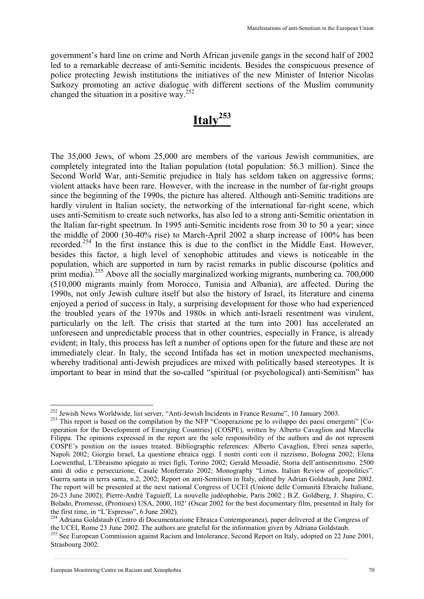government's hard line on crime and North African juvenile gangs in the second half of 2002 led to a remarkable decrease of anti-Semitic incidents. Besides the conspicuous presence of police protecting Jewish institutions the initiatives of the new Minister of Interior Nicolas Sarkozy promoting an active dialogue with different sections of the Muslim community changed the situation in a positive way.<sup>[252](#page-69-0)</sup>

## **Italy[253](#page-69-1)**

The 35,000 Jews, of whom 25,000 are members of the various Jewish communities, are completely integrated into the Italian population (total population: 56.3 million). Since the Second World War, anti-Semitic prejudice in Italy has seldom taken on aggressive forms; violent attacks have been rare. However, with the increase in the number of far-right groups since the beginning of the 1990s, the picture has altered. Although anti-Semitic traditions are hardly virulent in Italian society, the networking of the international far-right scene, which uses anti-Semitism to create such networks, has also led to a strong anti-Semitic orientation in the Italian far-right spectrum. In 1995 anti-Semitic incidents rose from 30 to 50 a year; since the middle of 2000 (30-40% rise) to March-April 2002 a sharp increase of 100% has been recorded.[254](#page-69-2) In the first instance this is due to the conflict in the Middle East. However, besides this factor, a high level of xenophobic attitudes and views is noticeable in the population, which are supported in turn by racist remarks in public discourse (politics and print media).<sup>255</sup> Above all the socially marginalized working migrants, numbering ca. 700,000 (510,000 migrants mainly from Morocco, Tunisia and Albania), are affected. During the 1990s, not only Jewish culture itself but also the history of Israel, its literature and cinema enjoyed a period of success in Italy, a surprising development for those who had experienced the troubled years of the 1970s and 1980s in which anti-Israeli resentment was virulent, particularly on the left. The crisis that started at the turn into 2001 has accelerated an unforeseen and unpredictable process that in other countries, especially in France, is already evident; in Italy, this process has left a number of options open for the future and these are not immediately clear. In Italy, the second Intifada has set in motion unexpected mechanisms, whereby traditional anti-Jewish prejudices are mixed with politically based stereotypes. It is important to bear in mind that the so-called "spiritual (or psychological) anti-Semitism" has

<span id="page-69-0"></span><sup>&</sup>lt;sup>252</sup> Jewish News Worldwide, list server, "Anti-Jewish Incidents in France Resume", 10 January 2003.

<span id="page-69-1"></span><sup>&</sup>lt;sup>253</sup> This report is based on the compilation by the NFP "Cooperazione pe lo sviluppo dei paesi emergenti" [Cooperation for the Development of Emerging Countries] (COSPE), written by Alberto Cavaglion and Marcella Filippa. The opinions expressed in the report are the sole responsibility of the authors and do not represent COSPE's position on the issues treated. Bibliographic references: Alberto Cavaglion, Ebrei senza saperlo, Napoli 2002; Giorgio Israel, La questione ebraica oggi. I nostri conti con il razzismo, Bologna 2002; Elena Loewenthal, L'Ebraismo spiegato ai miei figli, Torino 2002; Gerald Messadié, Storia dell'antisemitismo. 2500 anni di odio e persecuzione, Casale Monferrato 2002; Monography "Limes. Italian Review of geopolitics". Guerra santa in terra santa, n.2, 2002; Report on anti-Semitism in Italy, edited by Adrian Goldstaub, June 2002. The report will be presented at the next national Congress of UCEI (Unione delle Comunità Ebraiche Italiane, 20-23 June 2002); Pierre-André Taguieff, La nouvelle judéophobie, Paris 2002 ; B.Z. Goldberg, J. Shapiro, C. Bolado, Promesse, (Promises) USA, 2000, 102' (Oscar 2002 for the best documentary film, presented in Italy for the first time, in "L'Espresso", 6 June 2002).

<span id="page-69-2"></span><sup>&</sup>lt;sup>254</sup> Adriana Goldstaub (Centro di Documentazione Ebraica Contemporanea), paper delivered at the Congress of the UCEI, Rome 23 June 2002. The authors are grateful for the information given by Adriana Goldstaub.

<span id="page-69-3"></span><sup>&</sup>lt;sup>255</sup> See European Commission against Racism and Intolerance, Second Report on Italy, adopted on 22 June 2001, Strasbourg 2002.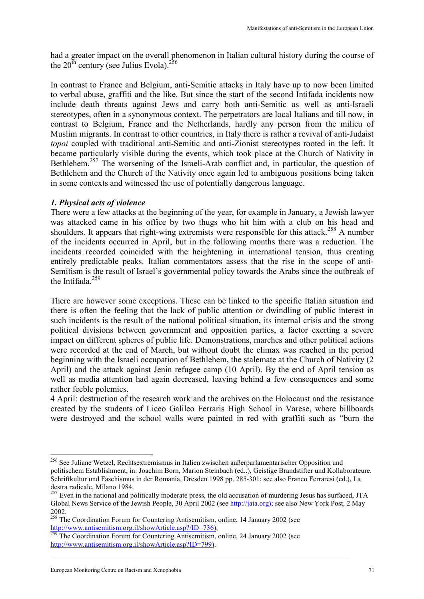had a greater impact on the overall phenomenon in Italian cultural history during the course of the  $20^{th}$  century (see Julius Evola).<sup>[256](#page-70-0)</sup>

In contrast to France and Belgium, anti-Semitic attacks in Italy have up to now been limited to verbal abuse, graffiti and the like. But since the start of the second Intifada incidents now include death threats against Jews and carry both anti-Semitic as well as anti-Israeli stereotypes, often in a synonymous context. The perpetrators are local Italians and till now, in contrast to Belgium, France and the Netherlands, hardly any person from the milieu of Muslim migrants. In contrast to other countries, in Italy there is rather a revival of anti-Judaist *topoi* coupled with traditional anti-Semitic and anti-Zionist stereotypes rooted in the left. It became particularly visible during the events, which took place at the Church of Nativity in Bethlehem.<sup>257</sup> The worsening of the Israeli-Arab conflict and, in particular, the question of Bethlehem and the Church of the Nativity once again led to ambiguous positions being taken in some contexts and witnessed the use of potentially dangerous language.

#### *1. Physical acts of violence*

There were a few attacks at the beginning of the year, for example in January, a Jewish lawyer was attacked came in his office by two thugs who hit him with a club on his head and shoulders. It appears that right-wing extremists were responsible for this attack.<sup>258</sup> A number of the incidents occurred in April, but in the following months there was a reduction. The incidents recorded coincided with the heightening in international tension, thus creating entirely predictable peaks. Italian commentators assess that the rise in the scope of anti-Semitism is the result of Israel's governmental policy towards the Arabs since the outbreak of the Intifada. $259$ 

There are however some exceptions. These can be linked to the specific Italian situation and there is often the feeling that the lack of public attention or dwindling of public interest in such incidents is the result of the national political situation, its internal crisis and the strong political divisions between government and opposition parties, a factor exerting a severe impact on different spheres of public life. Demonstrations, marches and other political actions were recorded at the end of March, but without doubt the climax was reached in the period beginning with the Israeli occupation of Bethlehem, the stalemate at the Church of Nativity (2 April) and the attack against Jenin refugee camp (10 April). By the end of April tension as well as media attention had again decreased, leaving behind a few consequences and some rather feeble polemics.

4 April: destruction of the research work and the archives on the Holocaust and the resistance created by the students of Liceo Galileo Ferraris High School in Varese, where billboards were destroyed and the school walls were painted in red with graffiti such as "burn the

<span id="page-70-0"></span><sup>&</sup>lt;sup>256</sup> See Juliane Wetzel, Rechtsextremismus in Italien zwischen außerparlamentarischer Opposition und politischem Establishment, in: Joachim Born, Marion Steinbach (ed..), Geistige Brandstifter und Kollaborateure. Schriftkultur und Faschismus in der Romania, Dresden 1998 pp. 285-301; see also Franco Ferraresi (ed.), La destra radicale, Milano 1984.

<span id="page-70-1"></span> $^{257}$  Even in the national and politically moderate press, the old accusation of murdering Jesus has surfaced, JTA Global News Service of the Jewish People, 30 April 2002 (see http://jata.org); see also New York Post, 2 May 2002.

<span id="page-70-2"></span><sup>&</sup>lt;sup>258</sup> The Coordination Forum for Countering Antisemitism, online, 14 January 2002 (see http://www.antisemitism.org.il/showArticle.asp?/ID=736).

<span id="page-70-3"></span>The Coordination Forum for Countering Antisemitism. online, 24 January 2002 (see http://www.antisemitism.org.il/showArticle.asp?ID=799).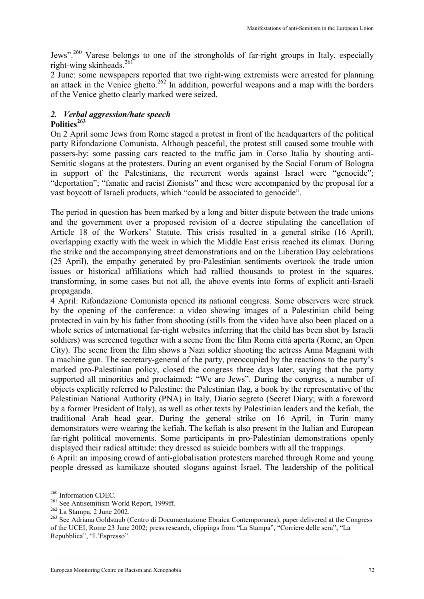Jews".[260](#page-71-0) Varese belongs to one of the strongholds of far-right groups in Italy, especially right-wing skinheads.<sup>[261](#page-71-1)</sup>

2 June: some newspapers reported that two right-wing extremists were arrested for planning an attack in the Venice ghetto.<sup>262</sup> In addition, powerful weapons and a map with the borders of the Venice ghetto clearly marked were seized.

#### *2. Verbal aggression/hate speech* **Politics[263](#page-71-3)**

On 2 April some Jews from Rome staged a protest in front of the headquarters of the political party Rifondazione Comunista. Although peaceful, the protest still caused some trouble with passers-by: some passing cars reacted to the traffic jam in Corso Italia by shouting anti-Semitic slogans at the protesters. During an event organised by the Social Forum of Bologna in support of the Palestinians, the recurrent words against Israel were "genocide"; "deportation"; "fanatic and racist Zionists" and these were accompanied by the proposal for a vast boycott of Israeli products, which "could be associated to genocide".

The period in question has been marked by a long and bitter dispute between the trade unions and the government over a proposed revision of a decree stipulating the cancellation of Article 18 of the Workers' Statute. This crisis resulted in a general strike (16 April), overlapping exactly with the week in which the Middle East crisis reached its climax. During the strike and the accompanying street demonstrations and on the Liberation Day celebrations (25 April), the empathy generated by pro-Palestinian sentiments overtook the trade union issues or historical affiliations which had rallied thousands to protest in the squares, transforming, in some cases but not all, the above events into forms of explicit anti-Israeli propaganda.

4 April: Rifondazione Comunista opened its national congress. Some observers were struck by the opening of the conference: a video showing images of a Palestinian child being protected in vain by his father from shooting (stills from the video have also been placed on a whole series of international far-right websites inferring that the child has been shot by Israeli soldiers) was screened together with a scene from the film Roma città aperta (Rome, an Open City). The scene from the film shows a Nazi soldier shooting the actress Anna Magnani with a machine gun. The secretary-general of the party, preoccupied by the reactions to the party's marked pro-Palestinian policy, closed the congress three days later, saying that the party supported all minorities and proclaimed: "We are Jews". During the congress, a number of objects explicitly referred to Palestine: the Palestinian flag, a book by the representative of the Palestinian National Authority (PNA) in Italy, Diario segreto (Secret Diary; with a foreword by a former President of Italy), as well as other texts by Palestinian leaders and the kefiah, the traditional Arab head gear. During the general strike on 16 April, in Turin many demonstrators were wearing the kefiah. The kefiah is also present in the Italian and European far-right political movements. Some participants in pro-Palestinian demonstrations openly displayed their radical attitude: they dressed as suicide bombers with all the trappings.

6 April: an imposing crowd of anti-globalisation protesters marched through Rome and young people dressed as kamikaze shouted slogans against Israel. The leadership of the political

<span id="page-71-0"></span><sup>&</sup>lt;sup>260</sup> Information CDEC.

<span id="page-71-1"></span>

<span id="page-71-3"></span><span id="page-71-2"></span>

<sup>&</sup>lt;sup>261</sup> See Antisemitism World Report, 1999ff.<br><sup>262</sup> La Stampa, 2 June 2002.<br><sup>263</sup> See Adriana Goldstaub (Centro di Documentazione Ebraica Contemporanea), paper delivered at the Congress of the UCEI, Rome 23 June 2002; press research, clippings from "La Stampa", "Corriere delle sera", "La Repubblica", "L'Espresso".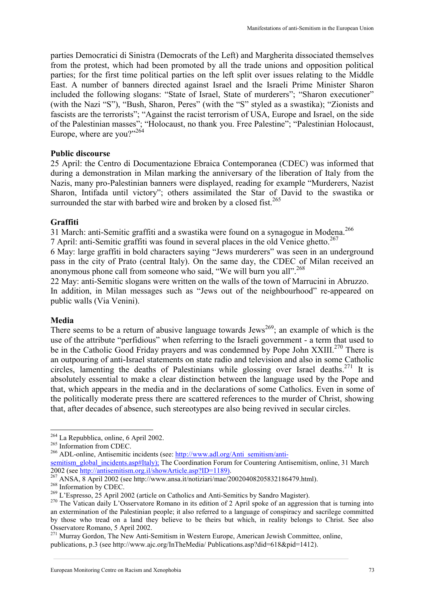parties Democratici di Sinistra (Democrats of the Left) and Margherita dissociated themselves from the protest, which had been promoted by all the trade unions and opposition political parties; for the first time political parties on the left split over issues relating to the Middle East. A number of banners directed against Israel and the Israeli Prime Minister Sharon included the following slogans: "State of Israel, State of murderers"; "Sharon executioner" (with the Nazi "S"), "Bush, Sharon, Peres" (with the "S" styled as a swastika); "Zionists and fascists are the terrorists"; "Against the racist terrorism of USA, Europe and Israel, on the side of the Palestinian masses"; "Holocaust, no thank you. Free Palestine"; "Palestinian Holocaust, Europe, where are you?"[264](#page-72-0)

#### **Public discourse**

25 April: the Centro di Documentazione Ebraica Contemporanea (CDEC) was informed that during a demonstration in Milan marking the anniversary of the liberation of Italy from the Nazis, many pro-Palestinian banners were displayed, reading for example "Murderers, Nazist Sharon, Intifada until victory"; others assimilated the Star of David to the swastika or surrounded the star with barbed wire and broken by a closed fist.<sup>[265](#page-72-1)</sup>

#### **Graffiti**

31 March: anti-Semitic graffiti and a swastika were found on a synagogue in Modena.[266](#page-72-2)

7 April: anti-Semitic graffiti was found in several places in the old Venice ghetto.<sup>[267](#page-72-3)</sup>

6 May: large graffiti in bold characters saying "Jews murderers" was seen in an underground pass in the city of Prato (central Italy). On the same day, the CDEC of Milan received an anonymous phone call from someone who said, "We will burn you all".<sup>[268](#page-72-4)</sup>

22 May: anti-Semitic slogans were written on the walls of the town of Marrucini in Abruzzo.

In addition, in Milan messages such as "Jews out of the neighbourhood" re-appeared on public walls (Via Venini).

#### **Media**

There seems to be a return of abusive language towards Jews<sup>269</sup>; an example of which is the use of the attribute "perfidious" when referring to the Israeli government - a term that used to be in the Catholic Good Friday prayers and was condemned by Pope John XXIII.<sup>270</sup> There is an outpouring of anti-Israel statements on state radio and television and also in some Catholic circles, lamenting the deaths of Palestinians while glossing over Israel deaths.<sup>271</sup> It is absolutely essential to make a clear distinction between the language used by the Pope and that, which appears in the media and in the declarations of some Catholics. Even in some of the politically moderate press there are scattered references to the murder of Christ, showing that, after decades of absence, such stereotypes are also being revived in secular circles.

<span id="page-72-0"></span><sup>&</sup>lt;sup>264</sup> La Repubblica, online, 6 April 2002.

<span id="page-72-2"></span><span id="page-72-1"></span>

<sup>265</sup> Information from CDEC.<br><sup>266</sup> ADL-online, Antisemitic incidents (see: http://www.adl.org/Anti\_semitism/antisemitism\_global\_incidents.asp#Italy); The Coordination Forum for Countering Antisemitism, online, 31 March 2002 (see http://antisemitism.org.il/showArticle.asp?ID=1189).

<span id="page-72-3"></span>

<span id="page-72-4"></span>

<span id="page-72-6"></span><span id="page-72-5"></span>

<sup>&</sup>lt;sup>267</sup> ANSA, 8 April 2002 (see http://www.ansa.it/notiziari/mae/20020408205832186479.html).<br><sup>268</sup> Information by CDEC.<br><sup>269</sup> L'Espresso, 25 April 2002 (article on Catholics and Anti-Semitics by Sandro Magister).<br><sup>269</sup> L'Es an extermination of the Palestinian people; it also referred to a language of conspiracy and sacrilege committed by those who tread on a land they believe to be theirs but which, in reality belongs to Christ. See also Osservatore Romano, 5 April 2002.

<span id="page-72-7"></span><sup>271</sup> Murray Gordon, The New Anti-Semitism in Western Europe, American Jewish Committee, online, publications, p.3 (see http://www.ajc.org/InTheMedia/ Publications.asp?did=618&pid=1412).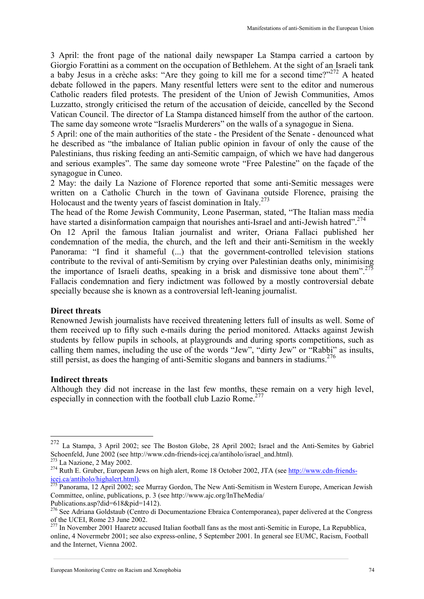3 April: the front page of the national daily newspaper La Stampa carried a cartoon by Giorgio Forattini as a comment on the occupation of Bethlehem. At the sight of an Israeli tank a baby Jesus in a crèche asks: "Are they going to kill me for a second time?"<sup>272</sup> A heated debate followed in the papers. Many resentful letters were sent to the editor and numerous Catholic readers filed protests. The president of the Union of Jewish Communities, Amos Luzzatto, strongly criticised the return of the accusation of deicide, cancelled by the Second Vatican Council. The director of La Stampa distanced himself from the author of the cartoon. The same day someone wrote "Israelis Murderers" on the walls of a synagogue in Siena.

5 April: one of the main authorities of the state - the President of the Senate - denounced what he described as "the imbalance of Italian public opinion in favour of only the cause of the Palestinians, thus risking feeding an anti-Semitic campaign, of which we have had dangerous and serious examples". The same day someone wrote "Free Palestine" on the façade of the synagogue in Cuneo.

2 May: the daily La Nazione of Florence reported that some anti-Semitic messages were written on a Catholic Church in the town of Gavinana outside Florence, praising the Holocaust and the twenty years of fascist domination in Italy.<sup>[273](#page-73-1)</sup>

The head of the Rome Jewish Community, Leone Paserman, stated, "The Italian mass media have started a disinformation campaign that nourishes anti-Israel and anti-Jewish hatred".<sup>[274](#page-73-2)</sup>

On 12 April the famous Italian journalist and writer, Oriana Fallaci published her condemnation of the media, the church, and the left and their anti-Semitism in the weekly Panorama: "I find it shameful (...) that the government-controlled television stations contribute to the revival of anti-Semitism by crying over Palestinian deaths only, minimising the importance of Israeli deaths, speaking in a brisk and dismissive tone about them".<sup>[275](#page-73-3)</sup> Fallacis condemnation and fiery indictment was followed by a mostly controversial debate specially because she is known as a controversial left-leaning journalist.

#### **Direct threats**

Renowned Jewish journalists have received threatening letters full of insults as well. Some of them received up to fifty such e-mails during the period monitored. Attacks against Jewish students by fellow pupils in schools, at playgrounds and during sports competitions, such as calling them names, including the use of the words "Jew", "dirty Jew" or "Rabbi" as insults, still persist, as does the hanging of anti-Semitic slogans and banners in stadiums.<sup>[276](#page-73-4)</sup>

#### **Indirect threats**

 $\overline{a}$ 

Although they did not increase in the last few months, these remain on a very high level, especially in connection with the football club Lazio Rome. $277$ 

<span id="page-73-0"></span> $272$  La Stampa, 3 April 2002; see The Boston Globe, 28 April 2002; Israel and the Anti-Semites by Gabriel Schoenfeld, June 2002 (see http://www.cdn-friends-icej.ca/antiholo/israel\_and.html).<br><sup>273</sup> La Nazione, 2 May 2002.

<span id="page-73-1"></span>

<span id="page-73-2"></span><sup>&</sup>lt;sup>274</sup> Ruth E. Gruber, European Jews on high alert, Rome 18 October 2002, JTA (see http://www.cdn-friendsicej.ca/antiholo/highalert.html).<br><sup>275</sup> Panorama, 12 April 2002; see Murray Gordon, The New Anti-Semitism in Western Europe, American Jewish

<span id="page-73-3"></span>Committee, online, publications, p. 3 (see http://www.ajc.org/InTheMedia/

Publications.asp?did=618&pid=1412).

<span id="page-73-4"></span><sup>&</sup>lt;sup>276</sup> See Adriana Goldstaub (Centro di Documentazione Ebraica Contemporanea), paper delivered at the Congress of the UCEI, Rome 23 June 2002.

<span id="page-73-5"></span><sup>&</sup>lt;sup>277</sup> In November 2001 Haaretz accused Italian football fans as the most anti-Semitic in Europe, La Repubblica, online, 4 Novermebr 2001; see also express-online, 5 September 2001. In general see EUMC, Racism, Football and the Internet, Vienna 2002.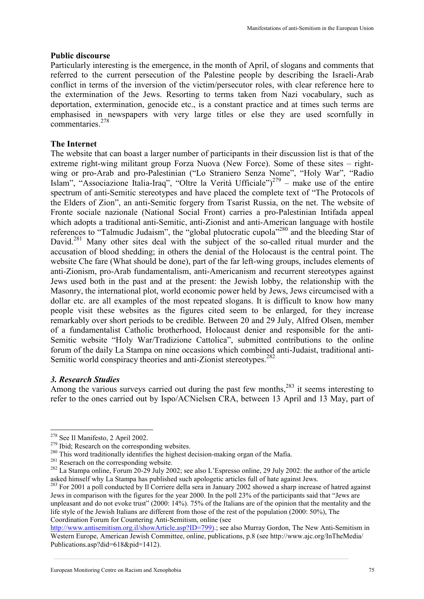### **Public discourse**

Particularly interesting is the emergence, in the month of April, of slogans and comments that referred to the current persecution of the Palestine people by describing the Israeli-Arab conflict in terms of the inversion of the victim/persecutor roles, with clear reference here to the extermination of the Jews. Resorting to terms taken from Nazi vocabulary, such as deportation, extermination, genocide etc., is a constant practice and at times such terms are emphasised in newspapers with very large titles or else they are used scornfully in commentaries.[278](#page-74-0)

## **The Internet**

The website that can boast a larger number of participants in their discussion list is that of the extreme right-wing militant group Forza Nuova (New Force). Some of these sites – rightwing or pro-Arab and pro-Palestinian ("Lo Straniero Senza Nome", "Holy War", "Radio Islam", "Associazione Italia-Iraq", "Oltre la Verità Ufficiale")<sup>279</sup> – make use of the entire spectrum of anti-Semitic stereotypes and have placed the complete text of "The Protocols of the Elders of Zion", an anti-Semitic forgery from Tsarist Russia, on the net. The website of Fronte sociale nazionale (National Social Front) carries a pro-Palestinian Intifada appeal which adopts a traditional anti-Semitic, anti-Zionist and anti-American language with hostile references to "Talmudic Judaism", the "global plutocratic cupola"[280](#page-74-2) and the bleeding Star of David.<sup>281</sup> Many other sites deal with the subject of the so-called ritual murder and the accusation of blood shedding; in others the denial of the Holocaust is the central point. The website Che fare (What should be done), part of the far left-wing groups, includes elements of anti-Zionism, pro-Arab fundamentalism, anti-Americanism and recurrent stereotypes against Jews used both in the past and at the present: the Jewish lobby, the relationship with the Masonry, the international plot, world economic power held by Jews, Jews circumcised with a dollar etc. are all examples of the most repeated slogans. It is difficult to know how many people visit these websites as the figures cited seem to be enlarged, for they increase remarkably over short periods to be credible. Between 20 and 29 July, Alfred Olsen, member of a fundamentalist Catholic brotherhood, Holocaust denier and responsible for the anti-Semitic website "Holy War/Tradizione Cattolica", submitted contributions to the online forum of the daily La Stampa on nine occasions which combined anti-Judaist, traditional anti-Semitic world conspiracy theories and anti-Zionist stereotypes.<sup>[282](#page-74-4)</sup>

#### *3. Research Studies*

Among the various surveys carried out during the past few months,  $283$  it seems interesting to refer to the ones carried out by Ispo/ACNielsen CRA, between 13 April and 13 May, part of

<span id="page-74-0"></span><sup>&</sup>lt;sup>278</sup> See Il Manifesto, 2 April 2002.

<span id="page-74-1"></span>

<span id="page-74-2"></span>

<span id="page-74-4"></span><span id="page-74-3"></span>

<sup>&</sup>lt;sup>279</sup> Ibid; Research on the corresponding websites.<br><sup>280</sup> This word traditionally identifies the highest decision-making organ of the Mafia.<br><sup>281</sup> Reserach on the corresponding website.<br><sup>281</sup> La Stampa online, Forum 20-29 asked himself why La Stampa has published such apologetic articles full of hate against Jews.

<span id="page-74-5"></span><sup>&</sup>lt;sup>283</sup> For 2001 a poll conducted by Il Corriere della sera in January 2002 showed a sharp increase of hatred against Jews in comparison with the figures for the year 2000. In the poll 23% of the participants said that "Jews are unpleasant and do not evoke trust" (2000: 14%). 75% of the Italians are of the opinion that the mentality and the life style of the Jewish Italians are different from those of the rest of the population (2000: 50%), The Coordination Forum for Countering Anti-Semitism, online (see

http://www.antisemitism.org.il/showArticle.asp?ID=799).; see also Murray Gordon, The New Anti-Semitism in Western Europe, American Jewish Committee, online, publications, p.8 (see http://www.ajc.org/InTheMedia/ Publications.asp?did=618&pid=1412).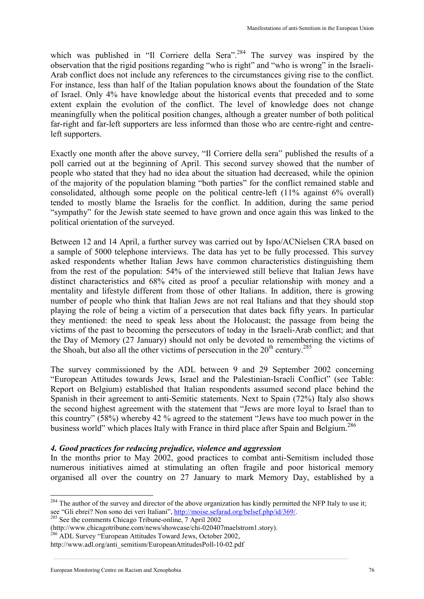which was published in "Il Corriere della Sera".<sup>284</sup> The survey was inspired by the observation that the rigid positions regarding "who is right" and "who is wrong" in the Israeli-Arab conflict does not include any references to the circumstances giving rise to the conflict. For instance, less than half of the Italian population knows about the foundation of the State of Israel. Only 4% have knowledge about the historical events that preceded and to some extent explain the evolution of the conflict. The level of knowledge does not change meaningfully when the political position changes, although a greater number of both political far-right and far-left supporters are less informed than those who are centre-right and centreleft supporters.

Exactly one month after the above survey, "Il Corriere della sera" published the results of a poll carried out at the beginning of April. This second survey showed that the number of people who stated that they had no idea about the situation had decreased, while the opinion of the majority of the population blaming "both parties" for the conflict remained stable and consolidated, although some people on the political centre-left (11% against 6% overall) tended to mostly blame the Israelis for the conflict. In addition, during the same period "sympathy" for the Jewish state seemed to have grown and once again this was linked to the political orientation of the surveyed.

Between 12 and 14 April, a further survey was carried out by Ispo/ACNielsen CRA based on a sample of 5000 telephone interviews. The data has yet to be fully processed. This survey asked respondents whether Italian Jews have common characteristics distinguishing them from the rest of the population: 54% of the interviewed still believe that Italian Jews have distinct characteristics and 68% cited as proof a peculiar relationship with money and a mentality and lifestyle different from those of other Italians. In addition, there is growing number of people who think that Italian Jews are not real Italians and that they should stop playing the role of being a victim of a persecution that dates back fifty years. In particular they mentioned: the need to speak less about the Holocaust; the passage from being the victims of the past to becoming the persecutors of today in the Israeli-Arab conflict; and that the Day of Memory (27 January) should not only be devoted to remembering the victims of the Shoah, but also all the other victims of persecution in the  $20<sup>th</sup>$  century.<sup>[285](#page-75-1)</sup>

The survey commissioned by the ADL between 9 and 29 September 2002 concerning "European Attitudes towards Jews, Israel and the Palestinian-Israeli Conflict" (see Table: Report on Belgium) established that Italian respondents assumed second place behind the Spanish in their agreement to anti-Semitic statements. Next to Spain (72%) Italy also shows the second highest agreement with the statement that "Jews are more loyal to Israel than to this country" (58%) whereby 42 % agreed to the statement "Jews have too much power in the business world" which places Italy with France in third place after Spain and Belgium.<sup>[286](#page-75-2)</sup>

#### *4. Good practices for reducing prejudice, violence and aggression*

In the months prior to May 2002, good practices to combat anti-Semitism included those numerous initiatives aimed at stimulating an often fragile and poor historical memory organised all over the country on 27 January to mark Memory Day, established by a

<span id="page-75-1"></span>

<span id="page-75-0"></span> $^{284}$  The author of the survey and director of the above organization has kindly permitted the NFP Italy to use it; see "Gli ebrei? Non sono dei veri Italiani", http://moise.sefarad.org/belsef.php/id/369/.<br><sup>285</sup> See the comments Chicago Tribune-online, 7 April 2002

<sup>(</sup>http://www.chicagotribune.com/news/showcase/chi-020407maelstrom1.story).

<span id="page-75-2"></span><sup>&</sup>lt;sup>286</sup> ADL Survey "European Attitudes Toward Jews, October 2002,

http://www.adl.org/anti\_semitism/EuropeanAttitudesPoll-10-02.pdf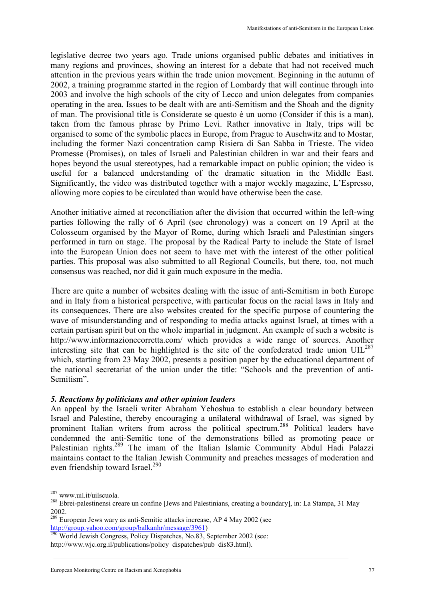legislative decree two years ago. Trade unions organised public debates and initiatives in many regions and provinces, showing an interest for a debate that had not received much attention in the previous years within the trade union movement. Beginning in the autumn of 2002, a training programme started in the region of Lombardy that will continue through into 2003 and involve the high schools of the city of Lecco and union delegates from companies operating in the area. Issues to be dealt with are anti-Semitism and the Shoah and the dignity of man. The provisional title is Considerate se questo è un uomo (Consider if this is a man), taken from the famous phrase by Primo Levi. Rather innovative in Italy, trips will be organised to some of the symbolic places in Europe, from Prague to Auschwitz and to Mostar, including the former Nazi concentration camp Risiera di San Sabba in Trieste. The video Promesse (Promises), on tales of Israeli and Palestinian children in war and their fears and hopes beyond the usual stereotypes, had a remarkable impact on public opinion; the video is useful for a balanced understanding of the dramatic situation in the Middle East. Significantly, the video was distributed together with a major weekly magazine, L'Espresso, allowing more copies to be circulated than would have otherwise been the case.

Another initiative aimed at reconciliation after the division that occurred within the left-wing parties following the rally of 6 April (see chronology) was a concert on 19 April at the Colosseum organised by the Mayor of Rome, during which Israeli and Palestinian singers performed in turn on stage. The proposal by the Radical Party to include the State of Israel into the European Union does not seem to have met with the interest of the other political parties. This proposal was also submitted to all Regional Councils, but there, too, not much consensus was reached, nor did it gain much exposure in the media.

There are quite a number of websites dealing with the issue of anti-Semitism in both Europe and in Italy from a historical perspective, with particular focus on the racial laws in Italy and its consequences. There are also websites created for the specific purpose of countering the wave of misunderstanding and of responding to media attacks against Israel, at times with a certain partisan spirit but on the whole impartial in judgment. An example of such a website is <http://www.informazionecorretta.com/>which provides a wide range of sources. Another interesting site that can be highlighted is the site of the confederated trade union  $UIL^{287}$ which, starting from 23 May 2002, presents a position paper by the educational department of the national secretariat of the union under the title: "Schools and the prevention of anti-Semitism".

#### *5. Reactions by politicians and other opinion leaders*

An appeal by the Israeli writer Abraham Yehoshua to establish a clear boundary between Israel and Palestine, thereby encouraging a unilateral withdrawal of Israel, was signed by prominent Italian writers from across the political spectrum.<sup>288</sup> Political leaders have condemned the anti-Semitic tone of the demonstrations billed as promoting peace or Palestinian rights.[289](#page-76-2) The imam of the Italian Islamic Community Abdul Hadi Palazzi maintains contact to the Italian Jewish Community and preaches messages of moderation and even friendship toward Israel.<sup>[290](#page-76-3)</sup>

<span id="page-76-0"></span><sup>&</sup>lt;sup>287</sup> www.uil.it/uilscuola.

<span id="page-76-1"></span><sup>&</sup>lt;sup>288</sup> Ebrei-palestinensi creare un confine [Jews and Palestinians, creating a boundary], in: La Stampa, 31 May 2002.

<span id="page-76-2"></span><sup>&</sup>lt;sup>289</sup> European Jews wary as anti-Semitic attacks increase, AP 4 May 2002 (see http://group.yahoo.com/group/balkanhr/message/3961)<br><sup>290</sup> World Jewish Congress, Policy Dispatches, No.83, September 2002 (see:

<span id="page-76-3"></span>http://www.wjc.org.il/publications/policy\_dispatches/pub\_dis83.html).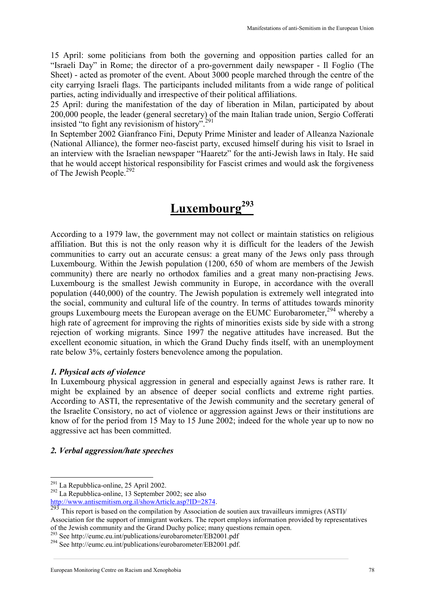15 April: some politicians from both the governing and opposition parties called for an "Israeli Day" in Rome; the director of a pro-government daily newspaper - Il Foglio (The Sheet) - acted as promoter of the event. About 3000 people marched through the centre of the city carrying Israeli flags. The participants included militants from a wide range of political parties, acting individually and irrespective of their political affiliations.

25 April: during the manifestation of the day of liberation in Milan, participated by about 200,000 people, the leader (general secretary) of the main Italian trade union, Sergio Cofferati insisted "to fight any revisionism of history".[291](#page-77-0)

In September 2002 Gianfranco Fini, Deputy Prime Minister and leader of Alleanza Nazionale (National Alliance), the former neo-fascist party, excused himself during his visit to Israel in an interview with the Israelian newspaper "Haaretz" for the anti-Jewish laws in Italy. He said that he would accept historical responsibility for Fascist crimes and would ask the forgiveness of The Jewish People.<sup>[292](#page-77-1)</sup>

## **Luxembour[g293](#page-77-2)**

According to a 1979 law, the government may not collect or maintain statistics on religious affiliation. But this is not the only reason why it is difficult for the leaders of the Jewish communities to carry out an accurate census: a great many of the Jews only pass through Luxembourg. Within the Jewish population (1200, 650 of whom are members of the Jewish community) there are nearly no orthodox families and a great many non-practising Jews. Luxembourg is the smallest Jewish community in Europe, in accordance with the overall population (440,000) of the country. The Jewish population is extremely well integrated into the social, community and cultural life of the country. In terms of attitudes towards minority groups Luxembourg meets the European average on the EUMC Eurobarometer,  $294$  whereby a high rate of agreement for improving the rights of minorities exists side by side with a strong rejection of working migrants. Since 1997 the negative attitudes have increased. But the excellent economic situation, in which the Grand Duchy finds itself, with an unemployment rate below 3%, certainly fosters benevolence among the population.

## *1. Physical acts of violence*

In Luxembourg physical aggression in general and especially against Jews is rather rare. It might be explained by an absence of deeper social conflicts and extreme right parties. According to ASTI, the representative of the Jewish community and the secretary general of the Israelite Consistory, no act of violence or aggression against Jews or their institutions are know of for the period from 15 May to 15 June 2002; indeed for the whole year up to now no aggressive act has been committed.

#### *2. Verbal aggression/hate speeches*

<span id="page-77-1"></span><sup>292</sup> La Repubblica-online, 13 September 2002; see also<br>http://www.antisemitism.org.il/showArticle.asp?ID=2874.

<span id="page-77-0"></span><sup>&</sup>lt;sup>291</sup> La Repubblica-online, 25 April 2002.

<span id="page-77-2"></span> $\frac{293}{293}$  This report is based on the compilation by Association de soutien aux travailleurs immigres (ASTI)/ Association for the support of immigrant workers. The report employs information provided by representatives of the Jewish community and the Grand Duchy police; many questions remain open.<br><sup>293</sup> See http://eumc.eu.int/publications/eurobarometer/EB2001.pdf

<span id="page-77-3"></span><sup>&</sup>lt;sup>294</sup> See http://eumc.eu.int/publications/eurobarometer/EB2001.pdf.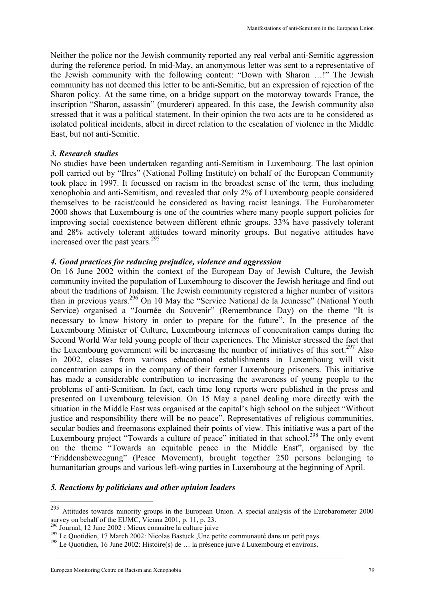Neither the police nor the Jewish community reported any real verbal anti-Semitic aggression during the reference period. In mid-May, an anonymous letter was sent to a representative of the Jewish community with the following content: "Down with Sharon …!" The Jewish community has not deemed this letter to be anti-Semitic, but an expression of rejection of the Sharon policy. At the same time, on a bridge support on the motorway towards France, the inscription "Sharon, assassin" (murderer) appeared. In this case, the Jewish community also stressed that it was a political statement. In their opinion the two acts are to be considered as isolated political incidents, albeit in direct relation to the escalation of violence in the Middle East, but not anti-Semitic.

## *3. Research studies*

No studies have been undertaken regarding anti-Semitism in Luxembourg. The last opinion poll carried out by "Ilres" (National Polling Institute) on behalf of the European Community took place in 1997. It focussed on racism in the broadest sense of the term, thus including xenophobia and anti-Semitism, and revealed that only 2% of Luxembourg people considered themselves to be racist/could be considered as having racist leanings. The Eurobarometer 2000 shows that Luxembourg is one of the countries where many people support policies for improving social coexistence between different ethnic groups. 33% have passively tolerant and 28% actively tolerant attitudes toward minority groups. But negative attitudes have increased over the past years.[295](#page-78-0)

## *4. Good practices for reducing prejudice, violence and aggression*

On 16 June 2002 within the context of the European Day of Jewish Culture, the Jewish community invited the population of Luxembourg to discover the Jewish heritage and find out about the traditions of Judaism. The Jewish community registered a higher number of visitors than in previous years.[296 O](#page-78-1)n 10 May the "Service National de la Jeunesse" (National Youth Service) organised a "Journée du Souvenir" (Remembrance Day) on the theme "It is necessary to know history in order to prepare for the future". In the presence of the Luxembourg Minister of Culture, Luxembourg internees of concentration camps during the Second World War told young people of their experiences. The Minister stressed the fact that the Luxembourg government will be increasing the number of initiatives of this sort.<sup>297</sup> Also in 2002, classes from various educational establishments in Luxembourg will visit concentration camps in the company of their former Luxembourg prisoners. This initiative has made a considerable contribution to increasing the awareness of young people to the problems of anti-Semitism. In fact, each time long reports were published in the press and presented on Luxembourg television. On 15 May a panel dealing more directly with the situation in the Middle East was organised at the capital's high school on the subject "Without justice and responsibility there will be no peace". Representatives of religious communities, secular bodies and freemasons explained their points of view. This initiative was a part of the Luxembourg project "Towards a culture of peace" initiated in that school.<sup>298</sup> The only event on the theme "Towards an equitable peace in the Middle East", organised by the "Friddensbeweegung" (Peace Movement), brought together 250 persons belonging to humanitarian groups and various left-wing parties in Luxembourg at the beginning of April.

## *5. Reactions by politicians and other opinion leaders*

<span id="page-78-0"></span><sup>&</sup>lt;sup>295</sup> Attitudes towards minority groups in the European Union. A special analysis of the Eurobarometer 2000 survey on behalf of the EUMC, Vienna 2001, p. 11, p. 23.<br><sup>296</sup> Journal, 12 June 2002 : Mieux connaître la culture juive

<span id="page-78-1"></span>

<span id="page-78-2"></span><sup>&</sup>lt;sup>297</sup> Le Quotidien, 17 March 2002: Nicolas Bastuck ,Une petite communauté dans un petit pays.<br><sup>298</sup> Le Quotidien, 16 June 2002: Histoire(s) de ... la présence juive à Luxembourg et environs.

<span id="page-78-3"></span>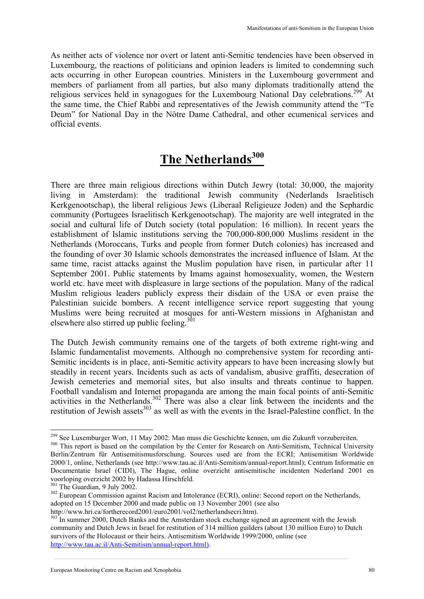As neither acts of violence nor overt or latent anti-Semitic tendencies have been observed in Luxembourg, the reactions of politicians and opinion leaders is limited to condemning such acts occurring in other European countries. Ministers in the Luxembourg government and members of parliament from all parties, but also many diplomats traditionally attend the religious services held in synagogues for the Luxembourg National Day celebrations.<sup>299</sup> At the same time, the Chief Rabbi and representatives of the Jewish community attend the "Te Deum" for National Day in the Nôtre Dame Cathedral, and other ecumenical services and official events.

# **The Netherlands**<sup>300</sup>

There are three main religious directions within Dutch Jewry (total: 30,000, the majority living in Amsterdam): the traditional Jewish community (Nederlands Israelitisch Kerkgenootschap), the liberal religious Jews (Liberaal Religieuze Joden) and the Sephardic community (Portugees Israelitisch Kerkgenootschap). The majority are well integrated in the social and cultural life of Dutch society (total population: 16 million). In recent years the establishment of Islamic institutions serving the 700,000-800,000 Muslims resident in the Netherlands (Moroccans, Turks and people from former Dutch colonies) has increased and the founding of over 30 Islamic schools demonstrates the increased influence of Islam. At the same time, racist attacks against the Muslim population have risen, in particular after 11 September 2001. Public statements by Imams against homosexuality, women, the Western world etc. have meet with displeasure in large sections of the population. Many of the radical Muslim religious leaders publicly express their disdain of the USA or even praise the Palestinian suicide bombers. A recent intelligence service report suggesting that young Muslims were being recruited at mosques for anti-Western missions in Afghanistan and elsewhere also stirred up public feeling. $301$ 

The Dutch Jewish community remains one of the targets of both extreme right-wing and Islamic fundamentalist movements. Although no comprehensive system for recording anti-Semitic incidents is in place, anti-Semitic activity appears to have been increasing slowly but steadily in recent years. Incidents such as acts of vandalism, abusive graffiti, desecration of Jewish cemeteries and memorial sites, but also insults and threats continue to happen. Football vandalism and Internet propaganda are among the main focal points of anti-Semitic activities in the Netherlands.<sup>302</sup> There was also a clear link between the incidents and the restitution of Jewish assets<sup>303</sup> as well as with the events in the Israel-Palestine conflict. In the

<span id="page-79-0"></span><sup>&</sup>lt;sup>299</sup> See Luxemburger Wort, 11 May 2002: Man muss die Geschichte kennen, um die Zukunft vorzubereiten.<br><sup>300</sup> This report is based on the compilation by the Center for Research on Anti-Semitism, Technical University

<span id="page-79-1"></span>Berlin/Zentrum für Antisemitismusforschung. Sources used are from the ECRI; Antisemitism Worldwide 2000/1, online, Netherlands (see http://www.tau.ac.il/Anti-Semitism/annual-report.html); Centrum Informatie en Documentatie Israel (CIDI), The Hague, online overzicht antisemitische incidenten Nederland 2001 en voorloping overzicht 2002 by Hadassa Hirschfeld.

<span id="page-79-2"></span>

<span id="page-79-3"></span><sup>&</sup>lt;sup>302</sup> European Commission against Racism and Intolerance (ECRI), online: Second report on the Netherlands, adopted on 15 December 2000 and made public on 13 November 2001 (see also

http://www.hri.ca/fortherecord2001/euro2001/vol2/netherlandsecri.htm).

<span id="page-79-4"></span><sup>&</sup>lt;sup>303</sup> In summer 2000, Dutch Banks and the Amsterdam stock exchange signed an agreement with the Jewish community and Dutch Jews in Israel for restitution of 314 million guilders (about 130 million Euro) to Dutch survivors of the Holocaust or their heirs. Antisemitism Worldwide 1999/2000, online (see http://www.tau.ac.il/Anti-Semitism/annual-report.html).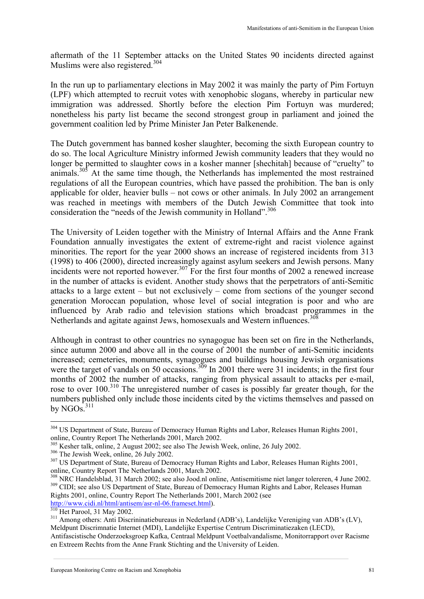aftermath of the 11 September attacks on the United States 90 incidents directed against Muslims were also registered.<sup>[304](#page-80-0)</sup>

In the run up to parliamentary elections in May 2002 it was mainly the party of Pim Fortuyn (LPF) which attempted to recruit votes with xenophobic slogans, whereby in particular new immigration was addressed. Shortly before the election Pim Fortuyn was murdered; nonetheless his party list became the second strongest group in parliament and joined the government coalition led by Prime Minister Jan Peter Balkenende.

The Dutch government has banned kosher slaughter, becoming the sixth European country to do so. The local Agriculture Ministry informed Jewish community leaders that they would no longer be permitted to slaughter cows in a kosher manner [shechitah] because of "cruelty" to animals.<sup>305</sup> At the same time though, the Netherlands has implemented the most restrained regulations of all the European countries, which have passed the prohibition. The ban is only applicable for older, heavier bulls – not cows or other animals. In July 2002 an arrangement was reached in meetings with members of the Dutch Jewish Committee that took into consideration the "needs of the Jewish community in Holland".<sup>[306](#page-80-2)</sup>

The University of Leiden together with the Ministry of Internal Affairs and the Anne Frank Foundation annually investigates the extent of extreme-right and racist violence against minorities. The report for the year 2000 shows an increase of registered incidents from 313 (1998) to 406 (2000), directed increasingly against asylum seekers and Jewish persons. Many incidents were not reported however.<sup>307</sup> For the first four months of 2002 a renewed increase in the number of attacks is evident. Another study shows that the perpetrators of anti-Semitic attacks to a large extent – but not exclusively – come from sections of the younger second generation Moroccan population, whose level of social integration is poor and who are influenced by Arab radio and television stations which broadcast programmes in the Netherlands and agitate against Jews, homosexuals and Western influences.<sup>[308](#page-80-4)</sup>

Although in contrast to other countries no synagogue has been set on fire in the Netherlands, since autumn 2000 and above all in the course of 2001 the number of anti-Semitic incidents increased; cemeteries, monuments, synagogues and buildings housing Jewish organisations were the target of vandals on 50 occasions.<sup>309</sup> In 2001 there were 31 incidents; in the first four months of 2002 the number of attacks, ranging from physical assault to attacks per e-mail rose to over 100.<sup>310</sup> The unregistered number of cases is possibly far greater though, for the numbers published only include those incidents cited by the victims themselves and passed on by  $NGOs.<sup>311</sup>$  $NGOs.<sup>311</sup>$  $NGOs.<sup>311</sup>$ 

Rights 2001, online, Country Report The Netherlands 2001, March 2002 (see http://www.cidi.nl/html/antisem/asr-nl-06.frameset.html).

<span id="page-80-0"></span><sup>&</sup>lt;sup>304</sup> US Department of State, Bureau of Democracy Human Rights and Labor, Releases Human Rights 2001, online, Country Report The Netherlands 2001, March 2002.<br><sup>305</sup> Kesher talk, online, 2 August 2002; see also The Jewish Week, online, 26 July 2002.

<span id="page-80-1"></span>

<span id="page-80-3"></span><span id="page-80-2"></span>

<sup>&</sup>lt;sup>306</sup> The Jewish Week, online, 26 July 2002.<br><sup>307</sup> US Department of State, Bureau of Democracy Human Rights and Labor, Releases Human Rights 2001, online, Country Report The Netherlands 2001, March 2002.<br><sup>308</sup> NRC Handelsblad, 31 March 2002; see also Jood nl online, Antisemitisme niet langer tolereren, 4 June 2002.

<span id="page-80-5"></span><span id="page-80-4"></span><sup>&</sup>lt;sup>309</sup> CIDI; see also US Department of State, Bureau of Democracy Human Rights and Labor, Releases Human

<span id="page-80-7"></span><span id="page-80-6"></span>

 $\frac{310}{310}$  Het Parool, 31 May 2002.<br><sup>311</sup> Among others: Anti Discrininatiebureaus in Nederland (ADB's), Landelijke Vereniging van ADB's (LV), Meldpunt Discrimnatie Internet (MDI), Landelijke Expertise Centrum Discriminatiezaken (LECD),

Antifascistische Onderzoeksgroep Kafka, Centraal Meldpunt Voetbalvandalisme, Monitorrapport over Racisme en Extreem Rechts from the Anne Frank Stichting and the University of Leiden.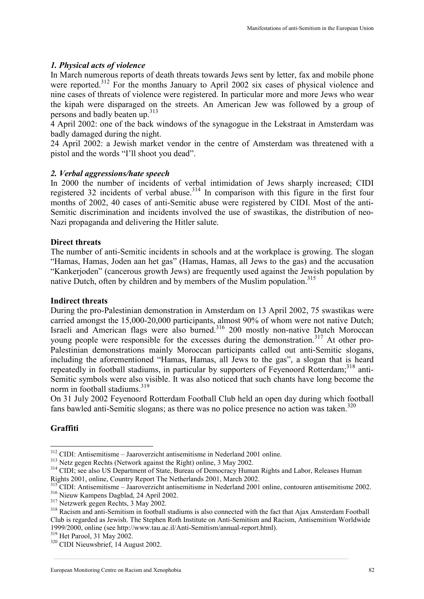## *1. Physical acts of violence*

In March numerous reports of death threats towards Jews sent by letter, fax and mobile phone were reported.<sup>312</sup> For the months January to April 2002 six cases of physical violence and nine cases of threats of violence were registered. In particular more and more Jews who wear the kipah were disparaged on the streets. An American Jew was followed by a group of persons and badly beaten up.[313](#page-81-1)

4 April 2002: one of the back windows of the synagogue in the Lekstraat in Amsterdam was badly damaged during the night.

24 April 2002: a Jewish market vendor in the centre of Amsterdam was threatened with a pistol and the words "I'll shoot you dead".

#### *2. Verbal aggressions/hate speech*

In 2000 the number of incidents of verbal intimidation of Jews sharply increased; CIDI registered 32 incidents of verbal abuse.<sup>314</sup> In comparison with this figure in the first four months of 2002, 40 cases of anti-Semitic abuse were registered by CIDI. Most of the anti-Semitic discrimination and incidents involved the use of swastikas, the distribution of neo-Nazi propaganda and delivering the Hitler salute.

#### **Direct threats**

The number of anti-Semitic incidents in schools and at the workplace is growing. The slogan "Hamas, Hamas, Joden aan het gas" (Hamas, Hamas, all Jews to the gas) and the accusation "Kankerjoden" (cancerous growth Jews) are frequently used against the Jewish population by native Dutch, often by children and by members of the Muslim population.<sup>[315](#page-81-3)</sup>

#### **Indirect threats**

During the pro-Palestinian demonstration in Amsterdam on 13 April 2002, 75 swastikas were carried amongst the 15,000-20,000 participants, almost 90% of whom were not native Dutch; Israeli and American flags were also burned.<sup>316</sup> 200 mostly non-native Dutch Moroccan young people were responsible for the excesses during the demonstration.<sup>317</sup> At other pro-Palestinian demonstrations mainly Moroccan participants called out anti-Semitic slogans, including the aforementioned "Hamas, Hamas, all Jews to the gas", a slogan that is heard repeatedly in football stadiums, in particular by supporters of Feyenoord Rotterdam;<sup>318</sup> anti-Semitic symbols were also visible. It was also noticed that such chants have long become the norm in football stadiums.<sup>[319](#page-81-7)</sup>

On 31 July 2002 Feyenoord Rotterdam Football Club held an open day during which football fans bawled anti-Semitic slogans; as there was no police presence no action was taken.<sup>[320](#page-81-8)</sup>

#### **Graffiti**

<span id="page-81-0"></span>

<span id="page-81-2"></span><span id="page-81-1"></span>

<sup>&</sup>lt;sup>312</sup> CIDI: Antisemitisme – Jaaroverzicht antisemitisme in Nederland 2001 online.<br><sup>313</sup> Netz gegen Rechts (Network against the Right) online, 3 May 2002.<br><sup>314</sup> CIDI; see also US Department of State, Bureau of Democracy Hu Rights 2001, online, Country Report The Netherlands 2001, March 2002.

<span id="page-81-3"></span><sup>&</sup>lt;sup>315</sup> CIDI: Antisemitisme – Jaaroverzicht antisemitisme in Nederland 2001 online, contouren antisemitisme 2002.<br><sup>316</sup> Nieuw Kampens Dagblad, 24 April 2002.<br><sup>317</sup> Netzwerk gegen Rechts, 3 May 2002.<br><sup>318</sup> Racism and anti-Se

<span id="page-81-4"></span>

<span id="page-81-5"></span>

<span id="page-81-6"></span>Club is regarded as Jewish. The Stephen Roth Institute on Anti-Semitism and Racism, Antisemitism Worldwide 1999/2000, online (see http://www.tau.ac.il/Anti-Semitism/annual-report.html).

<span id="page-81-7"></span>

<span id="page-81-8"></span><sup>&</sup>lt;sup>320</sup> CIDI Nieuwsbrief, 14 August 2002.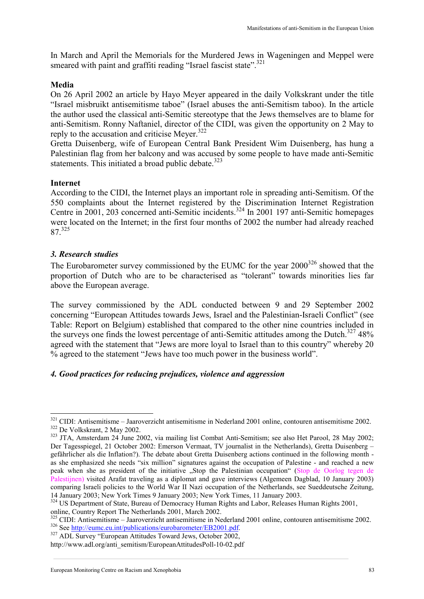In March and April the Memorials for the Murdered Jews in Wageningen and Meppel were smeared with paint and graffiti reading "Israel fascist state".<sup>[321](#page-82-0)</sup>

## **Media**

On 26 April 2002 an article by Hayo Meyer appeared in the daily Volkskrant under the title "Israel misbruikt antisemitisme taboe" (Israel abuses the anti-Semitism taboo). In the article the author used the classical anti-Semitic stereotype that the Jews themselves are to blame for anti-Semitism. Ronny Naftaniel, director of the CIDI, was given the opportunity on 2 May to reply to the accusation and criticise Meyer.<sup>[322](#page-82-1)</sup>

Gretta Duisenberg, wife of European Central Bank President Wim Duisenberg, has hung a Palestinian flag from her balcony and was accused by some people to have made anti-Semitic statements. This initiated a broad public debate. $323$ 

## **Internet**

 $\overline{a}$ 

According to the CIDI, the Internet plays an important role in spreading anti-Semitism. Of the 550 complaints about the Internet registered by the Discrimination Internet Registration Centre in 2001, 203 concerned anti-Semitic incidents.<sup>324</sup> In 2001 197 anti-Semitic homepages were located on the Internet; in the first four months of 2002 the number had already reached 87.[325](#page-82-4)

## *3. Research studies*

The Eurobarometer survey commissioned by the EUMC for the year  $2000^{326}$  showed that the proportion of Dutch who are to be characterised as "tolerant" towards minorities lies far above the European average.

The survey commissioned by the ADL conducted between 9 and 29 September 2002 concerning "European Attitudes towards Jews, Israel and the Palestinian-Israeli Conflict" (see Table: Report on Belgium) established that compared to the other nine countries included in the surveys one finds the lowest percentage of anti-Semitic attitudes among the Dutch.<sup>327</sup> 48% agreed with the statement that "Jews are more loyal to Israel than to this country" whereby 20 % agreed to the statement "Jews have too much power in the business world".

## *4. Good practices for reducing prejudices, violence and aggression*

<span id="page-82-1"></span><span id="page-82-0"></span> $^{321}$  CIDI: Antisemitisme – Jaaroverzicht antisemitisme in Nederland 2001 online, contouren antisemitisme 2002.<br> $^{322}$  De Volkskrant, 2 May 2002.<br> $^{323}$  JTA, Amsterdam 24 June 2002, via mailing list Combat Anti-Semiti

<span id="page-82-2"></span>Der Tagesspiegel, 21 October 2002: Emerson Vermaat, TV journalist in the Netherlands), Gretta Duisenberg – gefährlicher als die Inflation?). The debate about Gretta Duisenberg actions continued in the following month as she emphasized she needs "six million" signatures against the occupation of Palestine - and reached a new peak when she as president of the initiative "Stop the Palestinian occupation" (Stop de Oorlog tegen de Palestijnen) visited Arafat traveling as a diplomat and gave interviews (Algemeen Dagblad, 10 January 2003) comparing Israeli policies to the World War II Nazi occupation of the Netherlands, see Sueddeutsche Zeitung, 14 January 2003; New York Times 9 January 2003; New York Times, 11 January 2003.

<span id="page-82-3"></span><sup>&</sup>lt;sup>324</sup> US Department of State, Bureau of Democracy Human Rights and Labor, Releases Human Rights 2001, online, Country Report The Netherlands 2001, March 2002.

<span id="page-82-4"></span><sup>&</sup>lt;sup>325</sup> CIDI: Antisemitisme – Jaaroverzicht antisemitisme in Nederland 2001 online, contouren antisemitisme 2002.<br><sup>326</sup> See <u>http://eumc.eu.int/publications/eurobarometer/EB2001.pdf</u>.<br><sup>327</sup> ADL Survey "European Attitudes To

<span id="page-82-6"></span><span id="page-82-5"></span>

http://www.adl.org/anti\_semitism/EuropeanAttitudesPoll-10-02.pdf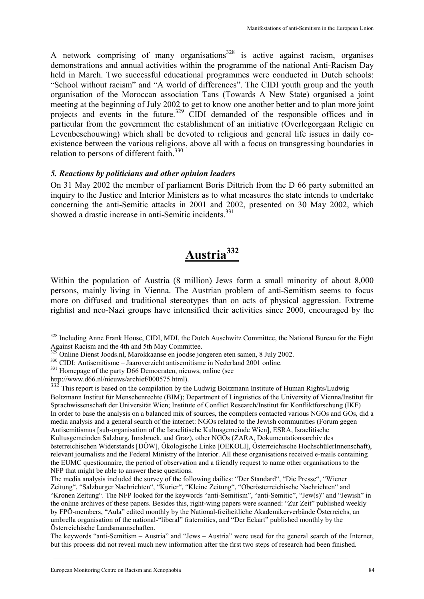A network comprising of many organisations<sup>328</sup> is active against racism, organises demonstrations and annual activities within the programme of the national Anti-Racism Day held in March. Two successful educational programmes were conducted in Dutch schools: "School without racism" and "A world of differences". The CIDI youth group and the youth organisation of the Moroccan association Tans (Towards A New State) organised a joint meeting at the beginning of July 2002 to get to know one another better and to plan more joint projects and events in the future.<sup>329</sup> CIDI demanded of the responsible offices and in particular from the government the establishment of an initiative (Overlegorgaan Religie en Levenbeschouwing) which shall be devoted to religious and general life issues in daily coexistence between the various religions, above all with a focus on transgressing boundaries in relation to persons of different faith. $330$ 

## *5. Reactions by politicians and other opinion leaders*

On 31 May 2002 the member of parliament Boris Dittrich from the D 66 party submitted an inquiry to the Justice and Interior Ministers as to what measures the state intends to undertake concerning the anti-Semitic attacks in 2001 and 2002, presented on 30 May 2002, which showed a drastic increase in anti-Semitic incidents.<sup>[331](#page-83-3)</sup>

# **Austria[332](#page-83-4)**

Within the population of Austria (8 million) Jews form a small minority of about 8,000 persons, mainly living in Vienna. The Austrian problem of anti-Semitism seems to focus more on diffused and traditional stereotypes than on acts of physical aggression. Extreme rightist and neo-Nazi groups have intensified their activities since 2000, encouraged by the

<span id="page-83-0"></span><sup>&</sup>lt;sup>328</sup> Including Anne Frank House, CIDI, MDI, the Dutch Auschwitz Committee, the National Bureau for the Fight Against Racism and the 4th and 5th May Committee.<br>
<sup>329</sup> Online Dienst Joods.nl, Marokkaanse en joodse jongeren eten samen, 8 July 2002.

<span id="page-83-1"></span>

<span id="page-83-2"></span> $^{330}$  CIDI: Antisemitisme – Jaaroverzicht antisemitisme in Nederland 2001 online.<br> $^{331}$  Homepage of the party D66 Democraten, nieuws, online (see

<span id="page-83-3"></span>

http://www.d66.nl/nieuws/archief/000575.html).

<span id="page-83-4"></span><sup>&</sup>lt;sup>332</sup> This report is based on the compilation by the Ludwig Boltzmann Institute of Human Rights/Ludwig Boltzmann Institut für Menschenrechte (BIM); Department of Linguistics of the University of Vienna/Institut für Sprachwissenschaft der Universität Wien; Institute of Conflict Research/Institut für Konfliktforschung (IKF) In order to base the analysis on a balanced mix of sources, the compilers contacted various NGOs and GOs, did a media analysis and a general search of the internet: NGOs related to the Jewish communities (Forum gegen Antisemitismus [sub-organisation of the Israelitische Kultusgemeinde Wien], ESRA, Israelitische Kultusgemeinden Salzburg, Innsbruck, and Graz), other NGOs (ZARA, Dokumentationsarchiv des österreichischen Widerstands [DÖW], Ökologische Linke [OEKOLI], Österreichische HochschülerInnenschaft), relevant journalists and the Federal Ministry of the Interior. All these organisations received e-mails containing the EUMC questionnaire, the period of observation and a friendly request to name other organisations to the NFP that might be able to answer these questions.

The media analysis included the survey of the following dailies: "Der Standard", "Die Presse", "Wiener Zeitung", "Salzburger Nachrichten", "Kurier", "Kleine Zeitung", "Oberösterreichische Nachrichten" and "Kronen Zeitung". The NFP looked for the keywords "anti-Semitism", "anti-Semitic", "Jew(s)" and "Jewish" in the online archives of these papers. Besides this, right-wing papers were scanned: "Zur Zeit" published weekly by FPÖ-members, "Aula" edited monthly by the National-freiheitliche Akademikerverbände Österreichs, an umbrella organisation of the national-"liberal" fraternities, and "Der Eckart" published monthly by the Österreichische Landsmannschaften.

The keywords "anti-Semitism – Austria" and "Jews – Austria" were used for the general search of the Internet, but this process did not reveal much new information after the first two steps of research had been finished.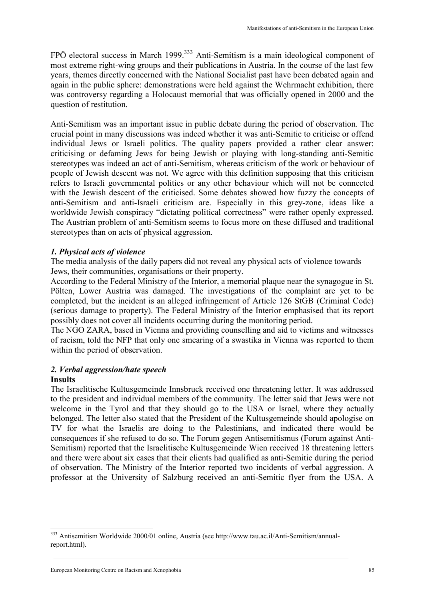FPÖ electoral success in March 1999.<sup>333</sup> Anti-Semitism is a main ideological component of most extreme right-wing groups and their publications in Austria. In the course of the last few years, themes directly concerned with the National Socialist past have been debated again and again in the public sphere: demonstrations were held against the Wehrmacht exhibition, there was controversy regarding a Holocaust memorial that was officially opened in 2000 and the question of restitution.

Anti-Semitism was an important issue in public debate during the period of observation. The crucial point in many discussions was indeed whether it was anti-Semitic to criticise or offend individual Jews or Israeli politics. The quality papers provided a rather clear answer: criticising or defaming Jews for being Jewish or playing with long-standing anti-Semitic stereotypes was indeed an act of anti-Semitism, whereas criticism of the work or behaviour of people of Jewish descent was not. We agree with this definition supposing that this criticism refers to Israeli governmental politics or any other behaviour which will not be connected with the Jewish descent of the criticised. Some debates showed how fuzzy the concepts of anti-Semitism and anti-Israeli criticism are. Especially in this grey-zone, ideas like a worldwide Jewish conspiracy "dictating political correctness" were rather openly expressed. The Austrian problem of anti-Semitism seems to focus more on these diffused and traditional stereotypes than on acts of physical aggression.

## *1. Physical acts of violence*

The media analysis of the daily papers did not reveal any physical acts of violence towards Jews, their communities, organisations or their property.

According to the Federal Ministry of the Interior, a memorial plaque near the synagogue in St. Pölten, Lower Austria was damaged. The investigations of the complaint are yet to be completed, but the incident is an alleged infringement of Article 126 StGB (Criminal Code) (serious damage to property). The Federal Ministry of the Interior emphasised that its report possibly does not cover all incidents occurring during the monitoring period.

The NGO ZARA, based in Vienna and providing counselling and aid to victims and witnesses of racism, told the NFP that only one smearing of a swastika in Vienna was reported to them within the period of observation.

#### *2. Verbal aggression/hate speech* **Insults**

The Israelitische Kultusgemeinde Innsbruck received one threatening letter. It was addressed to the president and individual members of the community. The letter said that Jews were not welcome in the Tyrol and that they should go to the USA or Israel, where they actually belonged. The letter also stated that the President of the Kultusgemeinde should apologise on TV for what the Israelis are doing to the Palestinians, and indicated there would be consequences if she refused to do so. The Forum gegen Antisemitismus (Forum against Anti-Semitism) reported that the Israelitische Kultusgemeinde Wien received 18 threatening letters and there were about six cases that their clients had qualified as anti-Semitic during the period of observation. The Ministry of the Interior reported two incidents of verbal aggression. A professor at the University of Salzburg received an anti-Semitic flyer from the USA. A

<span id="page-84-0"></span><sup>333</sup> Antisemitism Worldwide 2000/01 online, Austria (see http://www.tau.ac.il/Anti-Semitism/annualreport.html).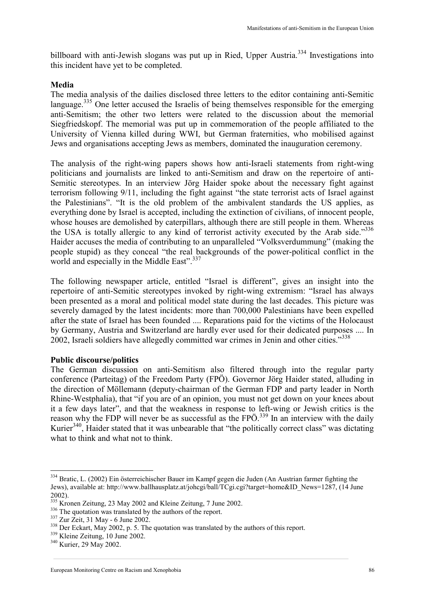billboard with anti-Jewish slogans was put up in Ried, Upper Austria.<sup>334</sup> Investigations into this incident have yet to be completed.

## **Media**

The media analysis of the dailies disclosed three letters to the editor containing anti-Semitic language.<sup>335</sup> One letter accused the Israelis of being themselves responsible for the emerging anti-Semitism; the other two letters were related to the discussion about the memorial Siegfriedskopf. The memorial was put up in commemoration of the people affiliated to the University of Vienna killed during WWI, but German fraternities, who mobilised against Jews and organisations accepting Jews as members, dominated the inauguration ceremony.

The analysis of the right-wing papers shows how anti-Israeli statements from right-wing politicians and journalists are linked to anti-Semitism and draw on the repertoire of anti-Semitic stereotypes. In an interview Jörg Haider spoke about the necessary fight against terrorism following 9/11, including the fight against "the state terrorist acts of Israel against the Palestinians". "It is the old problem of the ambivalent standards the US applies, as everything done by Israel is accepted, including the extinction of civilians, of innocent people, whose houses are demolished by caterpillars, although there are still people in them. Whereas the USA is totally allergic to any kind of terrorist activity executed by the Arab side."<sup>[336](#page-85-2)</sup> Haider accuses the media of contributing to an unparalleled "Volksverdummung" (making the people stupid) as they conceal "the real backgrounds of the power-political conflict in the world and especially in the Middle East".<sup>[337](#page-85-3)</sup>

The following newspaper article, entitled "Israel is different", gives an insight into the repertoire of anti-Semitic stereotypes invoked by right-wing extremism: "Israel has always been presented as a moral and political model state during the last decades. This picture was severely damaged by the latest incidents: more than 700,000 Palestinians have been expelled after the state of Israel has been founded .... Reparations paid for the victims of the Holocaust by Germany, Austria and Switzerland are hardly ever used for their dedicated purposes .... In 2002, Israeli soldiers have allegedly committed war crimes in Jenin and other cities."[338](#page-85-4)

#### **Public discourse/politics**

The German discussion on anti-Semitism also filtered through into the regular party conference (Parteitag) of the Freedom Party (FPÖ). Governor Jörg Haider stated, alluding in the direction of Möllemann (deputy-chairman of the German FDP and party leader in North Rhine-Westphalia), that "if you are of an opinion, you must not get down on your knees about it a few days later", and that the weakness in response to left-wing or Jewish critics is the reason why the FDP will never be as successful as the FPÖ.<sup>339</sup> In an interview with the daily Kurier<sup>340</sup>, Haider stated that it was unbearable that "the politically correct class" was dictating what to think and what not to think.

<span id="page-85-0"></span><sup>&</sup>lt;sup>334</sup> Bratic, L. (2002) Ein österreichischer Bauer im Kampf gegen die Juden (An Austrian farmer fighting the Jews), available at: http://www.ballhausplatz.at/johcgi/ball/TCgi.cgi?target=home&ID\_News=1287, (14 June 2002).<br><sup>335</sup> Kronen Zeitung, 23 May 2002 and Kleine Zeitung, 7 June 2002.

<span id="page-85-1"></span>

<span id="page-85-2"></span>

<span id="page-85-4"></span><span id="page-85-3"></span>

<sup>&</sup>lt;sup>336</sup> The quotation was translated by the authors of the report.<br><sup>337</sup> Zur Zeit, 31 May - 6 June 2002.<br><sup>338</sup> Der Eckart, May 2002, p. 5. The quotation was translated by the authors of this report.<br><sup>338</sup> Kleine Zeitung, 10

<span id="page-85-5"></span>

<span id="page-85-6"></span>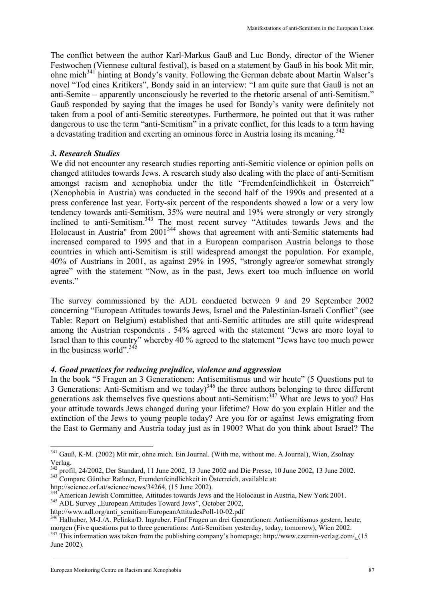The conflict between the author Karl-Markus Gauß and Luc Bondy, director of the Wiener Festwochen (Viennese cultural festival), is based on a statement by Gauß in his book Mit mir, ohne mich<sup>341</sup> hinting at Bondy's vanity. Following the German debate about Martin Walser's novel "Tod eines Kritikers", Bondy said in an interview: "I am quite sure that Gauß is not an anti-Semite – apparently unconsciously he reverted to the rhetoric arsenal of anti-Semitism." Gauß responded by saying that the images he used for Bondy's vanity were definitely not taken from a pool of anti-Semitic stereotypes. Furthermore, he pointed out that it was rather dangerous to use the term "anti-Semitism" in a private conflict, for this leads to a term having a devastating tradition and exerting an ominous force in Austria losing its meaning.<sup>[342](#page-86-1)</sup>

#### *3. Research Studies*

We did not encounter any research studies reporting anti-Semitic violence or opinion polls on changed attitudes towards Jews. A research study also dealing with the place of anti-Semitism amongst racism and xenophobia under the title "Fremdenfeindlichkeit in Österreich" (Xenophobia in Austria) was conducted in the second half of the 1990s and presented at a press conference last year. Forty-six percent of the respondents showed a low or a very low tendency towards anti-Semitism, 35% were neutral and 19% were strongly or very strongly inclined to anti-Semitism.<sup>343</sup> The most recent survey "Attitudes towards Jews and the Holocaust in Austria" from  $2001^{344}$  shows that agreement with anti-Semitic statements had increased compared to 1995 and that in a European comparison Austria belongs to those countries in which anti-Semitism is still widespread amongst the population. For example, 40% of Austrians in 2001, as against 29% in 1995, "strongly agree/or somewhat strongly agree" with the statement "Now, as in the past, Jews exert too much influence on world events."

The survey commissioned by the ADL conducted between 9 and 29 September 2002 concerning "European Attitudes towards Jews, Israel and the Palestinian-Israeli Conflict" (see Table: Report on Belgium) established that anti-Semitic attitudes are still quite widespread among the Austrian respondents . 54% agreed with the statement "Jews are more loyal to Israel than to this country" whereby 40 % agreed to the statement "Jews have too much power in the business world".<sup>[345](#page-86-4)</sup>

#### *4. Good practices for reducing prejudice, violence and aggression*

In the book "5 Fragen an 3 Generationen: Antisemitismus und wir heute" (5 Questions put to 3 Generations: Anti-Semitism and we today) $3^{346}$  the three authors belonging to three different generations ask themselves five questions about anti-Semitism:<sup>347</sup> What are Jews to you? Has your attitude towards Jews changed during your lifetime? How do you explain Hitler and the extinction of the Jews to young people today? Are you for or against Jews emigrating from the East to Germany and Austria today just as in 1900? What do you think about Israel? The

<span id="page-86-2"></span>http://science.orf.at/science/news/34264, (15 June 2002).

<span id="page-86-0"></span><sup>341</sup> Gauß, K-M. (2002) Mit mir, ohne mich. Ein Journal. (With me, without me. A Journal), Wien, Zsolnay Verlag.

<span id="page-86-1"></span><sup>&</sup>lt;sup>342</sup> profil, 24/2002, Der Standard, 11 June 2002, 13 June 2002 and Die Presse, 10 June 2002, 13 June 2002.<br><sup>343</sup> Compare Günther Rathner, Fremdenfeindlichkeit in Österreich, available at:

<span id="page-86-3"></span> $344^{\text{A}}$  American Jewish Committee, Attitudes towards Jews and the Holocaust in Austria, New York 2001.<br><sup>345</sup> ADL Survey "European Attitudes Toward Jews", October 2002,

<span id="page-86-4"></span>

http://www.adl.org/anti\_semitism/EuropeanAttitudesPoll-10-02.pdf

<span id="page-86-5"></span><sup>346</sup> Halhuber, M-J./A. Pelinka/D. Ingruber, Fünf Fragen an drei Generationen: Antisemitismus gestern, heute, morgen (Five questions put to three generations: Anti-Semitism yesterday, today, tomorrow), Wien 2002.

<span id="page-86-6"></span><sup>&</sup>lt;sup>347</sup> This information was taken from the publishing company's homepage: http://www.czernin-verlag.com/ June 2002).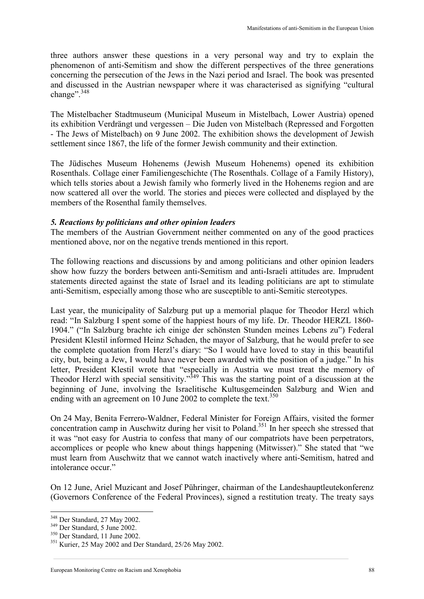three authors answer these questions in a very personal way and try to explain the phenomenon of anti-Semitism and show the different perspectives of the three generations concerning the persecution of the Jews in the Nazi period and Israel. The book was presented and discussed in the Austrian newspaper where it was characterised as signifying "cultural change".<sup>[348](#page-87-0)</sup>

The Mistelbacher Stadtmuseum (Municipal Museum in Mistelbach, Lower Austria) opened its exhibition Verdrängt und vergessen – Die Juden von Mistelbach (Repressed and Forgotten - The Jews of Mistelbach) on 9 June 2002. The exhibition shows the development of Jewish settlement since 1867, the life of the former Jewish community and their extinction.

The Jüdisches Museum Hohenems (Jewish Museum Hohenems) opened its exhibition Rosenthals. Collage einer Familiengeschichte (The Rosenthals. Collage of a Family History), which tells stories about a Jewish family who formerly lived in the Hohenems region and are now scattered all over the world. The stories and pieces were collected and displayed by the members of the Rosenthal family themselves.

## *5. Reactions by politicians and other opinion leaders*

The members of the Austrian Government neither commented on any of the good practices mentioned above, nor on the negative trends mentioned in this report.

The following reactions and discussions by and among politicians and other opinion leaders show how fuzzy the borders between anti-Semitism and anti-Israeli attitudes are. Imprudent statements directed against the state of Israel and its leading politicians are apt to stimulate anti-Semitism, especially among those who are susceptible to anti-Semitic stereotypes.

Last year, the municipality of Salzburg put up a memorial plaque for Theodor Herzl which read: "In Salzburg I spent some of the happiest hours of my life. Dr. Theodor HERZL 1860- 1904." ("In Salzburg brachte ich einige der schönsten Stunden meines Lebens zu") Federal President Klestil informed Heinz Schaden, the mayor of Salzburg, that he would prefer to see the complete quotation from Herzl's diary: "So I would have loved to stay in this beautiful city, but, being a Jew, I would have never been awarded with the position of a judge." In his letter, President Klestil wrote that "especially in Austria we must treat the memory of Theodor Herzl with special sensitivity.<sup> $349$ </sup> This was the starting point of a discussion at the beginning of June, involving the Israelitische Kultusgemeinden Salzburg and Wien and ending with an agreement on 10 June 2002 to complete the text.<sup>[350](#page-87-2)</sup>

On 24 May, Benita Ferrero-Waldner, Federal Minister for Foreign Affairs, visited the former concentration camp in Auschwitz during her visit to Poland.<sup>351</sup> In her speech she stressed that it was "not easy for Austria to confess that many of our compatriots have been perpetrators, accomplices or people who knew about things happening (Mitwisser)." She stated that "we must learn from Auschwitz that we cannot watch inactively where anti-Semitism, hatred and intolerance occur."

On 12 June, Ariel Muzicant and Josef Pühringer, chairman of the Landeshauptleutekonferenz (Governors Conference of the Federal Provinces), signed a restitution treaty. The treaty says

<span id="page-87-0"></span><sup>&</sup>lt;sup>348</sup> Der Standard, 27 May 2002.

<span id="page-87-1"></span>

<span id="page-87-3"></span><span id="page-87-2"></span>

<sup>&</sup>lt;sup>349</sup> Der Standard, 5 June 2002.<br><sup>350</sup> Der Standard, 11 June 2002.<br><sup>351</sup> Kurier, 25 May 2002 and Der Standard, 25/26 May 2002.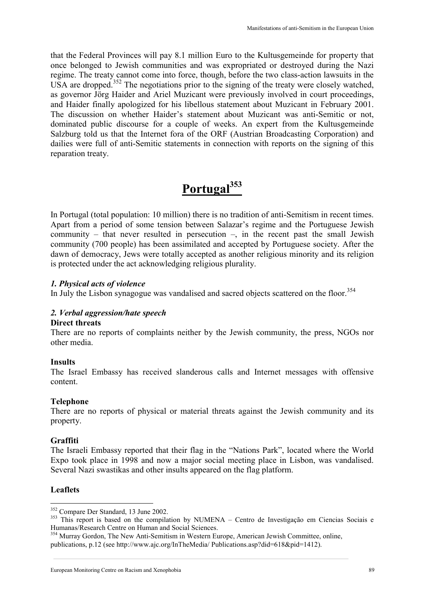that the Federal Provinces will pay 8.1 million Euro to the Kultusgemeinde for property that once belonged to Jewish communities and was expropriated or destroyed during the Nazi regime. The treaty cannot come into force, though, before the two class-action lawsuits in the USA are dropped.<sup>352</sup> The negotiations prior to the signing of the treaty were closely watched, as governor Jörg Haider and Ariel Muzicant were previously involved in court proceedings, and Haider finally apologized for his libellous statement about Muzicant in February 2001. The discussion on whether Haider's statement about Muzicant was anti-Semitic or not, dominated public discourse for a couple of weeks. An expert from the Kultusgemeinde Salzburg told us that the Internet fora of the ORF (Austrian Broadcasting Corporation) and dailies were full of anti-Semitic statements in connection with reports on the signing of this reparation treaty.

# **Portugal[353](#page-88-1)**

In Portugal (total population: 10 million) there is no tradition of anti-Semitism in recent times. Apart from a period of some tension between Salazar's regime and the Portuguese Jewish community – that never resulted in persecution –, in the recent past the small Jewish community (700 people) has been assimilated and accepted by Portuguese society. After the dawn of democracy, Jews were totally accepted as another religious minority and its religion is protected under the act acknowledging religious plurality.

## *1. Physical acts of violence*

In July the Lisbon synagogue was vandalised and sacred objects scattered on the floor.<sup>[354](#page-88-2)</sup>

## *2. Verbal aggression/hate speech*

#### **Direct threats**

There are no reports of complaints neither by the Jewish community, the press, NGOs nor other media.

#### **Insults**

The Israel Embassy has received slanderous calls and Internet messages with offensive content.

#### **Telephone**

There are no reports of physical or material threats against the Jewish community and its property.

#### **Graffiti**

The Israeli Embassy reported that their flag in the "Nations Park", located where the World Expo took place in 1998 and now a major social meeting place in Lisbon, was vandalised. Several Nazi swastikas and other insults appeared on the flag platform.

#### **Leaflets**

<span id="page-88-0"></span><sup>&</sup>lt;sup>352</sup> Compare Der Standard, 13 June 2002.

<span id="page-88-1"></span> $353$  This report is based on the compilation by NUMENA – Centro de Investigação em Ciencias Sociais e Humanas/Research Centre on Human and Social Sciences.

<span id="page-88-2"></span><sup>&</sup>lt;sup>354</sup> Murray Gordon, The New Anti-Semitism in Western Europe, American Jewish Committee, online, publications, p.12 (see http://www.ajc.org/InTheMedia/ Publications.asp?did=618&pid=1412).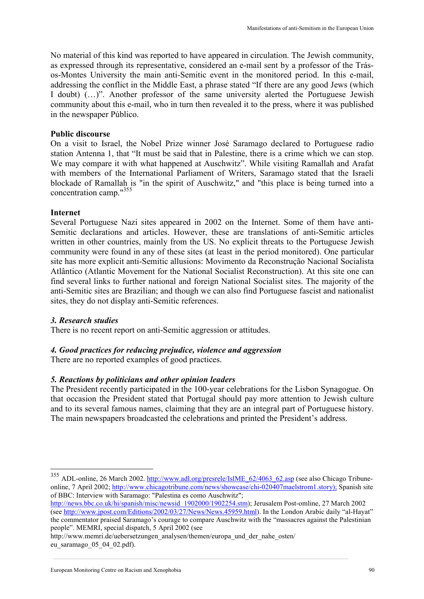No material of this kind was reported to have appeared in circulation. The Jewish community, as expressed through its representative, considered an e-mail sent by a professor of the Trásos-Montes University the main anti-Semitic event in the monitored period. In this e-mail, addressing the conflict in the Middle East, a phrase stated "If there are any good Jews (which I doubt) (…)". Another professor of the same university alerted the Portuguese Jewish community about this e-mail, who in turn then revealed it to the press, where it was published in the newspaper Público.

### **Public discourse**

On a visit to Israel, the Nobel Prize winner José Saramago declared to Portuguese radio station Antenna 1, that "It must be said that in Palestine, there is a crime which we can stop. We may compare it with what happened at Auschwitz". While visiting Ramallah and Arafat with members of the International Parliament of Writers, Saramago stated that the Israeli blockade of Ramallah is "in the spirit of Auschwitz," and "this place is being turned into a concentration camp.["355](#page-89-0)

#### **Internet**

Several Portuguese Nazi sites appeared in 2002 on the Internet. Some of them have anti-Semitic declarations and articles. However, these are translations of anti-Semitic articles written in other countries, mainly from the US. No explicit threats to the Portuguese Jewish community were found in any of these sites (at least in the period monitored). One particular site has more explicit anti-Semitic allusions: Movimento da Reconstrução Nacional Socialista Atlântico (Atlantic Movement for the National Socialist Reconstruction). At this site one can find several links to further national and foreign National Socialist sites. The majority of the anti-Semitic sites are Brazilian; and though we can also find Portuguese fascist and nationalist sites, they do not display anti-Semitic references.

#### *3. Research studies*

 $\overline{a}$ 

There is no recent report on anti-Semitic aggression or attitudes.

#### *4. Good practices for reducing prejudice, violence and aggression*

There are no reported examples of good practices.

## *5. Reactions by politicians and other opinion leaders*

The President recently participated in the 100-year celebrations for the Lisbon Synagogue. On that occasion the President stated that Portugal should pay more attention to Jewish culture and to its several famous names, claiming that they are an integral part of Portuguese history. The main newspapers broadcasted the celebrations and printed the President's address.

<span id="page-89-0"></span>ADL-online, 26 March 2002. http://www.adl.org/presrele/IslME 62/4063 62.asp (see also Chicago Tribuneonline, 7 April 2002; http://www.chicagotribune.com/news/showcase/chi-020407maelstrom1.story); Spanish site of BBC: Interview with Saramago: "Palestina es como Auschwitz";

http://news.bbc.co.uk/hi/spanish/misc/newsid\_1902000/1902254.stm); Jerusalem Post-omline, 27 March 2002 (see http://www.jpost.com/Editions/2002/03/27/News/News.45959.html). In the London Arabic daily "al-Hayat" the commentator praised Saramago's courage to compare Auschwitz with the "massacres against the Palestinian people". MEMRI, special dispatch, 5 April 2002 (see

http://www.memri.de/uebersetzungen\_analysen/themen/europa\_und\_der\_nahe\_osten/ eu saramago 05 04 02.pdf).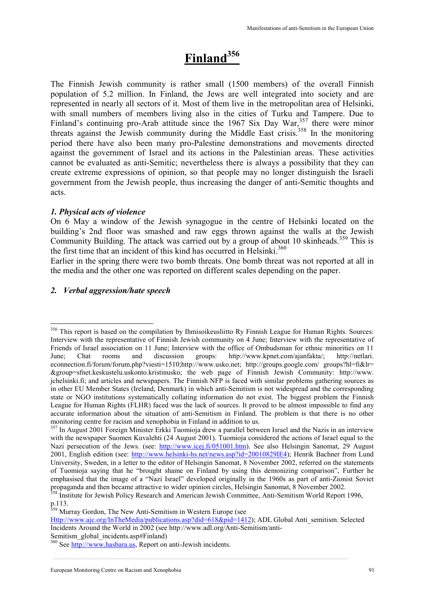# **Finlan[d356](#page-90-0)**

The Finnish Jewish community is rather small (1500 members) of the overall Finnish population of 5.2 million. In Finland, the Jews are well integrated into society and are represented in nearly all sectors of it. Most of them live in the metropolitan area of Helsinki, with small numbers of members living also in the cities of Turku and Tampere. Due to Finland's continuing pro-Arab attitude since the 1967 Six Day War,  $357$  there were minor threats against the Jewish community during the Middle East crisis.<sup>358</sup> In the monitoring period there have also been many pro-Palestine demonstrations and movements directed against the government of Israel and its actions in the Palestinian areas. These activities cannot be evaluated as anti-Semitic; nevertheless there is always a possibility that they can create extreme expressions of opinion, so that people may no longer distinguish the Israeli government from the Jewish people, thus increasing the danger of anti-Semitic thoughts and acts.

#### *1. Physical acts of violence*

On 6 May a window of the Jewish synagogue in the centre of Helsinki located on the building's 2nd floor was smashed and raw eggs thrown against the walls at the Jewish Community Building. The attack was carried out by a group of about 10 skinheads.<sup>359</sup> This is the first time that an incident of this kind has occurred in Helsinki.<sup>[360](#page-90-4)</sup>

Earlier in the spring there were two bomb threats. One bomb threat was not reported at all in the media and the other one was reported on different scales depending on the paper.

#### *2. Verbal aggression/hate speech*

 $\overline{a}$ 

<span id="page-90-3"></span><sup>359</sup> Murray Gordon, The New Anti-Semitism in Western Europe (see

<span id="page-90-0"></span><sup>&</sup>lt;sup>356</sup> This report is based on the compilation by Ihmisoikeusliitto Ry Finnish League for Human Rights. Sources: Interview with the representative of Finnish Jewish community on 4 June; Interview with the representative of Friends of Israel association on 11 June; Interview with the office of Ombudsman for ethnic minorities on 11 June; Chat rooms and discussion groups: http://www.kpnet.com/ajanfakta/; http://netlari. June; Chat rooms and discussion groups: http://www.kpnet.com/ajanfakta/; http://netlari. econnection.fi/forum/forum.php?viesti=1510;http://www.usko.net; http://groups.google.com/ groups?hl=fi&lr= &group=sfnet.keskustelu.uskonto.kristinusko; the web page of Finnish Jewish Community: http://www. jchelsinki.fi; and articles and newspapers. The Finnish NFP is faced with similar problems gathering sources as in other EU Member States (Ireland, Denmark) in which anti-Semitism is not widespread and the corresponding state or NGO institutions systematically collating information do not exist. The biggest problem the Finnish League for Human Rights (FLHR) faced was the lack of sources. It proved to be almost impossible to find any accurate information about the situation of anti-Semitism in Finland. The problem is that there is no other monitoring centre for racism and xenophobia in Finland in addition to us.

<span id="page-90-1"></span><sup>&</sup>lt;sup>357</sup> In August 2001 Foreign Minister Erkki Tuomioja drew a parallel between Israel and the Nazis in an interview with the newspaper Suomen Kuvalehti (24 August 2001). Tuomioja considered the actions of Israel equal to the Nazi persecution of the Jews. (see: http://www.icej.fi/051001.htm). See also Helsingin Sanomat, 29 August 2001, English edition (see: http://www.helsinki-hs.net/news.asp?id=20010829IE4); Henrik Bachner from Lund University, Sweden, in a letter to the editor of Helsingin Sanomat, 8 November 2002, referred on the statements of Tuomioja saying that he "brought shame on Finland by using this demonizing comparison", Further he emphasised that the image of a "Nazi Israel" developed originally in the 1960s as part of anti-Zionist Soviet propaganda and then became attractive to wider opinion circles, Helsingin Sanomat, 8 November 2002.

<span id="page-90-2"></span><sup>&</sup>lt;sup>358</sup> Institute for Jewish Policy Research and American Jewish Committee, Anti-Semitism World Report 1996, p.113.

Http://www.ajc.org/InTheMedia/publications.asp?did=618&pid=1412); ADL Global Anti\_semitism. Selected Incidents Around the World in 2002 (see http://www.adl.org/Anti-Semitism/anti-

Semitism\_global\_incidents.asp#Finland)

<span id="page-90-4"></span> $360$  See http://www.hasbara.us, Report on anti-Jewish incidents.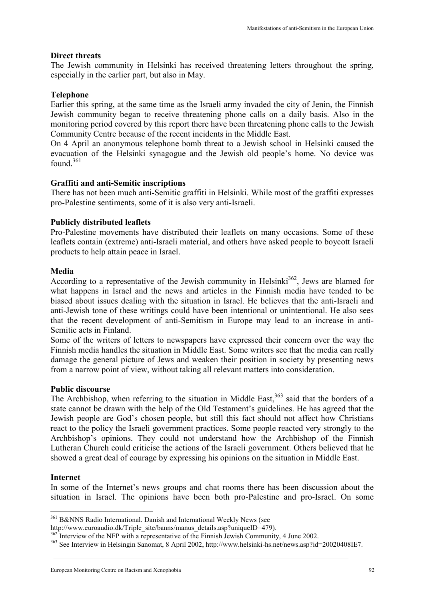### **Direct threats**

The Jewish community in Helsinki has received threatening letters throughout the spring, especially in the earlier part, but also in May.

## **Telephone**

Earlier this spring, at the same time as the Israeli army invaded the city of Jenin, the Finnish Jewish community began to receive threatening phone calls on a daily basis. Also in the monitoring period covered by this report there have been threatening phone calls to the Jewish Community Centre because of the recent incidents in the Middle East.

On 4 April an anonymous telephone bomb threat to a Jewish school in Helsinki caused the evacuation of the Helsinki synagogue and the Jewish old people's home. No device was found  $361$ 

## **Graffiti and anti-Semitic inscriptions**

There has not been much anti-Semitic graffiti in Helsinki. While most of the graffiti expresses pro-Palestine sentiments, some of it is also very anti-Israeli.

## **Publicly distributed leaflets**

Pro-Palestine movements have distributed their leaflets on many occasions. Some of these leaflets contain (extreme) anti-Israeli material, and others have asked people to boycott Israeli products to help attain peace in Israel.

#### **Media**

According to a representative of the Jewish community in Helsinki<sup>362</sup>, Jews are blamed for what happens in Israel and the news and articles in the Finnish media have tended to be biased about issues dealing with the situation in Israel. He believes that the anti-Israeli and anti-Jewish tone of these writings could have been intentional or unintentional. He also sees that the recent development of anti-Semitism in Europe may lead to an increase in anti-Semitic acts in Finland.

Some of the writers of letters to newspapers have expressed their concern over the way the Finnish media handles the situation in Middle East. Some writers see that the media can really damage the general picture of Jews and weaken their position in society by presenting news from a narrow point of view, without taking all relevant matters into consideration.

#### **Public discourse**

The Archbishop, when referring to the situation in Middle East,  $363$  said that the borders of a state cannot be drawn with the help of the Old Testament's guidelines. He has agreed that the Jewish people are God's chosen people, but still this fact should not affect how Christians react to the policy the Israeli government practices. Some people reacted very strongly to the Archbishop's opinions. They could not understand how the Archbishop of the Finnish Lutheran Church could criticise the actions of the Israeli government. Others believed that he showed a great deal of courage by expressing his opinions on the situation in Middle East.

#### **Internet**

 $\overline{a}$ 

In some of the Internet's news groups and chat rooms there has been discussion about the situation in Israel. The opinions have been both pro-Palestine and pro-Israel. On some

<span id="page-91-0"></span><sup>&</sup>lt;sup>361</sup> B&NNS Radio International. Danish and International Weekly News (see

http://www.euroaudio.dk/Triple\_site/banns/manus\_details.asp?uniqueID=479).

<span id="page-91-2"></span><span id="page-91-1"></span>

<sup>&</sup>lt;sup>362</sup> Interview of the NFP with a representative of the Finnish Jewish Community, 4 June 2002.<br><sup>363</sup> See Interview in Helsingin Sanomat, 8 April 2002, http://www.helsinki-hs.net/news.asp?id=20020408IE7.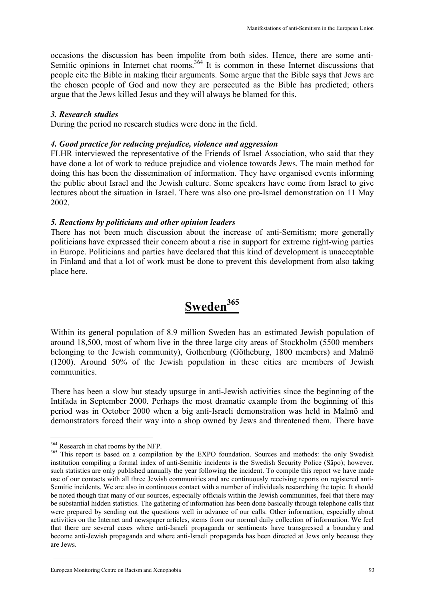occasions the discussion has been impolite from both sides. Hence, there are some anti-Semitic opinions in Internet chat rooms.<sup>364</sup> It is common in these Internet discussions that people cite the Bible in making their arguments. Some argue that the Bible says that Jews are the chosen people of God and now they are persecuted as the Bible has predicted; others argue that the Jews killed Jesus and they will always be blamed for this.

## *3. Research studies*

During the period no research studies were done in the field.

## *4. Good practice for reducing prejudice, violence and aggression*

FLHR interviewed the representative of the Friends of Israel Association, who said that they have done a lot of work to reduce prejudice and violence towards Jews. The main method for doing this has been the dissemination of information. They have organised events informing the public about Israel and the Jewish culture. Some speakers have come from Israel to give lectures about the situation in Israel. There was also one pro-Israel demonstration on 11 May 2002.

## *5. Reactions by politicians and other opinion leaders*

There has not been much discussion about the increase of anti-Semitism; more generally politicians have expressed their concern about a rise in support for extreme right-wing parties in Europe. Politicians and parties have declared that this kind of development is unacceptable in Finland and that a lot of work must be done to prevent this development from also taking place here.

## **Sweden[365](#page-92-1)**

Within its general population of 8.9 million Sweden has an estimated Jewish population of around 18,500, most of whom live in the three large city areas of Stockholm (5500 members belonging to the Jewish community), Gothenburg (Götheburg, 1800 members) and Malmö (1200). Around 50% of the Jewish population in these cities are members of Jewish communities.

There has been a slow but steady upsurge in anti-Jewish activities since the beginning of the Intifada in September 2000. Perhaps the most dramatic example from the beginning of this period was in October 2000 when a big anti-Israeli demonstration was held in Malmö and demonstrators forced their way into a shop owned by Jews and threatened them. There have

<span id="page-92-1"></span><span id="page-92-0"></span>

<sup>&</sup>lt;sup>364</sup> Research in chat rooms by the NFP.<br><sup>365</sup> This report is based on a compilation by the EXPO foundation. Sources and methods: the only Swedish institution compiling a formal index of anti-Semitic incidents is the Swedish Security Police (Säpo); however, such statistics are only published annually the year following the incident. To compile this report we have made use of our contacts with all three Jewish communities and are continuously receiving reports on registered anti-Semitic incidents. We are also in continuous contact with a number of individuals researching the topic. It should be noted though that many of our sources, especially officials within the Jewish communities, feel that there may be substantial hidden statistics. The gathering of information has been done basically through telephone calls that were prepared by sending out the questions well in advance of our calls. Other information, especially about activities on the Internet and newspaper articles, stems from our normal daily collection of information. We feel that there are several cases where anti-Israeli propaganda or sentiments have transgressed a boundary and become anti-Jewish propaganda and where anti-Israeli propaganda has been directed at Jews only because they are Jews.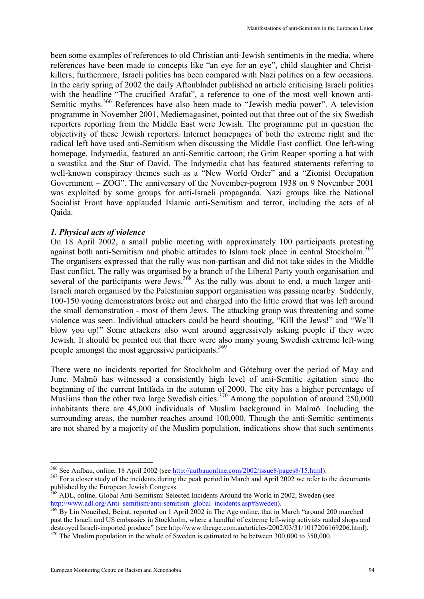been some examples of references to old Christian anti-Jewish sentiments in the media, where references have been made to concepts like "an eye for an eye", child slaughter and Christkillers; furthermore, Israeli politics has been compared with Nazi politics on a few occasions. In the early spring of 2002 the daily Aftonbladet published an article criticising Israeli politics with the headline "The crucified Arafat", a reference to one of the most well known anti-Semitic myths.<sup>366</sup> References have also been made to "Jewish media power". A television programme in November 2001, Mediemagasinet, pointed out that three out of the six Swedish reporters reporting from the Middle East were Jewish. The programme put in question the objectivity of these Jewish reporters. Internet homepages of both the extreme right and the radical left have used anti-Semitism when discussing the Middle East conflict. One left-wing homepage, Indymedia, featured an anti-Semitic cartoon; the Grim Reaper sporting a hat with a swastika and the Star of David. The Indymedia chat has featured statements referring to well-known conspiracy themes such as a "New World Order" and a "Zionist Occupation Government – ZOG". The anniversary of the November-pogrom 1938 on 9 November 2001 was exploited by some groups for anti-Israeli propaganda. Nazi groups like the National Socialist Front have applauded Islamic anti-Semitism and terror, including the acts of al Qaida.

#### *1. Physical acts of violence*

On 18 April 2002, a small public meeting with approximately 100 participants protesting against both anti-Semitism and phobic attitudes to Islam took place in central Stockholm.<sup>[367](#page-93-1)</sup> The organisers expressed that the rally was non-partisan and did not take sides in the Middle East conflict. The rally was organised by a branch of the Liberal Party youth organisation and several of the participants were Jews.  $368$  As the rally was about to end, a much larger anti-Israeli march organised by the Palestinian support organisation was passing nearby. Suddenly, 100-150 young demonstrators broke out and charged into the little crowd that was left around the small demonstration - most of them Jews. The attacking group was threatening and some violence was seen. Individual attackers could be heard shouting, "Kill the Jews!" and "We'll blow you up!" Some attackers also went around aggressively asking people if they were Jewish. It should be pointed out that there were also many young Swedish extreme left-wing people amongst the most aggressive participants.<sup>[369](#page-93-3)</sup>

There were no incidents reported for Stockholm and Göteburg over the period of May and June. Malmö has witnessed a consistently high level of anti-Semitic agitation since the beginning of the current Intifada in the autumn of 2000. The city has a higher percentage of Muslims than the other two large Swedish cities.<sup>370</sup> Among the population of around 250,000 inhabitants there are 45,000 individuals of Muslim background in Malmö. Including the surrounding areas, the number reaches around 100,000. Though the anti-Semitic sentiments are not shared by a majority of the Muslim population, indications show that such sentiments

<span id="page-93-1"></span><span id="page-93-0"></span>

<sup>&</sup>lt;sup>366</sup> See Aufbau, online, 18 April 2002 (see  $\frac{http://aufbauonline.com/2002/issue8/pages8/15.html}{http://aufbauonline.com/2002/issue8/pages8/15.html}.$ published by the European Jewish Congress.

<span id="page-93-2"></span><sup>&</sup>lt;sup>368</sup> ADL, online, Global Anti-Semitism: Selected Incidents Around the World in 2002, Sweden (see

<span id="page-93-3"></span>http://www.adl.org/Anti\_semitism/anti-semitism\_global\_incidents.asp#Sweden). 369 By Lin Noueihed, Beirut, reported on 1 April 2002 in The Age online, that in March "around 200 marched past the Israeli and US embassies in Stockholm, where a handful of extreme left-wing activists raided shops and destroyed Israeli-imported produce" (see http://www.theage.com.au/articles/2002/03/31/1017206169206.html).<br><sup>370</sup> The Muslim population in the whole of Sweden is estimated to be between 300,000 to 350,000.

<span id="page-93-4"></span>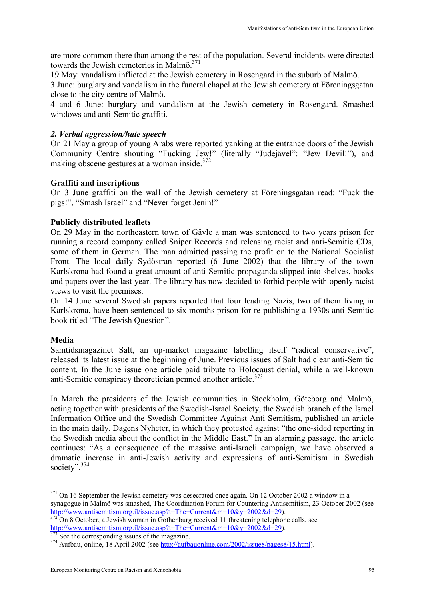are more common there than among the rest of the population. Several incidents were directed towards the Jewish cemeteries in Malmö<sup>[371](#page-94-0)</sup>

19 May: vandalism inflicted at the Jewish cemetery in Rosengard in the suburb of Malmö.

3 June: burglary and vandalism in the funeral chapel at the Jewish cemetery at Föreningsgatan close to the city centre of Malmö.

4 and 6 June: burglary and vandalism at the Jewish cemetery in Rosengard. Smashed windows and anti-Semitic graffiti.

## *2. Verbal aggression/hate speech*

On 21 May a group of young Arabs were reported yanking at the entrance doors of the Jewish Community Centre shouting "Fucking Jew!" (literally "Judejävel": "Jew Devil!"), and making obscene gestures at a woman inside.<sup>[372](#page-94-1)</sup>

## **Graffiti and inscriptions**

On 3 June graffiti on the wall of the Jewish cemetery at Föreningsgatan read: "Fuck the pigs!", "Smash Israel" and "Never forget Jenin!"

## **Publicly distributed leaflets**

On 29 May in the northeastern town of Gävle a man was sentenced to two years prison for running a record company called Sniper Records and releasing racist and anti-Semitic CDs, some of them in German. The man admitted passing the profit on to the National Socialist Front. The local daily Sydöstran reported (6 June 2002) that the library of the town Karlskrona had found a great amount of anti-Semitic propaganda slipped into shelves, books and papers over the last year. The library has now decided to forbid people with openly racist views to visit the premises.

On 14 June several Swedish papers reported that four leading Nazis, two of them living in Karlskrona, have been sentenced to six months prison for re-publishing a 1930s anti-Semitic book titled "The Jewish Question".

#### **Media**

 $\overline{a}$ 

Samtidsmagazinet Salt, an up-market magazine labelling itself "radical conservative", released its latest issue at the beginning of June. Previous issues of Salt had clear anti-Semitic content. In the June issue one article paid tribute to Holocaust denial, while a well-known anti-Semitic conspiracy theoretician penned another article. $373$ 

In March the presidents of the Jewish communities in Stockholm, Göteborg and Malmö, acting together with presidents of the Swedish-Israel Society, the Swedish branch of the Israel Information Office and the Swedish Committee Against Anti-Semitism, published an article in the main daily, Dagens Nyheter, in which they protested against "the one-sided reporting in the Swedish media about the conflict in the Middle East." In an alarming passage, the article continues: "As a consequence of the massive anti-Israeli campaign, we have observed a dramatic increase in anti-Jewish activity and expressions of anti-Semitism in Swedish society".<sup>[374](#page-94-3)</sup>

<span id="page-94-0"></span> $371$  On 16 September the Jewish cemetery was desecrated once again. On 12 October 2002 a window in a synagogue in Malmö was smashed, The Coordination Forum for Countering Antisemitism, 23 October 2002 (see http://www.antisemitism.org.il/issue.asp?t=The+Current&m=10&y=2002&d=29).<br><sup>372</sup> On 8 October, a Jewish woman in Gothenburg received 11 threatening telephone calls, see

<span id="page-94-1"></span>http://www.antisemitism.org.il/issue.asp?t=The+Current&m=10&y=2002&d=29).<br><sup>373</sup> See the corresponding issues of the magazine.<br><sup>374</sup> Aufbau, online, 18 April 2002 (see <u>http://aufbauonline.com/2002/issue8/pages8/15.html</u>).

<span id="page-94-2"></span>

<span id="page-94-3"></span>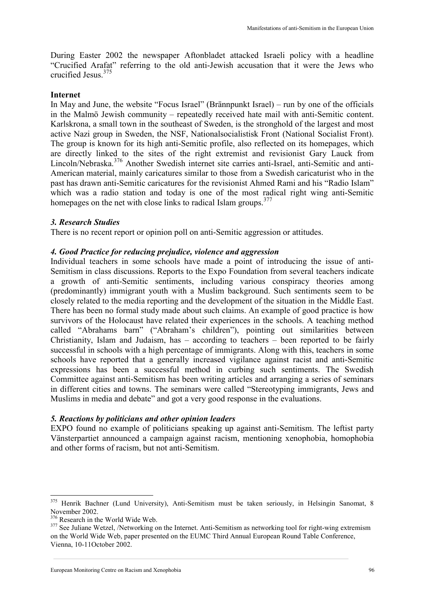During Easter 2002 the newspaper Aftonbladet attacked Israeli policy with a headline "Crucified Arafat" referring to the old anti-Jewish accusation that it were the Jews who crucified Jesus<sup>[375](#page-95-0)</sup>

#### **Internet**

In May and June, the website "Focus Israel" (Brännpunkt Israel) – run by one of the officials in the Malmö Jewish community – repeatedly received hate mail with anti-Semitic content. Karlskrona, a small town in the southeast of Sweden, is the stronghold of the largest and most active Nazi group in Sweden, the NSF, Nationalsocialistisk Front (National Socialist Front). The group is known for its high anti-Semitic profile, also reflected on its homepages, which are directly linked to the sites of the right extremist and revisionist Gary Lauck from Lincoln/Nebraska.[376](#page-95-1) Another Swedish internet site carries anti-Israel, anti-Semitic and anti-American material, mainly caricatures similar to those from a Swedish caricaturist who in the past has drawn anti-Semitic caricatures for the revisionist Ahmed Rami and his "Radio Islam" which was a radio station and today is one of the most radical right wing anti-Semitic homepages on the net with close links to radical Islam groups.<sup>[377](#page-95-2)</sup>

#### *3. Research Studies*

There is no recent report or opinion poll on anti-Semitic aggression or attitudes.

## *4. Good Practice for reducing prejudice, violence and aggression*

Individual teachers in some schools have made a point of introducing the issue of anti-Semitism in class discussions. Reports to the Expo Foundation from several teachers indicate a growth of anti-Semitic sentiments, including various conspiracy theories among (predominantly) immigrant youth with a Muslim background. Such sentiments seem to be closely related to the media reporting and the development of the situation in the Middle East. There has been no formal study made about such claims. An example of good practice is how survivors of the Holocaust have related their experiences in the schools. A teaching method called "Abrahams barn" ("Abraham's children"), pointing out similarities between Christianity, Islam and Judaism, has – according to teachers – been reported to be fairly successful in schools with a high percentage of immigrants. Along with this, teachers in some schools have reported that a generally increased vigilance against racist and anti-Semitic expressions has been a successful method in curbing such sentiments. The Swedish Committee against anti-Semitism has been writing articles and arranging a series of seminars in different cities and towns. The seminars were called "Stereotyping immigrants, Jews and Muslims in media and debate" and got a very good response in the evaluations.

#### *5. Reactions by politicians and other opinion leaders*

EXPO found no example of politicians speaking up against anti-Semitism. The leftist party Vänsterpartiet announced a campaign against racism, mentioning xenophobia, homophobia and other forms of racism, but not anti-Semitism.

<span id="page-95-0"></span><sup>&</sup>lt;sup>375</sup> Henrik Bachner (Lund University), Anti-Semitism must be taken seriously, in Helsingin Sanomat, 8 November 2002.<br><sup>376</sup> Research in the World Wide Web.

<span id="page-95-1"></span>

<span id="page-95-2"></span><sup>&</sup>lt;sup>377</sup> See Juliane Wetzel, /Networking on the Internet. Anti-Semitism as networking tool for right-wing extremism on the World Wide Web, paper presented on the EUMC Third Annual European Round Table Conference, Vienna, 10-11October 2002.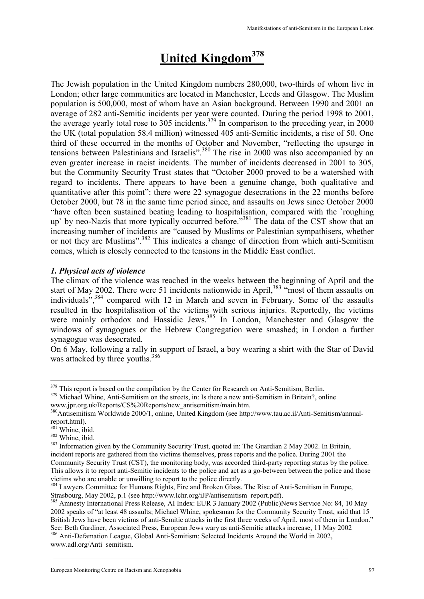# **United Kingdo[m378](#page-96-0)**

The Jewish population in the United Kingdom numbers 280,000, two-thirds of whom live in London; other large communities are located in Manchester, Leeds and Glasgow. The Muslim population is 500,000, most of whom have an Asian background. Between 1990 and 2001 an average of 282 anti-Semitic incidents per year were counted. During the period 1998 to 2001, the average yearly total rose to 305 incidents.<sup>379</sup> In comparison to the preceding year, in 2000 the UK (total population 58.4 million) witnessed 405 anti-Semitic incidents, a rise of 50. One third of these occurred in the months of October and November, "reflecting the upsurge in tensions between Palestinians and Israelis".<sup>380</sup> The rise in 2000 was also accompanied by an even greater increase in racist incidents. The number of incidents decreased in 2001 to 305, but the Community Security Trust states that "October 2000 proved to be a watershed with regard to incidents. There appears to have been a genuine change, both qualitative and quantitative after this point": there were 22 synagogue desecrations in the 22 months before October 2000, but 78 in the same time period since, and assaults on Jews since October 2000 "have often been sustained beating leading to hospitalisation, compared with the `roughing up' by neo-Nazis that more typically occurred before."<sup>381</sup> The data of the CST show that an increasing number of incidents are "caused by Muslims or Palestinian sympathisers, whether or not they are Muslims".<sup>382</sup> This indicates a change of direction from which anti-Semitism comes, which is closely connected to the tensions in the Middle East conflict.

#### *1. Physical acts of violence*

The climax of the violence was reached in the weeks between the beginning of April and the start of May 2002. There were 51 incidents nationwide in April,  $383$  "most of them assaults on individuals",[384](#page-96-6) compared with 12 in March and seven in February. Some of the assaults resulted in the hospitalisation of the victims with serious injuries. Reportedly, the victims were mainly orthodox and Hassidic Jews.<sup>385</sup> In London, Manchester and Glasgow the windows of synagogues or the Hebrew Congregation were smashed; in London a further synagogue was desecrated.

On 6 May, following a rally in support of Israel, a boy wearing a shirt with the Star of David was attacked by three youths.<sup>[386](#page-96-8)</sup>

www.jpr.org.uk/Reports/CS%20Reports/new\_antisemitism/main.htm.

<span id="page-96-8"></span>386 Anti-Defamation League, Global Anti-Semitism: Selected Incidents Around the World in 2002, www.adl.org/Anti\_semitism.

<span id="page-96-0"></span><sup>&</sup>lt;sup>378</sup> This report is based on the compilation by the Center for Research on Anti-Semitism, Berlin.

<span id="page-96-1"></span><sup>&</sup>lt;sup>379</sup> Michael Whine, Anti-Semitism on the streets, in: Is there a new anti-Semitism in Britain?, online

<span id="page-96-2"></span><sup>380</sup>Antisemitism Worldwide 2000/1, online, United Kingdom (see http://www.tau.ac.il/Anti-Semitism/annualreport.html).<br><sup>381</sup> Whine, ibid.

<span id="page-96-3"></span>

<span id="page-96-5"></span><span id="page-96-4"></span>

<sup>&</sup>lt;sup>382</sup> Whine, ibid.<br><sup>383</sup> Information given by the Community Security Trust, quoted in: The Guardian 2 May 2002. In Britain, incident reports are gathered from the victims themselves, press reports and the police. During 2001 the Community Security Trust (CST), the monitoring body, was accorded third-party reporting status by the police. This allows it to report anti-Semitic incidents to the police and act as a go-between between the police and those victims who are unable or unwilling to report to the police directly.

<span id="page-96-6"></span><sup>&</sup>lt;sup>384</sup> Lawyers Committee for Humans Rights, Fire and Broken Glass. The Rise of Anti-Semitism in Europe, Strasbourg, May 2002, p.1 (see http://www.lchr.org/iJP/antisemitism\_report.pdf).

<span id="page-96-7"></span><sup>385</sup> Amnesty International Press Release, AI Index: EUR 3 January 2002 (Public)News Service No: 84, 10 May 2002 speaks of "at least 48 assaults; Michael Whine, spokesman for the Community Security Trust, said that 15 British Jews have been victims of anti-Semitic attacks in the first three weeks of April, most of them in London." See: Beth Gardiner, Associated Press, European Jews wary as anti-Semitic attacks increase, 11 May 2002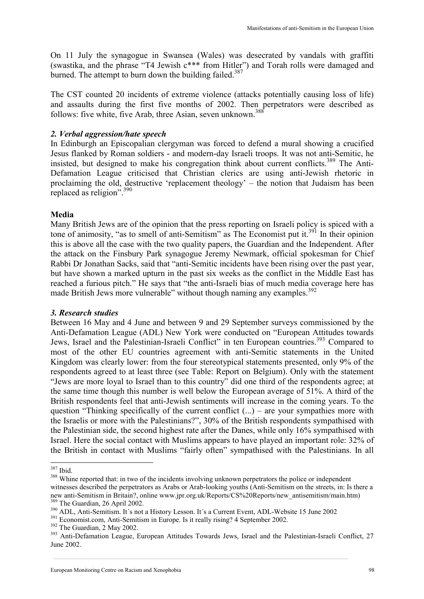On 11 July the synagogue in Swansea (Wales) was desecrated by vandals with graffiti (swastika, and the phrase "T4 Jewish c\*\*\* from Hitler") and Torah rolls were damaged and burned. The attempt to burn down the building failed.<sup>[387](#page-97-0)</sup>

The CST counted 20 incidents of extreme violence (attacks potentially causing loss of life) and assaults during the first five months of 2002. Then perpetrators were described as follows: five white, five Arab, three Asian, seven unknown.<sup>[388](#page-97-1)</sup>

## *2. Verbal aggression/hate speech*

In Edinburgh an Episcopalian clergyman was forced to defend a mural showing a crucified Jesus flanked by Roman soldiers - and modern-day Israeli troops. It was not anti-Semitic, he insisted, but designed to make his congregation think about current conflicts.<sup>389</sup> The Anti-Defamation League criticised that Christian clerics are using anti-Jewish rhetoric in proclaiming the old, destructive 'replacement theology' – the notion that Judaism has been replaced as religion".  $390$ 

## **Media**

Many British Jews are of the opinion that the press reporting on Israeli policy is spiced with a tone of animosity, "as to smell of anti-Semitism" as The Economist put it. $391$  In their opinion this is above all the case with the two quality papers, the Guardian and the Independent. After the attack on the Finsbury Park synagogue Jeremy Newmark, official spokesman for Chief Rabbi Dr Jonathan Sacks, said that "anti-Semitic incidents have been rising over the past year, but have shown a marked upturn in the past six weeks as the conflict in the Middle East has reached a furious pitch." He says that "the anti-Israeli bias of much media coverage here has made British Jews more vulnerable" without though naming any examples.<sup>[392](#page-97-5)</sup>

#### *3. Research studies*

Between 16 May and 4 June and between 9 and 29 September surveys commissioned by the Anti-Defamation League (ADL) New York were conducted on "European Attitudes towards Jews, Israel and the Palestinian-Israeli Conflict" in ten European countries.<sup>393</sup> Compared to most of the other EU countries agreement with anti-Semitic statements in the United Kingdom was clearly lower: from the four stereotypical statements presented, only 9% of the respondents agreed to at least three (see Table: Report on Belgium). Only with the statement "Jews are more loyal to Israel than to this country" did one third of the respondents agree; at the same time though this number is well below the European average of 51%. A third of the British respondents feel that anti-Jewish sentiments will increase in the coming years. To the question "Thinking specifically of the current conflict  $(...)$  – are your sympathies more with the Israelis or more with the Palestinians?", 30% of the British respondents sympathised with the Palestinian side, the second highest rate after the Danes, while only 16% sympathised with Israel. Here the social contact with Muslims appears to have played an important role: 32% of the British in contact with Muslims "fairly often" sympathised with the Palestinians. In all

<span id="page-97-0"></span><sup>&</sup>lt;sup>387</sup> Ibid.

<span id="page-97-1"></span><sup>&</sup>lt;sup>388</sup> Whine reported that: in two of the incidents involving unknown perpetrators the police or independent witnesses described the perpetrators as Arabs or Arab-looking youths (Anti-Semitism on the streets, in: Is there a new anti-Semitism in Britain?, online www.jpr.org.uk/Reports/CS%20Reports/new\_antisemitism/main.htm)<br><sup>389</sup> The Guardian. 26 April 2002.

<span id="page-97-3"></span>

<span id="page-97-4"></span>

<span id="page-97-6"></span><span id="page-97-5"></span>

<span id="page-97-2"></span><sup>&</sup>lt;sup>390</sup> ADL, Anti-Semitism. It's not a History Lesson. It's a Current Event, ADL-Website 15 June 2002<br><sup>391</sup> Economist.com, Anti-Semitism in Europe. Is it really rising? 4 September 2002.<br><sup>392</sup> The Guardian, 2 May 2002.<br><sup>393</sup> June 2002.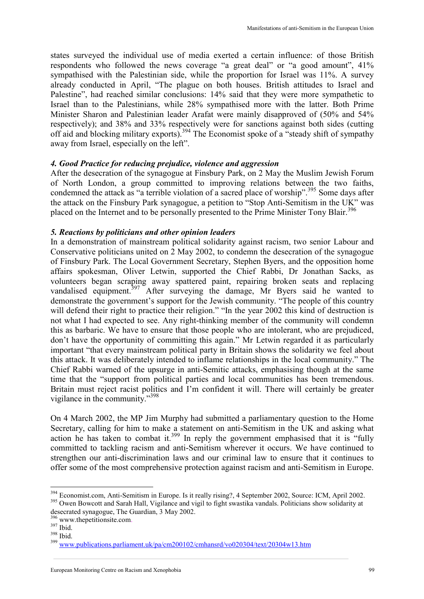states surveyed the individual use of media exerted a certain influence: of those British respondents who followed the news coverage "a great deal" or "a good amount",  $41\%$ sympathised with the Palestinian side, while the proportion for Israel was 11%. A survey already conducted in April, "The plague on both houses. British attitudes to Israel and Palestine", had reached similar conclusions: 14% said that they were more sympathetic to Israel than to the Palestinians, while 28% sympathised more with the latter. Both Prime Minister Sharon and Palestinian leader Arafat were mainly disapproved of (50% and 54% respectively); and 38% and 33% respectively were for sanctions against both sides (cutting off aid and blocking military exports).[394 T](#page-98-0)he Economist spoke of a "steady shift of sympathy away from Israel, especially on the left".

## *4. Good Practice for reducing prejudice, violence and aggression*

After the desecration of the synagogue at Finsbury Park, on 2 May the Muslim Jewish Forum of North London, a group committed to improving relations between the two faiths, condemned the attack as "a terrible violation of a sacred place of worship".<sup>395</sup> Some days after the attack on the Finsbury Park synagogue, a petition to "Stop Anti-Semitism in the UK" was placed on the Internet and to be personally presented to the Prime Minister Tony Blair.<sup>[396](#page-98-2)</sup>

#### *5. Reactions by politicians and other opinion leaders*

In a demonstration of mainstream political solidarity against racism, two senior Labour and Conservative politicians united on 2 May 2002, to condemn the desecration of the synagogue of Finsbury Park. The Local Government Secretary, Stephen Byers, and the opposition home affairs spokesman, Oliver Letwin, supported the Chief Rabbi, Dr Jonathan Sacks, as volunteers began scraping away spattered paint, repairing broken seats and replacing vandalised equipment.<sup>397</sup> After surveying the damage, Mr Byers said he wanted to demonstrate the government's support for the Jewish community. "The people of this country will defend their right to practice their religion." "In the year 2002 this kind of destruction is not what I had expected to see. Any right-thinking member of the community will condemn this as barbaric. We have to ensure that those people who are intolerant, who are prejudiced, don't have the opportunity of committing this again." Mr Letwin regarded it as particularly important "that every mainstream political party in Britain shows the solidarity we feel about this attack. It was deliberately intended to inflame relationships in the local community." The Chief Rabbi warned of the upsurge in anti-Semitic attacks, emphasising though at the same time that the "support from political parties and local communities has been tremendous. Britain must reject racist politics and I'm confident it will. There will certainly be greater vigilance in the community."[398](#page-98-4)

On 4 March 2002, the MP Jim Murphy had submitted a parliamentary question to the Home Secretary, calling for him to make a statement on anti-Semitism in the UK and asking what action he has taken to combat it.<sup>399</sup> In reply the government emphasised that it is "fully committed to tackling racism and anti-Semitism wherever it occurs. We have continued to strengthen our anti-discrimination laws and our criminal law to ensure that it continues to offer some of the most comprehensive protection against racism and anti-Semitism in Europe.

<span id="page-98-0"></span><sup>&</sup>lt;sup>394</sup> Economist.com, Anti-Semitism in Europe. Is it really rising?, 4 September 2002, Source: ICM, April 2002. <sup>395</sup> Owen Bowcott and Sarah Hall, Vigilance and vigil to fight swastika vandals. Politicians show solidarity at

<span id="page-98-1"></span>desecrated synagogue, The Guardian, 3 May 2002.<br><sup>396</sup> www.thepetitionsite.com.

<span id="page-98-2"></span>

<span id="page-98-3"></span>

<span id="page-98-5"></span><span id="page-98-4"></span>

<sup>397</sup> Ibid.  $\frac{397 \text{ WWW}}{398 \text{ Bid}}$ . 398 Ibid. 398 Ibid.  $\frac{398 \text{ WWW}}{399 \text{ WWW}}$ .publications.parliament.uk/pa/cm200102/cmhansrd/vo020304/text/20304w13.htm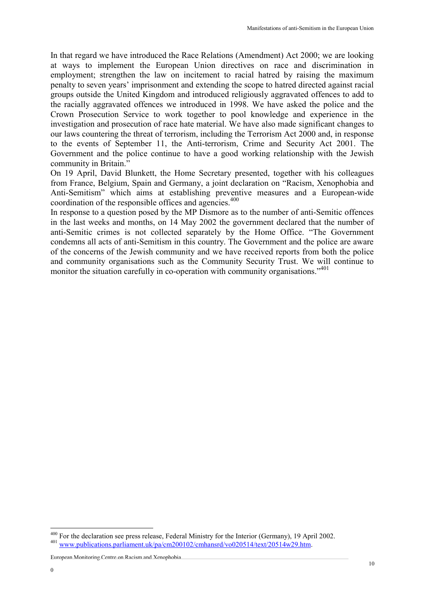In that regard we have introduced the Race Relations (Amendment) Act 2000; we are looking at ways to implement the European Union directives on race and discrimination in employment; strengthen the law on incitement to racial hatred by raising the maximum penalty to seven years' imprisonment and extending the scope to hatred directed against racial groups outside the United Kingdom and introduced religiously aggravated offences to add to the racially aggravated offences we introduced in 1998. We have asked the police and the Crown Prosecution Service to work together to pool knowledge and experience in the investigation and prosecution of race hate material. We have also made significant changes to our laws countering the threat of terrorism, including the Terrorism Act 2000 and, in response to the events of September 11, the Anti-terrorism, Crime and Security Act 2001. The Government and the police continue to have a good working relationship with the Jewish community in Britain."

On 19 April, David Blunkett, the Home Secretary presented, together with his colleagues from France, Belgium, Spain and Germany, a joint declaration on "Racism, Xenophobia and Anti-Semitism" which aims at establishing preventive measures and a European-wide coordination of the responsible offices and agencies.<sup>[400](#page-99-0)</sup>

In response to a question posed by the MP Dismore as to the number of anti-Semitic offences in the last weeks and months, on 14 May 2002 the government declared that the number of anti-Semitic crimes is not collected separately by the Home Office. "The Government condemns all acts of anti-Semitism in this country. The Government and the police are aware of the concerns of the Jewish community and we have received reports from both the police and community organisations such as the Community Security Trust. We will continue to monitor the situation carefully in co-operation with community organisations.<sup>"[401](#page-99-1)</sup>

European Monitoring Centre on Racism and Xenophobia

<span id="page-99-1"></span><span id="page-99-0"></span><sup>&</sup>lt;sup>400</sup> For the declaration see press release, Federal Ministry for the Interior (Germany), 19 April 2002.<br><sup>401</sup> www.publications.parliament.uk/pa/cm200102/cmhansrd/vo020514/text/20514w29.htm.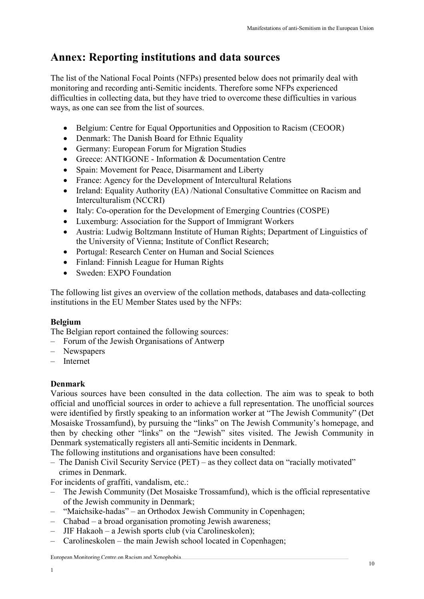## **Annex: Reporting institutions and data sources**

The list of the National Focal Points (NFPs) presented below does not primarily deal with monitoring and recording anti-Semitic incidents. Therefore some NFPs experienced difficulties in collecting data, but they have tried to overcome these difficulties in various ways, as one can see from the list of sources.

- Belgium: Centre for Equal Opportunities and Opposition to Racism (CEOOR)
- Denmark: The Danish Board for Ethnic Equality
- Germany: European Forum for Migration Studies
- Greece: ANTIGONE Information & Documentation Centre
- Spain: Movement for Peace, Disarmament and Liberty
- France: Agency for the Development of Intercultural Relations
- Ireland: Equality Authority (EA) /National Consultative Committee on Racism and Interculturalism (NCCRI)
- Italy: Co-operation for the Development of Emerging Countries (COSPE)
- Luxemburg: Association for the Support of Immigrant Workers
- Austria: Ludwig Boltzmann Institute of Human Rights; Department of Linguistics of the University of Vienna; Institute of Conflict Research;
- Portugal: Research Center on Human and Social Sciences
- Finland: Finnish League for Human Rights
- Sweden: EXPO Foundation

The following list gives an overview of the collation methods, databases and data-collecting institutions in the EU Member States used by the NFPs:

## **Belgium**

The Belgian report contained the following sources:

- Forum of the Jewish Organisations of Antwerp
- Newspapers
- Internet

## **Denmark**

Various sources have been consulted in the data collection. The aim was to speak to both official and unofficial sources in order to achieve a full representation. The unofficial sources were identified by firstly speaking to an information worker at "The Jewish Community" (Det Mosaiske Trossamfund), by pursuing the "links" on The Jewish Community's homepage, and then by checking other "links" on the "Jewish" sites visited. The Jewish Community in Denmark systematically registers all anti-Semitic incidents in Denmark.

The following institutions and organisations have been consulted:

– The Danish Civil Security Service (PET) – as they collect data on "racially motivated" crimes in Denmark.

For incidents of graffiti, vandalism, etc.:

- The Jewish Community (Det Mosaiske Trossamfund), which is the official representative of the Jewish community in Denmark;
- "Maichsike-hadas" an Orthodox Jewish Community in Copenhagen;
- Chabad a broad organisation promoting Jewish awareness;
- JIF Hakaoh a Jewish sports club (via Carolineskolen);
- Carolineskolen the main Jewish school located in Copenhagen;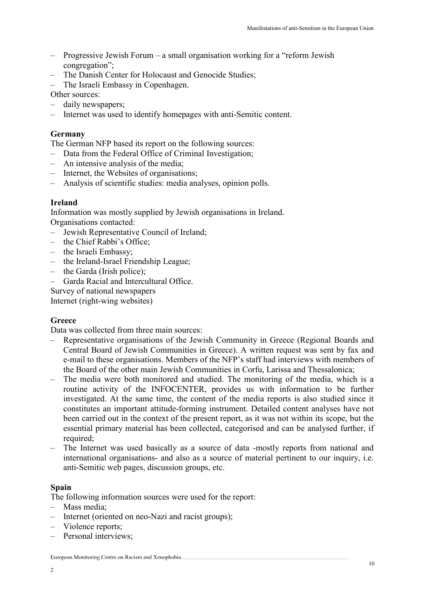- Progressive Jewish Forum a small organisation working for a "reform Jewish congregation";
- The Danish Center for Holocaust and Genocide Studies;
- The Israeli Embassy in Copenhagen.

Other sources:

- daily newspapers;
- Internet was used to identify homepages with anti-Semitic content.

## **Germany**

The German NFP based its report on the following sources:

- Data from the Federal Office of Criminal Investigation;
- An intensive analysis of the media;
- Internet, the Websites of organisations;
- Analysis of scientific studies: media analyses, opinion polls.

## **Ireland**

Information was mostly supplied by Jewish organisations in Ireland. Organisations contacted:

- Jewish Representative Council of Ireland;
- the Chief Rabbi's Office;
- the Israeli Embassy;
- the Ireland-Israel Friendship League;
- the Garda (Irish police);
- Garda Racial and Intercultural Office.
- Survey of national newspapers

Internet (right-wing websites)

#### **Greece**

Data was collected from three main sources:

- Representative organisations of the Jewish Community in Greece (Regional Boards and Central Board of Jewish Communities in Greece). A written request was sent by fax and e-mail to these organisations. Members of the NFP's staff had interviews with members of the Board of the other main Jewish Communities in Corfu, Larissa and Thessalonica;
- The media were both monitored and studied. The monitoring of the media, which is a routine activity of the INFOCENTER, provides us with information to be further investigated. At the same time, the content of the media reports is also studied since it constitutes an important attitude-forming instrument. Detailed content analyses have not been carried out in the context of the present report, as it was not within its scope, but the essential primary material has been collected, categorised and can be analysed further, if required;
- The Internet was used basically as a source of data -mostly reports from national and international organisations- and also as a source of material pertinent to our inquiry, i.e. anti-Semitic web pages, discussion groups, etc.

## **Spain**

The following information sources were used for the report:

- Mass media;
- Internet (oriented on neo-Nazi and racist groups);
- Violence reports;
- Personal interviews;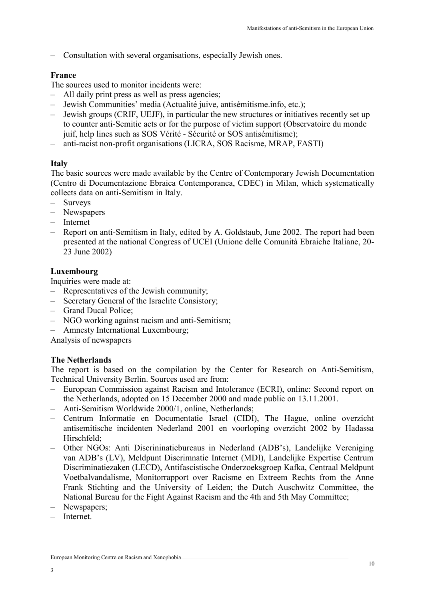– Consultation with several organisations, especially Jewish ones.

## **France**

The sources used to monitor incidents were:

- All daily print press as well as press agencies;
- Jewish Communities' media (Actualité juive, antisémitisme.info, etc.);
- Jewish groups (CRIF, UEJF), in particular the new structures or initiatives recently set up to counter anti-Semitic acts or for the purpose of victim support (Observatoire du monde juif, help lines such as SOS Vérité - Sécurité or SOS antisémitisme);
- anti-racist non-profit organisations (LICRA, SOS Racisme, MRAP, FASTI)

## **Italy**

The basic sources were made available by the Centre of Contemporary Jewish Documentation (Centro di Documentazione Ebraica Contemporanea, CDEC) in Milan, which systematically collects data on anti-Semitism in Italy.

- Surveys
- Newspapers
- Internet
- Report on anti-Semitism in Italy, edited by A. Goldstaub, June 2002. The report had been presented at the national Congress of UCEI (Unione delle Comunità Ebraiche Italiane, 20- 23 June 2002)

## **Luxembourg**

Inquiries were made at:

- Representatives of the Jewish community;
- Secretary General of the Israelite Consistory;
- Grand Ducal Police;
- NGO working against racism and anti-Semitism;
- Amnesty International Luxembourg;

Analysis of newspapers

## **The Netherlands**

The report is based on the compilation by the Center for Research on Anti-Semitism, Technical University Berlin. Sources used are from:

- European Commission against Racism and Intolerance (ECRI), online: Second report on the Netherlands, adopted on 15 December 2000 and made public on 13.11.2001.
- Anti-Semitism Worldwide 2000/1, online, Netherlands;
- Centrum Informatie en Documentatie Israel (CIDI), The Hague, online overzicht antisemitische incidenten Nederland 2001 en voorloping overzicht 2002 by Hadassa Hirschfeld;
- Other NGOs: Anti Discrininatiebureaus in Nederland (ADB's), Landelijke Vereniging van ADB's (LV), Meldpunt Discrimnatie Internet (MDI), Landelijke Expertise Centrum Discriminatiezaken (LECD), Antifascistische Onderzoeksgroep Kafka, Centraal Meldpunt Voetbalvandalisme, Monitorrapport over Racisme en Extreem Rechts from the Anne Frank Stichting and the University of Leiden; the Dutch Auschwitz Committee, the National Bureau for the Fight Against Racism and the 4th and 5th May Committee;
- Newspapers;
- Internet.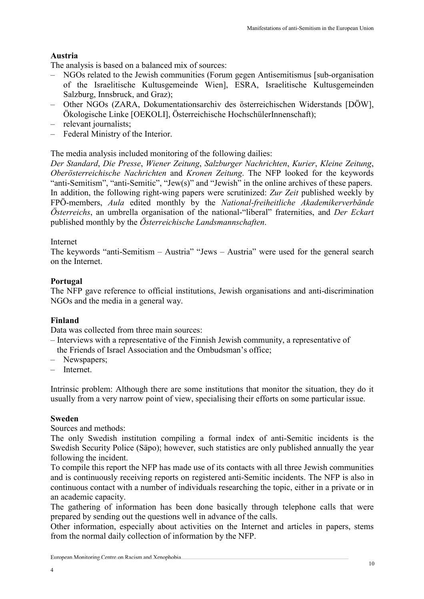## **Austria**

The analysis is based on a balanced mix of sources:

- NGOs related to the Jewish communities (Forum gegen Antisemitismus [sub-organisation of the Israelitische Kultusgemeinde Wien], ESRA, Israelitische Kultusgemeinden Salzburg, Innsbruck, and Graz);
- Other NGOs (ZARA, Dokumentationsarchiv des österreichischen Widerstands [DÖW], Ökologische Linke [OEKOLI], Österreichische HochschülerInnenschaft);
- relevant journalists;
- Federal Ministry of the Interior.

The media analysis included monitoring of the following dailies:

*Der Standard*, *Die Presse*, *Wiener Zeitung*, *Salzburger Nachrichten*, *Kurier*, *Kleine Zeitung*, *Oberösterreichische Nachrichten* and *Kronen Zeitung*. The NFP looked for the keywords "anti-Semitism", "anti-Semitic", "Jew(s)" and "Jewish" in the online archives of these papers. In addition, the following right-wing papers were scrutinized: *Zur Zeit* published weekly by FPÖ-members, *Aula* edited monthly by the *National-freiheitliche Akademikerverbände Österreichs*, an umbrella organisation of the national-"liberal" fraternities, and *Der Eckart* published monthly by the *Österreichische Landsmannschaften*.

## Internet

The keywords "anti-Semitism – Austria" "Jews – Austria" were used for the general search on the Internet.

## **Portugal**

The NFP gave reference to official institutions, Jewish organisations and anti-discrimination NGOs and the media in a general way.

## **Finland**

Data was collected from three main sources:

- Interviews with a representative of the Finnish Jewish community, a representative of
- the Friends of Israel Association and the Ombudsman's office;
- Newspapers;
- Internet.

Intrinsic problem: Although there are some institutions that monitor the situation, they do it usually from a very narrow point of view, specialising their efforts on some particular issue.

## **Sweden**

Sources and methods:

The only Swedish institution compiling a formal index of anti-Semitic incidents is the Swedish Security Police (Säpo); however, such statistics are only published annually the year following the incident.

To compile this report the NFP has made use of its contacts with all three Jewish communities and is continuously receiving reports on registered anti-Semitic incidents. The NFP is also in continuous contact with a number of individuals researching the topic, either in a private or in an academic capacity.

The gathering of information has been done basically through telephone calls that were prepared by sending out the questions well in advance of the calls.

Other information, especially about activities on the Internet and articles in papers, stems from the normal daily collection of information by the NFP.